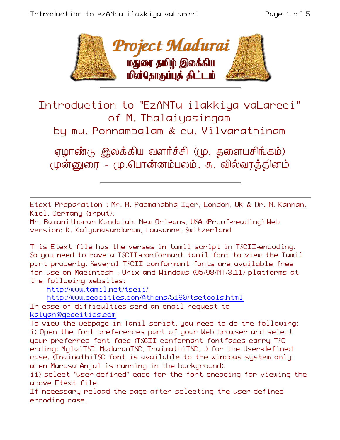

Introduction to "EzANTu ilakkiya vaLarcci" of M. Thalaiyasingam

by mu. Ponnambalam & cu. Vilvarathinam

ஏழாண்டு இலக்கிய வளர்ச்சி (மு. தளையசிங்கம்) (ழன்னுரை - மு.பொன்னம்பலம், சு. வில்வரத்தினம்

Etext Preparation : Mr. R. Padmanabha Iyer, London, UK & Dr. N. Kannan, Kiel, Germany (input);

Mr. Ramanitharan Kandaiah, New Orleans, USA (Proof-reading) Web version: K. Kalyanasundaram, Lausanne, Switzerland

This Etext file has the verses in tamil script in TSCII-encoding. So you need to have a TSCII-conformant tamil font to view the Tamil part properly. Several TSCII conformant fonts are available free for use on Macintosh , Unix and Windows (95/98/NT/3.11) platforms at the following websites:

http://www.tamil.net/tscii/

http://www.geocities.com/Athens/5180/tsctools.html

In case of difficulties send an email request to kalyan@geocities.com

To view the webpage in Tamil script, you need to do the following: i) Open the font preferences part of your Web browser and select your preferred font face (TSCII conformant fontfaces carry TSC ending: MylaiTSC, MaduramTSC, InaimathiTSC,...) for the User-defined case. (InaimathiTSC font is available to the Windows system only when Murasu Anjal is running in the background).

ii) select "user-defined" case for the font encoding for viewing the above Etext file.

If necessary reload the page after selecting the user-defined encoding case.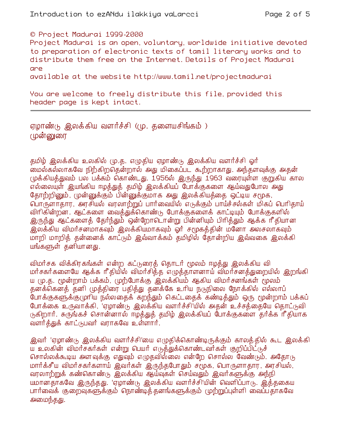© Project Madurai 1999-2000

Project Madurai is an open, voluntary, worldwide initiative devoted to preparation of electronic texts of tamil literary works and to distribute them free on the Internet. Details of Project Madurai ane

available at the website http://www.tamil.net/projectmadurai

You are welcome to freely distribute this file, provided this header page is kept intact.

ஏழாண்டு இலக்கிய வளர்ச்சி (மு. தளையசிங்கம் ) (**முன்னுரை** 

தமிழ் இலக்கிய உலகில் மு.த. எழுதிய ஏழாண்டு இலக்கிய வளர்ச்சி ஓர் மைல்கல்லாகவே நிற்கிறதென்றால் அது மிகைப்பட கூற்றாகாது. அந்தளவுக்கு அதன் முக்கியத்துவம் பல பக்கம் கொண்டது. 1956ல் இருந்து 1963 வரையுள்ள குறுகிய கால எல்லையுள் இயங்கிய ஈழத்துத் தமிழ் இலக்கியப் போக்குகளை ஆய்வதுபோல அது தோற்றினும், முன்னுக்கும் பின்னுக்குமாக அது இலக்கியத்தை ஒட்டிய சமூக, பொருளாதார, அரசியல் வரலாற்றுப் பார்வையில் எடுக்கும் பாய்ச்சல்கள் மிகப் பெரிதாய் விரிகின்றன. ஆட்களை வைத்துக்கொண்டு போக்குகளைக் காட்டியும் போக்குகளில் இருந்து ஆட்களைத் தேர்ந்தும் ஒன்றோடொன்று பின்னியும் பிரித்தும் ஆக்க ரீதியான இலக்கிய விமர்சனமாகவும் இலக்கியமாகவும் ஒர் சமூகக்கின் மனோ அலசலாகவும் மாறி மாறித் தன்னைக் காட்டும் இவ்வாக்கம் தமிழில் தோன்றிய இவ்வகை இலக்கி யங்களுள் தனியானது.

விமர்சக விக்கிரகங்கள் என்ற கட்டுரைத் தொடர் மூலம் ஈழத்து இலக்கிய வி மர்சகர்களையே ஆக்க ரீதியில் விமர்சித்த எழுத்தாளனாய் விமர்சனத்துறையில் இறங்கி ய (மு.த. மூன்றாம் பக்கம், முற்போக்கு இலக்கியம் ஆகிய விமர்சனங்கள் மூலம் தனக்கெனத் தனி முத்திரை பதித்து தனக்கே உரிய நடுநிலை நோக்கில் எல்லாப் போக்குகளுக்கு முரிய நல்லதைக் கறந்தும் கெட்டதைக் கண்டித்தும் ஒரு மூன்றாம் பக்கப் போக்கை உருவாக்கி, 'ஏழாண்டு இலக்கிய வளர்ச்சி'யில் அதன் உச்சத்தையே தொட்டுவி (நகிறார். சுருங்கச் சொன்னால் ஈழத்துத் தமிழ் இலக்கியப் போக்குகளை தர்க்க ரீதியாக வளர்த்துக் காட்டுபவர் வராகவே உள்ளார்.

இவர் 'ஏழாண்டு இலக்கிய வளர்ச்சி'யை எழுதிக்கொண்டிருக்கும் காலத்தில் கூட இலக்கி ய உலகின் விமர்சகர்கள் என்று பெயர் எடுத்துக்கொண்டவர்கள் குறிப்பிட்டுச் சொல்லக்கூடிய அளவுக்கு எதுவும் எழுதவில்லை என்றே சொல்ல வேண்டும். அதோடு மார்க்சீய விமர்சகர்களாய் இவர்கள் இருந்தபோதும் சமூக, பொருளாதார, அரசியல், வரலாற்றுக் கண்கொண்டு இலக்கிய ஆய்வுகள் செய்வதும் இவர்களுக்கு அந்நி யமானதாகவே இருந்தது. 'ஏழாண்டு இலக்கிய வளர்ச்சி'யின் வெளிப்பாடு. இத்தகைய பார்வைக் குறைவுகளுக்கும் நொண்டித்தனங்களுக்கும் முற்றுப்புள்ளி வைப்பதாகவே அமைந்தது.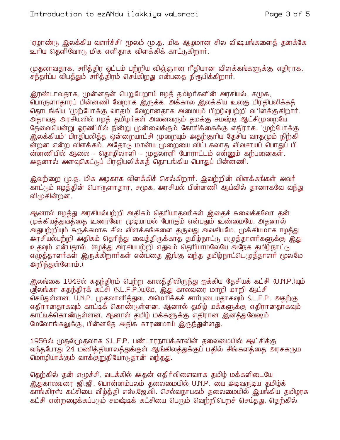'ஏழாண்டு இலக்கிய வளர்ச்சி' மூலம் மு.த. மிக ஆழமான சில விஷயங்களைத் தனக்கே உரிய தெளிவோடு மிக எளிதாக விளக்கிக் காட்டுகிறார்.

முதலாவதாக, சரித்திர ஓட்டம் பற்றிய விஞ்ஞான ரீதியான விளக்கங்களுக்கு எதிராக, சந்தர்ப்ப விபத்தும் சரித்திரம் செய்கிறது என்பதை நிரூபிக்கிறார்.

இரண்டாவதாக, முன்னதன் பெறுபேறாய் ஈழத் தமிழர்களின் அரசியல், சமூக, பொருளாதாரப் பின்னணி வேறாக இருக்க, அக்கால இலக்கிய உலகு பிரதிபலிக்கத் தொடங்கிய 'முற்போக்கு வாதம்' வேறானதாக அமையும் பிறழ்வுபற்றி விளக்குகிறார். உந்தாவது அரசியலில் ஈழத் தம்ிழர்கள் அனைவரும் தமக்கு சம**ஷ்**டி ஆட்சிமுறையே தேவையென்று ஓரணியில் நின்று முன்வைக்கும் கோரிக்கைக்கு எதிராக, 'முற்போக்கு <u>இலக்கியம்' பிரதிபலித்த ஒன்றையாட்சி முறையும் அதற்குரிய தேசிய வாதமும் நிற்கி</u> ன்றன என்ற விளக்கம். அகோடு மான்ய முறையை விட்டகலாக விவசாயப் பொதுப் பி ன்னணியில் ஆலை - கொழிலாளி - முதலாளி போராட்டம் என்னும் கற்பனைகள். அதனால் அளவுகெட்டுப் பிரதிபலிக்கத் தொடங்கிய பொதுப் பின்னணி.

இவற்றை (மு.த. மிக அழகாக விளக்கிச் செல்கிறார். இவற்றின் விளக்கங்கள் அவர் காட்டும் ஈழக்கின் பொருளாகார, சமூக, அரசியல் பின்னணி ஆய்வில் தானாகவே வந்து விழுகின்றன.

ஆனால் ஈழத்து அரசியல்பற்றி அதிகம் தெரியாதவர்கள் இதைச் சுவைக்கவோ தன் முக்கியத்துவத்தை உணரவோ முடியாமல் போகும் என்பதும் உண்மையே. அதனால் .<br>அதுபற்றியும் சுருக்கமாக சில விளக்கங்களை தருவது அவசியமே. முக்கியமாக ஈழத்து அரசியல்பற்றி அதிகம் தெரிந்து வைத்திருக்காத தமிழ்நாட்டு எழுத்தாளர்களுக்கு இது உதவும் என்பதால். (ஈழத்து அரசியபற்றி எதுவும் தெரியாமலேயே அநேக தமிழ்நாட்டு எழுத்தாளர்கள் இருக்கிறார்கள் என்பதை இங்கு வந்த தமிழ்நாட்டெழுத்தாளர் மூலமே அறிந்துள்ளோம்.)

இலங்கை 1948ல் சுதந்திரம் பெற்ற காலத்திலிருந்து ஐக்கிய தேசியக் கட்சி (U.N.P.)யும் ருலைங்கா சுதந்திரக் கட்சி (S.L.F.P.)யுமே, இது காலவரை மாறி மாறி ஆட்சி செய்துள்ளன. U.N.P. முதலாளித்துவ, அமெரிக்கச் சார்புடையதாகவும் S.L.F.P. அதற்கு எதிரானதாகவும் காட்டிக் கொண்டுள்ளன. ஆனால் தமிழ் மக்களுக்கு எதிரானதாகவும் காட்டிக்கொண்டுள்ளன. ஆனால் தமிழ் மக்களுக்கு எதிரான இனத்துவேஷம் மேலோங்கலுக்கு, பின்னகே அகிக காரணமாய் இருந்துள்ளது.

1956ல் முதல்முதலாக S.L.F.P. பண்டாரநாயக்காவின் தலைமையில் ஆட்சிக்கு வந்தபோது 24 மணித்தியாலத்துக்குள் ஆங்கிலத்துக்குப் பதில் சிங்களத்தை அரசகரும மொழியாக்கும் வாக்குறுதியோடுதான் வந்தது.

தெற்கில் தன் எழுச்சி, வடக்கில் அதன் எதிர்விளைவாக தமிழ் மக்களிடையே இதுகாலவரை ஜி.ஜி. பொன்னம்பலம் தலைமையில் U.N.P. யை அடிவருடிய தமிழ்க் காங்கிரஸ் கட்சியை வீழ்த்தி எஸ்.ஜே.வி. செல்வநாயகம் தலைமையில் இயங்கிய தமிழரசு கட்சி என்றமைக்கப்படும் சமஷ்டிக் கட்சியை பெரும் வெற்றிபெறச் செய்தது. தெற்கில்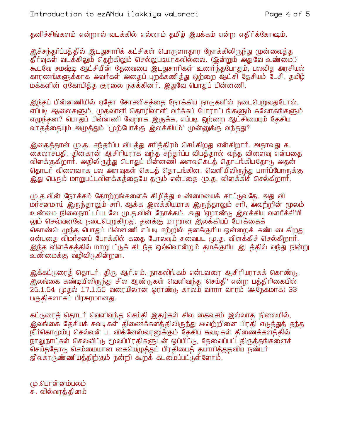தனிச்சிங்களம் என்றால் வடக்கில் எல்லாம் தமிழ் இயக்கம் என்ற எதிர்க்கோஷம்.

இச்சந்தர்ப்பத்தில் இடதுசாரிக் கட்சிகள் பொருளாதார நோக்கிலிருந்து முன்வைத்த தீர்வுகள் வடக்கிலும் தெற்கிலும் செல்லுபடியாகவில்லை. (இன்றும் அதுவே உண்மை.) கூடவே சமஷ்டி ஆட்சியின் தேவையை இடதுசாரிகள் உணர்ந்தபோதும், பலவித அரசியல் காரணங்களுக்காக அவர்கள் அதைப் புறக்கணித்து ஒற்றை ஆட்சி தேசியம் பேசி, தமிழ் மக்களின் ஏகோபிக்க குரலை நசுக்கினர். இதுவே பொதுப் பின்னணி.

இந்தப் பின்னணியில் ஏதோ சோசலிசத்தை நோக்கிய நாடுகளில் நடைபெறுவதுபோல், எப்படி ஆலைகளும். முதலாளி தொழிலாளி வர்க்கப் போராட்டங்களும் சுலோகங்களும் எழுந்தன? பொதுப் பின்னணி வேறாக இருக்க, எப்படி ஒற்றை ஆட்சியையும் தேசிய வாதத்தையும் அழுத்தும் 'முற்போக்கு இலக்கியம்' முன்னுக்கு வந்தது?

இதைத்தான் மு.த. சந்தர்ப்ப விபத்து சாித்திரம் செய்கிறது என்கிறார். அதாவது க. கைலாசபதி, தினகரன் ஆசிரியராக வந்த சந்தர்ப்ப விபத்தால் வந்த விளைவு என்பதை விளக்குகிறார். அதிலிருந்து பொதுப் பின்னணி அளவுகெட்த் தொடங்கியதோடு அதன் தொடர் விளைவாக பல அளவுகள் கெடத் தொடங்கின. வெளியிலிருந்து பார்ப்போருக்கு இது பெரும் மாறுபட்டவிளக்கத்தையே தரும் என்பதை மு.த. விளக்கிச் செல்கிறார்.

மு.த.வின் நோக்கம் தோற்றங்களைக் கிழித்து உண்மையைக் காட்டுவதே. அது வி மார்சனமாய் இருந்தாலும் சாி, ஆக்க இலக்கியமாக இருந்தாலும் சாி, அவற்றின் மூலம் உண்மை நிலைநாட்டப்படலே மு.த.வின் நோக்கம். அது 'ஏழாண்டு இலக்கிய வளர்ச்சி'யி லும் செவ்வனவே நடைபெறுகிறது. தனக்கு மாறான இலக்கியப் போக்கைக் கொண்டெழுந்த பொதுப் பின்னணி எப்படி ஈற்றில் தனக்குரிய ஒன்றைக் கண்டடைகிறது என்பதை விமர்சனப் போக்கில் கதை போலவும் சுவைபட (ம.த. விளக்கிச் செல்கிறார். இந்த விளக்கத்தில் மாறுபட்டுக் கிடந்த ஒவ்வொன்றும் தமக்குரிய இடத்தில் வந்து நின்று உண்மைக்கு வழிவிடுகின்றன .

இக்கட்டுரைத் தொடர், திரு ஆர்.எம். நாகலிங்கம் என்பவரை ஆசிரியராகக் கொண்டு, இலங்கை கண்டியிலிருந்து சில ஆண்டுகள் வெளிவந்த 'செய்தி' என்ற பக்திரிகையில் 26.1.64 (முதல் 17.1.65 வரையிலான ஓராண்டு காலம் வாரா வாரம் (அநேகமாக) 33 பகுதிகளாகப் பிரசுரமானது.

கட்டுரைத் தொடர் வெளிவந்த செய்தி இதழ்கள் சில கைவசம் இல்லாத நிலையில், இலங்கை தேசியக் சுவடிகள் திணைக்களத்திலிருந்து அவற்றினை பிரதி எடுத்துத் தந்த நீர்கொழும்பு செல்வன் ப. விக்னேஸ்வரனுக்கும் தேசிய சுவடிகள் திணைக்களத்தில் நாலுநாட்கள் செலவிட்டு மூலப்பிரதிகளுடன் ஒப்பிட்டு, தேவைப்பட்டதிருத்தங்களைச் செய்த்தோடு செம்மையான கையெழுத்துப் பிரதியைத் தயாரித்துதவிய நண்பர் ஜீ வகாருண்ணியத்திற்கும் நன்றி கூறக் கடமைப்பட்டுள்ளோம்.

(மு.பொன்னம்பலம் சு. வில்வரத் தினம்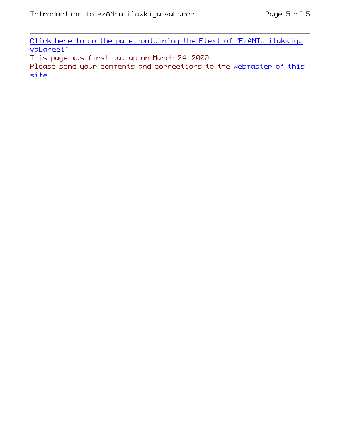Click here to go the page containing the Etext of "EzANTu ilakkiya vaLarcci"

This page was first put up on March 24, 2000

Please send your comments and corrections to the Webmaster of this site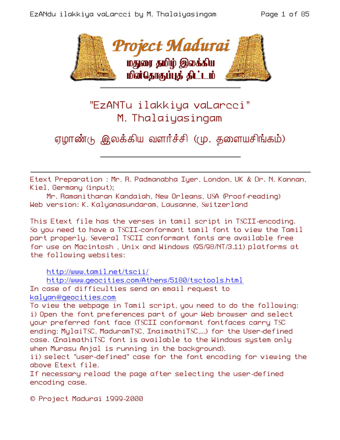

## "EzANTu ilakkiya vaLarcci" M. Thalaiyasingam

# ஏழாண்டு இலக்கிய வளர்ச்சி (மு. தளையசிங்கம்)

Etext Preparation : Mr. R. Padmanabha Iyer, London, UK & Dr. N. Kannan, Kiel, Germany (input);

Mr. Ramanitharan Kandaiah, New Orleans, USA (Proof-reading) Web version: K. Kalyanasundaram, Lausanne, Switzerland

This Etext file has the verses in tamil script in TSCII-encoding. So you need to have a TSCII-conformant tamil font to view the Tamil part properly. Several TSCII conformant fonts are available free for use on Macintosh , Unix and Windows (95/98/NT/3.11) platforms at the following websites:

http://www.tamil.net/tscii/

http://www.geocities.com/Athens/5180/tsctools.html In case of difficulties send an email request to kalyan@geocities.com

To view the webpage in Tamil script, you need to do the following: i) Open the font preferences part of your Web browser and select your preferred font face (TSCII conformant fontfaces carry TSC ending: MylaiTSC, MaduramTSC, InaimathiTSC,...) for the User-defined case. (InaimathiTSC font is available to the Windows system only when Murasu Anjal is running in the background).

ii) select "user-defined" case for the font encoding for viewing the above Etext file.

If necessary reload the page after selecting the user-defined encoding case.

© Project Madurai 1999-2000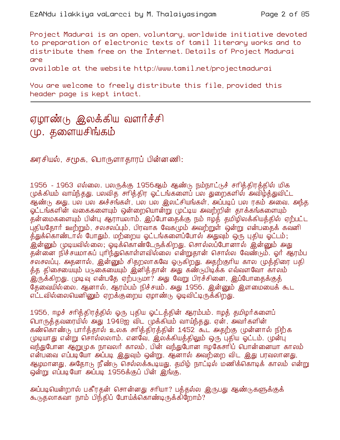Project Madurai is an open, voluntary, worldwide initiative devoted to preparation of electronic texts of tamil literary works and to distribute them free on the Internet. Details of Project Madurai ane

available at the website http://www.tamil.net/projectmadurai

You are welcome to freely distribute this file, provided this header page is kept intact.

### ஏழாண்டு இலக்்கிய வளர்ச்சி (மு. தளையசிங்கம்

அரசியல், சமூக, பொருளாதாரப் பின்னணி:

1956 - 1963 எல்லை. பலருக்கு 1956ஆம் ஆண்டு நம்நாட்டுச் சாித்திரத்தில் மிக முக்கியம் வாய்ந்தது. பலவித சாித்திர ஓட்டங்களைப் பல துறைகளில் அவிழ்த்துவிட்ட ஆண்டு அது. பல பல அச்சங்கள், பல பல இலட்சியங்கள், அப்படிப் பல ரகம் அவை. அந்த ஓட்டங்களின் வகைகளையும் ஒன்றையொன்று முட்டிய அவற்றின் தாக்கங்களையும் தன்மைகளையும் பின்பு ஆராயலாம். இப்போதைக்கு நம் ஈழத் தமிழிலக்கியத்தில் ஏற்பட்ட புதியதோர் ஊற்றும், சலசலப்பும், பிரவாக வேக(மும் அவற்றுள் ஒன்று என்பதைக் கவனி த்துக்கொண்டால் போதும். மற்றைய ஓட்டங்களைப்போல் அதுவும் ஒரு புதிய ஓட்டம்; .<br>இன்னும் முடியவில்லை; வடிக்கொண்டேருக்கிறது. சொல்லப்போனால் இன்னும் அது தன்னை நிச்சயமாகப் புரிந்துகொள்ளவில்லை என்றுதான் சொல்ல வேண்டும். ஓர் ஆரம்ப சலசலப்பு. அதனால், இன்னும் சிதறலாகவே ஓடுகிறது. அதற்குரிய கால முத்திரை பதி த்த திசையையும் படுகையையும் இனித்தான் அது கண்டுபிடிக்க எவ்வளவோ காலம் இருக்கிறது. முடிவு என்பதே ஏற்படுமா? அது வேறு பிரச்சினை, இப்போதைக்குத் தேவையில்லை. ஆனால், ஆரம்பம் நிச்சயம். அது 1956. இன்னும் இளமையைக் கூட எட்டவில்லையெனினும் ஏறக்குறைய ஏழாண்டு ஓடிவிட்டிருக்கிறது.

1956, ஈழச் சரித்திரத்தில் ஒரு புதிய ஓட்டத்தின் ஆரம்பம். ஈழத் தமிழர்களைப் பொருத்தவரையில் அது 1948ஐ விட முக்கியம் வாய்ந்தது. ஏன், அவர்களின் கண்கொண்டு பார்த்தால் உலக சாித்திரத்தின் 1452 கூட அதற்கு முன்னால் நிற்க முடியாது என்று சொல்லலாம். எனவே, இலக்கியத்திலும் ஒரு புதிய ஓட்டம். முன்பு வந்துபோன ஆறுமுக நாவலர் காலம், பின் வந்துபோன ஈழகேசரிப் பொன்னையா காலம் என்பவை எப்படியோ அப்படி இதுவும் ஒன்று. ஆனால் அவற்றை விட இது பரவலானது, ஆழமானது, அதோடு நீண்டு செல்லக்கூடியது. தமிழ் நாட்டில் மணிக்கொடிக் காலம் என்று ஒன்று எப்படியோ அப்படி 1956க்குப் பின் இங்கு.

அப்படியென்றால் பகீரதன் சொன்னது சரியா? பத்தல்ல இருபது ஆண்டுகளுக்குக் கூடுதலாகவா நாம் பிந்திப் போய்க்கொண்டிருக்கிறோம்?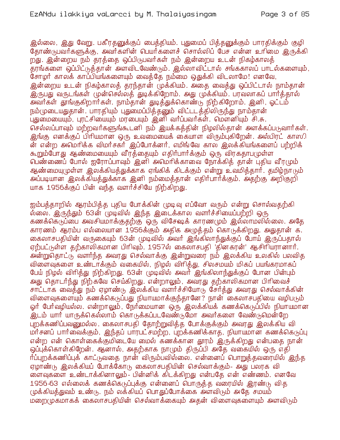இல்லை, இது வேறு. பகீரதனுக்குப் பைத்தியம். புதுமைப் பித்தனுக்கும் பாரதிக்கும் குழி தோண்டுபவர்களுக்கு, அவர்களின் பெயர்களைச் சொல்லிப் பேச என்ன உரிமை இருக்கி றது. இன்றைய நம் தரத்தை ஒப்பிடுபவர்கள் நம் இன்றைய உடன் நிகழ்காலத் .<br>தாங்களை ஒப்பிட்டுத்தான் அளவிடவேண்டும். இல்லாவிட்டால் சங்ககாலப் பாடல்களையும். சோழர் காலக் காப்பியங்களையும் வைத்தே நம்மை ஒதுக்கி விடலாமே! எனவே, இன்றைய உடன் நிகம்காலக் கரந்கான் முக்கியம். அதை வைக்து ஒப்பிட்டால் நாம்கான் .<br>இருபது வருடங்கள் முன்செல்லத் துடிக்கிறோம். அது முக்கியம். பரவலாகப் பார்த்தால் அவர்கள் தூங்குகிறார்கள். நாம்தான் துடித்துக்கொண்டு நிற்கிறோம். இனி, ஓட்டம் நம்முடையதுதான். பாரதியும் புதுமைப்பித்தனும் விட்டடத்திலிருந்து நாம்தான் புதுமையையும், புரட்சியையும் மாபையும் இனி வர்ப்பவர்கள். மௌனியும் சி.சு. செல்லப்பாவும் மற்றவர்களுங்கூடனி நம் இயக்கத்தின் நிழலில்தான் அளக்கப்படுவார்கள். இங்கு எனக்குப் பிரியமான ஒரு உவமையைக் கையாள விரும்பகிறேன். அல்பிரட் காஸ $\Omega$ ன் என்ற அமெரிக்க விமர்சகர் இப்போக்னர். எமிங்வே கால இலக்கியங்களைப் பற்றிக் கூறும்போது ஆண்மையையும் வீரக்கையும் எகிர்பார்க்கும் ஒரு விரகதாபமுள்ள பெண்ணைப் போல் ஐரோப்பாவும் இனி அமெரிக்காவை நோக்கித் தான் புதிய வீரமும் ஆண்மையு(முள்ள இலக்கியத்துக்காக ஏங்கிக் கிடக்கும் என்று உவமித்தார். தமிழ்நாடும் அப்படியான இலக்கியத்துக்காக இனி நம்மைத்தான் எதிர்பார்க்கும். அதற்கு அறிகுறி யாக 1956க்குப் பின் வந்த வளர்ச்சியே நிற்கிறது.

ஐம்பக்காறில் ஆரம்பிக்க புகிய போக்கின் முடிவு எப்வோ வரும் என்று சொல்வகற்கி ல்லை. இருந்தும் 63ன் முடிவில் இந்த இடைக்கால வளர்ச்சியைப்பற்றி ஒரு கணக்கெடுப்பை அவசியமாக்குதற்கு ஒரு விசேஷக் காரணமும் இல்லாமலில்லை. அதே காரணம் ஆரம்ப எல்லையான 1956க்கும் அதிக அழுத்தம் கொடுக்கிறது. அதுதான் க. கைலாசபதியின் வருகையும் 63ன் முடிவில் அவர் இங்கிலாந்துக்குப் போய் இருப்பதால் ஏற்பட்டுள்ள தற்காலிகமான பிரிவும். 1957ல் கைலாசபதி 'தினகரன்' ஆசிரியரானார். அ்ன்றுதொட்டு வளர்ந்த அவரது செல்வாக்கு இன்றுவரை நம் இலக்கிய உலகில் பலவித விளைவுகளை உண்டாக்கும் வகையில், நிழல் விரித்து, சிலசமயம் மிகப் பயங்கரமாகப் பேய் நிழல் விரித்து நிற்கிறது. 63ன் முடிவில் அவர் இங்கிலாந்துக்குப் போன பின்பும் அது தொடர்ந்து நிற்கவே செய்கிறது. என்றாலும், அவரது தற்காலிகமான பிரிவைச் சாட்டாக வைத்து நம் ஏழாண்டு இலக்கிய வளர்ச்சியோடு சேர்த்து அவரது செல்வாக்கின் விளைவுகளையும் கணக்கெடுப்பது நியாயமாக்குந்தானே? நான் கைலாசபதியை வழிபடும் ஓர் பேர்வழியல்ல. என்றாலும், நேர்மையான ஒரு இலக்கியக் கணக்கெடுப்பில் நியாயமான <u>இடம் யார் யாருக்கெல்லாம் கொடுக்கப்படவேண்டுமோ அவர்களை வேண்டுமென்றே</u> புறக்கணிப்பவனுமல்ல. கைலாசபதி தோற்றுவித்த போக்குக்கும் அவரது இலக்கிய வி மர்சனப் பார்வைக்கும், இந்தப் பாரபட்சமற்ற, புறக்கணிக்காத, நியாயமான கணக்கெடுப்பு என்ற என் கொள்கைக்குமிடையே மைல் கணக்கான தூரம் இருக்கிறது என்பகை நான் ஒப்பக்கொள்கிறேன். ஆனால், அதற்காக நாமும் திருப்பி அதே வகையில் ஒரு எதி ர்ப்புறக்கணிப்புக் காட்டுவதை நான் விரும்பவில்லை. என்னைப் பொறுத்தவரையில் இந்த ஏழாண்டு இலக்கியப் போக்கோடு கைலாசபதியின் செல்வாக்கும்- அது பலரக வி ளைவுகளை உண்டாக்கினாலும்- பின்னிக் கிடக்கிறது என்பதே என் எண்ணம். எனவே 1956-63 எல்லைக் கணக்கெடுப்புக்கு என்னைப் பொருக்க வரையில் இரண்டு விக முக்கியத்துவம் உண்டு. நம் லக்கியப் பொதுப்போக்கை அளவிடும் அதே சமயம் மறைமுகமாகக் கைலாசபதியின் செல்வாக்கையும் அதன் விளைவுகளையும் அளவிடும்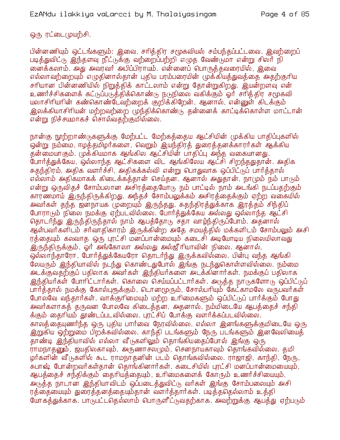ஒரு ரட்டை(முயற்சி.

பின்னணியும் ஒட்டங்களும்: இவை, சாித்திர சமூகவியல் சம்பந்தப்பட்டவை. இவற்றைப் படித்துவிட்டு, இந்தளவு நீட்டுக்கு வற்றைப்பற்றி எழுத வேண்டுமா என்று சிலா் நி னைக்கலாம். அது அவரவர் அபிப்பிராயம். என்னைப் பொருக்குவரையில், இவை எல்லாவற்றையும் எமுதினால்தான் புதிய பரம்பரையின் முக்கியத்துவத்தை அதற்குரிய சரியான பின்னணியில் நிறுத்திக் காட்டலாம் என்று தோன்றுகிறது. இயன்றளவு என் உணர்ச்சிகளைக் கட்டுப்படுத்திக்கொண்டு நடுநிலை வகிக்கும் ஓர் சரித்திர சமூகவி யலாசிரியரின் கண்கொண்டேவற்றைக் குறிக்கிறேன். ஆனால், என்னுள் கிடக்கும் இலக்கியாசிரியன் மற்றவற்றை முந்திக்கொண்டு தன்னைக் காட்டிக்கொள்ள மாட்டான் என்று நிச்சயமாகச் சொல்வகற்குமில்லை.

நான்கு நூற்றாண்டுகளுக்கு மேற்பட்ட மேற்கத்தைய ஆட்சியின் முக்கிய பாதிப்புகளில் .<br>ஒன்று நம்மை, ஈழத்தமிழர்களை, வெறும் இயந்திரத் துரைத்தனக்காரர்கள் ஆக்கிய குன்மையாகும். முக்கியமாக ஆங்கில ஆட்சியின் பாகிப்பு அந்த வகையானது. போர்த்துக்கேய, ஒல்லாந்த ஆட்சிகளை விட ஆங்கிலேய ஆட்சி சிறந்ததுதான். அதிக சுதந்திரம், அதிக வளர்ச்சி, அதிகக்கல்வி என்று பொதுவாக ஒப்பிட்டுப் பார்த்தால் எல்லாம் அதிகமாகக் கிடைக்கத்தான் செய்தன. ஆனால் அதுதான், நாமும் நம் பாடும் என்று ஒருவிதச் சோம்பலான அசிரத்தையோடு நம் பாட்டில் நாம் அடங்கி நடப்பதற்கும் காரணமாய் இருந்திருக்கிறது. அந்தச் சோம்பலுக்கம் அசிரத்தைக்கும் ஏற்ற வகையில் அவர்கள் தந்த ஜனநாயக முறையும் இருந்தது. சுதந்திரத்துக்காக இரத்தம் சிந்திப் போராடும் நிலை நமக்கு ஏற்படவில்லை. போர்த்துக்கேய அல்லது ஒல்லாந்த ஆட்சி தொடர்ந்து இருந்திருந்தால் நாம் ஆபத்தோடு சதா வாழ்ந்திருப்போம். அதனால் ஆள்பவர்களிடம் சர்வாதிகாரம் இருக்கின்ற அதே சமயத்தில் மக்களிடம் சோம்பலும் அசி ரத்்தையும் கலவாத ஒரு புரட்சி மனப்பான்மையும் கடைசி அடியோடிய நிலையிலாவது இருந்திருக்கும். ஓர் அங்கோலா அல்லது அல்ஜீரியாவின் நிலை. ஆனால், ஒல்லாந்தாரோ, போர்த்துக்கேயரோ தொடர்ந்து இருக்கவில்லை. பின்பு வந்த ஆங்கி லேயரும் இந்தியாவில் நடந்து கொண்டதுபோல் இங்கு நடந்துகொள்ளவில்லை. நம்மை அடக்குவதற்குப் பதிலாக அவர்கள் இந்தியர்களை அடக்கினார்கள். நமக்குப் பதிலாக <u>இந்தியர்கள் போரிட்டார்கள். கொலை செய்யப்பட்டார்கள். அடுத்த நாடுகளோடு ஒப்பிட்டுப் </u> பார்த்தால் நமக்கு கோல்புரூக்கும், டொனமூரும், சோல்பரியும் கேட்காமலே வருபவர்கள் போலவே வந்தார்கள். வாக்குரிமையும் மற்ற உரிமைகளும் ஒப்பிட்டுப் பார்க்கும் போது அவர்களாகத் தருவன போலவே கிடைத்தன. அதனால், நம்மிடையே ஆபத்தைச் சந்தி க்கும் தைரியம் தூண்டப்படவில்லை. புரட்சிப் போக்கு வளர்க்கப்படவில்லை. காலத் தையுணர்ந்த ஒரு புதிய பார்வை நேரவில்லை. எல்லா இனங்களுக்குமிடையே ஒரு இறுகிய ஒற்றுமை பிறக்கவில்லை. காந்தி படங்களும் நேரு படங்களும் இனவேலியைத் ராமநாதனும், ஜயதிலகாவும், அருணாசலமும், செனநாயகாவும் தொங்கவில்லை. தமி ழர்களின் வீடுகளில் கூட ராமநாதனின் படம் தொங்கவில்லை. ராஜாஜி, காந்தி, நேரு, சுபாஷ் போன்றவர்கள்தான் தொங்கினார்கள். கடைசியில் புரட்சி மனப்பான்மையையும், ஆபத்தைச் சந்திக்கும் தைரியத்தையும், உரிமைகளைக் கோரும் உணர்ச்சியையும், அடுத்த நாடான இந்தியாவிடம் ஒப்படைத்துவிட்டு வர்கள் இங்கு சோம்பலையும் அசி ரத்தையையும் துரைத்தனத்தையும்தான் வளர்த்தார்கள். படித்ததெல்லாம் உத்தி யோகத்துக்காக. பாடுபட்டதெல்லாம் பொருளீட்டுவதற்காக. அவற்றுக்கு ஆபத்து ஏற்படும்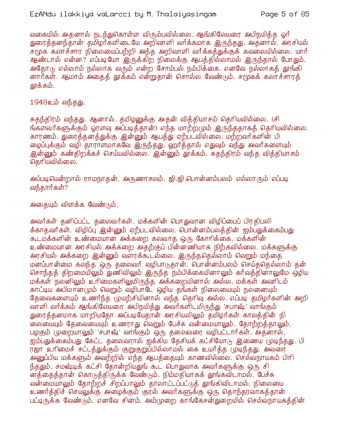வகையில் அதனால் நடந்துகொள்ள விரும்பவில்லை. ஆங்கிலேயரை அபிநயிக்க ஒர் துரைத்தனந்தான் தமிழர்களிடையே அறிவாளி வர்க்கமாக இருந்தது. அதனால், அரசியல் சமூக கலாச்சார நிலையைப்பற்றி அந்த அறிவாளி வர்க்கத்துக்குக் கவலையில்லை. யார் ஆண்டால் என்ன? எப்படியோ ஒருக்கிற நிலைக்கு ஆபத்தில்லாமல் இருந்தால் போதும். அதோடு எல்லாம் நல்லாக வரும் என்ற சோம்பல் நம்பிக்கை. எனவே நல்லாகக் தூங்கி னார்கள். ஆமாம் அகைக் தூக்கம் என்றுகான் சொல்ல வேண்டும். சமூகக் கலாச்சாரக் தூக்கம்.

#### 1948உம் வந்தது.

சுதந்திரம் வந்தது. ஆனால், தமிழனுக்கு அதன் வித்தியாசம் தெரியவில்லை. (சி ங்களவர்களுக்கும் ஓரளவு அப்படித்தான்) எந்த மாற்றமும் இருந்ததாகத் தெரியவில்லை. காரணம், துரைத்தனத்துக்கு இன்னும் ஆபத்து ஏற்படவில்லை. மற்றவர்களின் பி <u>மைப்புக்கும் வழி தாராளமாகவே இருந்தது. ஹா்த்தால் எதுவும் வந்து அவா்களையும்</u> இன்னும் கண்திறக்கச் செய்யவில்லை. இன்னும் தூக்கம். சுதந்திரம் வந்த வித்தியாசம் தெரியவில்லை.

அப்படியென்றால் ராமநாதன், அருணாசலம், ஜி.ஜி.பொன்னம்பலம் எல்லாரும் எப்படி வந்தார்கள்?

அதையும் விளக்க வேண்டும்.

அவர்கள் தனிப்பட்ட தலைவர்கள். மக்களின் பொதுவான விழிப்பைப் பிரதிபலி க்காதவர்கள். விழிப்பு இன்னும் ஏற்படவில்லை. பொன்னம்பலத்தின் ஐம்பதுக்கைம்பது கூடமக்களின் உண்மையான அக்கறை கலவாத ஒரு கோரிக்கை. மக்களின் உண்மையான அரசியல் அக்கறை அதற்குப் பின்னணியாக நிற்கவில்லை. மக்களுக்கு அரசியல் அக்கறை இன்னும் வளரக்கூடல்லை. இருந்ததெல்லாம் வெறும் மந்தை மனப்பான்மை கலந்த ஒரு தலைவர் வழிபாடுதான். பொன்னம்பலம் செய்ததெல்லாம் தன் சொந்தத் திறமையிலும் துணிவிலும் இருந்த நம்பிக்கையினாலும் கா்வத்தினாலுமே ஒழிய மக்கள் நலனிலும் உரிமைகளிலுமிருந்த அக்கறையினால் அல்ல. மக்கள் அவரிடம் காட்டிய அபிமானமும் வெறும் வழிபாடே ஒழிய தங்கள் நிலையையும் நலனையும் தேவைகளையும் உணர்ந்த முயற்சியினால் வந்த தெரிவு அல்ல. எப்படி தமிழர்களின் அறி வாளி வர்க்கம் ஆங்கிலேயரை அபிநயித்து அவர்களிடமிருந்து 'சபாஷ்' வாங்கும் துரைத்தனமாக மாறியதோ அப்படியேதான் அரசியலிலும் தமிழர்கள் காலத்தின் நி லையையும் தேவையையும் உணராது வெறும் பேச்சு வன்மையாலும், தோற்றத்தாலும், பழகும் முறையாலும் 'சபாஷ்' வாங்கும் ஒரு தலைவரை வழிபட்டார்கள். அதனால், ஐம்பதுக்கைம்பது கேட்ட தலைவரால் ஐக்கிய தேசியக் கட்சியோடு இணைய முடிந்தது. பி ர்ஜா உரிமைச் சட்டத்துக்கும் குறுகுறுப்பில்லாமல் கை உயர்த்த முடிந்தது. அவரை <u>அனுப்பிய மக்களும் அவற்றில் எந்த ஆபத்தையும் காணவில்லை. செல்வநாயகம் பிரி</u> ந்ததும், சமஷ்டிக் கட்சி தோன்றியதுங் கூட பொதுவாக அவர்களுக்கு ஒரு சி னத்தைத்தான் கொடுத்திருக்க வேண்டும். நிம்மதியாகக் தூங்கவிடாமல், பேச்சு வன்மையாலும் தோற்றச் சிறப்பாலும் தாலாட்டப்பட்டுத் தூங்கிவிடாமல், நிலையை உணர்த்திச் செயலுக்கு அழைக்கும் குரல் அவர்களுக்கு ஒரு தொந்தரவாகத்தான் பட்டிருக்க வேண்டும். எனவே சினம். அம்முறை காங்கேசன்துறையில் செல்வநாயகக்கின்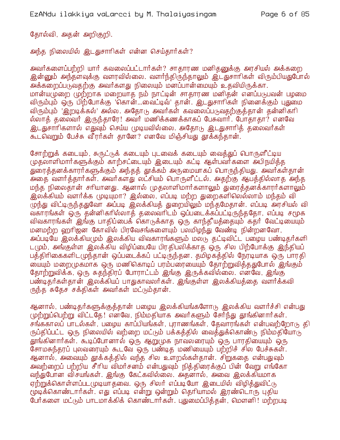தோல்வி, அதன் அறிகுறி.

அந்த நிலையில் இடதுசாரிகள் என்ன செய்தார்கள்?

அவர்களைப்பற்றி யார் கவலைப்பட்டார்கள்? சாதாரண மனிதனுக்கு அரசியல் அக்கறை <u>இன்னு</u>ம் அந்தளவுக்கு வளரவில்லை. வளர்ந்திருந்தாலும் இடதுசாரிகள் விரும்பியதுபோல் அக்கறைப்படுவதற்கு அவர்களது நிலையும் மனப்பான்மையும் உதவியிருக்கா. மான்யமுறை முற்றாக மறையாத நம் நாட்டின் சாதாரண மனிதன் எனப்படுபவன் பழமை விரும்பும் ஒரு பிற்போக்கு 'கொன்...வைட்டிவ்' தான். இடதுசாரிகள் நினைக்கும் புதுமை விரும்பும் 'இறடிக்கல்' அல்ல. அதோடு அவர்கள் கவலைப்படுவதற்குத்தான் தன்னிகரி ல்லாக் கலைவர் இருந்தாரே! அவர் மணிக்கணக்காகப் பேசுவார். போதாகா? எனவே இடதுசாரிகளால் எதுவும் செய்ய முடியவில்லை. அதோடு இடதுசாரித் தலைவர்கள் கூடவெறும் பேச்சு வீரர்கள் தானே? எனவே மிஞ்சியது தூக்கந்தான்.

சோற்றுக் கடையும், சுருட்டுக் கடையும் புடவைக் கடையும் வைத்துப் பொருளீட்டிய முதலாளிமார்களுக்கும் காற்சட்டையும் இடையும் கட்டி ஆள்பவர்களை அபிநயித்த .<br>துரைத்தனக்காரர்களுக்கும் அந்தத் தூக்கம் அருமையாகப் பொருந்தியது. அவர்கள்தான் .<br>அதை வளர்த்தார்கள். அவர்களது லட்சியம் பொருளீட்டல். அதற்கு ஆபத்தில்லாத அந்த மந்த நிலைதான் சரியானது. ஆனால் முதலாளிமார்களாலும் துரைத்தனக்காரர்களாலும் இலக்கியம் வளர்க்க முடியுமா? இல்லை, எப்படி மற்ற துறைகளிலெல்லாம் மந்தம் வி முந்து விட்டிருந்ததுவோ அப்படி இலக்கியத் துறையிலும் மந்தமேதான். எப்படி அரசியல் வி வகாரங்கள் ஒரு தன்னிகரில்லாத் தலைவரிடம் ஒப்படைக்கப்பட்டிருந்ததோ, எப்படி சமூக விவகாரங்கள் இங்கு பாதிப்பைக் கொடுக்காத ஒரு காந்தீயத்தையும் கதா் வேட்டியையும் மனமற்ற ஹரிஜன கோவில் பிரவேசங்களையும் பலமிழந்து வேண்டி நின்றனவோ, அப்படியே இலக்கியமும் இலக்கிய விவகாரங்களும் மலடு தட்டிவிட்ட பழைய பண்டிதர்களி டமும், அங்குள்ள இலக்கிய விழிப்பையே பிரதிபலிக்காத ஒரு சில பிற்போக்கு இந்தியப் பத்திரிகைகளிடமுந்தான் ஒப்படைக்கப் பட்டிருந்தன. தமிழகத்தில் நேரடியாக ஒரு பாரதி ் மையும் மறைமுகமாக ஒரு மணிகொடிப் பரம்பரையையும் தோற்றுவித்ததுபோல் இங்கும் தோற்றுவிக்க, ஒரு சுதந்திரப் போராட்டம் இங்கு இருக்கவில்லை. எனவே, இங்கு பண்டிதர்கள்தான் இலக்கியப் பாதுகாவலர்கள். இங்குள்ள இலக்கியத்தை வளர்க்கவி ருந்த சுதேச சக்திகள் அவர்கள் மட்டும்தான்.

ஆனால், பண்டிதர்களுக்குத்தான் பழைய இலக்கியங்களோடு இலக்கிய வளர்ச்சி என்பது முற்றுப்பெற்று விட்டதே! எனவே, நிம்மதியாக அவர்களும் சேர்ந்து தூங்கினார்கள். சங்ககாலப் பாடல்கள், பழைய காப்பியங்கள், புராணங்கள், கேவாரங்கள் என்பவற்றோடு தி ருப்திப்பட்ட ஒரு நிலையில் வற்றை மட்டும் பக்கத்தில் வைத்துக்கொண்டு நிம்மதியோடு .<br>தூங்கினார்கள். கூடிப்போனால் ஒரு ஆறுமுக நாவலரையும் ஒரு பாரதியையும் ஒரு சோமசுந்தரப் புலவரையும் கூடவே ஒரு பண்டித மணியையும் பற்றிச் சில பேச்சுகள். ஆனால், அவையும் தூக்கத்தில் வந்த சில உளறல்கள்தான். சிறுகதை என்பதுவும் அவற்றைப் பற்றிய சீரிய விமர்சனம் என்பதுவும் நித்திரைக்குப் பின் வேறு எங்கோ வந்துபோன விசயங்கள். இங்கு கேட்கவில்லை. அதனால், அவை இலக்கியமாக ஏற்றுக்கொள்ளப்பட முடியாதவை. ஒரு சிலர் எப்படியோ இடையில் விழித்துவிட்டு மூடிக்கொண்டார்கள். எது எப்படி என்று ஒன்றும் தெரியாமல் இரண்டொரு புதிய பேர்களை மட்டும் பாடமாக்கிக் கொண்டார்கள். புதுமைப்பிக்குன், மௌனி ! மற்றபடி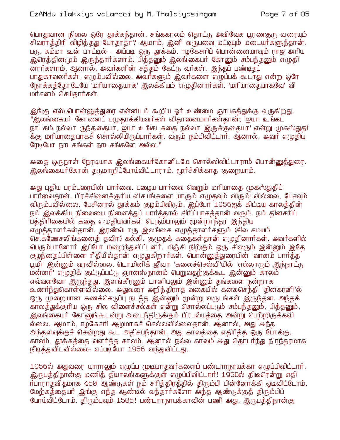பொதுவான நிலை ஒரே தூக்கந்தான். சங்ககாலம் தொட்டு அவிவேக பூரணகுரு வரையும் சிவராத்திரி விழித்தது போதாதா? ஆமாம், இனி வருபவை மட்டியும் மடையாகளுந்தான். படு, சும்மா உன் பாட்டில் - அப்படி ஒரு தூக்கம். ஈழகேசாிப் பொன்னையாவும் ராஜ அரிய .<br>இரெத்தினமும் இருந்தார்களாம். பித்தனும் இலங்கையர் கோனும் சம்பந்தனும் எழுதி னார்களாம். ஆனால், அவர்களின் சத்தம் கேட்டு வர்கள், இந்தப் பண்டிதப் பாதுகாவலர்கள், எழும்பவில்லை. அவர்களும் இவர்களை எழுப்பக் கூடாது என்ற ஒரே நோக்கத்தோடேயே 'மரியாதையாக' இலக்கியம் எமுதினார்கள். 'மரியாதையாகவே' வி மர்சனம் செய்தார்கள்.

இங்கு எஸ்.பொன்னுத்துரை என்னிடம் கூறிய ஓர் உண்மை ஞாபகத்துக்கு வருகிறது. "இலங்கையர் கோனைப் பமுதாக்கியவர்கள் விதானைமார்கள்தான்; 'ஐயா உங்கட நாடகம் நல்லா ருந்ததையா, ஐயா உங்கடகதை நல்லா இருக்குதையா' என்று முகஸ்துதி .<br>க்கு மாியாதையாக்ச் சொல்லியிருப்பார்கள். வரும் நம்பிவிட்டார். ஆனால், அவர் எழுதிய ரேடியோ நாடகங்கள் நாடகங்களே அல்ல."

அதை ஒருநாள் நேரடியாக இலங்கையர்கோனிடமே சொல்லிவிட்டாராம் பொன்னுத்துரை. இலங்கையர்கோன் தடுமாறிப்போய்விட்டாராம். மூர்ச்சிக்காத குறையாம்.

அது புதிய பரம்பரையின் பார்வை. பழைய பார்வை வெறும் மரியாதை முகஸ்துதிப் பார்வைதான். பிரச்சினைக்குரிய விசயங்களை யாரும் எமுதவும் விரும்பவில்லை, பேசவும் விரும்பவில்லை. பேசினால் தூக்கம் குழம்பிவிடும். இப்போ 1956ஐக் கிட்டிய காலத்தின் நம் இலக்கிய நிலையை நினைத்துப் பார்த்தால் சிரிப்பாகத்தான் வரும். நம் தினசரிப் பத்திரிகையில் கதை எழுதியவர்கள் பெரும்பாலும் மூன்றாந்தர இந்திய எழுத்தாளர்கள்தான். இரண்டொரு இலங்கை எழுத்தாளர்களும் (சில சமயம் செ.கணேசலிங்கனைத் தவிர) கல்கி, குமுதக் கதைகள்தான் எழுதினார்கள். அவர்களில் பெரும்பானோர் இப்போ மறைந்துவிட்டனர். மிஞ்சி நிற்கும் ஒரு சிலரும் இன்னும் இதே குழந்தைப்பிள்ளை ரீதியில்தான் எழுதுகிறார்கள். வான்னுத்துரையின் 'வானம் பார்த்த பூமி' இன்னும் வரவில்லை. டொமினிக் ஜீவா 'கலைச்செல்வி'யில் 'எல்லாரும் இந்நாட்டு மன்னர்' எழுதிக் குட்டுப்பட்டு ஞானஸ்நானம் பெறுவதற்குக்கூட இன்னும் காலம் எவ்வளவோ இருந்தது. இளங்கீரனும் டானியலும் இன்னும் தங்களை நன்றாக உணர்ந்துகொள்ளவில்லை. அதுவரை அறிந்திராத வகையில் கனகசெந்தி 'தினகரனி'ல் ஒரு முறையான கணக்கெடுப்பு நடத்த இன்னும் மூன்று வருடங்கள் இருந்தன. அந்தக் காலத்துக்குரிய ஒரு சில விளைச்சல்கள் என்று சொல்லப்படும் சம்பந்தனும், பித்தனும், இலங்கையா் கோனுங்கூடன்று அடைந்திருக்கும் பிரபல்யத்தை அன்று பெற்றிருக்கவி ல்லை. ஆமாம், ஈழகேசரி ஆமமாகச் செல்லவில்லைதான். ஆனால், அது அந்த அந்தளவுக்குச் சென்றது கூட அதிசயந்தான். அது காலத்தை எதிர்த்த ஒரு போக்கு. காலம், தூக்கத்தை வளர்த்த காலம். ஆனால் நல்ல காலம் அது தொடர்ந்து நிரந்தரமாக நீடித்துவிடவில்லை- எப்படியோ 1956 வந்துவிட்டது.

1956ல் அதுவரை யாராலும் எழுப்ப முடியாதவர்களைப் பண்டாரநாயக்கா எழுப்பிவிட்டார். இருபத்திநான்கு மணித் தியாலங்களுக்குள் எழுப்பிவிட்டார்! 1956ல் திடீரென்று எதி ர்பாராதவிதமாக 450 ஆண்டுகள் நம் சரித்திரத்தில் திரும்பி பின்னோக்கி ஓடிவிட்டோம். மேற்கத்தையார் இங்கு எந்த ஆண்டில் வந்தார்களோ அந்த ஆண்டுக்குத் திரும்பிப் போய்விட்டோம். திரும்பவும் 1505! பண்டாரநாயக்காவின் பணி அது. இருபத்திநான்கு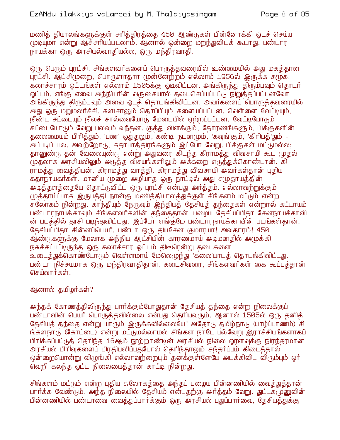மணித் தியாலங்களுக்குள் சாித்திரத்தை 450 ஆண்டுகள் பின்னோக்கி ஓடச் செய்ய முடியுமா என்று ஆச்சரியப்படலாம். ஆனால் ஒன்றை மறந்துவிடக் கூடாது. பண்டார நாயக்கா ஒரு அரசியல்வாதியல்ல, ஒரு மந்திரவாதி.

ஒரு பெரும் புரட்சி. சிங்களவர்களைப் பொருத்தவரையில் உண்மையில் அது மகத்தான புரட்சி. ஆட்சிமுறை, பொருளாதார முன்னேற்றம் எல்லாம் 1956ல் இருக்க சமூக, கலாச்சாரம் ஒட்டங்கள் எல்லாம் 1505க்கு ஒடிவிட்டன. அங்கிருந்து திரும்பவும் தொடர் ஓட்டம். எங்கு எவை அந்நியரின் வருகையால் தடைசெய்யப்பட்டு நிறுத்தப்பட்டனவோ அங்கிருந்து திரும்பவும் அவை ஓடத் தொடங்கிவிட்டன. அவர்களைப் பொருத்தவரையில் அது ஒரு மறுமலர்ச்சி. களிசானும் தொப்பியும் களையப்பட்டன. வெள்ளை வேட்டியும், நீண்ட சட்டையும் நீலச் சால்வையோடு மேடையில் ஏற்றப்பட்டன. வேட்டியோடும் சட்டையோடும் வேறு பலவும் வந்தன. குத்து விளக்கும், தோரணங்களும், பிக்குகளின் தலைமையும் பிரித்தும், 'பண' ஓதுதலும், கண்டி நடனமும், 'கவுங்'கும், 'கிரிபத்'தும் -.<br>அப்படிப் பல. அவற்றோடு, கதாபாத்திரங்களும் இப்போ வேறு. பிக்குகள் மட்டுமல்ல; தானுண்டு தன் வேலையுண்டு என்று அதுவரை கிடந்த கிராமத்து விவசாயி கூட முதல் (முதலாக அரசியலிலும் அடுத்த விசயங்களிலும் அக்கறை எடுத்துக்கொண்டான். கி ராமத்து வைத்தியன், கிராமத்து வாத்தி, கிராமத்து விவசாயி அவர்கள்தான் புதிய கதாநாயகர்கள். மானிய முறை அழியாத ஒரு நாட்டில் அது சமுதாயத்தின் அடித்தளத்தையே தொட்டுவிட்ட ஒரு புரட்சி என்பது அர்த்தம். எல்லாவற்றுக்கும் முத்தாய்ப்பாக இருபத்தி நான்கு மணித்தியாலத்துக்குள் சிங்களம் மட்டும் என்ற சுலோகம் நின்றது. காந்தியும் நேருவும் இந்தியத் தேசியத் தந்தைகள் என்றால் கட்டாயம் பண்டாரநாயக்காவும் சிங்களவர்களின் தந்தைதான். பழைய தேசியப்பிதா சேனநாயக்காவி ன் படத்தில் தூசி படிந்துவிட்டது. இப்போ எங்குமே பண்டாரநாயக்காவின் படங்கள்தான். தேசியப்பிதா சின்னப்பெயர். பண்டா ஒரு தியசேன குமாரயா! அவதாரம்! 450 ஆ்ண்டுகள்க்கு மேலாக அந்நிய ஆட்சியின் காரணமாய் அடிமனதில் அமுக்கி நசுக்கப்பட்டிருந்த ஒரு கலாச்சார ஓட்டம் திடீரென்று தடைகளை உடைத்துக்கொண்டோடும் வெள்ளமாய் மேலெழுந்து 'கலை'யாடத் தொடங்கிவிட்டது. பண்டா நிச்சயமாக ஒரு மந்திரவாதிதான். கடைசிவரை, சிங்களவர்கள் கை கூப்பத்தான் செய்வார்கள்.

### ஆனால் தமிழர்கள்?

அந்தக் கோணத்திலிருந்து பார்க்கும்போதுதான் தேசியத் தந்தை என்ற நிலைக்குப் பண்டாவின் பெயர் பொருத்தவில்லை என்பது தெரியவரும். ஆனால் 1505ல் ஒரு தனித் தேசியத் தந்தை என்று யாரும் இருக்கவில்லையே! அதோடு தமிழ்நாடு (யாழ்ப்பாணம்) சி ந்களநாடு (கோட்டை) என்று மட்டுமல்லாமல் சிங்கள நாடே பல்வேறு இராச்சியங்களாகப் .<br>பிரிக்கப்பட்டுத் தெரிந்த 16ஆம் நூற்றாண்டின் அரசியல் நிலை ஓரளவுக்கு நிரந்தரமான <u>அரசியல் பிரிவுகளைப் பிரதிபலிப்பதுபோல் தெரிந்தாலும் சந்தர்ப்பம் கிடைத்தால் </u> ஒன்றையொன்று விழுங்கி எல்லாவற்றையும் தனக்குள்ளேயே அடக்கிவிட விரும்பும் ஓர் வெறி கலந்த ஓட்ட நிலையைத்தான் காட்டி நின்றது.

சிங்களம் மட்டும் என்ற புதிய சுலோகத்தை அந்தப் பழைய பின்னணியில் வைத்துத்தான் பார்க்க வேண்டும். அந்த நிலையில் தேசியம் என்பதற்கு அர்த்தம் வேறு. துட்டகடுறவுவின் பின்னணியில் பண்டாவை வைக்துப்பார்க்கும் ஒரு அரசியல் புதுப்பார்வை, கேசியக்துக்கு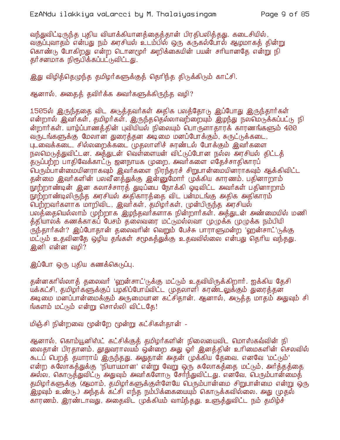வந்துவிட்டிருந்த புதிய வியாக்கியானத்தைத்தான் பிரதிபலித்தது. கடைசியில், வகுப்புவாதம் என்பது நம் அரசியல் உடம்பில் ஒரு கருகல்போல் ஆழமாகத் தின்று கொண்டு போகிறது என்ற டொனமூர் அறிக்கையின் பயன் சரியானதே என்று நி தர்சனமாக நிரூபிக்கப்பட்டுவிட்டது.

இது விழித்தெழுந்த தமிழர்களுக்குத் தெரிந்த திடுக்கிடும் காட்சி.

ஆனால், அதைத் தவிர்க்க அவர்களுக்கிருந்த வழி?

1505ல் இருந்ததை விட அடுத்தவர்கள் அதிக பலத்தோடு இப்போது இருந்தார்கள் என்றால் இவர்கள், தமிழர்கள், இருந்ததெல்லாவற்றையும் இழந்து நலமெடுக்கப்பட்டு நி ன்றார்கள். யாழ்ப்பாணத்தின் புவியியல் நிலையும் பொருளாதாரக் காரணங்களும் 400 வருடங்களுக்கு மேலான துரைத்தன அடிமை மனப்போக்கும், சுருட்டுக்கடை, புடவைக்கடை, சில்லறைக்கடை முதலாளிச் சுரண்டல் போக்கும் இவர்களை நலமெடுத்துவிட்டன. அத்துடன் வெள்ளையன் விட்டுப்போன நல்ல அரசியல் திட்டத் தடுப்பற்ற பாதிவேக்காட்டு ஜனநாயக முறை, அவர்களை எதேச்சாதிகாரப் .<br>பெரும்பான்மையினராகவும் இவர்களை நிரந்தரச் சிறுபான்மையினராகவும் ஆக்கிவிட்ட தன்மை இவர்களின் பலவீனத்துக்கு இன்னுமோர் முக்கிய காரணம். பதினாறாம் நூற்றாண்டின் இன கலாச்சாரத் துடிப்பை நோக்கி ஓடிவிட்ட அவர்கள் பதினாறாம் நூற்றாண்டிலிருந்த அரசியல் அதிகாரத்தை விட பன்மடங்கு அதிக அதிகாரம் பெற்றவர்களாக மாறிவிட, இவர்கள், தமிழர்கள், முன்பிருந்த அரசியல் பலத்தையெல்லாம் முற்றாக இழந்தவர்களாக நின்றார்கள். அத்துடன் அண்மையில் மணி த்தியாலக் கணக்காகப் பேசம் தலைவரை மட்டுமல்லவா முழுக்க முழுக்க நம்பியி ருந்தார்கள்? இப்போதான் தலைவரின் வெறும் பேச்சு பாராளுமன்ற 'ஹன்சாட்'(டுக்கு மட்டும் உதவினதே ஒழிய தங்கள் சமூகத்துக்கு உதவவில்லை என்பது தெரிய வந்தது. இனி என்ன வமி?

இப்போ ஒரு புதிய கணக்கெடுப்பு.

தன்னகரில்லாத் தலைவர் 'ஹன்சாட்'டுக்கு மட்டும் உதவியிருக்கிறார். ஐக்கிய தேசி யக்கட்சி, தமிழர்களுக்குப் பழகிப்போய்விட்ட (மதலாளி சுரண்டலுக்கும் துரைத்தன அடிமை மனப்பான்மைக்கும் அருமையான கட்சிதான். ஆனால், அடுத்த மாதம் அதுவும் சி ங்களம் மட்டும் என்று சொல்லி விட்டதே!

மிஞ்சி நின்றவை மூன்றே மூன்று கட்சிகள்தான் -

ஆனால், கொம்யூனிஸ்ட் கட்சிக்குத் தமிழர்களின் நிலையைவிட மொஸ்கவ்வின் நி லைதான் பிரதானம். தூதுவராலயம் ஒன்றை அது ஓர் இனத்தின் உரிமைகளின் செலவில் கூடப் பெறத் தயாராய் இருந்தது. அதுதான் அதன் முக்கிய தேவை. எனவே 'மட்டும்' என்ற சுலோகத்துக்கு 'நியாயமான' என்று வேறு ஒரு சுலோகத்தை மட்டும், அர்த்தத்தை அல்ல, கொடுத்துவிட்டு அதுவும் அவர்களோடு சேர்ந்துவிட்டது. என&வ, பெரும்பான்மைத் தமிழர்களுக்கு (ஆமாம், தமிழர்களுக்குள்ளேயே பெரும்பான்மை சிறுபான்மை என்று ஒரு .<br>இழவும் உண்டு.) அந்தக் கட்சி எந்த நம்பிக்கையையும் கொடுக்கவில்லை. அது முதல் காரணம். இரண்டாவது, அதைவிட முக்கியம் வாய்ந்தது. உளுக்துவிட்ட நம் தமிழ்ச்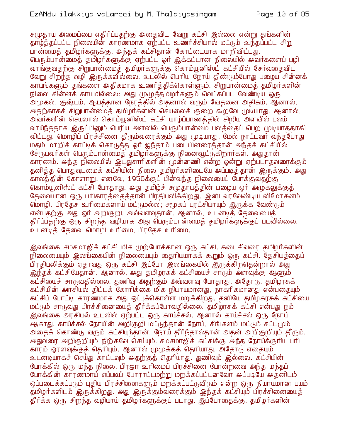சமுதாய அமைப்பை எதிர்ப்பதற்கு அதைவிட வேறு கட்சி இல்லை என்று தங்களின் தாழ்த்தப்பட்ட நிலையின் காரணமாக ஏற்பட்ட உணர்ச்சியால் மட்டும் உந்தப்பட்ட சிறு பான்மைத் தமிழர்களுக்கு, அந்தக் கட்சிதான் கோட்டையாக மாறிவிட்டது. பெரும்பான்மைத் தமிழர்களுக்கு ஏற்பட்ட ஓர் இக்கட்டான நிலையில் அவர்களைப் பழி வாங்குவகற்கு சிறுபான்மைக் கமிழர்களுக்கு கொம்யூனிஸ்ட் கட்சியில் சேர்வகைவிட வேறு சிற்ந்த வழி இருக்கவில்லை. உடலில் பெரிய நோய் தீண்டும்போது பழைய சின்னக் காயங்களும் தங்களை அதிகமாக உணர்த்திக்கொள்ளும். சிறுபான்மைத் தமிழர்களின் நிலை சின்னக் காயமில்லை; அது முழுத்தமிழர்களும் வெட்கப்பட வேண்டிய ஒரு .<br>அழுகல், குஷ்டம். ஆபத்தான நேரத்தில் அதனால் வரும் வேதனை அதிகம். ஆனால், அதற்காகச் சிறுபான்மைத் தமிழர்களின் செயலைக் குறை கூறவே முடியாது. ஆனால், அவர்களின் செயலால் கொம்யூனிஸ்ட் கட்சி யாம்ப்பாணக்கில் சிறிய அளவில் பலம் வாய்ந்ததாக இருப்பினும் பெரிய அளவில் பெரும்பான்மை பலத்தைப் பெற முடியாததாகி விட்டது. மொழிப் பிரச்சினை தீரும்வரைக்கும் அது முடியாது. மேல் நாட்டவர் வந்தபோது மதம் மாறிக் காட்டிக் கொடுத்த ஓர் ஐந்தாம் படையினரைத்தான் அந்தக் கட்சியில் சேருபவர்கள் பெரும்பான்மைக் தமிழர்களுக்கு நினைவூட்டுகிறார்கள். அதுதான் காரணம். அந்த நிலையில் இடதுசாரிகளின் முன்னணி என்ற ஒன்று ஏற்படாதவரைக்கும் தனித்த பொதுவுடமைக் கட்சியின் நிலை தமிழர்களிடையே அப்படித்தான் இருக்கும். அது காலத்தின் கோளாறு. எனவே, 1956க்குப் பின்வந்த நிலையைப் போக்குவதற்கு கொம்யூனிஸ்ட் கட்சி போதாது. அது தமிழ்ச் சமுதாயத்தின் பழைய ஓர் அழுகலுக்குத் தேவையான ஒரு பரிகாரத்தைத்தான் பிரதிபலிக்கிறது. இனி வரவேண்டிய விமோசனம் மொழி, பிரதேச உரிமைகளாய் மட்டுமல்ல. சமூகப் புரட்சியாயும் இருக்க வேண்டும் என்பதற்கு அது ஓர் அறிகுறி. அவ்வளவுதான். ஆனால், உடனடித் தேவையைத் தீர்ப்பதற்கு ஒரு சிறந்த வழியாக அது பெரும்பான்மைத் தமிழர்களுக்குப் படவில்லை. .<br>உடனடிக் கேவை மொழி உரிமை, பிரகேச உரிமை.

இலங்கை சமசமாஜிக் கட்சி மிக முற்போக்கான ஒரு கட்சி. கடைசிவரை தமிழர்களின் நிலையையும் இலங்கையின் நிலையையும் தைரியமாகக் கூறும் ஒரு கட்சி. தேசியத்தைப் .<br>பிரதிபலிக்கும் ஏதாவது ஒரு கட்சி இப்போ இலங்கையில் இருக்கிறதென்றால் அது <u>இந்தக் கட்சியேதான். ஆனால், அது தமிழரசுக் கட்சியைச் சாரும் அளவுக்கு ஆளும் </u> கட்சியைச் சாடுவதில்லை. துணிவு அதற்கும் அவ்வளவு போதாது. அதோடு, தமிழரசுக் கட்சியின் அரசியல் திட்டக் கோரிக்கை மிக நியாயமானது, நாகரிகமானது என்பதையும் கட்சிப் போட்டி காரணமாக அது ஒப்புக்கொள்ள மறுக்கிறது. தனியே தமிழகரசுக் கட்சியை மட்டும் சாடுவது பிரச்சினையைத் தீர்க்கப்போவதில்லை. தமிழரசுக் கட்சி என்பது நம் இலங்கை அரசியல் உடலில் ஏற்பட்ட ஒரு காய்ச்சல். ஆனால் காய்ச்சல் ஒரு நோய் ஆகாது. காய்ச்சல் நோயின் அறிகுறி மட்டுந்தான் நோய், சிங்களம் மட்டும் சட்டமும் அதைக் கொண்டு வரும் கட்சியுந்தான். நோய் தீர்ந்தால்தான் அதன் அறிகுறியும் தீரும். <u>அதுவரை அறிகுறியும் நிற்கவே செய்யும். சமசமாஜிக் கட்சிக்கு அந்த நோய்க்குரிய பரி</u> காரம் ஓரளவுக்குத் தெரியும். ஆனால் முழுக்கத் தெரியாது. அதோடு எதையும் உடனடியாகச் செய்து காட்டவும் அதற்குத் தெரியாது. துணிவும் இல்லை. கட்சியின் போக்கில் ஒரு மந்த நிலை. பிரஜா உரிமைப் பிரச்சினை போன்றவை அந்த மந்தப் போக்்கின் காரணமாய் எப்படிப் போராட்டமற்று மறக்கப்பட்டனவோ அப்படியே அதனிடம் ஒப்படைக்கப்படும் புதிய பிரச்சினைகளும் மறக்கப்பட்டுவிடும் என்ற ஒரு நியாயமான பயம் தமிழர்களிடம் இருக்கிறது. அது இருக்கும்வரைக்கும் இந்தக் கட்சியும் பிரச்சினையைத் தீர்க்க ஒரு சிறந்த வழியாய் தமிழர்களுக்குப் படாது. இப்போகைக்கு, தமிழர்களின்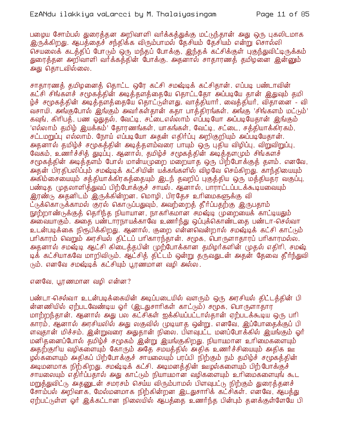பழைய சோம்பல் துரைக்கன அறிவாளி வர்க்கக்துக்கு மட்டுந்தான் அது ஒரு புகலிடமாக இருக்கிறது. ஆபத்தைச் சந்திக்க விரும்பாமல் தேசியம் தேசியம் என்று சொல்லி செயலைக் கடத்திப் போடும் ஒரு மந்தப் போக்கு, இந்தக் கட்சிக்குள் புகுந்துவிட்டிருக்கம் துரைத்தன அறிவாளி வர்க்கத்தின் போக்கு. அதனால் சாதாரணத் தமிழனை இன்னும் அது தொடவில்லை.

சாதாரணக் தமிழனைக் தொட்ட ஒரே கட்சி சமஷ்டிக் கட்சிதான். எப்படி பண்டாவின் கட்சி சிங்கள்ச் சமூகத்தின் அடித்தளத்தையே தொட்டதோ அப்படியே தான் இதுவும் தமி ழ்ச் சமூகத்தின் அடித்தளத்தையே தொட்டுள்ளது. வாத்தியார், வைத்தியர், விதானை - வி வசாயி. அங்குபோல் இங்கும் அவர்கள்தான் கதா பாத்திரங்கள். அங்கு 'சிங்களம் மட்டும்' கவுங், கிரிபத், பண ஒதுதல், வேட்டி, சட்டைஎல்லாம் எப்படியோ அப்படியேதான் இங்கும் 'எல்லாம் தமிழ் இயக்கம்' தோரணங்கள், யாகங்கள், வேட்டி, சட்டை, சத்தியாக்கிரகம், சட்டமறுப்பு எல்லாம். நோய் எப்படியோ அதன் எதிர்ப்பு அறிகுறியும் அப்படியேதான். அதனால் தமிழ்ச் சமூகத்தின் அடித்தளம்வரை பாயும் ஒரு புதிய விழிப்பு, விறுவிறுப்பு, வேகம், உணர்ச்சித் துடிப்பு. ஆனால், தமிழ்ச் சமூகத்தின் அடித்தளமும் சிங்களச் சமூகத்தின் அடித்தளம் போல் மான்யமுறை மறையாத ஒரு பிற்போக்குத் தளம். எனவே, அதன் பிரதிபலிப்பும் சமஷ்டிக் கட்சியின் யக்கங்களில் விழவே செய்கிறது. காந்தியையும் அகிம்சையையும் சத்தியாக்கிரகத்தையும் இடந் தவறிப் புகுத்திய ஒரு மத்தியதர வகுப்பு, பண்டித (முதலாளித்துவப் பிற்போக்குச் சாயல். ஆனால், பாராட்டப்படக்கூடியவையும் இரண்டு அதனிடம் இருக்கின்றன. மொழி, பிரதேச உரிமைகளுக்கு வி ட்டுக்கொடுக்காமல் குரல் கொடுப்பதுவும், அவற்றைக் கீர்ப்பகற்கு இருபதாம் நூற்றாண்டுக்குத் தெரிந்த நியாயான, நாகரிகமான சமஷ்டி முறையைக் காட்டியதும் அவையாகும். அதை பண்டாரநாயக்காவே உணர்ந்து ஒப்புக்கொண்டதை பண்டா-செல்வா உடன்படிக்கை நிரூபிக்கிறது. ஆனால், குறை என்னவென்றால் சமஷ்டிக் கட்சி காட்டும் பரிகாரம் வெறும் அரசியல் திட்டப் பரிகாரந்தான். சமூக, பொருளாதாரப் பரிகாரமல்ல. அதனால் சமஷ்டி ஆட்சி கிடைத்தபின் முற்போக்கான தமிழர்களின் முதல் எதிரி, சமஷ் டிக் கட்சியாகவே மாறிவிடும். ஆட்சித் திட்டம் ஒன்று தருவதுடன் அதன் தேவை தீர்ந்துவி நம். எனவே சமஷ்டிக் கட்சியும் பூரணமான வழி அல்ல.

எனவே, பூரணமான வமி என்ன?

பண்டா செல்வா உடன்படிக்கையின் அடிப்படையில் வளரும் ஒரு அரசியல் திட்டத்தின் பி .<br>ன்னணியில் ஏற்படவேண்டிய ஓர் (இடதுசாரிகள் காட்டும்) சமூக, பொருளாதார மாற்றந்தான். ஆனால் அது பல கட்சிகள் ஐக்கியப்பட்டால்தான் ஏற்படக்கூடிய ஒரு பரி காரம், ஆனால் அரசியலில் அது லகுவில் முடியாக ஒன்று. எனவே, இப்போகைக்குப் பி ளவுதான் மிச்சம். இன்றுவரை அதுதான் நிலை. பிளவுபட்ட மனப்போக்கில் இயங்கும் ஓர் மனிதனைப்போல் தமிழ்ச் சமூகம் ஒன்று இயங்குகிறது. நியாயமான உரிமைகளையும் அதற்குரிய வழிகளையும் கோரும் அதே சமயத்தில் அதிக உணர்ச்சியையும் அதிக ஊ ழல்களையும் அதிகப் பிற்போக்குச் சாயலையும் பரப்பி நிற்கும் நம் தமிழ்ச் சமூகத்தின் அடிமனமாக நிற்கிறது. சமஷ்டிக் கட்சி. அடிமனத்தின் ஊழல்களையும் பிற்போக்குச் சாயலையும் எதிர்ப்பதால் அது காட்டும் நியாயமான வழிகளையும் உரிமைகளையுங் கூட மறுத்துவிட்டு அதனுடன் சமரசம் செய்ய விரும்பாமல் பிளவுபட்டு நிற்கும் துரைத்தனச் சோம்பல் அறிவாக, மேல்மனமாக நிற்கின்றன இடதுசாரிக் கட்சிகள். எனவே, ஆபத்து ஏற்பட்டுள்ள ஒர் இக்கட்டான நிலையில் ஆபக்கை உணர்ந்த பின்பும் தனக்குள்ளேயே பி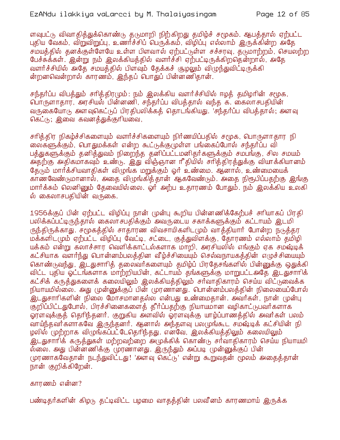ளவுபட்டு விவாதித்துக்கொண்டு தடுமாறி நிற்கிறது தமிழ்ச் சமூகம். ஆபத்தால் ஏற்பட்ட புதிய வேகம், விறுவிறுப்பு, உணர்ச்சிப் பெருக்கம், விழிப்பு எல்லாம் இருக்கின்ற அதே சமயத்தில் தனக்குள்ளேயே உள்ள பிளவால் ஏற்பட்டுள்ள சச்சரவு, தடுமாற்றம், செயலற்ற பேச்சுக்கள். இன்று நம் இலக்கியத்தில் வளர்ச்சி ஏற்பட்டிருக்கிறதென்றால், அதே வளர்ச்சியில் அதே சமயத்தில் பிளவும் தேக்கச் சூழலும் விமுந்துவிட்டிருக்கி ன்றனவென்றால் காரணம், இந்தப் பொதுப் பின்னணிதான்.

சந்தர்ப்ப விபத்தும் சரித்திரமும்: நம் இலக்கிய வளர்ச்சியில் ஈழத் தமிழரின் சமூக, வாருளாதார், அரசியல் பின்னணி, சந்தர்ப்ப விபத்தால் வந்த க. கைலாசபதியின் வருகையோடு அளவுகெட்டுப் பிரதிபலிக்கத் தொடங்கியது. 'சந்தர்ப்ப விபத்தால்; அளவு கெட்டு; இவை கவனக்துக்குரியவை,

சரித்்திர நிகழ்ச்்சிகளையும் வளர்ச்சிகளையும் நிர்ணயிப்பதில் சமூக, பொருளாதார நி லைகளுக்கும், பொதுமக்கள் என்ற கூட்டுக்குமுள்ள பங்கைப்போல் சந்தர்ப்ப வி பக்துகளுக்கும் தனிக்துவம் நிறைந்த தனிப்பட்டமனிதர்களுக்கும் சமபங்கு, சில சமயம் அதற்கு அதிகமாகவும் உண்டு. இது விஞ்ஞான ரீதியில் சாித்திரத்துக்கு வியாக்கியானம் தேடும் மார்க்சியவாதிகள் விழுங்க மறுக்கும் ஓர் உண்மை. ஆனால், உண்மையைக் காணவேண்டுமானால், அதை விழுங்கித்தான் ஆகவேண்டும். அதை நிரூபிப்பதற்கு இங்கு மார்க்சும் லெனினும் தேவையில்லை. ஓர் அற்ப உதாரணம் போதும். நம் இலக்கிய உலகி ல் கைலாசபதியின் வருகை.

1956க்குப் பின் ஏற்பட்ட விழிப்பு நான் முன்பு கூறிய பின்னணிக்கேற்பச் சாியாகப் பிரதி பலிக்கப்பட்டிருந்தால் கைலாசபதிக்கும் அவருடைய சகாக்களுக்கும் கட்டாயம் இடமி ருந்திருக்காது. சமூகத்தில் சாதாரண விவசாயிகளிடமும் வாக்தியார் போன்ற நடுத்தர மக்களிடமும் ஏற்பட்ட விழிப்பு வேட்டி, சட்டை, குத்துவிளக்கு, தோரணம் எல்லாம் தமிழி யக்கம் என்று கலாச்சார வெளிக்காட்டல்களாக மாறி, அரசியலில் எங்கும் ஏக சமஷ்டிக் கட்சியாக வளர்ந்து பொன்னம்பலத்தின வீழ்ச்சியையும் செல்வநாயகத்தின் எழுச்சியையும் கொண்டுவந்து, இடதுசாரித் தலைவர்களையும் தமிழ்ப் பிரதேசங்களில் பின்னுக்கு ஒதுக்கி விட்ட புதிய ஓட்டங்களாக மாற்றியபின், கட்டாயம் தங்களுக்கு மாறுபட்டஅதே இடதுசாரிக் கட்சிக் கருத்துகளைக் கலையிலும் இலக்கியத்திலும் சர்வாதிகாரம் செய்ய விட்டுவைக்க நியாயமில்லை. அது முன்னுக்குப் பின் முரணானது. பொன்னம்பலத்தின் நிலையைப்போல் .<br>இடதுசாரிகளின் நிலை மோசமானதல்ல என்பது உண்மைதான். அவர்கள், நான் முன்பு குறிப்பிட்டதுபோல், பிரச்சினைகளைத் தீர்ப்பதற்கு நியாயமான வழிகாட்டுபவர்களாக ஓரளவுக்குத் தெரிந்தனர். குறுகிய அளவில் ஓரளவுக்கு யாழ்ப்பாணத்தில் அவர்கள் பலம் வாய்ந்தவர்களாகவே இருந்தனர். ஆனால் அந்தளவு பலமுங்கூட சமஷ்டிக் கட்சியின் நி ழலில் முற்றாக விழுங்கப்பட்டேதெரிந்தது. எனவே, இலக்கியத்திலும் கலையிலும் <u>இடது</u>சாரிக் கருத்துகள் மற்றவற்றை அமுக்கிக் கொண்டு சர்வாதிகாரம் செய்ய நியாயமி ல்லை. அது பின்னணிக்கு முரணானது. இருந்தும் அப்படி முன்னுக்குப் பின் முரணாகவேதான் நடந்துவிட்டது! 'அளவு கெட்டு' என்று கூறுவதன் மூலம் அதைத்தான் நான் குறிக்கிறேன்.

#### காரணம் என்ன?

பண்டிதர்களின் கிழடு தட்டிவிட்ட பழமை வாதத்தின் பலவீனம் காரணமாய் இருக்க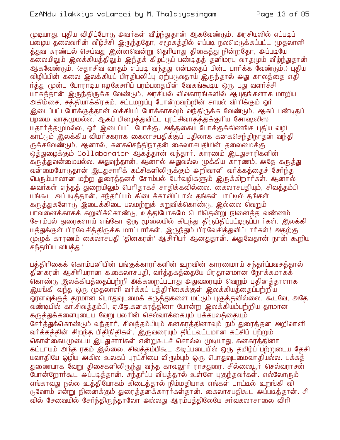முடியாது. புதிய விழிப்போடு அவர்கள் வீழ்ந்துதான் ஆகவேண்டும். அரசியலில் எப்படிப் பறைய தலைவரின் வீழ்ச்சி இருந்ததோ, சமூகத்தில் எப்படி நலமெடுக்கப்பட்ட முதலாளி த்துவ சுரண்டல் செய்வது இன்னவென்று தெரியாது திகைத்து நின்றதோ, அப்படியே கலையிலும் இலக்கியத்திலும் இந்தக் கிழட்டுப் பண்டிதத் தனிமரபு வாதமும் வீழ்ந்துதான் ஆகவேண்டும். (சதாசிவ வாகம் எப்படி வந்தது என்பதைப் பின்பு பார்க்க வேண்டும்.) புகிய விழிப்பின் கலை இலக்கியப் பிரதிபலிப்பு ஏற்படுவதாய் இருந்தால் அது காலத்தை எதி ர்த்து முன்பு போராடிய ஈழகேசரிப் பரம்பதையின் வேகங்கூடிய ஒரு புது வளர்ச்சி யாகத்தான் இருந்திருக்க வேண்டும். அரசியல் விவகாரங்களில் ஆயுதங்களாக மாறிய அகிம்கை, சத்தியாக்கிரகம், சட்டமறுப்பு போன்றவற்றின் சாயல் விரிக்கும் ஓர் இடைப்பட்டபோக்குக்கான் லக்கியப் போக்காகவும் வந்திருக்க வேண்டும். ஆகப் பண்டிதப் பழமை வாத(முமல்ல, ஆகப் பிழைத்துவிட்ட புரட்சிவாதத்துக்குரிய சோஷலிஸ யதார்த்தமுமல்ல, ஓர் இடைப்பட்டபோக்கு. அத்தகைய போக்குக்கிணங்க புதிய வழி காட்டும் இலக்கிய விமாசகராக கைலாசபதிக்குப் பதிலாக கனகசெந்திநாதன் வந்தி ருக்கவேண்டும். ஆனால், கனகசெந்திநாதன் கைலாசபதியின் தலைமைக்கு ஒத்துழைக்கும் Collaborator ஆகத்தான் வந்தார். காரணம் இடதுசாரிகளின் கருத்துவன்மையல்ல. அதுவுந்தான், ஆனால் அதுவல்ல முக்கிய காரணம். அதே கருத்து வன்மையோடுதான் இடதுசாரிக் கட்சிகளிலிருக்கும் அறிவாளி வர்க்கத்தைச் சேர்ந்த பெரும்பாலான மற்ற துரைத்தனச் சோம்பல் பேர்வழிகளும் இருக்கிறார்கள். ஆனால் அவர்கள் எந்தத் துறையிலும் பெரிதாகச் சாதிக்கவில்லை. கைலாசபதியும், சிவத்தம்பி யுங்கூட அப்படித்தான். சந்தர்ப்பம் கிடைக்காவிட்டால் தங்கள் பாட்டில் தங்கள் கருத்துகளோடு இடைக்கிடை பலமற்றுக் கறுவிக்கொண்டு, இல்லை வெறும் பாவனைக்காகக் கறுவிக்கொண்டு, உத்தியோகமே பெரிதென்று நினைத்த வண்ணம் சோம்பல் துரைகளாய் எங்கோ ஒரு மூலையில் கிடந்து திருப்திப்பட்டிருப்பார்கள். இலக்கி யத்துக்குள் பிரவேசித்திருக்க மாட்டார்கள். இருந்தும் பிரவேசித்துவிட்டார்கள்! அதற்கு முழுக் காரணம் கைலாசபதி 'தினகரன்' ஆசிரியர் ஆனதுதான். அதுவேதான் நான் கூறிய சந்தர்ப்ப விபத்து !

பத்திரிகைக் கொம்பனியின் பங்குக்காரர்களின் உறவின் காரணமாய் சந்தர்ப்பவசத்தால் தின்கரன் ஆசிரியரான க.கைலாசபதி, வர்த்தகத்தையே பிரதானமான நோக்கமாகக் தொண்டு இலக்கியத்தைப்பற்றி அக்கறைப்படாது அதுவரையும் வெறும் புதினத்தாளாக இயங்கி வந்த ஒரு முதலாளி வர்க்கப் பத்திரிகைக்குள் இலக்கியத்தைப்பற்றிய ஓரளவுக்குத் தரமான பொதுவுடமைக் கருத்துகளை மட்டும் புகுத்தவில்லை. கூடவே, அதே வண்டியில் கா.சிவத்தம்பி, ஏ.ஜே.கனகரத்தினா போன்ற இலக்கியம்பற்றிய தரமான கருத்துக்களையுடைய வேறு பலரின் செல்வாக்கையும் பக்கபலத்தையும் சேர்த்துக்கொண்டும் வந்தார். சிவத்தம்பியும் கனகரத்தினாவும் நம் துரைத்தன அறிவாளி வர்க்கத்தின் சிறந்த பிதிநிதிகள். இருவரையும் திட்டவட்டமான கட்சிப் பற்றும் கொள்கையுமுடைய இடதுசாரிகள் என்றுகூடச் சொல்ல முடியாது. கனகரக்்தினா கட்டாயம் அந்த ரகம் இல்லை. சிவத்தம்பிகூட அடிப்படையில் ஒரு தமிழ்ப் பற்றுடைய தேசி யவாதியே ஒழிய அகில உலகப் புரட்சியை விரும்பும் ஒரு பொதுவுடமைவாதியல்ல. பக்கத் துணையாக வேறு திசைகளிலிருந்து வந்த காவலூர் ராசதுரை, சில்லையூர் செல்வராசன் போன்றோர்கூட அப்படித்தான். சந்தர்ப்ப விபத்தால் உள்ளே புகுந்தவர்கள். எல்லோரும் எங்காவது நல்ல உத்தியோகம் கிடைத்தால் நிம்மதியாக எங்கள் பாட்டில் உறங்கி வி டுவோம் என்று நினைக்கும் துரைத்தனக்காரர்கள்தான். கைலாசபதிகூட அப்படித்தான். சி வில் சேவையில் சேர்ந்திருந்தாலோ அல்லது ஆரம்பத்திலேயே சர்வகலாசாலை விரி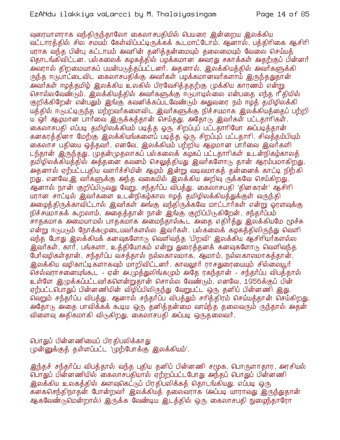வுரையாளராக வந்திருந்தாலோ கைலாசபதியில் பெயரை இன்றைய இலக்கிய வட்டாரத்தில் சில சமயம் கேள்விப்பட்டிருக்கக் கூடமாட்டோம். ஆனால், பத்திரிகை ஆசிரி யராக வந்த பின்பு கட்டாயம் அவரின் தனித்தன்மையும் தலைமையும் வேலை செய்யத் தொடங்கிவிட்டன. பல்கலைக் கழகத்தில் பழக்கமான அவரது சகாக்கள் அதற்குப் பின்னர் .<br>அ்வாால் கிறமையாகப் பயன்படுத்தப்பட்டனர். அதனால், இலக்கியத்தில் அவர்களுக்கி ருந்த ஈடுபாட்டைவிட கைலாசபதிக்கு அவர்கள் பழக்கமானவர்களாய் இருந்ததுதான் அவர்கள் ஈழக்குமிழ் இலக்கிய உலகில் பிரவேசிக்குதற்கு முக்கிய காரணம் என்று சொல்லவேண்டும். இலக்கியத்தில் அவர்களுக்கு ஈடுபாடில்லை என்பதை எந்த ரீதியில் குறிக்கிறேன் என்பதும் இங்கு கவனிக்கப்படவேண்டும் அதுவரை நம் ஈழத் தமிழிலக்கி யத்தில் ஈடுபட்டிருந்த மற்றவர்களைவிட இவர்களுக்கு நிச்சயமாக இலக்கியத்தைப் பற்றி ய ஒர் ஆழமான பார்வை இருக்கத்தான் செய்தது. அதோடு இவர்கள் பட்டதாரிகள். கைலாசபதி எப்படி தமிழிலக்கியம் படித்த ஓரு சிறப்புப் பட்டதாரியோ அப்படித்தான் கனகரத்தினா மேற்கு இலக்கியங்களைப் படித்த ஒரு சிறப்புப் பட்டதாரி. சிவத்தம்பியும் கைலாச பதியை ஒத்தவர். எனவே, இலக்கியம் பற்றிய ஆழமான பார்வை இவர்களி டந்தான் இருந்தது. முதன்முதலாகப் பல்கலைக் கழகப் பட்டதாரிகள் உடன்நிகழ்காலத் தமிழிலக்கியத்தில் அத்தனை கவனம் செலுத்தியது இவர்களோடு தான் ஆரம்பமாகிறது. அதனால் ஏற்பட்டபுதிய வளர்ச்சியின் ஆழம் இன்று வடிவமாகத் தன்னைக் காட்டி நிற்கி றது. எனவே,இ வர்களுக்கு அந்த வகையில் இலக்கிய அறிவு ருக்கவே செய்கிறது. ஆனால் நான் குறிப்பிடுவது வேறு. சந்தர்ப்ப விபத்து. கைலாசபதி 'தினகரன்' ஆசிரி யரான சாட்டில் இவர்களை உடன்நிகழ்கால ஈழத் தமிழிலக்கியத்துக்குள் வருந்தி அமைத்திருக்காவிட்டால் இவர்கள் அங்கு வந்திருக்கவே மாட்டார்கள் என்று ஒரளவுக்கு நிச்சயமாகக் கூறலாம். அதைத்தான் நான் இங்கு குறிப்பிடுகிறேன். சந்தாப்பம் சாதகமாக அமையாமல் பாதகமாக அமைந்தால்கூட அதை எதிர்த்து இலக்கியமே மூச்சு என்று ஈடுபடும் நோக்கமுடையவர்களல்ல இவர்கள். பல்கலைக் கழகத்திலிருந்து வெளி வந்த போது இலக்கியக் கனவுகளோடு வெளிவந்த 'பிறவி' இலக்கிய ஆசிரியர்களல்ல இவர்கள். கார், பங்களா, உத்தியோகம் என்று துரைத்தனக் கனவுகளோடு வெளிவந்த பேர்வழிகள்தான். சந்தர்ப்ப வசத்தால் நல்லகாலமாக, ஆமாம், நல்லகாலமாகத்தான், <u>இலக்கிய வழிகாட்டிகளாகவும் மாறிவிட்டனர். காவலூர் ராசதுரையையும் சில்லையூர் </u> செல்வராசனையுங்கூட - ஏன் அ.முத்துலிங்கமும் அதே ரகந்தான் - சந்தர்ப்ப விபத்தால் உள்ளே இமுக்கப்பட்டவர்களென்றுதான் சொல்ல வேண்டும். எனவே, 1956க்குப் பின் ஏற்பட்டபொதுப் பின்னணியின் விழிப்பிலிருந்து வேறுபட்ட ஒரு தனிப் பின்னணி இது. வெறும் சந்தர்ப்ப விபத்து. ஆனால் சந்தர்ப்ப விபத்தும் சரித்திரம் செய்யத்தான் செய்கிறது. அதோடு அதை பாவிக்கக் கூடிய ஒரு தனித்தன்மை வாய்ந்த தலைவரும் ருந்தால் அதன் விளைவு அதிகமாகி விடுகிறது. கைலாசபதி அப்படி ஒருதலைவர்.

பொதுப் பின்னணியைப் பிரதிபலிக்காது முன்னுக்குத் தள்ளப்பட்ட 'முற்போக்கு இலக்கியம்'.

இந்தச் சந்தர்ப்ப விபத்தால் வந்த புதிய தனிப் பின்னணி சமூக, பொருளாதார, அரசியல் வொதுப் பின்னணியில் கைலாசபதியால் ஏற்றப்பட்டபோது அந்தப் பொதுப் பின்னணி இலக்கிய உலகத்தில் அளவுகெட்டுப் பிரதிபலிக்கத் தொடங்கியது. எப்படி ஒரு கனகசெந்திநாதன் போன்றவர் இலக்கியத் தலைவராக (அப்படி யாராவது இருந்துதான் ஆகவேண்டுமென்றால்) இருக்க வேண்டிய இடத்தில் ஒரு கைலாசபதி நுழைந்தாரோ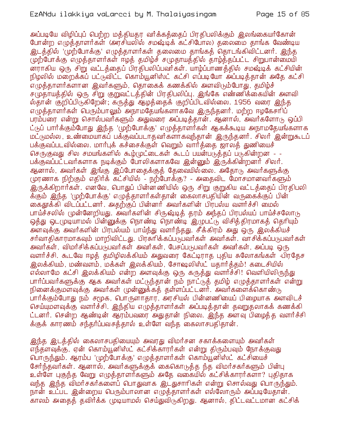அப்படியே விழிப்புப் பெற்ற மக்கியகர வர்க்கக்கைப் பிரகிபலிக்கும் இலங்கையர்கோன் போன்ற எழுத்தாளர்கள் (அரசியலில் சமஷ்டிக் கட்சிபோல) தலைமை தாங்க வேண்டிய இடத்தில் 'முற்போக்கு' எழுத்தாளர்கள் தலைமை தாங்கத் தொடங்கிவிட்டனர். இந்த முற்போக்கு எழுத்தாளர்கள் ஈழத் தமிழ்ச் சமுதாயத்தில் தாழ்த்தப்பட்ட சிறுபான்மையி .<br>னாரகிய ஒரு சிறு வட்டத்தைப் பிரதிபலிப்பவர்கள். யாம்ப்பாணத்தில் சமஷ்டிக் கட்சியின் நிழலில் மறைக்கப் பட்டுவிட்ட கொம்யூனிஸ்ட் கட்சி எப்படியோ அப்படித்தான் அதே கட்சி எமுத்தாளர்களான இவர்களும், தொகைக் கணக்கில் அளவிடும்போது, தமிழ்ச் சமுதாயத்தில் ஒரு சிறு குறுவட்டத்தின் பிரதிபலிப்பு. இங்கே எண்ணிக்கையின் அளவி ல்தான் குறிப்பிடுகிறேன்; கருத்து ஆழத்தைக் குறிப்பிடவில்லை. 1956 வரை இந்த எமுக்காளர்கள் பெரும்பாலும் அநாமகேயங்களாகவே இருந்கனர். மற்ற ஈழகேசரிப் பரம்பரை என்று சொல்பவர்களும் அதுவரை அப்படித்தான். ஆனால், அவர்களோடு ஒப்பி ட்டுப் பார்க்கும்போது இந்த 'முற்போக்கு' எழுத்தாளர்கள் ஆகக்கூடிய அநாமதேயங்களாக மட்டுமல்ல, உண்மையாகப் பக்குவப்படாதவர்களாகவுந்தான் இருந்தனர். சிலர் இன்றுகூடப் பக்குவப்படவில்லை. மார்புக் கச்சைக்குள் வெறும் வார்த்தை ஜாலத் துணியைச் செருகுவது சில சமயங்களில் கூழ்முட்டைகள் கூடப் பயன்படுக்கப் படுகின்றன - -பக்குவப்பட்டவர்களாக நடிக்கும் போலிகளாகவே இன்னும் இருக்கின்றனர் சிலர். ஆனால், அவர்கள் இங்கு இப்போதைக்குத் தேவையில்லை. அதோடு அவர்களுக்கு முரணாக நிற்கும் எதிர்க் கட்சியில் - நற்போக்கு? - அதைவிட மோசமானவர்களும் இருக்கிறார்கள். எனவே, பொதுப் பின்னணியில் ஒரு சிறு குறுகிய வட்டத்தைப் பிரதிபலி க்கும் இந்த 'முற்போக்கு' எழுத்தாளர்கள்தான் கைலாசபதியின் வருகைக்குப் பின் கைதூக்கி விடப்பட்டனர். அதற்குப் பின்னர் அவர்களின் பிரபல்ய வளர்ச்சி மைல் பாய்ச்சலில் முன்னேறியது. அவர்களின் சிருஷ்டித் தரம் அந்தப் பிரபல்யப் பாய்ச்சலோடு ஒத்து ஒட(முடியாமல் பின்னுக்கு நொண்டி நொண்டி இழுபட்டு விசித்திரமாகத் தெரியும் அளவுக்கு அவர்களின் பிரபல்யம் பாய்ந்து வளர்ந்தது. சீக்கிரம் அது ஒரு இலக்கியச் சர்வாதிகாரமாகவும் மாறிவிட்டது. பிரசுரிக்கப்படுபவர்கள் அவர்கள். வாசிக்கப்படுபவர்கள் அவர்கள், விமர்சிக்கப்படுபவர்கள் அவர்கள், பேசப்படுபவர்கள் அவர்கள், அப்படி ஒரு வளர்ச்சி. கூடவே ஈழத் தமிழிலக்கியம் அதுவரை கேட்டிராத புதிய சுலோகங்கள் பிரதேச இலக்கியம், மண்வளம், மக்கள் இலக்கியம், சோஷலிஸ்ட் யதார்த்தம்! கடைசியில் எல்லாமே கட்சி இலக்கியம் என்ற அளவுக்கு ஒரு கருத்து வளர்ச்சி! வெளியிலிருந்து பார்ப்பவர்களுக்கு ஆக அவர்கள் மட்டுந்தான் நம் நாட்டுத் தமிழ் எழுத்தாளர்கள் என்று நினைக்குமளவுக்கு அவர்கள் முன்னுக்கத் தள்ளப்பட்டனர். அவர்களைக்கொண்டு பார்க்கும்போது நம் சமூக, பொருளாதார, அரசியல் பின்னணியைப் பிழையாக அளவிடச் செய்யுமளவுக்கு வளர்ச்சி. இந்திய எழுத்தாளர்கள் அப்படித்தான் தவறுதலாகக் கணக்கி ட்டனர். சென்ற ஆண்டின் ஆரம்பவரை அதுதான் நிலை. இந்த அளவு பிழைத்த வளர்ச்சி க்குக் காரணம் சந்தர்ப்பவசக்தால் உள்ளே வந்த கைலாசபதிதான்.

இந்த இடத்்தில் கைலாசபதியையும் அவரது விமர்சன சகாக்களையும் அவர்கள் எந்தளவுக்கு, ஏன் கொம்யூனிஸ்ட் கட்சிக்காரர்கள் என்று திரும்பவும் நோக்குவது பொருந்தும். ஆரம்ப 'முற்போக்கு' எழுத்தாளர்கள் கொம்யூனிஸ்ட் கட்சியைச் சேர்ந்தவர்கள். ஆனால், அவர்களுக்குக் கைகொடுத்த ந்த விமர்சகர்களும் பின்பு உள்ளே புகுந்த வேறு எழுத்தாளர்களும் அதே வகையில் கட்சிக்காரர்களா? புதிதாக வந்த இந்த விமர்சகர்களைப் பொதுவாக இடதுசாரிகள் என்று சொல்வது பொருந்தும். நான் உட்பட இன்றைய பெரும்பாலான எழுத்தாளர்கள் எல்லோரும் அப்படியேதான். காலம் அகைத் தவிர்க்க முடியாமல் செய்துவிடுகிறது. ஆனால், திட்டவட்டமான கட்சிக்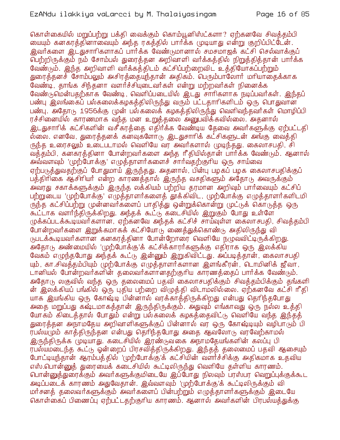கொள்கையில் மறுப்பற்று பக்கி வைக்கும் கொம்யூனிஸ்ட்களா? ஏற்கனவே சிவக்கம்பி மையும் கனகரத்தினாவையும் அந்த ரகத்தில் பார்க்க முடியாது என்று குறிப்பிட்டேன். .<br>இவர்களை இடதுசாரிகளாகப் பார்க்க வேண்டுமானால் சமசமாஜக் கட்சி செல்வாக்குப் பெற்றிருக்கும் நம் சோம்பல் துரைத்தன அறிவாளி வர்க்கத்தில் நிறுத்தித்தான் பார்க்க வேண்டும். இந்த அறிவாளி வர்க்கத்திடம் கட்சிப்பற்றைவிட உத்தியோகப்பற்றும் துரைக்கனச் சோம்பலும் அசிரக்கையந்கான் அகிகம். பெரும்பாலோர் மரியாகைக்காக வேண்டி, தாங்க சிந்தனா வளர்ச்சியுடைவர்கள் என்று மற்றவர்கள் நினைக்க வேண்டுமென்பதற்காக வேண்டி, வெளிப்படையில் இடது சாரிகளாக நடிப்பவர்கள். இந்தப் பண்பு இலங்கைப் பல்கலைக்கழகத்திலிருந்து வரும் பட்டதாரிகளிடம் ஒரு பொதுவான பண்பு. அதோடு 1956க்கு முன் பல்கலைக் கழகத்திலிருந்து வெளிவந்தவர்கள் மொழிப்பி ரச்சினையில் காரணமாக வந்த மன உறுத்தலை அனுபவிக்கவில்லை. அதனால் இடதுசாரிக் கட்சிகளின் வசீகரத்தை எதிர்க்க வேண்டிய தேவை அவர்களுக்கு ஏற்பட்டதி ல்லை. எனவே, துரைத்தனக் கன்வுக்ளோடு இடதுசாரிக் கட்சிகளுடன் அங்கு வைத்தி ருந்த உரைசலும் உடைபடாமல் வெளியே வர அவர்களால் முடிந்தது. கைலாசபதி, சி வத்தம்பி, கனகரத்தினா போன்றவர்களை அந்த ரீதியில்தான் பார்க்க வேண்டும். ஆனால் அவ்வளவும் 'முற்போக்கு' எழுத்தாளர்களைச் சார்வதற்குரிய ஒரு சாய்வை ஏற்படுத்துவதற்குப் போதுமாய் இருந்தது. அதனால், பின்பு பழகப் பழக கைலாசபதிக்குப் பத்திரிகை ஆசிரியர் என்ற காரணத்தால் இருந்த வசதிகளும் அதோடு அவருக்கும் அவரது சகாக்களுக்கும் இருந்த லக்கியம் பற்றிய தரமான அறிவும் பார்வையும் கட்சிப் பற்றுடைய 'முற்போக்கு' எழுத்தாளர்களைத் தூக்கிவிட, முற்போக்கு எழுத்தாளர்களிடமி ருந்த கட்சிப்பற்று முன்னவர்களைப் பாதித்து ஒன்றுக்கொன்று முட்டுக் கொடுத்த ஒரு கூட்டாக வளர்ந்திருக்கிறது. அந்தக் கூட்டு கடைசியில் இறுகும் போது உள்ளே முக்கப்படக்கூடியவர்களான, ஏற்கனவே அந்தக் கட்சிச் சாய்வுள்ள கைலாசபதி, சிவத்தம்பி போன்றவர்களை இறுக்கமாகக் கட்சியோடு ணைத்துக்கொண்டு அதிலிருந்து வி (நபடக்கூடியவர்களான கனகரத்தினா போன்றோரை வெளியே நழுவவிட்டிருக்கிறது. அதோடு அண்மையில் 'முற்போக்கு'க் கட்சிக்காரர்களுக்கு எதிராக ஒரு இலக்கிய வேகம் எழுந்தபோது அந்தக் கூட்டு இன்னும் இறுகிவிட்டது. அப்படித்தான், கைலாசபதி யும், கா.சிவத்தம்பியும் முற்போக்கு எழுத்தாளர்களான இளங்கீரன், டொமினிக் ஜீவா, டானியல் போன்றவர்களின் தலைவர்களானதற்குரிய காரணத்தைப் பார்க்க வேண்டும். அதோடு லகுவில் வந்த ஒரு தலைமைப் பதவி கைலாசபதிக்கும் சிவத்தம்பிக்கும் தங்களி ன் இலக்கியப் பங்கில் ஒரு புதிய பற்றை விழுத்தி விடாமலில்லை. ஏற்கனவே கட்சி ரீதி யாக இயங்கிய ஒரு கோஷ்டி பின்னால் வரக்காத்திருக்கிறது என்பது தெரிந்தபோது அதை மறுப்பது கஷ்டமாகத்தான் இருந்திருக்கும். அதுவும் எங்காவது ஒரு நல்ல உத்தி யோகம் கிடைத்தால் போதும் என்று பல்கலைக் கழகத்தைவிட்டு வெளியே வந்த இந்தத் துரைக்கன அநாமகேய அறிவாளிகளுக்குப் பின்னால் வர ஒரு கோஷ்டியும் வழிபாடும் பி ரபல்யமும் காத்திருந்தன என்பது தெரிந்தபோது அதை ஆவலோடு வரவேற்காமல் இருந்திருக்க முடியாது. கடைசியில் இரண்டுவகை அநாமதேயங்களின் கலப்பு பி ரபல்யமடைந்த கூட்டு ஒன்றைப் பிரசவித்திருக்கிறது. இந்தத் தலைமைப் பதவி ஆசையும் போட்டியுந்தான் ஆரம்பத்தில் 'முற்போக்கு'க் கட்சியின் வளர்ச்சிக்கு அதிகமாக உதவிய எஸ்.பொன்னுத் துரையைக் கடைசியில் கூட்டிலிருந்து வெளியே தள்ளிய காரணம். பொன்னுத்துரைக்கும் அவர்களுக்குமிடையே இப்போது நிலவும் பரஸ்பர வெறுப்புக்குக்கூட அடிப்படைக் காரணம் அதுவேதான். இவ்வளவும் 'முற்போக்கு'க் கூட்டிலிருக்கும் வி மர்சனத் தலைவர்களுக்கும் அவர்களைப் பின்பற்றும் எழுத்தாளர்களுக்கும் இடையே கொள்கைப் பிணைப்பு ஏற்பட்டதற்குரிய காரணம். ஆனால் அவர்களின் பிரபல்யத்துக்கு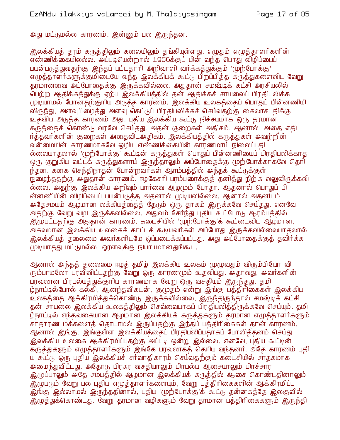அது மட்டுமல்ல காரணம். இன்னும் பல இருந்தன.

இலக்கியத் தரம் கருத்திலும் கலையிலும் தங்கியுள்ளது. எழுதும் எழுத்தாளர்களின் எண்ணிக்கையிலல்ல. அப்படியென்றால் 1956க்குப் பின் வந்த பொது விழிப்பைப் பயன்படுத்துவதற்கு இந்தப் பட்டதாரி அறிவாளி வர்க்கத்துக்கும் 'முற்போக்கு' எழுத்தாளர்களுக்குமிடையே வந்த இலக்கியக் கூட்டு பிறப்பித்த கருத்துகளைவிட வேறு தரமானவை அப்போதைக்கு இருக்கவில்லை. அதுதான் சமஷ்டிக் கட்சி அரசியலில் ் பெற்ற ஆதிக்கத்துக்கு ஏற்ப இலக்கியத்தில் தன் ஆதிக்கச் சாயலைப் பிரதிபலிக்க முடியாமல் போனதற்குரிய அடுத்த காரணம். இலக்கிய உலகத்தைப் பொதுப் பின்னணியி லிருந்து, அளவுபிழைத்து அளவு கெட்டுப் பிரதிபலிக்கச் செய்வதற்கு கைலாசபதிக்கு உதவிய அடுத்த காரணம் அது. புதிய இலக்கிய கூட்டு நிச்சயமாக ஒரு தரமான கருத்தைக் கொண்டு வரவே செய்தது. அதன் குறைகள் அதிகம். ஆனால், அதை எதி ர்த்தவர்களின் குறைகள் அதைவிடஅதிகம். இலக்கியத்தில் கருத்துகள் அவற்றின் வன்மையின் காரணமாகவே ஒமிய எண்ணிக்கையின் காரணமாய் நிலைப்பதி ல்லையாதலால் '(முற்போக்கு' கூட்டின் கருத்துகள் பொதுப் பின்னணியைப் பிரதிபலிக்காத ஒரு குறுகிய வட்டக் கருத்துகளாய் இருந்தாலும் அப்போதைக்கு முற்போக்காகவே தெரி ந்தன. கனக செந்திநாதன் போன்றவர்கள் ஆரம்பத்தில் அந்தக் கூட்டுக்குள் நுழைந்ததற்கு அதுதான் காரணம். ஈழகேசரி பரம்பரைக்குத் தனித்து நிற்க வலுவிருக்கவி ல்லை. அதற்கு இலக்கிய அறிவும் பார்வை ஆழமும் போதா. ஆதனால் பொதுப் பி ன்னணியின் விழிப்பைப் பயன்படுத்த அதனால் முடியவில்லை. ஆனால் அதனிடம் அதேசமயம் ஆழமான லக்கியத்தைத் தேடும் ஒரு தாகம் இருக்கவே செய்தது. எனவே அதற்கு வேறு வழி இருக்கவில்லை. அதுவும் சேர்ந்து புதிய கூட்டோடு ஆரம்பத்தில் இழுபட்டதற்கு அதுதான் காரணம். கடைசியில் 'முற்போக்கு'க் கூட்டைவிட ஆழமான, அகலமான இலக்கிய உலகைக் காட்டக் கூடியவர்கள் அப்போது இருக்கவில்லையாகலால் இலக்்கியத் தலைமை அவர்களிடமே ஒப்படைக்கப்பட்டது. அது அப்போதைக்்குத் தவிர்க்க (முடியாதது மட்டுமல்ல, ஓரளவுக்கு நியாயமானதுங்கூட.

ஆனால் அந்தத் தலைமை ஈழத் தமிழ் இலக்கிய உலகம் முழுவதும் விரும்பியோ வி ரும்பாமலோ பரவிவிட்டதற்கு வேறு ஒரு காரணமும் உதவியது. அதாவது, அவர்களின் பரவலான பிரபல்யத்துக்குரிய காரணமாக வேறு ஒரு வசதியும் இருந்தது. தமி ழ்நாட்டில்போல் கல்கி, ஆனந்தவிகடன், குமுதம் என்று இங்கு பத்திரிகைகள் இலக்கிய உலகத்தை ஆக்கிரமித்துக்கொண்டு இருக்கவில்லை, இருந்திருந்தால் சமஷ்டிக் கட்சி தன் சாயலை இலக்கிய உலகத்திலும் செவ்வையாகப் பிரதிபலித்திருக்கவே செய்யும். தமி ழ்நாட்டில் எந்தவகையான ஆழமான இலக்கியக் கருத்துகளும் தரமான எழுத்தாளர்களும் சாதாரண மக்களைத் தொடாமல் இருப்பதற்கு இந்தப் பத்திரிகைகள் தான் காரணம். ஆனால் இங்கு, இங்குள்ள இலக்கியத்தைப் பிரதிபலிப்பதாகப் போலித்தனம் செய்து .<br>இலக்கிய உலகை ஆக்கிரமிப்பதற்கு அப்படி ஒன்று இல்லை. எனவே, புதிய கூட்டின் கருத்துகளும் எழுத்தாளர்களும் இங்கே பரவலாகத் தெரிய வந்தனர். அதே காரணம் புதி ய கூட்டு ஒரு புதிய இலக்கியச் சர்வாதிகாரம் செய்வதற்கும் கடைசியில் சாதகமாக அமைந்துவிட்டது. அதோடு பிரசுர வசதியாலும் பிரபல்ய ஆசையாலும் பிரச்சார இழுப்பாலும் அதே சம்யத்தில் ஆழமான இலக்கியக் கருத்தில் ஆசை கொண்டதினாலும் இழுபடும் வேறு பல புதிய எழுத்தாளர்களையும், வேறு பத்திரிகைகளின் ஆக்கிரமிப்பு இங்கு இல்லாமல் இருந்ததினால், புதிய 'முற்போக்கு'க் கூட்டு தன்னகத்தே இலகுவில் இழுத்துக்கொண்டது. வேறு தரமான வழிகளும் வேறு தரமான பத்திரிகைகளும் இருந்தி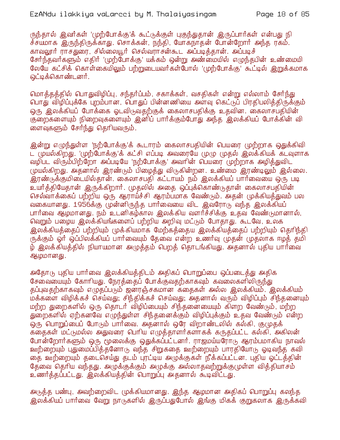ருந்தால் இவர்கள் 'முற்போக்கு'க் கூட்டுக்குள் புகுந்துதான் இருப்பார்கள் என்பது நி ச்சயமாக இருந்திருக்காது. சொக்கன், நந்தி, யோகநாதன் போன்றோர் அந்த ரகம். காவலூர் ராசதுரை, சில்லையூர் செல்வராசன்கூட அப்படித்தான். அப்படிச் சேர்ந்தவர்களும் எதிர் 'முற்போக்கு' யக்கம் ஒன்று அண்மையில் எழுந்தபின் உண்மையி லேயே கட்சிக் கொள்கையிலும் பற்றுடையவர்கள்போல் 'முற்போக்கு' கூட்டில் இறுக்கமாக <u>ஒட்டிக்கொண்டனர்.</u>

மொத்தத்தில் பொதுவிழிப்பு, சந்தர்ப்பம், சகாக்கள், வசதிகள் என்று எல்லாம் சேர்ந்து பொது விழிப்புக்கே புறம்பான, பொதுப் பின்னணியை அளவு கெட்டுப் பிரதிபலித்திருக்கும் ஒரு இலக்கியப் போக்கை ஓடவிடுவதற்குக் கைலாசபதிக்கு உதவின. கைலாசபதியின் குறைகளையும் நிறைவுகளையும் இனிப் பார்க்கும்போது அந்த இலக்கியப் போக்கின் வி ளைவுகளும் சேர்ந்து தெரியவரும்.

இன்று எழுந்துள்ள 'நற்போக்கு'க் கூடாரம் கைலாசபதியின் பெயரை முற்றாக ஒதுக்கிவி ட் முயல்கிறது. 'முற்போக்கு'க் கட்சி எப்படி அவரையே முழு முதல் இலக்கியக் கடவுளாக வழிபட விரும்பிற்றோ அப்படியே 'நற்போக்கு' அவரின் பெயரை முற்றாக அழித்துவிட முயல்கிறது. அதனால் இரண்டும் பிழைத்து விடுகின்றன. உண்மை இரண்டிலும் இல்லை. <u>இரண்டுக்குமிடையில்தான். கைலாசபதி கட்டாயம் நம் இலக்கியப் பார்வையை ஒரு படி</u> உயர்த்தியேதான் இருக்கிறார். முதலில் அதை ஒப்புக்கொண்டுதான் கைலாசபதியின் செல்வாக்கைப் பற்றிய ஒரு ஆராய்ச்சி ஆரம்பமாக வேண்டும். அதன் முக்கியத்துவம் பல வகையானது. 1956க்கு முன்னிருந்த பார்வையை விட இவரோடு வந்த இலக்கியப் பார்வை ஆழமானது. நம் உடனிகழ்கால இலக்கிய வளர்ச்சிக்கு உதவ வேண்டுமானால், வெறும் பழைய இலக்கியங்களைப் பற்றிய அறிவு மட்டும் போதாது. கூடவே, உலக இலக்கியத்தைப் பற்றியும் முக்கியமாக மேற்கத்தைய இலக்கியத்தைப் பற்றியும் தெரிந்தி ருக்கும் ஓர் ஒப்பிலக்கியப் பார்வையும் தேவை என்ற உணர்வு முதன் முதலாக ஈழத் தமி ழ் இலக்கியத்தில் நியாயமான அழுத்தம் பெறத் தொடங்கியது. அதனால் புதிய பார்வை ஆழமானது.

அதோடு புதிய பார்வை இலக்கியத்திடம் அதிகப் பொறுப்பை ஒப்படைத்து அதிக சேவையையும் கோரியது. நேரத்தைப் போக்குவதற்காகவும் கவலைகளிலிருந்து தப்புவதற்காகவும் எழுதப்படும் ஜனாஞ்சகமான கதைகள் அல்ல இலக்கியம். இலக்கியம் மக்களை விழிக்கச் செய்வது; சிந்திக்கச் செய்வது; அதனால் வரும் விழிப்பும் சிந்தனையும் மற்ற துறைகளில் ஒரு தொடர் விழிப்பையும் சிந்தனையையும் கிளற வேண்டும், மற்ற துறைகளில் ஏற்கனவே எழுந்துள்ள சிந்தனைக்கும் விழிப்புக்கும் உதவ வேண்டும் என்ற ஒரு பொறுப்பைப் போடும் பார்வை. அதனால் ஒரே விறாண்டலில் கல்கி, குமுதக் கதைகள் மட்டுமல்ல அதுவரை பெரிய எழுத்தாளர்களாகக் கருதப்பட்ட கல்கி, அகிலன் போன்றோர்களும் ஒரு மூலைக்கு ஒதுக்கப்பட்டனர். ராஜமய்யரோடு ஆரம்பமாகிய நாவல் ஊற்றையும் புதுமைப்பித்தனோடு வந்த சிறுகதை ஊற்றையும் பாரதியோடு ஓடிவந்த கவி தை ஊற்றையும் தடைசெய்து தடம் புரட்டிய அழுக்குகள் நீக்கப்பட்டன. புதிய ஓட்டத்தின் தேவை தெரிய வந்தது. அழுக்குக்கும் அழுக்கு அல்லாதவற்றுக்குமுள்ள வித்தியாசம் உணர்த்தப்பட்டது. இலக்கியத்தின் பொறுப்பு அதனால் கூடிவிட்டது.

அடுத்த பண்பு, அவற்றைவிட (முக்கியமானது. இந்த ஆழமான அதிகப் பொறுப்பு கலந்த இலக்கியப் பார்வை வேறு நாடுகளில் இருப்பதுபோல் இங்கு மிகக் குறுகலாக இருக்கவி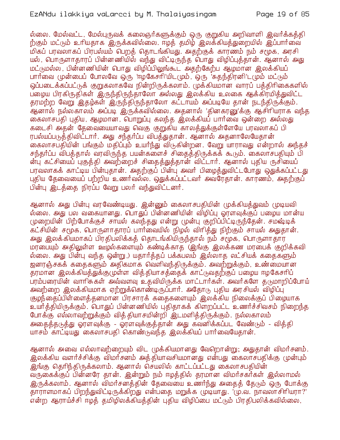#### EzANdu ilakkiya vaLarcci by M. Thalaiyasingam

ல்லை. மேல்வட்ட, மேல்புருவக் கலைஞர்களுக்கும் ஒரு குறுகிய அறிவாளி இவர்க்கத்தி ற்கும் மட்டும் உரியதாக இருக்கவில்லை. ஈழத் தமிழ் இலக்கியத்துறையில் இப்பார்வை மிகப் பரவலாகப் பிரபல்யம் பெறத் தொடங்கியது. அதற்குக் காரணம் நம் சமூக, அரசி யல், பொருளாதாரப் பின்னணியில் வந்து விட்டிருந்த பொது விழிப்புத்தான். ஆனால் அது மட்டுமல்ல பின்னணியின் பொது விழிப்பிலுங்கூட அகற்கேற்ப ஆழமான இலக்கியப் பார்வை முன்பைப் போலவே ஒரு 'ஈழகேசரி'யிடமும், ஒரு 'சுதந்திரனி'டமும் மட்டும் ஒப்படைக்கப்பட்டுக் குறுகலாகவே நின்றிருக்கலாம். முக்கியமான வாரப் பக்கிரிகைகளில் பறைய பிரகிருதிகள் இருந்திருந்தாலோ அல்லது இலக்கிய உலகை ஆக்கிரமித்துவிட்ட தரமற்ற வேறு இதழ்கள் இருந்திருந்தாலோ கட்டாயம் அப்படியே தான் நடந்திருக்கும். ஆனால் நல்லகாலம் அப்படி இருக்கவில்லை. அதனால் 'தினகரனு'க்கு ஆசிரியராக வந்த கைலாசபதி புதிய, ஆழமான, பொறுப்பு கலந்த இலக்கியப் பார்வை ஒன்றை அல்லது கடைசி அதன் தேவையையாவது வெகு குறுகிய காலத்துக்குள்ளேயே பரவலாகப் பி ரபல்யப்படுத்்திவிட்டார். அது சந்தர்ப்ப விபத்துதான். ஆனால் அதனாலேயேதான் கைலாசபதியின் பங்கும் மதிப்பும் உயர்ந்து விடுகின்றன. வேறு யாராவது என்றால் அந்தச் சந்தர்ப்ப விபக்கால் வரவிருந்த பயன்களைச் சிகைத்திருக்கக் கூடும். கைலாசபதியும் பி ன்ப கட்சியைப் பகுத்தி அவற்றைச் சிதைத்துத்தான் விட்டார். ஆனால் புதிய ருசியைப் பரவலாகக் காட்டிய பின்புதான். அதற்குப் பின்பு அவர் பிழைத்துவிட்டபோது ஒதுக்கப்பட்டது புதிய தேவையைப் பற்றிய உணர்வல்ல. ஒதுக்கப்பட்டவர் அவரேதான். காரணம், அதற்குப் பின்பு இடத்தை நிரப்ப வேறு பலர் வந்துவிட்டனர்.

ஆனால் அது பின்பு வரவேண்டியது. இன்னும் கைலாசபதியின் முக்கியக்துவம் முடியவி ல்லை. அது பல வகையானது. பொதுப் பின்னணியின் விழிப்பு ஓரளவுக்குப் பழைய மான்ய முறையின் பிற்போக்குச் சாயல் கலந்தது என்று முன்பு குறிப்பிட்டிருந்தேன். சமஷ்டிக் .<br>கட்சியின் சமூக, பொருளாதாரப் பாா்வையில் நிழல் விரித்து நிற்கும் சாயல் அதுதான். அது இலக்கியமாகப் பிரதிபலிக்கத் தொடங்கியிருந்தால் நம் சமூக, பொருளாதார மரபையும் அதிலுள்ள ஊழல்களையும் கண்டிக்காத (இங்கு இலக்கண மரபைக் குறிக்கவி ல்லை. அது பின்பு வந்த ஒன்று ) யதார்த்தப் பக்கபலம் இல்லாத லட்சியக் கதைகளும் ஜனரஞ்சகக் கதைகளும் அதிகமாக வெளிவந்திருக்கும். அவற்றுக்கும், உண்மையான தரமான இலக்கியத்துக்குமுள்ள வித்தியாசத்தைக் காட்டுவதற்குப் பழைய ஈழகேசரிப் பரம்பரையின் வாரிசுகள் அவ்வளவு உதவியிருக்க மாட்டார்கள். அவர்களே தடுமாறிப்போய் அவற்றை இலக்கியமாக ஏற்றுக்கொண்டிருப்பார். அதோடு புதிய அரசியல் விழிப்பு குழந்தைப்பிள்ளைத்தனமான பிரசாரக் கதைகளையும் இலக்கிய நிலைக்குப் பிழையாக உயர்த்தியிருக்கும். பொதுப் பின்னணியில் புதிதாகக் கிளறப்பட்ட உணர்ச்சிவசம் நிறைந்த போக்கு எல்லாவற்றுக்கும் வித் தியாசமின்றி இடமளித்திருக்கும். நல்லகாலம் அகைத்தடுத்து ஓரளவுக்கு - ஓரளவுக்குத்தான் அது கவனிக்கப்பட வேண்டும் - வித்தி யாசம் காட்டியது கைலாசபதி கொண்டுவந்த இலக்கியப் பார்வையேதான்.

ஆனால் அவை எல்லாவற்றையும் விட முக்கியமானது வேறொன்று; அதுதான் விமர்சனம். இலக்கிய வளர்ச்சிக்கு விமர்சனம் அத்தியாவசியமானது என்பது கைலாசபதிக்கு முன்பும் இங்கு தெரிந்திருக்கலாம். ஆனால் செயலில் காட்டப்பட்டது கைலாசபதியின் வருகைக்குப் பின்னரே தான். இன்றும் நம் ஈழத்தில் தரமான விமர்சகர்கள் இல்லாமல் இருக்கலாம். ஆனால் விமர்சனக்கின் கேவையை உணர்ந்து அகைக் கேடும் ஒரு போக்கு தாராளமாகப் பிறந்துவிட்டிருக்கிறது என்பதை மறுக்க முடியாது. 'மு.வ. நாவலாசிரியரா?' என்ற ஆராய்ச்சி ஈழத் தமிழிலக்கியத்தின் புதிய விழிப்பை மட்டும் பிரதிபலிக்கவில்லை,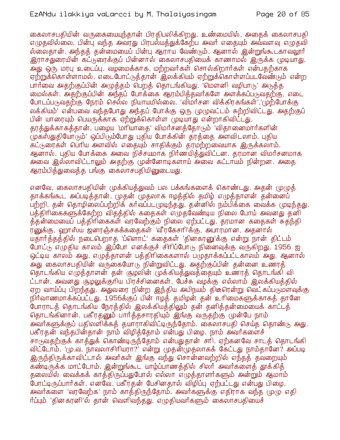#### EzANdu ilakkiya vaLarcci by M. Thalaiyasingam

கைலாசபதியின் வருகையையுந்தான் பிரதிபலிக்கிறது. உண்மையில், அதைக் கைலாசபதி எழுதவில்லை. பின்பு வந்த அவரது பிரபல்யத்துக்கேற்ப அவர் எதையும் அவ்வளவு எழுதவி ல்லைதான். அந்தத் தன்மையைப் பின்பு ஆராய வேண்டும். ஆனால் இன்றுங்கூடகாவலூர் இராசதுரையின் கட்டுரைக்குப் பின்னால் கைலாசபதியைக் காணாமல் இருக்க முடியாது. அது ஒரு மரபு உடைப்பு. வழமைக்காக, மற்றவர்கள் சொல்கிறார்கள் என்பதற்காக ஏற்றுக்கொள்ளாமல், எடைபோட்டுத்தான் இலக்கியம் ஏற்றுக்கொள்ளப்படவேண்டும் என்ற பார்வை அதற்குப்பின் அமுத்தம் பெறத் தொடங்கியது. 'மௌனி வழிபாடு' அடுத்த றைல்கள். அதற்குப்பின் அந்தப் போக்கை ஆரம்பித்தவர்களே அளக்கப்படுவதற்கு, எடை போடப்படுவதற்கு நேரம் செல்ல நியாயமில்லை. 'விமர்சன விக்கிரகங்கள்','(மற்போக்கு லக்கியம்' என்பவை வந்தபோது அந்தப் போக்கு ஒரு முழுவட்டம் சுற்றிவிட்டது. அதற்குப் பின் யாரையும் பெயருக்காக ஏற்றுக்கொள்ள முடியாது என்றாகிவிட்டது. தரத்துக்காகத்தான். பழைய 'மரியாதை' விமர்சனத்தோடும் 'விதானைமார்களின் முக்ஸ்துதியோரும்' ஒப்பிரும்போது புதிய போக்கின் தரத்தை அளவிடலாம். புதிய கட்டுரைகள் பெரிய அளவில் எதையும் சாதிக்கும் தரமற்றவையாக இருக்கலாம். ஆனால், புகிய போக்கை அவை நிச்சயமாக நிர்ணயிக்துவிட்டன. கரமான விமர்சனமாக அவை இல்லாவிட்டாலும் அதற்கு முன்னோடிகளாய் அவை கட்டாயம் நின்றன. அதை ஆரம்பித்துவைத்த பங்கு கைலாசபதியினுடையது.

எனவே, கைலாசபதியின் முக்கியத்துவம் பல பக்கங்களைக் கொண்டது. அதன் முழுத் தாக்கங்கூட அப்படித்தான். முதன் முதலாக ஈழத்தில் தமிழ் எழுத்தாளன் தன்னைப் பற்றி, தன் தொழிலைப்பற்றிக் கர்வப்படமுடிந்தது. தன்னில் நம்பிக்கை வைக்க முடிந்தது. பத்திரிகைகளுக்கேற்ற வித்த்தில் கதைகள் எழுதவேண்டிய நிலை போய் அவனது தனி த்தன்மையைப் பத்திரிகைகள் வரவேற்கும் நிலை ஏற்பட்டது. தரமான கதைகள் சுதந்தி ர்னுக்கு, ஹாஸ்ய ஜனரஞ்சகக்கதைகள் 'வீரகேசரி'க்கு, அபாரமான, அதனால் யதார்த்தத்தில் நடைபெறாத 'ப்ளொட்' கதைகள் 'தினகரனு'க்கு என்று நான் திட்டம் போட்டு எழுதிய காலம் இப்போ எனக்குச் சிரிப்போடு நினைவுக்கு வருகிறது. 1956 ஐ ஒட்டிய காலம் அது. எழுத்தாளன் பத்திரிகைகளால் பழுதாக்கப்பட்டகாலம் அது. ஆனால் அது கைலாசபதியின் வருகையோடு நின்றுவிட்டது. அதற்குப்பின் தன்னை உணரத் தொடங்கிய எழுத்தாளன் தன் சூழலின் முக்கியத்துவத்தையும் உணரத் தொடங்கி வி ட்டான். அவனது சூழலுக்குரிய பிரச்சினைகள், பேச்சு வழக்கு எல்லாம் இலக்கியத்தில் ஏற வாய்ப்பு பிறந்தது. அதுவரை நின்ற இந்திய அபிநயம் திடீரென்று வெட்கப்படுமளவுக்கு நிர்வாணமாக்கப்பட்டது. 1956க்குப் பின் ஈழத் தமிழன் தன் உரிமைகளுக்காகத் தானே .<br>போராடத் தொடங்கிய நேரத்தில் இலக்கியத்திலும் தன் தனித்தன்மையைக் காட்டத் தொடங்கினான். பகீரதனும் பார்த்தசாரதியும் இங்கு வருதற்கு முன்பே நாம் அவர்களுக்குப் பதிலளிக்கத் தயாராகிவிட்டிருந்தோம். கைலாசபதி செய்த தொண்டு அது. பகீரதன் வந்தபின்தான் நாம் விழித்தோம் என்பது பிழை. நாம் அவர்களைச் சாடுவதற்குக் காத்துக் கொண்டிருந்தோம் என்பதுதான் சாி. ஏற்கனவே சாடத் தொடங்கி விட்டோம். 'மு.வ. நாவலாசிரியரா?' என்று முதன்முதலாகக் கேட்டது நாம்தானே? அப்படி <u>இருந்திருக்காவிட்டால் அவர்கள் இங்கு வந்து சொன்னவற்றில் எந்தத் தவறையும் </u> கண்டிருக்க மாட்டோம். இன்றுங்கூட யாழ்ப்பாணத்தில் சிலர் அவர்களைத் தூக்கித் தலையில் வைக்கக் காத்திருப்பதுபோல் எல்லா எழுத்தாளர்களும் அன்றும் ஆமாம் போட்டிருப்பார்கள். எனவே, பகீரதன் பேசினதால் விழிப்பு ஏற்பட்டது என்பது பிழை. அவர்களை 'வரவேற்க' நாம் காத்திருந்தோம். அவர்களுக்கு எதிராக வந்த முழு எதி ர்ப்பும் 'தினகானி'ல் தான் வெளிவந்தது. எமுதியவர்களும் கைலாசபதியைச்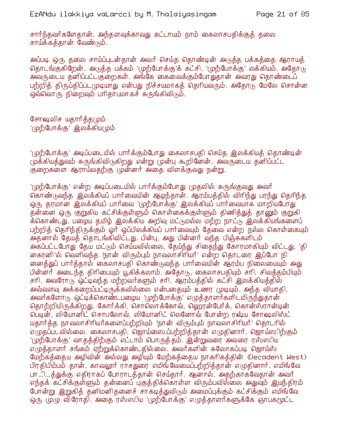சார்ந்தவர்களேதான். அந்தளவுக்காவது கட்டாயம் நாம் கைலாசபதிக்குக் தலை சாய்க்கத்தான் வேண்டும்.

அப்படி ஒரு தலை சாய்ப்புடன்தான் அவர் செய்த தொண்டின் அடுத்த பக்கத்தை ஆராயத் தொடங்குகிறேன். அடுத்த பக்கம் 'முற்போக்கு'க் கட்சி, 'முற்போக்கு' லக்கியம், அதோடு .<br>அவருடைய தனிப்பட்டகுறைகள். அங்கே கைவைக்கும்போதுதான் அவரது தொண்டைப் பற்றித் திருப்திப்படமுடியாது என்பது நிச்சயமாகத் தெரியவரும். அதோடு மேலே சொன்ன ஒவ்வொரு நிறைவும் பரிதாபமாகச் சுருங்கிவிடும்.

சோஷலிச யதார்த்தமும் '(மற்போக்கு' இலக்கியமும்

'(மற்போக்கு' அடிப்படையில் பார்க்கும்போது கைலாசபதி செய்த இலக்கியக் கொண்டின் முக்கியத்துவம் சுருங்கிவிடுகிறது என்று முன்பு கூறினேன். அவருடைய தனிப்பட்ட குறைகளை ஆராய்வதற்கு முன்னர் அதை விளக்குவது நன்று.

'(மற்போக்கு' என்ற அடிப்படையில் பார்க்கும்போது முதலில் சுருங்குவது அவர் கொண்டுவந்த இலக்கியப் பார்வையின் ஆமந்தான். ஆரம்பத்தில் விரிந்து பரந்து தெரிந்த ஒரு தரமான இலக்கியப் பார்வை 'முற்போக்கு' இலக்கியப் பார்வையாக மாறியபோது தன்னை ஒரு குறுகிய கட்சிக்குள்ளும் கொள்கைக்குள்ளும் திணித்துத் தானும் குறுகி க்கொண்டது. பழைய தமிழ் இலக்கிய அறிவு மட்டுமல்ல மற்ற நாட்டு இலக்கியங்களைப் பற்றித் தெரிந்திருக்கும் ஒர் ஒப்பிலக்கியப் பார்வையும் தேவை என்ற நல்ல கொள்கையும் அதனால் தேயத் தொடங்கிவிட்டது. பின்பு, அது பின்னர் வந்த பிஞ்சுகளிடம் அக்ப்பட்டபோது தேய மட்டும் செய்யவில்லை, தேய்ந்து சிதைந்து கோரமாகியும் விட்டது. 'தி னகரனி'ல் வெளிவந்த 'நான் விரும்பும் நாவலாசிரியர்' என்ற தொடரை இப்போ நி னைத்துப் பார்த்தால் கைலாசபதி கொண்டுவந்த பார்வையின் ஆரம்ப நிலையையும் அது பின்னர் அடைந்த திரிபையும் யூகிக்கலாம். அதோடு, கைலாசபதியும் சரி, சிவத்தம்பியும் சரி, அவரோடு ஒட்டிவந்த மற்றவர்களும் சரி, ஆரம்பத்தில் கட்சி இலக்கியத்தில் அவ்வளவு அக்கறைப்பட்டிருக்கவில்லை என்பதையும் உணர முடியும். அந்த வியாதி, அவர்களோடு ஒட்டிக்கொண்டபழைய 'முற்போக்கு' எழுத்தாளர்களிடமிருந்துதான் தொற்றியிருக்கிறது. கோர்க்கி, சொலொக்கோவ், ஹெரன்பேர்க், கொன்ஸ்ரான்டின் பெடின், லியோனிட் சொபலோவ், லியோனிட் லெனோவ் போன்ற ரஷ்ய சோஷலிஸ்ட் யதார்த்த நாவலாசிரியர்களைப்பற்றியும் 'நான் விரும்பும் நாவலாசிரியர்' தொடரில் எழுதப்படவில்லை. கைலாசபதி, ஜொய்ஸை ப்பற்றித்தான் எழுதினார். ஜொய்ஸிற்கும் 'முற்போக்கு' வாதத்திற்கும் எட்டாம் பொருத்தம். இன்றுவரை அவரை ரஸ்ஸிய எமுத்தாளர் சங்கம் ஏற்றுக்கொண்டதில்லை. அவர்களின் சுலோகப்படி ஜொய்ஸ் மேற்கத்தைய அழிவின் அல்லது அழியும் மேற்கத்தைய நாகரிகத்தின் (Decadent West) பிரதிபிம்பம் தான். காவலூர் ராசதுரை எமிங்வேயைப்பற்றித்தான் எழுதினார். எமிங்வே பா…ி…த்துக்கு எதிராகப் போராடத்தான் செய்தார். ஆனால், அதற்காகவேதான் அவர் எந்தக் கட்சிக்குள்ளும் தன்னைப் பகுத்திக்கொள்ள விரும்பவில்லை அதுவும் இயந்திரம் போன்று இறுகித் தனிமனிதனைச் சாகடித்துவிடும் அமைப்புக்கும் கட்சிக்கும் எமிங்வே ஒரு முழு விரோதி. அதை ரஸ்ஸிய 'முற்போக்கு' எழுத்தாளர்களுக்கே ஞாபகமூட்ட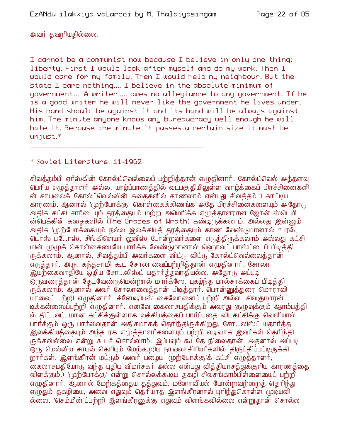அவர் தவறியதில்லை.

I cannot be a communist now because I believe in only one thing; liberty. First I would look after myself and do my work. Then I would care for my family. Then I would help my neighbour. But the state I care nothing.... I believe in the absolute minimum of government.... A writer..... owes no allegiance to any government. If he is a good writer he will never like the government he lives under. His hand should be against it and its hand will be always against him. The minute anyone knows any bureaucracy well enough he will hate it. Because the minute it passes a certain size it must be unjust.\*

\* Soviet Literature, 11-1962

சிவத்தம்பி ஏர்ஸ்கின் கோல்ட்வெல்லைப் பற்றித்தான் எழுதினார். கோல்ட்வெல் அந்தளவு பெரிய எழுத்தாளர் அல்ல. யாழ்ப்பாணத்தில் வடபகுதியிலுள்ள வாழ்க்கைப் பிரச்சினைகளி ன் சாயலைக் கோல்ட்வெல்லின் ககைகளில் காணலாம் என்பது சிவக்கம்பி காட்டிய காரணம். ஆனால் 'முற்போக்கு' கொள்கைக்கிணங்க அதே பிரச்சினைகளையும் அதோடு அதிக கட்சி சார்பையும் தரத்தையும் மற்ற அமெரிக்க எழுத்தாளரான ஜோன் ஸ்டெயி ன்பெக்கின் கதைகளில் (The Grapes of Wrath) கண்டிருக்கலாம். அல்லது இன்னும் அதிக 'முற்போக்்கை'யும் நல்ல இலக்கியத் தரத்தையும் காண வேண்டுமானால் \*பரல், டொஸ் ப…ோஸ், சிங்கிளெயர் லுவிஸ் போன்றவர்களை எடுத்திருக்கலாம் அல்லது கட்சி யின் முழுக் கொள்கையையே பார்க்க வேண்டுமானால் ஹொவட் பாஸ்ட்டைப் பிடித்தி ருக்கலாம். ஆனால், சிவத்தம்பி அவர்களை விட்டு விட்டு கோல்ட்வெல்லைத்தான் எடுத்தார். அ.ந. கந்தசாமி கூட சோலாவைப்பற்றித்தான் எழுதினார். சோலா <u>இயற்</u>கைவாதியே ஒழிய சோ…லிஸ்ட் யதார்த்தவாதியல்ல. அதோடு அப்படி ஒருவரைத்தான் தேடவேண்டுமென்றால் மார்க்ஸே. புகம்ந்த பால்சாக்கைப் பிடித்தி ருக்கலாம். ஆனால் அவர் சோலாவைத்தான் பிடித்தார். பொன்னுத்துரை மொராவி யாவைப் பற்றி எழுதினார். க்னேஷியஸ் சைலோனைப் பற்றி அல்ல. சிவகுமாரன் டிக்கன்ஸைப்பற்றி எமுதினார். எனவே கைலாசபதிக்கும் அவரது குமுவுக்கும் ஆரம்பத்தி ல் திட்டவட்டமான கட்சிக்குள்ளாக லக்கியத்தைப் பார்ப்பதை விடகட்சிக்கு வெளியால் பார்க்கும் ஒரு பார்வைதான் அதிகமாகக் தெரிந்திருக்கிறது. சோ…லிஸ்ட் யதார்க்க இலக்்கியத்்தையும் அந்த ரக எழுத்தாளர்களையும் பற்றி வடிவாக இவர்கள் தெரிந்தி ருக்கவில்லை என்று கூடச் சொல்லாம். இப்பவும் கூடதே நிலைதான். அதனால் அப்படி ஒரு மெல்லிய சாயல் தெரியும் மேற்கூறிய நாவலாசிரியர்களில் திருப்திப்பட்டிருக்கி றார்கள். இளங்கீரன் மட்டும் (அவர் பழைய 'முற்போக்கு'க் கட்சி எழுத்தாளர், கைலாசபதியோடு வந்த புதிய விமர்சகர் அல்ல என்பது வித்தியாசத்துக்குரிய காரணத்தை விளக்கும்.) 'முற்போக்கு' என்று சொல்லக்கூடிய தகழி சிவசங்கரம்பிள்ளையைப் பற்றி எழுதினார். ஆனால் மேற்கத்தைய தத்துவம், மனோவியல் போன்றவற்றைத் தெரிந்து எழுதும் தகழியை, அவை எதுவும் தெரியாத இளங்கீரனால் புரிந்துகொள்ள முடியவி ல்லை. 'செம்மீன்'ப்பற்றி இளங்கீரனுக்கு எதுவும் விளங்கவில்லை என்றுதான் சொல்ல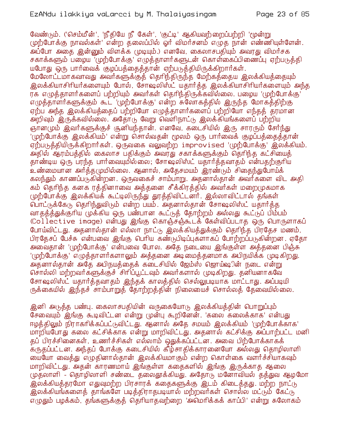வேண்டும். ('செம்மீன்', 'நீதியே நீ கேள்', 'குட்டி' ஆகியவற்றைப்பற்றி 'மூன்று முற்போக்கு நாவல்கள்' என்ற தலைப்பில் ஓர் விமர்சனம் எழுத நான் எண்ணியுள்ளேன். அப்போ அதை இன்னும் விளக்க (முடியும்.) எனவே, கைலாசபதியும் அவரது விமர்சக சகாக்களும் பழைய 'முற்போக்கு' எழுத்தாளர்களுடன் கொள்்கைப்பிணைப்பு ஏற்படுத்தி யபோது ஒரு பார்வைக் குழப்பத்தைத்தான் ஏற்படுத்தியிருக்கிறார்கள்.

மேலோட்டமாகவாவது அவர்களுக்குத் தெரிந்திருந்த மேற்கத்தைய இலக்கியத்தையும் .<br>இலக்கியாசிரியர்களையும் போல், சோஷலிஸ்ட் யகார்க்க இலக்கியாசிரியர்களையும் அந்த ரக எழுத்தாளர்களைப் பற்றியும் அவர்கள் தெரிந்திருக்கவில்லை. பழைய 'முற்போக்கு' எழுத்தாளர்களுக்கும் கூட 'முற்போக்கு' என்ற சுலோகத்தில் இருந்த மோகத்திற்கு ஏற்ப அந்த இலக்கியக்கைப் பற்றியோ எமுக்காளர்களைப் பற்றியோ எந்தக் கரமான அறிவும் இருக்கவில்லை. அதோடு வேறு வெளிநாட்டு இலக்கியங்களைப் பற்றிய ஞானமும் இவர்களுக்குச் சூனியந்தான். எனவே, கடைசியில் இரு சாரரும் சேர்ந்து '(முற்போக்கு இலக்கியம்' என்று சொல்வதன் மூலம் ஒரு பார்வைக் குழப்பத்தைத்தான்' ஏற்படுத்தியிருக்கிறார்கள். ஒருவகை வலுவற்ற improvised '(மற்போக்கு' இலக்கியம். அதில் ஆரம்பத்தில் கைலாச பதிக்கும் அவரது சகாக்களுக்கும் தெரிந்த கட்சியைத் தாண்டிய ஒரு பரந்த பார்வையுமில்லை; சோஷலிஸ்ட் யதார்த்தவாதம் என்பதற்குரிய உண்மையான அர்த்தமுமில்லை. ஆனால், அதேசமயம் இரண்டும் சிதைந்துபோய்க் கலந்தும் காணப்படுகின்றன. ஒருவகைச் சாம்பாறு. அதனால்தான் அவர்களை விட அதி கம் தெரிந்த கனக ரத்தினாவை அத்தனை சீக்கிரத்தில் அவர்கள் மறைமுகமாக முற்போக்கு இலக்கியக் கூட்டிலிருந்து துரத்திவிட்டனா். இல்லாவிட்டால் தங்கள் பொட்டுக்கேடு தெரிந்துவிடும் என்ற பயம். அதனால்தான் சோஷலிஸ்ட் யதார்த்த வாதத்த்துக்குரிய முக்கிய ஒரு பண்பான கூட்டுத் தோற்றம் அல்லது கூட்டுப் பிம்பம் Collective image) என்பது இங்கு கொஞ்சஞ்கூடக் கேள்விப்படாத ஒரு பொருளாகப் போய்விட்டது. அதனால்தான் எல்லா நாட்டு இலக்கியத்துக்கும் தெரிந்த பிரதேச மணம், பிரதேசப் பேச்சு என்பவை இங்கு பெரிய கண்டுபிடிப்புகளாகப் போற்றப்படுகின்றன. ஏதோ அவைதான் 'முற்போக்கு' என்பவை போல. அதே நடையை இங்குள்ள அத்தனை பிஞ்சு '(முற்போக்கு' எழுத்தாளர்களாலும் அத்தனை அடிமைத்தனமாக அபிநயிக்க முடிகிறது.' .<br>அதனால்தான் அதே அபிநயத்தைக் கடைசியில் ஜேம்ஸ் ஜொய்ஷின் நடை என்று சொல்லி மற்றவர்களுக்குச் சிரிப்பூட்டவும் அவர்களால் முடிகிறது. தனியனாகவே சோஷலிஸ்ட் யதார்த்தவாதம் இந்தக் காலத்தில் செல்லுபடியாக மாட்டாது. அப்படியி ருக்கையில் இந்தச் சாம்பாறுத் தோற்றத்தின் நிலையைச் சொல்லத் தேவையில்லை.

இனி அடுத்த பண்பு. கைலாசபதியின் வருகையோடு இலக்கியத்தின் பொறுப்பும் சேவையும் இங்கு கூடிவிட்டன என்று முன்பு கூறினேன். 'கலை கலைக்காக' என்பது ஈழத்்திலும் நிராகரிக்்கப்பட்டுவிட்டது. ஆனால் அதே சமயம் இலக்்கியம் 'முற்போக்்காக' மாறியபோது கலை கட்சிக்காக என்று மாறிவிட்டது. அதனால் கட்சிக்கு அப்பாற்பட்ட மனி கப் பிரச்சினைகள், உணர்ச்சிகள் எல்லாம் ஒதுக்கப்பட்டன. அவை பிற்போக்காகக் .<br>கருதப்பட்டன. அந்தப் போக்கு கடைசியில் கீழ்சாதிக்காரனையோ அல்லது தொழிலாளி மையோ வைத்து எழுதினால்தான் இலக்கியமாகும் என்ற கொள்கை வளர்ச்சியாகவும் மாறிவிட்டது. அதன் காரணமாய் இங்குள்ள கதைகளில் இங்கு இருக்காத ஆலை முதலாளி - தொழிலாளி சண்டை தலைதூக்கியது. அதோடு மனோவியல் தத்துவ ஆழமோ இலக்கியத்தரமோ எதுவுமற்ற பிரசாரக் கதைகளுக்கு இடம் கிடைத்தது. மற்ற நாட்டு <u>இலக்கியங்களைத் தாங்களே படித்திராதபடியால் மற்றவர்கள் சொல்ல மட்டும் கேட்டு</u> எழுதும் பழக்கம், தங்களுக்குக் தெரியாதவற்றை 'அமெரிக்கக் காப்பி' என்று சுலோகம்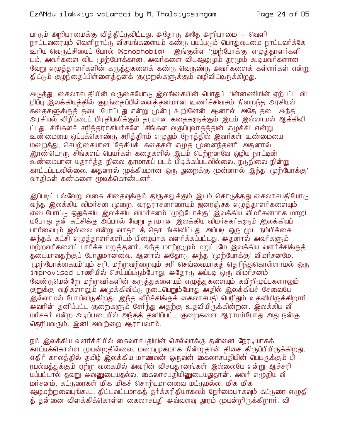பாடும் அறியாமைக்கு வித்திட்டுவிட்டது. அதோடு அதே அறியாமை -- வெளி நாட்டவரையும் வெளிநாட்டு விசயங்களையும் கண்டு பயப்படும் பொதுவுடமை நாட்டவர்க்கே உரிய வெருட்சியைப் போல் (Xenophobia) - இங்குள்ள 'முற்போக்கு' எழுத்தாளர்களி டம், அவர்களை விட முற்போக்கான, அவர்களை விடஆழமும் தரமும் கூடியவர்களான வேறு எமுத்தாளர்களின் கருத்துகளைக் கண்டு வெருண்டு அவர்களைக் கள்ளர்கள் என்று கிட்டும் குழந்தைப்பிள்ளைக்கனக் குழுறல்களுக்கும் வழிவிட்டிருக்கிறது.

அடுத்து, கைலாசபதியின் வருகையோடு இலங்கையின் பொதுப் பின்னணியின் ஏற்பட்ட வி ழிப்பு இலக்கியத்தில் குழந்தைப்பிள்ளைத்தனமான உணர்ச்சிவசம் நிறைந்த அரசியல் ககைகளுக்குக் கடை போட்டது என்று முன்பு கூறினேன். ஆனால், அதே தடை அந்த அரசியல் விழிப்பைப் பிரதிபலிக்கும் தரமான கதைகளுக்கும் இடம் இல்லாமல் ஆக்கிவி ட்டது. சிங்களச் சரித்திராசியர்களே 'சிங்கள வகுப்புவாதத்தின் எழுச்சி' என்று உண்மையை ஒப்புக்கொண்டு சரித்திரம் எழுதும் நேரத்தில் இவர்கள் உண்மையை மறைத்து, செயற்கையான 'தேசியக்' கதைகள் எழுத முனைந்தனர். அதனால் <u>இரண்டொரு சிங்களப் பெயர்கள் கதைகளில் இடம் பெற்றனவே ஒழிய நாட்டின் </u> உண்மையான யதார்த்த நிலை தரமாகப் படம் பிடிக்கப்படவில்லை. நடுநிலை நின்று காட்டப்படவில்லை. அதனால் முக்கியமான ஒரு துறைக்கு முன்னால் இந்த 'முற்போக்கு' வாதிகள் கண்களை மூடிக்கொண்டனர்.

இப்படிப் பல்வேறு வகை சிதைவுக்கும் திருகலுக்கும் இடம் கொடுத்தது கைலாசபதியோடு வந்த இலக்கிய விமர்சன முறை. வரதராசனாரையும் ஜனரஞ்சக எழுத்தாளர்களையும் யபோது தன் கட்சிக்கு அப்பால் வேறு தரமான இலக்கிய விமர்சகர்களும் இலக்கியப் பார்வையும் இல்லை என்று வாதாடத் தொடங்கிவிட்டது. அப்படி ஒரு மூட நம்பிக்கை அந்தக் கட்சி எமுக்காளர்களிடம் பிழையாக வளர்க்கப்பட்டது. அதனால் அவர்களும் மற்றவர்களைப் பார்க்க மறுத்தனர். அந்த மாற்ற(மம் மறுப்புமே இலக்கிய வளர்ச்சிக்குத் தடையாவதற்குப் போதுமானவை. ஆனால் அதோடு அந்த 'முற்போக்கு' விமர்சனமே, '(முற்போக்கையும்'யும் சரி, மற்றவற்றையும் சரி செவ்வையாகத் தெரிந்துகொள்ளாமல் ஒரு improvised பாணியில் செய்யப்படும்போது, அதோடு அப்படி ஒரு விமர்சனம் வேண்டுமென்றே மற்றவர்களின் கருக்துகளையும் எமுக்துகளையும் கயிறிமுப்புகளாலும் குறுக்கு வழிகளாலும் அமுக்கிவிட்டு நடைபெறும்போது அதில் இலக்கியச் சேவையே இல்லாமல் போய்விடுகிறது. இந்த வீழ்ச்சிக்குக் கைலாசபதி பெரிதும் உதவியிருக்கிறார். அவரின் தனிப்பட்ட குறைகளும் சேர்ந்து அதற்கு உதவியிருக்கின்றன. இலக்கிய வி மர்சகர் என்ற அடிப்படையில் அந்தத் தனிப்பட்ட குறைகளை ஆராயும்போது அது நன்கு தெரியவரும். இனி அவற்றை ஆராயலாம்.

நம் இலக்கிய வளர்ச்சியில் கைலாசபதியின் செல்வாக்கு தன்னை நேரடியாகக் .<br>காட்டிக்கொள்ள முயன்றதில்லை. மறைமுகமாக நின்றுதான் திசை திருப்பியிருக்கிறது. எதிர் காலத்தில் தமிழ் இலக்கிய மாணவன் ஒருவன் கைலாசபதியின் பெயருக்கும் பி ரபல்யத்துக்கும் ஏற்ற வகையில் அவரின் விசயதானங்கள் இல்லையே என்று ஆச்சரி யப்பட்டால் தவறு அவனுடையதல்ல, கைலாசபதியினுடையதுதான். அவர் எழுதிய வி மர்சனம், கட்டுரைகள் மிக மிகச் சொற்பமானவை மட்டுமல்ல, மிக மிக ஆழமற்றவையுங்கூட. திட்டவட்டமாகத் தர்க்கரீதியாகவும் நேர்மையாகவும் கட்டுரை எழுதி த் தன்னை விளக்கிக்கொள்ள கைலாசபதி அவ்வளவு தூரம் முயன்றிருக்கிறார். வி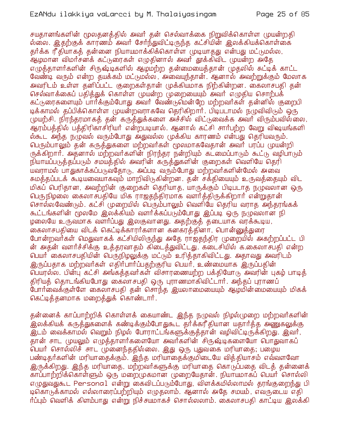சயதானங்களின் மூலதனத்தில் அவர் தன் செல்வாக்கை நிறுவிக்கொள்ள முயன்றதி ல்லை. இதற்குக் காரணம் அவர் சேர்ந்துவிட்டிருந்த கட்சியின் இலக்கியக்கொள்கை தர்க்க ரீதியாகத் தன்னை நியாயமாக்கிக்கொள்ள முடியாதது என்பது மட்டுமல்ல, .<br>ஆழமான விமர்ச்னக் கட்டுரைகள் எழுதினால் அவர் தூக்கிவிட முயன்ற அதே எமுக்காளர்களின் சிருஷ்டிகளில் ஆழமற்ற கன்மையைக்கான் முகலில் சுட்டிக் காட்ட வேண்டி வரும் என்ற தயக்கம் மட்டுமல்ல, அவையுந்தான். ஆனால் அவற்றுக்கும் மேலாக அவரிடம் உள்ள கனிப்பட்ட குறைகள்கான் முக்கியமாக நிற்கின்றன. கைலாசபகி கன் செல்வாக்கைப் பதித்துக் கொள்ள முயன்ற முறையையும் அவர் எழுதிய சொற்பக் கட்டுரைகளையும் பார்க்கும்போது அவர் வேண்டுமென்றே மற்றவர்கள் தன்னில் குறைபி டிக்காமல் தப்பிக்கொள்ள முயன்றவராகவே தெரிகிறார். பிடிபடாமல் நமுவிவிடும் ஒரு முயற்சி. நிரந்தரமாகத் தன் கருத்துக்களை அச்சில் விட்டுவைக்க அவர் விரும்பவில்லை, ஆரம்பத்தில் பத்திரிகாசிரியர் என்றபடியால். ஆனால் கட்சி சார்பற்ற வேறு விஷயங்களி ல்கூட அந்த நழுவல் வரும்போது அதுவல்ல முக்கிய காரணம் என்பது தெரியவரும். பெரும்பாலும் தன் கருத்துகளை மற்றவர்கள் மூலமாகவேதான் அவர் பரப்ப முயன்றி ருக்கிறார். அதனால் மற்றவர்களின் நிரந்தர நன்றியும் கட்மைப்பாடும் கூட்டு வழிபாடும் நியாயப்படுத்தப்படும் சமயத்தில் அவரின் கருத்துகளின் குறைகள் வெளியே தெரி யவராமல் பாதுகாக்கப்படுவதோடு, அப்படி வரும்போது மற்றவர்களின்மேல் அவை சுமத்தப்படக் கூடியவையாகவும் மாறிவிடுகின்றன. தன் சக்தியையும் உருவத்தையும் விட மிகப் பெரிதான, அவற்றின் குறைகள் தெரியாத, யாருக்கும் பிடிபடாத நழுவலான ஒரு பெருநிழலை கைலாசபதியே மிக ராஜகந்திரமாக வளர்க்கிருக்கிறார் என்றுதான் சொல்லவேண்டும். கட்சி முறையில் பெரும்பாலும் வெளியே தெரிய வராக அந்தரங்கக் கூட்டங்களின் மூலமே இலக்கியம் வளர்க்கப்படும்போது இப்படி ஒரு நழுவலான நி ழலையே உருவமாக வளர்ப்பது இலகுவானது. அதற்குத் தடையாக வரக்கூடிய, கைலாசபதியை விடக் கெட்டிக்காரர்களான கனகர்க்கினா, பொன்னுக்துரை போன்றவர்கள் மெதுவாகக் கட்சியிலிருந்து அதே ராஜதந்திர முறையில் அகற்றப்பட்ட பி ன் அதன் வளர்ச்சிக்கு உத்தரவாதம் கிடைத்துவிட்டது. கடைசியில் க.கைலாசபதி என்ற பெயர் கைலாசபதியின் பெருநிழலுக்கு மட்டும் உரித்தாகிவிட்டது. அதாவது அவரிடம் இருப்பதாக மற்றவர்கள் எதிர்பார்ப்பதற்குரிய பெயர், உண்மையாக இருப்பதின் பெயரல்ல. பின்ப கட்சி அங்கத்தவர்கள் விசாரணையற்ற பக்தியோடு அவரின் புகழ் பாடித் திரியத் தொடங்கியபோது கைலாசபதி ஒரு புராணமாகிவிட்டார். அந்தப் புராணப் போர்வைக்குள்ளே கைலாசபதி தன் சொந்த இயலாமையையும் ஆழமின்மையையும் மிகக் கெட்டித்தனமாக மறைத்துக் கொண்டார்.

தன்னைக் காப்பாற்றிக் கொள்ளக் கையாண்ட இந்த நழுவல் நிழல்முறை மற்றவர்களின் .<br>இலக்கியக் கருத்துகளைக் கண்டிக்கும்போதுகூட தார்க்கரீதியான யதாார்த்த அணுகலுக்கு <u>இடம் வைக்காமல் வெறும் நிழல் போராட்டங்களுக்குத்தான் வழிவிட்டிருக்கிறது. இவர், </u> ் பெயர் சொல்லிச் சாட முனைந்ததில்லை. இது ஒரு புதுவகை மரியாதை; பழைய பண்டிதர்களின் மரியாதைக்கும். இந்த மரியாதைக்குமிடையே வித்தியாசம் எவ்வளவோ இருக்கிறது. இந்த மரியாதை, மற்றவர்களுக்கு மரியாதை கொடுப்பதை விடத் தன்னைக் காப்பாற்றிக்கொள்ளும் ஒரு மறைமுகமான முறையேதான். நியாயமாகப் பெயர் சொல்லி எழுதுவதுகூட Personal என்று கைவிடப்படும்போது, விளக்கமில்லாமல் தரங்குறைந்து பி டிகொடுக்காமல் எல்லாரைப்பற்றியும் எழுதலாம். ஆனால் அதே சமயம், எவருடைய எதி ர்ப்பும் வெளிக் கிளம்பாது என்று நிச்சயமாகச் சொல்லலாம். கைலாசபதி காட்டிய இலக்கி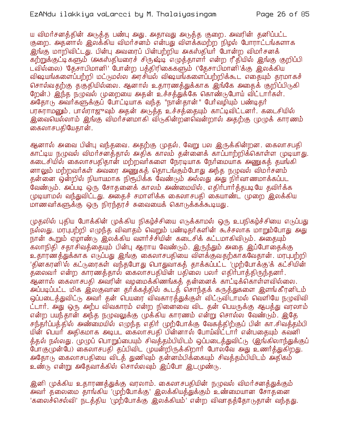#### EzANdu ilakkiya vaLarcci by M. Thalaiyasingam

ய விமர்சனத்தின் அடுத்த பண்பு அது. அதாவது அடுத்த குறை. அவரின் தனிப்பட்ட குறை. அதனால் இலக்கிய விமர்சனம் என்பது விளக்கமற்ற நிழல் போராட்டங்களாக இங்கு மாறிவிட்டது. பின்பு அவரைப் பின்பற்றிய அகஸ்தியர் போன்ற விமர்சனக் கற்றுக்குட்டிகளும் (அகஸ்தியரைச் சிருஷ்டி எழுத்தாளர் என்ற ரீதியில் இங்கு குறிப்பி டவில்லை) 'தேசாபிமானி' போன்ற பக்கிரிகைகளும் ('கேசாபிமானி'க்கு இலக்கிய விஷயங்களைப்பற்றி மட்டுமல்ல அரசியல் விஷயங்களைப்பற்றிக்கூட எதையும் தரமாகச் சொல்வதற்கு தகுதியில்லை. ஆனால் உதாரணத்துக்காக இங்கே அதைக் குறிப்பிடுகி றேன்.) இந்த நடுவல் முறையை அதன் உச்சத்துக்கே கொண்டுபோய் விட்டார்கள். அ்தோடு அவர்களுக்குப் போட்டியாக வந்த "நான்தான்" பேர்வழியும் பண்டிதர் புரசுராமனும், பால்ராஜுவும் அதன் அடுத்த உச்சத்தையும் காட்டிவிட்டனர். கடைசியில் <u>இவையெல்லாம் இங்கு விமர்சனமாகி விருகின்றனவென்றால் அகற்கு முமுக் காரணம் </u> கைலாசபதியேதான்.

ஆனால் அவை பின்பு வந்தவை. அதற்கு முதல், வேறு பல இருக்கின்றன. கைலாசபதி காட்டிய நமுவல் விமர்சனக்கால் அதிக காலம் கன்னைக் காப்பாற்றிக்கொள்ள முடியாது. கடைசியில் கைலாசபதிதான் மற்றவர்களை நேரடியாக நேர்மையாக அணுகத் தயங்கி னாலும் மற்றவர்கள் அவரை அணுகத் தொடங்கும்போது அந்த நழுவல் விமர்சனம் தன்னை ஒன்றில் நியாயமாக நிரூபிக்க வேண்டும் அல்லது அது நிர்வாணமாக்கப்பட வேண்டும். அப்படி ஒரு சோதனைக் காலம் அண்மையில், எதிர்பார்த்தபடியே தவிர்க்க முடியாமல் வந்துவிட்டது. அதைச் சமாளிக்க கைலாசபதி கையாண்ட முறை இலக்கிய மாணவர்களுக்கு ஒரு நிரந்தரச் சுவையைக் கொடுக்கக்கூடியது.

(முதலில் புதிய போக்கின் முக்கிய நிகழ்ச்சியை எடுக்காமல் ஒரு உபநிகழ்ச்சியை எடுப்பது நல்லது. மரபுபற்றி எழுந்த விவாதம் வெறும் பண்டிதர்களின் கூச்சலாக மாறும்போது அது நான் கூறும் ஏழாண்டு இலக்கிய வளர்ச்சியின் கடைசிக் கட்டமாகிவிடும். அதையும் கலாநிதி சதாசிவத்தையும் பின்பு ஆராய வேண்டும். இருந்தும் அதை இப்போதைக்கு உதாரணத்துக்காக எடுப்பது இங்கு கைலாசபதியை விளக்குவதற்காகவேதான். மரபுபற்றி 'தினகரனி'ல் கட்டுரைகள் வந்தபோது பொதுவாகத் தாக்கப்பட்ட 'முற்போக்கு'க் கட்சியின் த்லைவர் என்ற காரணத்தால் கைலாசபதியின் பதிலை பலர் எதிர்பாத்திருந்தனர். ஆனால் கைலாசபதி அவரின் வழமைக்கிணங்கத் தன்னைக் காட்டிக்கொள்ளவில்லை. அப்படிப்பட்ட மிக இலகுவான தர்க்கத்தில் கூடத் சொந்தக் கருத்துகளை இளங்கீரனிடம் ஒப்படைத்துவிட்டு அவர் தன் பெயரை விவகாரத்துக்குள் விட்டுவிடாமல் வெளியே நழுவிவி ட்டார். அது ஒரு அற்ப விவகாரம் என்ற நினைவை விட தன் பெயருக்கு ஆபத்து வரலாம் என்ற பயந்தான் அந்த நமுவலுக்கு முக்கிய காரணம் என்று சொல்ல வேண்டும். இதே சந்தர்ப்பத்தில் அண்மையில் எழுந்த எதிர் முற்போக்கு வேகத்திற்குப் பின் கா.சிவத்தம்பி யின் பெயர் அதிகமாக அடிபட கைலாசபதி பின்னால் போய்விட்டார் என்பதையும் கவனி த்தல் நல்லது. முழுப் பொறுப்பையும் சிவத்தம்பியிடம் ஒப்படைத்துவிட்டு (இங்கிலாந்துக்குப் போகுமுன்பே) கைலாசபதி தப்பிவிட முயன்றிருக்கிறார் போலவே அது உணர்த்துகிறது. அதோடு கைலாசபதியை விட்த் துணிவும் தன்னம்பிக்கையும் சிவத்தம்பியிடம் அதிகம் உண்டு என்று அதேவாக்கில் சொல்லவும் இப்போ இட(முண்டு.

இனி முக்கிய உதாரணத்துக்கு வரலாம். கைலாசபதியின் நமுவல் விமர்சனத்துக்கும் அவர் தலைமை தாங்கிய 'முற்போக்கு' இலக்கியத்துக்கும் உண்மையான சோதனை 'கலைச்செல்வி' நடத்திய 'முற்போக்கு இலக்கியம்' என்ற விவாதத்தோடுதான் வந்தது.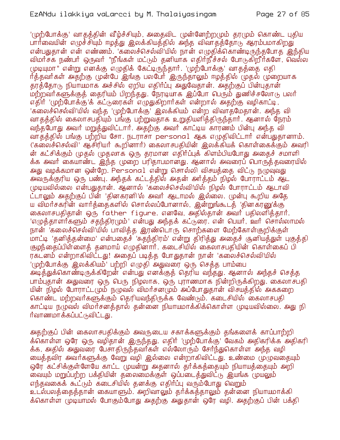#### EzANdu ilakkiya vaLarcci by M. Thalaiyasingam

'முற்போக்கு' வாகக்கின் வீம்ச்சியும், அகைவிட முன்னேற்றமும் கரமும் கொண்ட புகிய பார்வையின் எழுச்சியும் ஈழத்து இலக்கியத்தில் அந்த விவாதத்தோடு ஆரம்பமாகிறது என்பதுதான் என் எண்ணம். 'கலைச்செல்வி'யில் நான் எழுதிக்கொண்டிருந்தபோத இந்திய விமர்சக நண்பர் ஒருவர் "நீங்கள் மட்டும் தனியாக எதிர்நீச்சல் போடுகிறீர்களே, வெல்ல முடியுமா" என்று எனக்கு எழுதிக் கேட்டிருந்தார். 'முற்போக்கு' வாதத்தை எதி ர்த்தவர்கள் அதற்கு முன்பே இங்கு பலபேர் இருந்தாலும் ஈழத்தில் முதல் முறையாக தரத்தோடு நியாயமாக அச்சில் ஏறிய எதிர்ப்பு அதுவேதான். அதற்குப் பின்புதான் மற்றவர்களுக்குத் தைரியம் பிறந்தது. நேரடியாக இப்போ பெரும் துணிச்சலோடு பலர் எதிர் 'முற்போக்கு'க் கட்டுரைகள் எழுதுகிறார்கள் என்றால் அதற்கு வழிகாட்டி, 'கலைச்செல்வி'யில் வந்த 'முற்போக்கு' இலக்கியம் என்ற விவாதமேதான். அந்த வி வாதத்தில் கைலாசபதியும் பங்கு பற்றுவதாக உறுதியளித்திருந்தார். ஆனால் நேரம் வந்தபோது அவர் மறுத்துவிட்டார். அதற்கு அவர் காட்டிய காரணம் பின்பு அந்த வி வாதத்தில் பங்கு பற்றிய சோ. நடராசா personal ஆக எழுதிவிட்டார் என்பதுதானாம். 'குலைச்செல்வி' ஆசிரியர் கூறினார்) கைலாசபதியின் இலக்கியக் கொள்கைக்கும் அவரி ன் கட்சிக்கும் முதல் முதலாக ஒரு தரமான எதிர்ப்புக் கிளம்பியபோது அதைச் சமாளி க்க அவர் கையாண்ட ஒந்த முறை பரிதாபமானது. ஆனால் அவரைப் பொருத்தவரையில் அது வழக்கமான ஒன்றே. Personal என்று சொல்லி விசயத்தை விட்டு நழுவுவது அவருக்குரிய ஒரு பண்பு. அந்தக் கட்டத்தில் அதன் அர்த்தம் நிழல் போராட்டம் ஆட முடியவில்லை என்பதுதான். ஆனால் 'கலைச்செல்வி'யில் நிழல் போராட்டம் ஆடாவி ட்டாலும் அதற்குப் பின் 'தினகரனி'ல் அவர் ஆடாமல் இல்லை. முன்பு கூறிய அதே ய விமர்சகரின் வார்க்கைகளில் சொல்லப்போனால், இன்றுங்கூடக் 'தினகரனு'க்கு கைலாசபதிதான் ஒரு father figure. எனவே, அதில்தான் அவர் பதிலளித்தார். 'எழுத்தாளர்களும் சதந்திரமும்' என்பது அந்தக் கட்டுரை. என் பெயர், ஊர் சொல்லாமல் நான் 'கலைச்செல்வி'யில் பாவித்த இரண்டொரு சொற்களை மேற்கோள்குறிக்குள் மாட்டி 'தனித்தன்மை' என்பதைச் 'சுதந்திரம்' என்று திரித்து அதைச் சூனியத்துள் புகுத்தி குழந்தைப்பிள்ளைத் தனமாய் எழுதினார். கடைசியில் கைலாசபதியின் கொள்கைப் பி ரகடனம் என்றாகிவிட்டது! அதைப் படித்த போதுதான் நான் 'கலைச்செல்வி'யில் '(முற்போக்கு இலக்கியம்' பற்றி எழுதி அதுவரை ஒரு செத்த பாம்பை அடித்துக்கொண்டிருக்கிறேன் என்பது எனக்குத் தெரிய வந்தது. ஆனால் அந்தச் செத்த பாம்புதான் அதுவரை ஒரு பெரு நிழலாக, ஒரு புராணமாக நின்றிருக்கிறது. கைலாசபதி யின் நிழல் போராட்டமும் நமுவல் விமர்சனமும் அப்போதுதான் விசயத்தில் அககறை கொண்ட மற்றவர்களுக்கும் தெரியவந்திருக்க வேண்டும். கடைசியில் கைலாசபதி காட்டிய நழுவல் விமர்சனத்தால் தன்னை நியாயமாக்கிக்கொள்ள முடியவில்லை. அது நி ர்வாணமாக்கப்பட்டுவிட்டது.

அதற்குப் பின் கைலாசபதிக்கும் அவருடைய சகாக்களுக்கும் தங்களைக் காப்பாற்றி க்கொள்ள ஒரே ஒரு வழிதான் இருந்தது. எதிர் 'முற்போக்கு' வேகம் அதிகரிக்க அதிகரி க்க, அதில் அதுவரை பேசாதிருந்தவர்கள் எல்லோரும் சேர்ந்துகொள்ள அந்த வழி மைத்தவிர அவர்களுக்கு வேறு வழி இல்லை என்றாகிவிட்டது. உண்மை முழுவதையும் ஒரே கட்சிக்குள்ளேயே காட்ட முயன்று அதனால் தர்க்கத்தையும் நியாயத்தையும் அறி வையும் மறுப்பற்ற பக்தியின் தலைமைக்குள் ஒப்படைத்துவிட்<sub>டு</sub> இயங்க முயலும் எந்தவகைக் கூட்டும் கடைசியில் தனக்கு எதிர்ப்பு வரும்போது வெறும் உடல்பலத்தைத்தான் கையாளும். அறிவாலும் தர்க்கத்தாலும் தன்னை நியாயமாக்கி க்கொள்ள முடியாமல் போகும்போது அதற்கு அதுதான் ஒரே வழி. அதற்குப் பின் பக்தி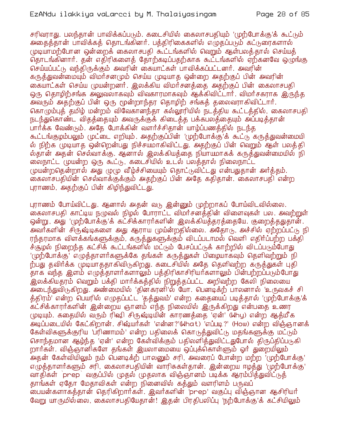சரிவராது. பலந்தான் பாவிக்கப்படும். கடைசியில் கைலாசபகியும் 'முற்போக்கு'க் கூட்டும் அதைத்தான் பாவிக்கத் தொடங்கினர். பத்திரிகைகளில் எழுதப்படும் கட்டுரைகளால் முடியாமற்போன ஒன்றைக் கைலாசபதி கூட்டங்களில் வெறும் ஆள்பலத்தால் செய்யத் தொடங்கினார். தன் எதிரிகளைத் தோற்கடிப்பதற்காக கூட்டங்களில் ஏற்கனவே ஒழுங்கு செய்யப்பட்டு வந்திருக்கும் அவரின் கையாட்கள் பாவிக்கப்பட்டனர். அவரின் கருத்துவன்மையும் விமர்சனமும் செய்ய முடியாத ஒன்றை அதற்குப் பின் அவரின் கையாட்கள் செய்ய முயன்றனர். இலக்கிய விமர்சனக்கை அகற்குப் பின் கைலாசபதி ஒரு தொழிற்சங்க அலுவலாகவும் விவகாரமாகவும் ஆக்கிவிட்டார். விமர்சகராக இருந்த .<br>அவரும் அதற்குப் பின் ஒரு மூன்றாந்தர தொழிற் சங்கத் தலைவராகிவிட்டார். கொழும்புத் தமிம் மன்றம் விவேகானந்தா கல்லூரியில் நடத்திய கூட்டத்தில், கைலாசபதி நடந்துகொண்ட விதத்தையும் அவருக்குக் கிடைத்த பக்கபலத்தையும் அப்படித்தான் பார்க்க வேண்டும். அதே போக்கின் வளர்ச்சிதான் யாழ்ப்பணத்தில் நடந்த கூட்டங்குழம்பலும் (மட்டை எறியும். அதற்குப்பின் 'முற்போக்கு'க் கூட்டு கருத்துவன்மையி ல் நிற்க முடியாத ஒன்றென்பது நிச்சயமாகிவிட்டது. அதற்குப் பின் வெறும் ஆள் பலத்தி ல்தான் அதன் செல்வாக்கு. ஆனால் இலக்கியத்தை நியாயமாகக் கருத்துவன்மையில் நி ை நாட்ட முயன்ற ஒரு கூட்டு, கடைசியில் உடல் பலத்தால் நிலைநாட்ட முயன்றதென்றால் அது முழு வீழ்ச்சியையும் தொட்டுவிட்டது என்பதுதான் அர்த்தம். கைலாசபதியின் செல்வாக்குக்கும் அதற்குப் பின் அதே கதிதான். கைலாசபதி என்ற புராணம், அதற்குப் பின் கிழிந்துவிட்டது.

புராணம் போய்விட்டது. ஆனால் அதன் வடு இன்னும் முற்றாகப் போய்விடவில்லை. கைலாசபதி காட்டிய நழுவல் நிழல் போராட்ட விமர்சனத்தின் விளைவுகள் பல. அவற்றுள் ஒன்று, அது 'முற்போக்கு'க் கட்சிக்காரர்களின் இலக்கியத்தரத்தையே. குறைத்ததுதான். அவா்களின் சிருஷ்டிகளை அது ஆராய முய்ன்றதில்லை. அதோடு, அச்சில் ஏற்றப்பட்டு நி ரந்தரமாக விளக்கங்களுக்கும். கருக்துகளுக்கும் விடப்படாமல் வெளி எகிர்ப்பற்ற பக்கி ச்சூழல் நிறைந்த கட்சிக் கூட்டங்களில் மட்டும் பேசப்பட்டுக் காற்றில் விடப்படும்போது '(முற்போக்கு' எழுத்தாளர்களுக்கே தங்கள் கருத்துகள் பிழையாகவும் தெளிவற்றும் நி ற்பது தவிர்க்க முடியாததாகிவிடுகிறது. கடைசியில் அதே தெளிவற்ற கருத்துகள் புதி தாக வந்த இளம் எழுத்தாளர்களாலும் பத்திரிகாசிரியர்களாலும் பின்பற்றப்படும்போது .<br>இலக்கியதரம் வெறும் பக்தி மார்க்கத்தில் நிறுத்தப்பட்ட அறிவற்ற கேலி நிலையை அடைந்துவிடுகிறது. அண்மையில் 'தினக்ரனி'ல் டீயா. பெனடிக்ற் பாலனால் 'உருவகச் சி த்திரம்' என்ற பெயரில் எழுதப்பட்ட 'தத்துவம்' என்ற கதையைப் படித்தால் 'முற்போக்கு'க் .<br>கட்சிக்காரர்களின் இன்றைய ஞானம் எந்த நிலையில் இருக்கிறது என்பதை உணர முடியும். கதையில் வரும் ரிஷி சிருஷ்டியின் காரணத்தை 'ஏன்' (Why) என்ற ஆத்மீக அடிப்படையில் கேட்கிறான். சிஷ்யா்கள் 'என்ன?'(What) 'எப்படி?' (How) என்ற விஞ்ஞானக் கேள்விகளுக்குரிய 'பரிணாமம்' என்ற பதிலைக் கொடுத்துவிட்டு மதங்களுக்கு மட்டும் சொந்தமான ஆம்ந்த 'ஏன்' என்ற கேள்விக்கும் பதிலளித்துவிட்டதுபோல் திருப்திப்படுகி றார்கள். விஞ்ஞானிகளே தங்கள் இயலாமையை ஒப்புக்கொள்ளும் ஓர் துறையிலும் அதன் கேள்வியிலும் நம் பெனடிக்ற் பாலனும் சரி, அவரைப் போன்ற மற்ற 'முற்போக்கு' எழுத்தாளர்களும் சரி, கைலாசபதியின் வாரிசுகள்தான். இன்றைய ஈழத்து 'முற்போக்கு' வாதிகள் `prep` வகுப்பில் முதல் முதலாக விஞ்ஞானம் படிக்க ஆரம்பித்துவிட்டுத் தாங்கள் ஏதோ மேதாவிகள் என்ற நினைவில் கத்தும் வளரிளம் பருவப் .<br>பையன்களாகத்தான் தெரிகிறார்கள். இவர்களின் 'prep' வகுப்பு விஞ்ஞான ஆசிரியர் வேறு யாருமில்லை, கைலாசபதியேதான்! இதன் பிரதிபலிப்பு 'நற்போக்கு'க் கட்சியிலும்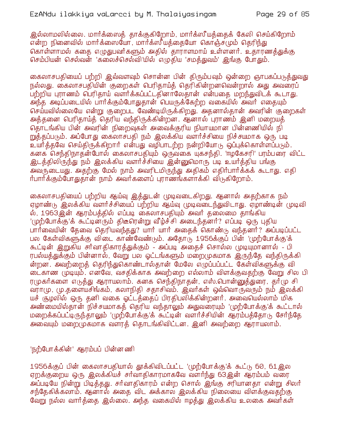இல்லாமலில்லை. மார்க்ஸைத் தாக்குகிறோம், மார்க்ஸீயத்தைக் கேலி செய்கிறோம் கொள்ளாமல் கதை எழுதுபவர்களும் அதில் தாராளமாய் உள்ளனர். உதாரணத்துக்கு செம்பியன் செல்வன் 'கலைச்செல்வி'யில் எழுதிய 'சமத்துவம்' இங்கு போதும்.

கைலாசபதியைப் பற்றி இவ்வளவும் சொன்ன பின் திரும்பவும் ஒன்றை ஞாபகப்படுத்துவது நல்லது. கைலாசபதியின் குறைகள் பெரிகாய்க் கெரிகின்றனவென்றால் அது அவரைப் பற்றிய புராணம் வெரிதாய் வளர்க்கப்பட்டதினாலேதான் என்பதை மறந்துவிடக் கூடாது. அந்த அடிப்படையில் பார்க்கும்போதுதான் பெயருக்கேற்ற வகையில் அவர் எதையும் செய்யவில்லையே என்று குறைபட வேண்டியிருக்கிறது. அதனால்தான் அவரின் குறைகள் அத்தனை பெரிதாய்த் தெரிய வந்திருக்கின்றன. ஆனால் புராணம் இனி மறையத் தொடங்கிய பின் அவரின் நிறைவுகள் அவைக்குரிய நியாயமான பின்னணியில் நி றுத்தப்படும். அப்போது கைலாசபதி நம் இலக்கிய வளர்ச்சியை நிச்சயமாக ஒரு படி உயர்த்தவே செய்திருக்கிறார் என்பது வழிபாடற்ற நன்றியோடு ஒப்புக்கொள்ளப்படும். கனக செந்திநாதன்போல் கைலாசபதியும் ஒருவகை யுகசந்தி. 'ஈழகேசரி' பரம்பரை விட்ட <u>இடத்திலிருந்து நம் இலக்கிய வளர்ச்சியை இன்னுமொரு படி உயர்த்திய பங்கு</u> அவருடையது. அதற்கு மேல் நாம் அவரிடமிருந்து அதிகம் எதிர்பார்க்கக் கூடாது. எதி ர்பார்க்கும்போதுதான் நாம் அவர்களைப் புராணங்களாக்கி விடுகிறோம்.

கைலாசபதியைப் பற்றிய ஆய்வு இத்துடன் முடிவடைகிறது. ஆனால் அதற்காக நம் ஏழாண்டு இலக்கிய வளர்ச்சியைப் பற்றிய ஆய்வு முடிவடைந்துவிடாது. ஏழாண்டின் முடிவி ல், 1963இன் ஆரம்பத்தில் எப்படி கைலாசபதியும் அவர் தலைமை தாங்கிய '(முற்போக்கு'க் கூட்டின்ரும் திடீரென்று வீழ்ச்சி அடைந்தனர்? எப்படி ஒரு புதிய பார்வையின் தேவை தெரியவந்தது? யார் யார் அதைக் கொண்டு வந்தனர்? அப்படிப்பட்ட பல கேள்விகளுக்கு விடை காண்வேண்டும். அதோடு 1956க்குப் பின் 'முற்போக்கு'க் கூட்டின் இறுகிய சர்வாதிகாரத்துக்கும் - அப்படி அதைச் சொல்ல முடியுமானால் - பி ரபல்யத்துக்கும் பின்னால், வேறு பல ஓட்டங்களும் மறைமுகமாக இருந்தே வந்திருக்கி ன்றன. அவற்றைத் தெரிந்துகொண்டால்தான் மேலே எழுப்பப்பட்ட கேள்விகளுக்கு வி டைகாண முடியும். எனவே, வசதிக்காக அவற்றை எல்லாம் விளக்குவதற்கு வேறு சில பி ரமுகர்களை எடுத்து ஆராயலாம். கனக செந்திநாதன், எஸ்.பொன்னுத்துரை, தர்மு சி வராமு, மு.தளையசிங்கம், கலாநிதி சதாசிவம். இவர்கள் ஒவ்வொருவரும் நம் இலக்கி யச் சூழலில் ஒரு தனி வகை ஓட்டத்தைப் பிரதிபலிக்கின்றனர். அவையெல்லாம் மிக அண்மையில்தான் நிச்சயமாகத் தெரிய வந்தாலும் அதுவரையும் 'முற்போக்கு'க் கூட்டால் மறைக்கப்பட்டிருந்தாலும் 'முற்போக்கு'க் கூட்டின் வளர்ச்சியின் ஆரம்பத்தோடு சேர்ந்தே அவையும் மறைமுகமாக வளரத் தொடங்கிவிட்டன. இனி அவற்றை ஆராயலாம்.

'நற்போக்கின்' ஆரம்பப் பின்னணி

1956க்குப் பின் கைலாசபதியால் தூக்கிவிடப்பட்ட 'முற்போக்கு'க் கூட்டு 60, 61இல ஏறக்குறைய ஒரு இலக்கியச் சர்வாதிகாரமாகவே வளர்ந்து 63இன் ஆரம்பம் வரை அப்படியே நின்று பிடித்தது. சர்வாதிகாரம் என்ற சொல் இங்கு சரியானதா என்று சிலர் சந்தேகிக்கலாம். ஆனால் அதை விட அக்கால இலக்கிய நிலையை விளக்குவதற்கு வேறு நல்ல வார்த்தை இல்லை. அந்த வகையில் ஈழத்து இலக்கிய உலகை அவர்கள்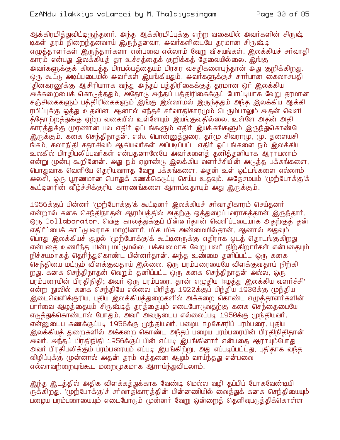ஆக்கிரமித்துவிட்டிருந்தனர். அந்த ஆக்கிரமிப்புக்கு எற்ற வகையில் அவர்களின் சிருஷ் டிகள் தரம் நிறைந்தனவாய் இருந்தனவா, அவர்களிடையே தரமான சிருஷ்டி எழுத்தாளர்கள் இருந்தார்களா என்பவை எல்லாம் வேறு விசயங்கள். இலக்கியச் சர்வாதி காரம் என்பது இலக்கியத் தர உச்சத்தைக் குறிக்கத் தேவையில்லை. இங்கு அவர்களுக்குக் கிடைக்க பிரபல்யக்கையும் பிரசுர வசகிகளையுந்தான் அது குறிக்கிறது. ஒரு கூட்டு அடிப்படையில் அவர்கள் இயங்கியதும், அவர்களுக்குச் சார்பான கைலாசபதி 'தினகரனு'க்கு ஆசிரியராக வந்து அந்தப் பக்கிரிகைக்குக் கரமான ஒர் இலக்கிய அக்கறையைக் கொடுத்ததும், அதோடு அந்தப் பத்திரிகைக்குப் போட்டியாக வேறு தரமான சஞ்சிகைகளும் பத்திரிகைகளும் இங்கு இல்லாமல் இருந்ததும் அந்த இலக்கிய ஆக்கி ரமிப்புக்கு ஒத்து உதவின. ஆனால் எந்தச் சர்வாதிகாரமும் பெரும்பாலும் அதன் வெளி த்தோற்றத்துக்கு ஏற்ற வகையில் உள்ளேயும் இயங்குவதில்லை. உள்ளே அதன் அதி காரத்துக்கு முரணான பல எதிர் ஓட்டங்களும் எதிர் இயக்கங்களும் இருந்துகொண்டே இருக்கும். கனக செந்திநாதன், எஸ். பொன்னுத்துரை, தா்மு சிவராமு, மு. தளையசி ங்கம், கலாநிதி சதாசிவம் ஆகியவர்கள் அப்படிப்பட்ட எதிர் ஓட்டங்களை நம் இலக்கிய உலகில் பிரதிபலிப்பவர்கள் என்பகனாலேயே அவர்களைக் கனிக்கனியாக ஆராயலாம் என்று முன்ப கூறினேன். அது நம் ஏழாண்டு இலக்கிய வளர்ச்சியின் அடுத்த பக்கங்களை, பொதுவாக வெளியே தெரியவராத வேறு பக்கங்களை, அதன் உள் ஓட்டங்களை எல்லாம் அலசி, ஒரு பூரணமான பொதுக் கணக்கெடுப்பு செய்ய உதவும். அதேசமயம் 'முற்போக்கு'க் கூட்டினரின் வீழ்ச்சிக்குரிய காரணங்களை ஆராய்வதாயும் அது இருக்கும்.

1956க்குப் பின்னர் 'முற்போக்கு'க் கூட்டினர் இலக்கியச் சர்வாகிகாரம் செய்தனர் என்றால் கனக செந்திநாதன் ஆரம்பத்தில் அதற்கு ஒத்துழைப்பவராகத்தான் இருந்தார். ஒரு Collaborator. வெகு காலத்துக்குப் பின்னர்தான் வெளிப்படையாக அதற்குத் தன் எதிர்ப்பைக் காட்டுபவராக மாறினார். மிக மிக அண்மையில்தான். ஆனால் அதுவும் பொது இலக்கியச் சூழல் 'முற்போக்கு'க் கூட்டினருக்கு எதிராக ஓடத் தொடங்குகிறது என்பதை உணர்ந்த பின்பு மட்டுமல்ல, பக்கபலமாக வேறு பலர் நிற்கிறார்கள் என்பதையும் நிச்சயமாகத் தெரிந்துகொண்ட பின்னர்தான். அந்த உண்மை தனிப்பட்ட ஒரு கனக செந்தியை மட்டும் விளக்குவதாய் இல்லை. ஒரு பரம்பரையையே விளக்குவதாய் நிற்கி றது. கனக செந்திநாதன் வெறும் தனிப்பட்ட ஒரு கனக செந்திநாதன் அல்ல, ஒரு பரம்பரையின் பிரதிநிதி; அவர் ஒரு பரம்பரை. தான் எழுதிய 'ஈழத்து இலக்கிய வளர்ச்சி' என்ற நூலில் கனக செந்தியே எல்லை பிரித்த 1920க்குப் பிந்திய 1930க்கு முந்திய இடைவெளிக்குரிய, புதிய இலக்கியத்துறைகளில் அக்கறை கொண்ட எழுத்தாளர்களின் பார்வை ஆழத்தையும் சிருஷ்டித் தரத்தையும் எடைபோடுவதற்கு கனக செந்தையையே எடுத்துக்கொண்டால் போதும். அவர் அவருடைய எல்லைப்படி 1950க்கு முந்தியவர். என்னுடைய கணக்குப்படி 1956க்கு முந்தியவர். பழைய ஈழகேசரிப் பரம்பரை. புதிய இலக்கியத் துறைகளில் அக்கறை கொண்ட அந்தப் பழைய பரம்பரையின் பிரதிநிதிதான் அவர். அந்தப் பிரதிநிதி 1956க்குப் பின் எப்படி இயங்கினார் என்பதை ஆராயும்போது அவர் பிரதி்பலிக்கும் ப்ரம்பரையும் எப்படி இயங்கிற்று, அது எப்படிப்பட்டது, புதிதாக வந்த விழிப்புக்கு முன்னால் அதன் தரம் எத்தனை ஆழம் வாய்ந்தது என்பவை எல்லாவற்றையுங்கூட மறைமுகமாக ஆராய்ந்துவிடலாம்.

இந்த இடத்தில் அதிக விளக்கத்துக்காக வேண்டி மெல்ல வழி தப்பிப் போகவேண்டியி ருக்கிறது. 'முற்போக்கு'ச் சர்வாதிகாரத்தின் பின்னணியில் வைத்துக் கனக செந்தியையும் பழைய பரம்பரையையும் எடைபோடும் முன்னர் வேறு ஒன்றைத் தெளிவுபடுத்திக்கொள்ள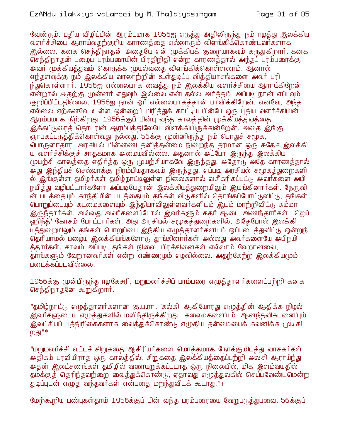#### EzANdu ilakkiya vaLarcci by M. Thalaiyasingam

வேண்டும். புதிய விழிப்பின் ஆரம்பமாக 1956ஐ எடுத்து அதிலிருந்து நம் ஈழத்து இலக்கிய வளர்ச்சியை ஆராய்வதற்குரிய காரணத்தை எல்லாரும் விளங்கிக்கொண்டவர்களாக இல்லை. கனக செந்திநாதன் அதையே என் முக்கியக் குறையாகவும் கருதுகிறார். கனக செந்திநாதன் பழைய பரம்பரையின் பிரதிநிதி என்ற காரணத்தால் அந்தப் பரம்பரைக்கு அவர் முக்கியத்துவம் கொடுக்க முயல்வதை விளங்கிக்கொள்ளலாம். ஆனால் எந்தளவுக்கு நம் இலக்கிய வரலாற்றின் உள்துடிப்பு வித்தியாசங்களை அவர் புரி ந்துகொள்ளார். 1956ஐ எல்லையாக வைத்து நம் இலக்கிய வளர்ச்சியை ஆராய்கிறேன் என்றால் அதற்கு முன்னர் எதுவும் இல்லை என்பதல்ல அர்த்தம். அப்படி நான் எப்பவும் குறிப்பிட்டதில்லை. 1956ஐ நான் ஓர் எல்லையாகத்தான் பாவிக்கிறேன். எனவே, அந்த எல்லை ஏற்கனவே உள்ள ஒன்றைப் பிரிக்துக் காட்டிய பின்பே ஒரு பதிய வளர்ச்சியின் ஆரம்பமாக நிற்கிறது. 1956க்குப் பின்பு வந்த காலத்தின் முக்கியத்துவத்தை இக்கட்டுரைத் தொடரின் ஆரம்பத்திலேயே விளக்கியிருக்கின்றேன். அதை இங்கு ஞாபகப்படுத்திக்கொள்வது நல்லது. 56க்கு முன்னிருந்த நம் பொதுச் சமூக, பொருளாதார, அரசியல் பின்னணி தனித்தன்மை நிறைந்த தரமான ஒரு சுதேச இலக்கி ய வளர்ச்சிக்குச் சாககமாக அமையவில்லை. அகனால் அப்போ இருந்த இலக்கிய முயற்சி காலத்தை எதிர்த்த ஒரு முயற்சியாகவே இருந்தது. அதோடு அதே காரணத்தால் .<br>அது இந்தியச் செல்வாக்கு நிரம்பியதாகவும் இருந்தது. எப்படி அரசியல் சமூகத்துறைகளி ல் இங்குள்ள தமிழர்கள் தமிழ்நாட்டிலுள்ள நிலைகளால் வசீகரிகப்பட்டு அவர்களை அபி நயித்து வழிபட்டார்களோ அப்படியேதான் இலக்கியத்துறையிலும் இயங்கினார்கள். நேருவி ன் படத்தையும் காந்தியின் படத்தையும் தங்கள் வீடுகளில் தொங்கப்போட்டுவிட்டு, தங்கள் பொறுப்பையும் கடமைகளையும் இந்தியாவிலுள்ளவர்களிடம் இடம் மாற்றிவிட்டு சும்மா இருந்தார்கள். அல்லது அவர்களைப்போல் இவர்களும் கதர் ஆடை அணிந்தார்கள். 'ஜெய் ஹிந்த்' கோசம் போட்டார்கள். அது அரசியல் சமூகத்துறைகளில். அதேபோல் இலக்கி யத்துறையிலும் தங்கள் பொறுப்பை இந்திய எழுத்தாளர்களிடம் ஒப்படைத்துவிட்டு ஒன்றுந் தெரியாமல் பழைய இலக்கியங்களோடு தூங்கினார்கள் அல்லது அவர்களையே அபிநமி த்தார்கள். காலம் அப்படி. தங்கள் நிலை, பிரச்சினைகள் எல்லாம் வேறானவை, .<br>தாங்களும் வேறானவர்கள் என்ற எண்ணமும் எழவில்லை. அதற்கேற்ற இலக்கியமும் படைக்கப்படவில்லை.

1956க்கு முன்பிருந்த ஈழகேசரி, மறுமலர்ச்சிப் பரம்பரை எழுத்தாளர்களைப்பற்றி கனக செந்திநாதனே கூறுகிறார்.

"தமிழ்நாட்டு எழுத்தாளர்களான கு.ப.ரா. 'கல்கி' ஆகியோரது எழுத்தின் ஆதிக்க நிழல் <u>இ்வர்களுடைய எழுத்து</u>களில் மலிந்திருக்கிறது. 'கலைமகளை'யும் 'ஆனந்தவிகடனை'யும் இலட்சியப் பக்கிரிகைகளாக வைக்துக்கொண்டு எமுகிய கன்மையைக் கவனிக்க முடிகி றது "\*

"மறுமலர்ச்சி வட்டச் சிறுகதை ஆசிரியர்களை மொத்தமாக நோக்குமிடத்து வாசகர்கள் அதிகம் பரவியிராத ஒரு காலத்தில், சிறுகதை இலக்கியத்தைப்பற்றி அலசி ஆராய்ந்து அதன் இலட்சணங்கள் தமிழில் வரையறுக்கப்படாத ஒரு நிலையில், மிக இளம்வயதில் தமக்குத் தெரிந்தவற்றை வைத்துக்கொண்டு, ஏதாவது எழுத்துலகில் செய்யவேண்டவமன்ற .<br>துடிப்படன் எழுத வந்தவர்கள் என்பதை மறந்துவிடக் கூடாது."+

மேற்கூறிய பண்புகள்தாம் 1956க்குப் பின் வந்த பரம்பரையை வேறுபடுத்துபவை. 56க்குப்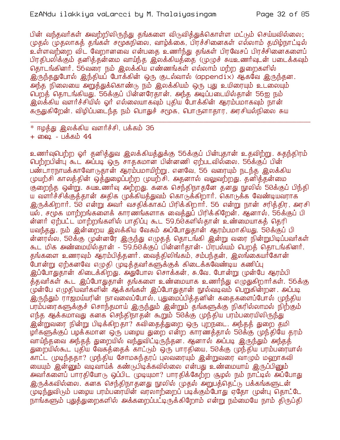## EzANdu ilakkiya vaLarcci by M. Thalaiyasingam

பின் வந்தவர்கள் அவற்றிலிருந்து தங்களை விடுவித்துக்கொள்ள மட்டும் செய்யவில்லை; முதல் முதலாகத் தங்கள் சமூகநிலை, வாழ்க்கை, பிரச்சினைகள் எல்லாம் தமிழ்நாட்டில் உள்ளவற்றை விட வேறானவை என்பதை உணர்ந்து தங்கள் பிரவேசப் பிரச்சினைகளைப் பிரதிபலிக்கும் தனித்தன்மை வாய்ந்த இலக்கியத்தை (முழுச் சுயஉணர்வுடன் படைக்கவும் தொடங்கினர். 56வரை நம் இலக்கிய எண்ணங்கள் எல்லாம் மற்ற துறைகளில் இருந்ததுபோல் இந்தியப் போக்கின் ஒரு குடல்வால் (appendix) ஆகவே இருந்தன. அந்த நிலையை அறுத்துக்கொண்டு நம் இலக்கியம் ஒரு புது உயிரையும் உடலையும் பெறத் தொடங்கியது. 56க்குப் பின்னரேதான். அந்த அடிப்படையில்தான் 56ஐ நம் இலக்கிய வளர்ச்சியில் ஓர் எல்லையாகவும் புதிய போக்கின் ஆரம்பமாகவும் நான் கருதுகிறேன். விழிப்படைந்த நம் பொதுச் சமூக, பொருளாதார, அரசியல்நிலை சுய

உணர்வுபெற்ற ஓர் தனித்துவ இலக்கியத்துக்கு 56க்குப் பின்புதான் உதவிற்று. சுதந்திரம் பெற்றபின்பு கூட அப்படி ஒரு சாதகமான பின்னணி ஏற்படவில்லை. 56க்குப் பின் பண்டாரநாயக்காவோடுதான் ஆரம்பமாயிற்று. எனவே, 56 வரையும் நடந்த இலக்கிய முயற்சி காலத்தின் ஒத்துழைப்பற்ற முயற்சி. அதனால் வலுவற்றது. தனித்தன்மை குறைந்த ஒன்று. சுயஉணர்வு அற்றது. கனக செந்திநாதனே தனது நூலில் 50க்குப் பிந்தி ய வளர்ச்சிக்குத்தான் அதிக முக்கியத்துவம் கொடுக்கிறார். கொடுக்க வேண்டியவராக இருக்கிறார். 50 என்று அவர் வசதிக்காகப் பிரிக்கிறார். 56 என்று நான் சரிக்கிர, அரசி யல், சமூக மாற்றங்களைக் காரணங்களாக வைத்துப் பிரிக்கிறேன். ஆனால், 56க்குப் பி ன்னர் ஏற்பட்ட மாற்றங்களில் பாதிப்பு கூட 59,60களில்தான் உண்மையாகத் தெரி யவந்தது. நம் இன்றைய இலக்கிய வேகம் அப்போதுதான் ஆரம்பமாகியது. 50க்குப் பி ன்னரல்ல, 50க்கு முன்னரே இருந்து எழுதத் தொடங்கி இன்று வரை நின்றுபிடிப்பவர்கள் கூட மிக அண்மையில்தான் - 59,60க்குப் பின்னர்தான்- பிரபல்யம் பெறத் தொடங்கினர். தங்களை உணரவும் ஆரம்பித்தனர். வைத்திலிங்கம், சம்பந்தன், இலங்கையர்கோன் .<br>போன்று ஏற்கனவே எழுதி முடித்தவர்களுக்குக் கிடைக்கவேண்டிய கணிப்பு இப்போதுதான் கிடைக்கிறது. அதுபோல சொக்கன், சு.வே. போன்று முன்பே ஆரம்பி த்தவர்கள் கூட இப்போதுதான் தங்களை உண்மையாக உணர்ந்து எழுதுகிறார்கள். 56க்கு முன்பே எழுதியவர்களின் ஆக்கங்கள் இப்போதுதான் நூல்வடிவம் பெறுகின்றன. அப்படி இருந்தும் ராஜமய்யரின் நாவலைப்போல், புதுமைப்பித்தனின் கதைகளைப்போல் முந்திய பரம்பரைகளுக்குச் சொந்தமாய் இருந்தும் இன்றும் தங்களுக்கு நிகரில்லாமல் நிற்கும் எந்த ஆக்கமாவது கனக செந்திநாதன் கூறும் 50க்கு முந்திய பரம்பரையிலிருந்து .<br>இன்றுவரை நின்று பிடிக்கிறதா? கவிதைத்துறை ஒரு புறநடை. அந்தத் துறை தமி ழார்களுக்குப் பழக்கமான ஒரு பழைய துறை என்ற காரணத்தால் 50க்கு முந்தியே தரம் வாய்ந்தவை அந்தத் துறையில் வந்துவிட்டிருந்தன. ஆனால் அப்படி இருந்தும் அந்தத் துறையில்கூட புதிய வேகத்தைக் காட்டும் ஒரு பாரதியை, 50க்கு முந்திய பரம்பரையால் காட்ட முடிந்ததா? முந்திய சோமசுந்தரப் புலவரையும் இன்றுவரை வாழும் மஹாகவி மையும் இன்னும் வடிவாய்க் கண்டுபிடிக்கவில்லை என்பது உண்மையாய் இருப்பினும் அவர்களைப் பாரதியோடு ஒப்பிட முடியுமா? பாரதிக்கேற்ற சூழல் நம் நாட்டில் அப்போது இருக்கவில்லை. கனக செந்திநாதனது நூலில் முதல் அறுபத்தெட்்டு பக்கங்களுடன் முடிந்துவிடும் பழைய பரம்பரையின் வரலாற்றைப் படிக்கும்போது ஏதோ முன்பு தொட்டே நாங்களும் புதுத்துறைகளில் அக்கறைப்பட்டிருக்கிறோம் என்று நம்மையே நாம் திருப்தி

<sup>\*</sup> ஈழத்து இலக்கிய வளர்ச்சி, பக்கம் 36

<sup>+</sup> லை - பக்கம் 44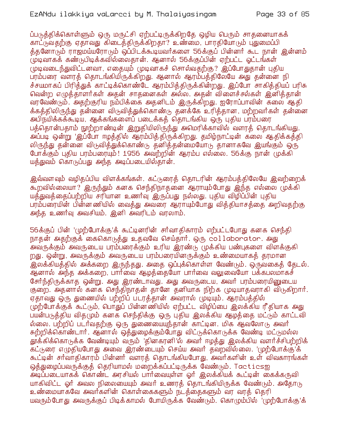ப்படுத்திக்கொள்ளும் ஒரு மருட்சி ஏற்பட்டிருக்கிறதே ஒழிய பெரும் சாதனையாகக் காட்டுவதற்கு ஏதாவது கிடைத்திருக்கிறதா? உண்மை, பாரதியோடும் பதுமைப்பி த்தனோடும் ராஜமய்யரோடும் ஒப்பிடக்கூடியவர்களை 56க்குப் பின்னர் கூட நான் இன்னம் புடிவாகக் கண்டுபிடிக்கவில்லைதான். ஆனால் 56க்குப்பின் ஏற்பட்ட ஓட்டங்கள் முடிவடைந்துவிட்டனவா, எதையும் முடிவாகச் சொல்வகற்கு? இப்போதுதான் புதிய பரம்பரை வளரத் தொடங்கியிருக்கிறது. ஆனால் ஆரம்பத்திலேயே அது தன்னை நி ச்சயமாகப் பிரித்துக் காட்டிக்கொண்டே ஆரம்பித்திருக்கின்றது. இப்போ சாகித்தியப் பரிசு வென்ற எழுத்தாளர்கள் அதன் சாதனைகள் அல்ல. அதன் விளைச்சல்கள் இனித்தான் வரவேண்டும். அதற்குரிய நம்பிக்கை அதனிடம் இருக்கிறது. ஐரோப்பாவின் கலை ஆதி க்கத்திலிருந்து தன்னை விடுவித்துக்கொண்டு தனக்கே உரித்தான, மற்றவர்கள் தன்னை அபிநயிக்கக்கூடிய, ஆக்கங்களைப் படைக்கக் தொடங்கிய ஒரு புகிய பரம்பரை பத்தொன்பதாம் நூற்றாண்டின் இறுதியிலிருந்து அமெரிக்காவில் வளரத் தொடங்கியது. அப்படி ஒன்று 'இப்போ ஈழத்தில் ஆரம்பித்திருக்கிறது. தமிழ்நாட்டின் கலை ஆதிக்கத்தி லிருந்து தன்னை விடுவித்துக்கொண்டு தனித்தன்மையோடு தானாகவே இயங்கும் ஒரு போக்கும் புதிய பரம்பரையும்! 1956 அவற்றின் ஆரம்ப எல்லை. 56க்கு நான் முக்கி யத்துவம் கொடுப்பது அந்த அடிப்படையில்தான்.

இவ்வளவும் வழிதப்பிய விளக்கங்கள். கட்டுரைத் தொடரின் ஆரம்பத்திலேயே இவற்றைக் கூறவில்லையா? இருந்தும் கனக செந்திநாதனை ஆராயும்போது இந்த எல்லை முக்கி யத்துவத்தைப்பற்றிய சரியான உணர்வ இருப்பது நல்லது. புதிய விழிப்பின் புதிய பரம்பரையின் பின்னணியில் வைக்து அவரை ஆராயும்போது விக்கியாசக்கை அறிவகற்கு அந்த உணர்வு அவசியம். இனி அவரிடம் வரலாம்.

56க்குப் பின் 'முற்போக்கு'க் கூட்டினரின் சர்வாதிகாரம் எற்பட்டபோது கனக செந்தி நாதன் அதற்குக் கைகொடுத்து உதவவே செய்தார். ஒரு collaborator. அது அவருக்கும் அவருடைய பரம்பரைக்கும் உரிய இரண்டு முக்கிய பண்புகளை விளக்குகி றது. ஒன்று, அவருக்கும் அவருடைய பரம்பரையினருக்கும் உண்மையாகத் தரமான இலக்கியத்தில் அக்கறை இருந்தது. அதை ஒப்புக்கொள்ள வேண்டும். ஒருவகைத் தேடல். ஆனால் அந்த அக்கறை, பார்வை ஆழத்தையோ பார்வை வலுவையோ பக்கபலமாகச் சேர்ந்திருக்காத ஒன்று. அது இரண்டாவது. அது அவருடைய, அவர் பரம்பரையினுடைய குறை. அதனால் கனக செந்திநாதன் தானே தனியாக நிற்க முடியாதவராகி விடுகிறார். ஏதாவது ஒரு துணையில் பற்றிப் படரத்தான் அவரால் முடியும். ஆரம்பத்தில் முற்போக்குக் கூட்டும், பொதுப் பின்னணியில் ஏற்பட்ட விழிப்பை இலக்கிய ரீதியாக அது பயன்படுத்திய வித(மும் கனக செந்திக்கு ஒரு புதிய இலக்கிய ஆழத்தை மட்டும் காட்டவி ல்லை. பற்றிப் படர்வதற்கு ஒரு துணையையுந்தான் காட்டின. மிக ஆவலோடு அவர் சுற்றிக்கொண்டார். ஆனால் ஒத்துழைக்கும்போது விட்டுக்கொடுக்க வேண்டி மட்டுமல்ல தூக்கிக்கொடுக்க வேண்டியும் வரும் 'தினகரனி'ல் அவர் ஈழத்து இலக்கிய வளர்ச்சிபற்றிக் கட்டுரை எழுதியபோது அவை இரண்டையும் செய்ய அவர் தவறவில்லை. 'முற்போக்கு'க் கூட்டின் சர்வாதிகாரம் பின்னர் வளரத் தொடங்கியபோது, அவர்களின் உள் விவகாரங்கள் ஒத்துழைப்பவருக்குத் தெரியாமல் மறைக்கப்பட்டிருக்க வேண்டும். Tacticsஐ அடிப்படையாகக் கொண்ட அரசியல் பார்வையுள்ள ஓர் இலக்கியக் கூட்டின் கைக்கருவி யாகிவிட்ட ஓர் அவல நிலையையும் அவர் உணரத் தொடங்கியிருக்க வேண்டும். அதோடு உண்மையாகவே அவர்களின் கொள்கைகளும் நடத்தைகளும் வர வரத் தெரி யவரும்போது அவருக்குப் பிடிக்காமல் போயிருக்க வேண்டும். கொமும்பில் 'முற்போக்கு'க்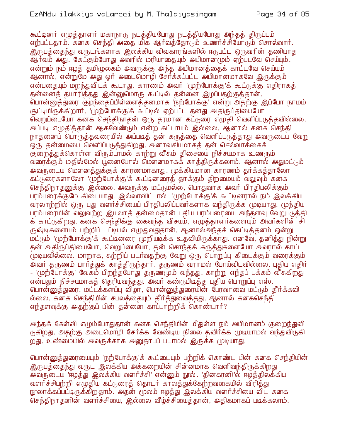கூட்டினர் எழுத்தாளர் மகாநாடு நடத்தியபோது நடத்தியபோது அந்தத் திருப்பம் எற்பட்டதாம். கனக செந்தி அதை மிக ஆர்வத்தோடும் உணர்ச்சியோடும் சொல்வார். இருபத்தைந்து வருடங்களாக இலக்கிய விவகாரங்களில் ஈடுபட்ட ஒருவரின் தணியாத ஆர்வம் அது. கேட்கும்போது அவரில் மரியாதையும் அபிமானமும் ஏற்படவே செய்யும். என்றும் நம் ஈழக் தமிமுலகம் அவருக்கு அந்த அபிமானக்கைக் காட்டவே செய்யும் ஆனால், என்றுமே அது ஓர் அடைமொழி சேர்க்கப்பட்ட அபிமானமாகவே இருக்கும் என்பதையும் மறந்துவிடக் கூடாது. காரணம் அவர் 'முற்போக்கு'க் கூட்டுக்கு எதிராகத் தன்னைத் தயாரித்தது இன்னுமொரு கூட்டில் தன்னை இழப்பதற்குத்தான். ் பொன்னுத்துரை சூழந்தைப்பிள்ளைத் தனமாக 'நற்போக்கு' என்று அதற்கு இப்போ நாமம் சூட்டியிருக்கிறார். 'முற்போக்கு'க் கூட்டில் ஏற்பட்ட தனது அதிருப்தியையோ வெறுப்பையோ கனக செந்திநாதன் ஒரு தரமான கட்டுரை எழுதி வெளிப்படுத்தவில்லை. அப்படி எழுதித்தான் ஆகவேண்டும் என்ற கட்டாயம் இல்லை. ஆனால் கனக செந்தி நாதனைப் பொருத்தவரையில் அப்படித் தன் கருத்தை வெளிப்படுத்தாது அவருடைய வேறு .<br>ஒரு தன்மையை வெளிப்படுத்துகிறது. அனாவசியமாகத் தன் செல்வாக்கைக் குறைத்துக்கொள்ள விரும்பாமல் காற்று வீசும் திசையை நிச்சயமாக உணரும் வரைக்கும் மதில்மேல் பூனைபோல் மௌனமாகக் காத்திருக்கலாம். ஆனால் அதுமட்டும் அவருடைய மௌனத்துக்குக் காரணமாகாது. முக்கியமான காரணம் தர்க்கத்தாலோ கட்டுரைகளாலோ 'முற்போக்கு'க் கூட்டினரைத் தாக்கும் திறமையும் வலுவும் கனக செந்திநாதனுக்கு இல்லை. அவருக்கு மட்டுமல்ல, பொதுவாக அவர் பிரதிபலிக்கும் பரம்பரைக்குமே கிடையாது. இல்லாவிட்டால், 'முற்போக்கு'க் கூட்டினரால் நம் இலக்கிய வரலாற்றில் ஒரு புது வளர்ச்சியைப் பிரதிபலிப்பவர்களாக வந்திருக்க முடியாது. முந்திய பரம்பரையின் வலுவற்ற இயலாத் தன்மைதான் புதிய பரம்பரையை அந்தளவு வேறுபடுத்தி க் காட்டுகிறது. கனக செந்திக்கு கைவந்த விசயம், எழுத்தாளர்களையும் அவர்களின் சி ருஷ்டிகளையும் பற்றிப் பட்டியல் எழுதுவதுதான். ஆனால்அந்தக் கெட்டித்தனம் ஒன்று மட்டும் 'முற்போக்கு'க் கூட்டினரை முறியடிக்க உதவியிருக்காது. எனவே, தனித்து நின்று தன் அதிருப்தியையோ, வெறுப்பையோ, தன் சொந்தக் கருத்துகளையோ அவரால் காட்ட முடியவில்லை. மாறாக, சுற்றிப் படர்வதற்கு வேறு ஒரு பொறுப்பு கிடைக்கும் வரைக்கும் அவர் தருணம் பார்த்துக் காத்திருந்தார். தருணம் வராமல் போய்விடவில்லை. புதிய எதிர் - 'முற்போக்கு' வேகம் பிறந்தபோது தருண்மும் வந்தது. காற்று எந்தப் பக்கம் வீசுகிறது என்பதும் நிச்சயமாகத் தெரியவந்தது. அவர் கண்டுபிடித்த புதிய பொறுப்பு எஸ். <u>பொன்னுத்துரை. மட்டக்களப்பு விழா, பொன்னுத்துரையின் பேரவாவை மட்டும் தீர்க்கவி</u> ல்லை. கனக செந்தியின் சபலத்தையும் தீர்த்துவைத்தது. ஆனால் கனகசெந்தி எந்தளவுக்கு அதற்குப் பின் தன்னை காப்பாற்றிக் கொண்டார்?

அந்தக் கேள்வி எழும்போதுதான் கனக செந்தியின் மீதுள்ள நம் அபிமானம் குறைந்துவி டுகிறது. அதற்கு அடைமொழி சேர்க்க வேண்டிய நிலை தவிர்க்க முடியாமல் வந்துவிடுகி றது. உண்மையில் அவருக்காக அனுதாபப் படாமல் இருக்க முடியாது.

பொன்னுத்துரையையும் 'நற்போக்கு'க் கூட்டையும் பற்றிக் கொண்ட பின் கனக செந்தியின் இருபத்தைந்து வருட இலக்கிய அக்கறையின் சின்னமாக வெளிவந்திருக்கிறது வளர்ச்சிபற்றி எமுதிய கட்டுரைக் கொடர் காலக்துக்கேற்றவகையில் விரிக்து நூலாக்கப்பட்டிருக்கிறதாம். அதன் மூலம் ஈழத்து இலக்கிய வளர்ச்சியை விட கனக செந்திநாகனின் வளர்ச்சியை, இல்லை வீம்ச்சியைக்கான், அதிகமாகப் படிக்கலாம்.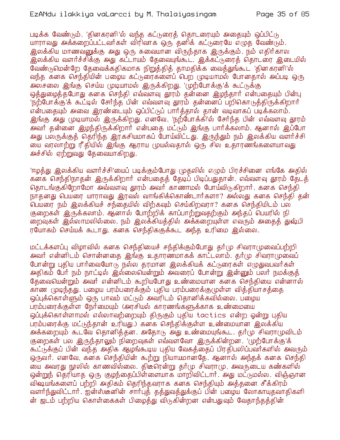## EzANdu ilakkiya vaLarcci by M. Thalaiyasingam

படிக்க வேண்டும். 'தினகரனி'ல் வந்த கட்டுரைத் தொடரையும் அதையும் ஒப்பிட்டு யாராவது அக்கறைப்பட்டவர்கள் விரிவாக ஒரு தனிக் கட்டுரையே எழுத வேண்டும். இலக்கிய மாணவனுக்கு அது ஒரு சுவையான விருந்தாக இருக்கும். நம் எதிர்கால இலக்கிய வளர்ச்சிக்கு அது கட்டாயம் தேவையுங்கூட. இக்கட்டுரைத் தொடரை இடையில் வேண்டுமென்றே தேவைக்கதிகமாக நிறுத்தித் தாமதிக்க வைத்துங்கூட<sup>்</sup>தினகரனி'ல் வந்த கனக செந்தியின் பழைய கட்டுரைகளைப் பெற முடியாமல் போனதால் அப்படி ஒரு அலசலை இங்கு செய்ய முடியாமல் இருக்கிறது. 'முற்போக்கு'க் கூட்டுக்கு ஒத்துழைத்தபோது கனக செந்தி எவ்வளவு தூரம் தன்னை இழந்தார் என்பதையும் பின்பு 'நற்போக்கு'க் கூட்டில் சேர்ந்த பின் எவ்வளவு தூரம் தன்னைப் பறிகொடுத்திருக்கிறார் என்பதையும் அவை இரண்டையும் ஒப்பிட்டுப் பார்த்தால் தான் வடிவாகப் படிக்கலாம். இங்கு அது முடியாமல் இருக்கிறது. எனவே, 'நற்போக்கி'ல் சேர்ந்த பின் எவ்வளவு தூரம் அவர் தன்னை இழந்திருக்கிறார் என்பதை மட்டும் இங்கு பார்க்கலாம். ஆனால் இப்போ அது பலருக்குத் தெரிந்த இரகசியமாகப் போய்விட்டது. இருந்தும் நம் இலக்கிய வளர்ச்சி யை வரலாற்று ரீதியில் இங்கு ஆராய முயல்வதால் ஒரு சில உதாரணங்களையாவது அச்சில் ஏற்றுவது தேவையாகிறது.

'ஈழத்து இலக்கிய வளர்ச்சி'யைப் படிக்கும்போது (முதலில் எழும் பிரச்சினை எங்கே அதில் கனக செந்திநாதன் இருக்கிறார் என்பதைத் தேடிப் பிடிப்பதுதான். எவ்வளவு தூரம் தேடத் தொடங்குகிறோமோ அவ்வளவு தூரம் அவர் காணாமல் போய்விடுகிறார். கனக செந்தி நாதனது பெயரை யாராவது இரவல் வாங்கிக்கொண்டார்களா? அல்லது கனக செந்தி தன் பெயரை நம் இலக்கியச் சந்தையில் விற்கவும் செய்கிறவரா? கனக செந்தியிடம் பல குறைகள் இருக்கலாம். ஆனால் போற்றிக் காப்பாற்றுவதற்கும் அந்தப் பெயரில் நி றைவுகள் இல்லாமலில்லை. நம் இலக்கியத்தில் அக்கறையுள்ள எவரும் அதைத் துஷ்பி ரயோகம் செய்யக் கூடாது. கனக செந்திககுக்கூட அந்த உரிமை இல்லை.

மட்டக்களப்பு விழாவில் கனக செந்தியைச் சந்திக்கும்போது தர்மு சிவராமுவைப்பற்றி அவர் என்னிடம் சொன்னதை இங்கு உதாரணமாகக் காட்டலாம். தர்மு சிவராமுவைப் போன்று புதிய பார்வையோடு நல்ல தரமான இலக்கியக் கட்டுரைகள் எழுதுவபவர்கள் அதிகம் பேர் நம் நாட்டில் இல்லையென்றும் அவரைப் போன்று இன்னும் பலர் நமக்குத் தேவையென்றும் அவர் என்னிடம் கூறியபோது உண்மையான கனக செந்தியை என்னால் காண (முடிந்தது. பழைய பரம்பரைக்கும் புதிய பரம்பரைக்கு(முள்ள வித்தியாசத்தை ஒப்புக்கொள்ளும் ஒரு பாவம் மட்டும் அவரிடம் தொனிக்கவில்லை. பழைய பரம்பரைக்குள்ள நேர்மையும் (அரசியல் காரணங்களுக்காக உண்மையை ஒப்புக்கொள்ளாமல் எல்லாவற்றையும் திருகும் புதிய tactics என்ற ஓன்று புதிய பரம்பரைக்கு மட்டுந்தான் உரியது.) கனக செந்திக்குள்ள உண்மையான இலக்கிய அக்கறையும் கூடவே தொனித்தன. அதோடு அது உண்மையுங்கூட. தர்மு சிவராமுவிடம் குறைகள் பல இருந்தாலும் நிறைவுகள் எவ்வளவோ இருக்கின்றன. 'முற்போக்கு'க் .<br>கூட்டுக்குப் பின் வந்த அதிக ஆழங்கூடிய புதிய வேகத்தைப் பிரதிபலிப்பவர்களில் அவரும் ஒருவர். எனவே, கனக செந்தியின் கூற்று நியாயமானதே. ஆனால் அந்தக் கனக செந்தி யை அவரது நூலில் காணவில்லை. திடீரென்று தர்மு சிவராமு, அவருடைய கண்களில் ஒன்றுந் தெரியாத ஒரு குழந்தைப்பிள்ளையாக மாறிவிட்டார். அது மட்டுமல்ல. விஞ்ஞான விஷயங்களைப் பற்றி அதிகம் தெரிந்தவராக கனக செந்தியும் அத்தனை சீக்கிரம் வளர்ந்துவிட்டார். ஐன்ஸ்டீனின் சார்பத் தத்துவத்துக்குப் பின் பழைய லோகாயுதவாதிகளி ன் ஜடம் பற்றிய கொள்கைகள் பிமைக்து விடுகின்றன என்பதுவும் வேகாந்கக்கின்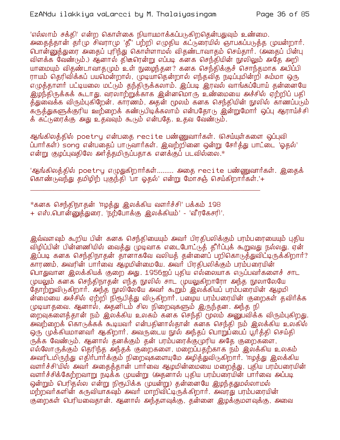'எல்லாம் சக்தி' என்ற கொள்கை நியாயமாக்கப்படுகிறதென்பதுவும் உண்மை. அதைத்தான் தர்மு சிவராமு 'தீ' பற்றி எழுதிய கட்டுரையில் ஞாபகப்படுத்த முயன்றார். பொன்னுத்துரை அதைப் புரிந்து கொள்ளாமல் விதண்டாவாதம் செய்தார். (அதைப் பின்பு விளக்க வேண்டும்.) ஆ்னால் திடீரென்று எப்படி கனக செந்தியின் நூலிலும் அதே அறி யாமையும் விதண்டாவாகமும் உள் நுழைந்தன? கனக செந்திக்குச் சொந்தமாக அபிப்பி ராயம் தெரிவிக்கப் பயமென்றால், முடியாதென்றால் எந்தவித நடிப்புமின்றி சும்மா ஒரு எழுத்தாளர் பட்டியலை மட்டும் தந்திருக்கலாம். இப்படி இரவல் வாங்கப்போய் தன்னையே இழந்திருக்கக் கூடாது. வரலாற்றுக்காக இன்னமொரு உண்மையை அச்சில் ஏற்றிப் பதி த்துவைக்க விரும்புகிறேன். காரணம், அதன் மூலம் கனக செந்தியின் நூலில் காணப்படும் .<br>கருத்துகளுக்குரிய ஊற்றைக் கண்டுபிடிக்கலாம் என்பதோடு இன்றுமோர் ஒப்பு ஆராய்ச்சி க் கட்டுரைக்கு அது உதவவும் கூடும் என்பதே. உதவ வேண்டும்.

ஆங்்கிலத்்தில் poetry என்பதை recite பண்ணுவார்கள். (செய்யுள்்களை ஒப்புவி ப்பார்கள்) song என்பதைப் பாடுவார்கள். இவற்றினை ஒன்று சேர்த்து பாட்டை 'ஓதல்' என்று குழப்புவதிலே அர்த்தமிருப்பதாக எனக்குப் படவில்லை.\*

'ஆங்்கிலத்தில் poetry எழுதுகிறார்கள்......... அதை recite பண்ணுவார்கள். இதைக் கொண்டுவந்து தமிழிற் புகுந்தி 'பா ஓதல்' என்று மோசஞ் செய்கிறார்கள்.'+

\*கனக செந்திநாதன் 'ஈழத்து இலக்கிய வளர்ச்சி' பக்கம் 198 + எஸ்.பொன்னுத்துரை, 'நற்போக்கு இலக்கியம்' - 'வீரகேசரி'.

இவ்வளவும் கூறிய பின் கனக செந்தியையும் அவர் பிரதிபலிக்கும் பரம்பரையையும் புதிய விழிப்பின் பின்னணியில் வைத்து முடிவாக எடைபோட்டுத் தீர்ப்புக் கூறுவது நல்லது. ஏன் <u>இப்படி கனக செந்திநாதன் தானாகவே வலியத் தன்னைப் பறிகொடுத்துவிட்டிருக்கிறார்?</u> ...<br>காரணம், அவரின் பார்வை ஆழமின்மையே. அவர் பிரதிபலிக்கும் பரம்பரையின் பொதுவான இலக்கியக் குறை அது. 1956ஐப் புதிய எல்லையாக எடுப்பவர்களைச் சாட முயலும் கனக செந்திநாகன் எந்த நூலில் சாட முயலுகிறாரோ அந்த நூலாலேயே தோற்றுவிடுகிறார். அந்த நூலிலேயே அவர் கூறும் இலக்கியப் பரம்பரையின் ஆழமி ன்மையை அச்சில் ஏற்றி நிரூபித்து விடுகிறார். பழைய பரம்பரையின் குறைகள் தவிர்க்க முடியாதவை. ஆனால், அதனிடம் சில நிறைவுகளும் இருந்தன. அந்த நி றைவுகளைத்தான் நம் இலக்கிய உலகம் கனக செந்தி மூலம் அனுபவிக்க விரும்புகிறது. அவற்றைக் கொடுக்கக் கூடியவர் என்பதினால்தான் கனக செந்தி நம் இலக்கிய உலகில் ஒரு முக்கியமானவர் ஆகிறார். அவருடைய நூல் அந்தப் பொறுப்பைப் பூர்த்தி செய்தி ருக்க வேண்டும். ஆனால் தனக்கும் தன் பரம்பரைக்கு மரிய அதே குறைகளை, எல்லோருக்கும் தெரிந்த அந்தக் குறைகளை, மறைப்பதற்காக நம் இலக்கிய உலகம் அவரிடமிருந்து எதிர்பார்க்கும் நிறைவுகளையுமே அழித்துவிடுகிறார். 'ஈழத்து இலக்கிய வளர்ச்சி'யில் அவர் அதைத்தான் பார்வை ஆழமின்மையை மறைத்து, புதிய பரம்பரையின் வளர்ச்சிக்கேற்றவாறு நடிக்க முயன்று (அதனால் புதிய பரம்பரையின் பார்வை அப்படி ஒன்றும் பெரிதல்ல என்று நிரூபிக்க (முயன்று) தன்னையே இழந்ததுமல்லாமல் மற்றவர்களின் கருவியாகவும் அவர் மாறிவிட்டிருக்கிறார். அவரது பரம்பரையின் குறைகள் பெரியவைதான். ஆனால் அந்தளவுக்கு, தன்னை இழக்குமளவுக்கு, அவை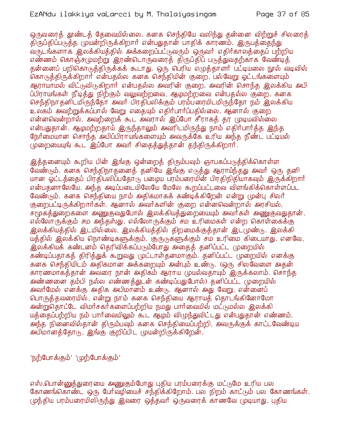ஒருவரைத் தூண்டத் தேவையில்லை. கனக செந்தியே வலிந்து தன்னை விற்றுச் சிலரைத் திருப்திப்படுத்த முயன்றிருக்கிறார் என்பதுதான் பாதிக் காரணம். இருபத்தைந்து வருடங்களாக இலக்கியத்தில் அக்கறைப்பட்டுவரும் ஒருவர் எதிர்காலத்தைப் பற்றிய எண்ணம் கொஞ்சமுமற்று இரண்டொருவரைத் திருப்திப் படுத்துவதற்காக வேண்டித் தன்னைப் பறிகொடுத்திருக்கக் கூடாது. ஒரு பெரிய எழுத்தாளர் பட்டியலை நூல் வடிவில் கொடுத்திருக்கிறார் என்பதல்ல கனக செந்தியின் குறை. பல்வேறு ஓட்டங்களையும் ஆராயாமல் விட்டுவிடுகிறார் என்பகல்ல அவரின் குறை. அவரின் சொந்த இலக்கிய அபி ப்பிராயங்கள் நீடித்து நிற்கும் வலுவற்றவை, ஆழமற்றவை என்பதல்ல குறை. கனக செந்திநா தனிடமிருந்தோ அவர் பிரதிபலிக்கும் பரம்பரையிடமிருந்தோ நம் இலக்கிய உலகம் அவற்றுக்கப்பால் வேறு எகையும் எதிர்பார்ப்பதில்லை. ஆனால் குறை என்னவென்றால், அவற்றைக் கூட அவரால் இப்போ சீராகக் கா முடியவில்லை என்பதுதான். ஆழமற்றதாய் இருந்தாலும் அவரிடமிருந்து நாம் எதிர்பார்த்த இந்த நேர்மையான சொந்த அபிப்பிராயங்களையும் அவருக்கே உரிய அந்த நீண்ட பட்டியல் (முறையையுங் கூட இப்போ அவர் சிதைத்துத்தான் தந்திருக்கிறார்.

இத்தனையும் கூறிய பின் இங்கு ஒன்றைத் திரும்பவும் ஞாபகப்படுத்திக்கொள்ள வேண்டும். கனக செந்திநாதனைத் தனியே இங்கு எடுத்து ஆராய்ந்தது அவர் ஒரு தனி யான ஓட்டத்தைப் பிரதிபலிப்பதோடு பழைய பரம்பரையின் பிரதிநிதியாகவும் இருக்கிறார் என்பதனாலேயே. அந்த அடிப்படையிலேயே மேலே கூறப்பட்டவை விளங்கிக்கொள்ளப்பட வேண்டும். கனக செந்தியை நாம் அதிகமாகக் கண்டிக்கிறேன் என்று முன்பு சிலர் குறைபட்டிருக்கிறார்கள். ஆனால் அவர்களின் குறை என்னவென்றால் அரசியல், சமூகத்துறைகளை அணுகுவதுபோல் இலக்கியத்துறையையும் அவர்கள் அணுகுவதுதான். எல்லோருக்கும் சம அந்தஸ்து, எல்லோருக்கும் சம உரிமைகள் என்ற கொள்கைக்கு இலக்கியத்தில் இடமில்லை. இலக்கியத்தில் திறமைக்குத்தான் இட(முண்டு. இலக்கி யத்தில் இலக்கிய நொண்டிகளுக்கும், குருடுகளுக்கும் சம உரிமை கிடையாது. எனவே, இலக்கியக் கண்டனம் தெரிவிக்கப்படும்போது அதைத் தனிப்பட்ட முறையில் கண்டிப்பதாகத் திரித்துக் கூறுவது (மட்டாள்தனமாகும். தனிப்பட்ட (முறையில் எனக்கு கனக செந்தியிடம் அதிகமான அக்கறையும் அன்பும் உண்டு. (ஒரு சிலவேளை அதன் காரணமாகத்தான் அவரை நான் அதிகம் ஆராய முயல்வதாயும் இருக்கலாம். சொந்த அண்ணனை தம்பி நல்ல எண்ணக்துடன் கண்டிப்பதுபோல்) தனிப்பட்ட (முறையில் அவர்மேல் எனக்கு அதிக அபிமானம் உண்டு. ஆனால் அது வேறு. என்னைப் பொருத்தவரையில், என்று நாம் கனக செந்தியை ஆராயத் தொடங்கினோமோ அன்றுவதாட்டே விமர்சகர்களைப்பற்றிய நமது பார்வையில் மட்டுமல்ல இலக்கி யத்தைப்பற்றிய நம் பார்வையிலும் கூட ஆழம் விழுந்துவிட்டது என்பதுதான் எண்ணம். அந்த நினைவில்தான் திரும்பவும் கனக செந்தியைப்பற்றி, அவருக்குக் காட்டவேண்டிய அபிமானத்தோடு, இங்கு குறிப்பிட முயன்றிருக்கிறேன்.

'நற்போக்கும்' 'முற்போக்கும்'

எஸ்.பொன்னுத்துரையை அணுகும்போது புதிய பரம்பரைக்கு மட்டுமே உரிய பல கோணங்கொண்ட ஒரு பேர்வழியைச் சந்திக்கிறோம். பல நிறம் காட்டும் பல கோணங்கள். முந்திய பரம்பரையிலிருந்து இவரை ஒத்தவர் ஒருவரைக் காணவே முடியாது. புதிய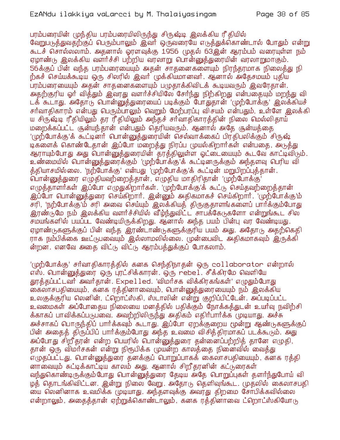பரம்பரையின் முந்திய பரம்பரையிலிருந்து சிருஷ்டி இலக்கிய ரீ தியில் வேறுபடுத்துவதற்குப் பெரும்பாலும் இவர் ஒருவரையே எடுத்துக்கொண்டால் போதும் என்று கூடச் சொல்லலாம். அதனால் ஓரளவுக்கு 1956 முதல் 63இன் ஆரம்பம் வரையுள்ள நம் ஏழாண்டு இலக்கிய வளர்ச்சி பற்றிய வரலாறு பொன்னுத்துரையின் வரலாறுமாகும். 56க்குப் பின் வந்த பரம்பரையையும் அதன் சாதனைகளையும் நிரந்தரமாக நிலைத்து நி ற்கச் செய்யக்கூடிய ஒரு சிலரில் இவர் முக்கியமானவர். ஆனால் அதேசமயம் புதிய பரம்பரையையும் அதன் சாதனைகளையும் பமுதாக்கிவிடக் கூடியவரும் இவரேதான். அதற்குரிய ஓர் வித்தும் இவரது வளர்ச்சியிலே சேர்ந்து நிற்கிறது என்பதையும் மறந்து வி டக் கூடாது. அதோடு பொன்னுத்துரையைப் படிக்கும் போதுதான் 'முற்போக்கு' இலக்கியச் சர்வாதிகாரம் என்பது பெரும்பாலும் வெறும் மேற்பரப்பு விசயம் என்பதும், உள்ளே இலக்கி ய சிருஷ்டி ரீதியிலும் தர ரீதியிலும் அந்தச் சர்வாதிகாரத்தின் நிலை மெல்லிதாய் மறைக்கப்பட்ட சூன்யந்தான் என்பதும் தெரியவரும். ஆனால் அதே சூன்யத்தை '(முற்போக்கு'க் கூட்டினர் பொன்னுத்துரையின் செல்வாக்கைப் பிரதிபலிக்கும் சிருஷ் டிகளைக் கொண்டேதான் இப்போ மறைத்து நிரப்ப முயல்கிறார்கள் என்பதை, அடுத்து ஆராயும்போது அது பொன்னுத்துரையின் தரத்திலுள்ள ஓட்டையையும் கூடவே காட்டிவிடும். உண்மையில் பொன்னுத்துரைக்கும் 'முற்போக்கு'க் கூட்டினருக்கும் அந்தளவு பெரிய வி த்தியாசமில்லை. 'நற்போக்கு' என்பது 'முற்போக்கு'க் கூட்டின் மறுபிறப்பத்தான். .<br>வான்னுத்துரை எழுதியவற்றைத்தான், எழுதிய மாதிரிதான் 'முற்போக்கு' எழுத்தாளர்கள் இப்போ எழுதுகிறார்கள். 'முற்போக்கு'க் கூட்டு செய்தவற்றைத்தான் இப்போ பொன்னுத்துரை செய்கிறார். இன்னும் அதிகமாகச் செய்கிறார். 'முற்போக்கு'ம் சரி, 'நற்போக்கு'ம் சரி அவை செய்யும் இலக்கியத் திருகுதாளங்களைப் பார்க்கும்போது இரண்டுமே நம் இலக்கிய வளர்ச்சியில் வீழ்ந்துவிட்ட சாபக்கேடுகளோ என்றுங்கூட சில சமயங்களில் பயப்பட வேண்டியிருக்கிறது. ஆனால் அந்த பயம் பின்பு வர வேண்டியது. ஏழாண்டுகளுக்குப் பின் வந்த இரண்டாண்டுகளுக்குரிய பயம் அது. அதோடு அதற்கெதி ராக நம்பிக்கை ஊட்டுபவையும் இல்லாமலில்லை. முன்பைவிட அதிகமாகவும் இருக்கி ன்றன. எனவே அதை விட்டு விட்டு ஆரம்பத்துக்குப் போகலாம்.

'(முற்போக்கு' சர்வாதிகாரத்தில் கனக செந்திநாதன் ஒரு collaborator என்றால் எஸ். பொன்னுத்துரை ஒரு புரட்சிக்காரன். ஒரு rebel. சீக்கிரமே வெளியே தூத்தப்பட்டவர் அவர்தான். Expelled. 'விமர்சக விக்கிரகங்கள்' எழுதும்போது கைலாசபதியையும், கனக ரத்தினாவையும், பொன்னுத்துரையையும் நம் இலக்கிய உலகுக்குரிய லெனின், ட்றொட்ஸ்கி, ஸ்டாலின் என்று குறிப்பிட்டேன். அப்படிப்பட்ட உவமைகள் அப்போதைய நிலையை மனத்தில் பதிக்கும் நோக்கத்துடன் உயர்வு நவிற்சி க்காகப் பாவிக்கப்படுபவை. அவற்றிலிருந்து அதிகம் எதிர்பார்க்க முடியாது. அச்சு அச்சாகப் பொருந்திப் பார்க்கவும் கூடாது. இப்போ ஏறக்குறைய மூன்று ஆண்டுகளுக்குப் பின் அதைத் திருப்பிப் பார்க்கும்போது அந்த உவமை விசித்திரமாகப் படக்கூடும். அது அப்போது சிறீதரன் என்ற பெயரில் பொன்னுத்துரை தன்னைப்பற்றித் தானே எழுதி, தான் ஒரு விமர்சகன் என்று நிரூபிக்க முயன்ற காலத்தை நினைவில் வைத்து எழுதப்பட்டது. பொன்னுத்துரை தனக்குப் பொறுப்பாகக் கைலாசபதியையும், கனக ரத்தி னாவையும் சுட்டிக்காட்டிய காலம் அது. ஆனால் சிறீதரனின் கட்டுரைகள் வந்துகொண்டிருக்கும் போது பொன்னுத்துரை தேடிய அதே பொறுப்புகள் தளர்ந்துபோய் வி ழத் தொடங்கிவிட்டன. இன்று நிலை வேறு. அதோடு தெளிவுங்கூட. முதலில் கைலாசபதி ு மை லெனினாக உவமிக்க முடியாது. அந்தளவுக்கு அவரது திறமை சோபிக்கவில்லை என்றாலும், அகைக்கான் ஏற்றுக்கொண்டாலும், கனக ரக்கினாவை ட்றொட்ஸ்கியோடு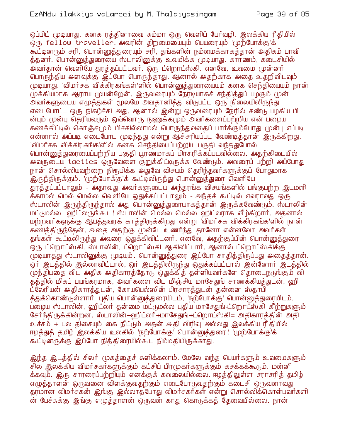ஒப்பிட் (முடியாது. கனக ரத்தினாவை சும்மா ஒரு வெளிப் பேர்வழி. இலக்கிய ரீதியில் ஒரு fellow traveller. அவரின் திறமையையும் பெயரையும் 'முற்போக்கு'க் கூட்டினரும் சரி, பொன்னுத்துரையும் சரி, தங்களின் நம்மைக்காகத்தான் அதிகம் பாவி த்தனர். பொன்னுத்துரையை ஸ்டாலினுக்கு உவமிக்க முடியாது. காரணம், கடைசியில் அவர்தான் வெளியே துரத்தப்பட்டவர். ஒரு ட்றொட்ஸ்கி. எனவே, உவமை முன்னர் பொருந்திய அளவுக்கு இப்போ பொருந்தாது. ஆனால் அதற்காக அதை உதறிவிடவும் முடியாது. 'விமர்சக விக்கிரகங்கள்'ளில் பொன்னுக்துரையையும் கனக செந்தியையும் நான் முக்கியமாக ஆராய முயன்றேன். இருவரையும் நேரடியாகச் சந்தித்துப் பழகும் முன் அவர்களுடைய எழுத்துகள் மூலமே அவதானித்து விடுபட்ட ஒரு நிலையிலிருந்து எடைபோட்ட ஒரு நிகழ்ச்சி அது. ஆனால் இன்று ஒருவரையும் நேரில் கண்டு பழகிய பி ன்பும் முன்பு தெரியவரும் ஒவ்வொரு நுணுக்கமும் அவர்களைப்பற்றிய என் பழைய கணக்கீட்டில் கொஞ்சமும் பிசகில்லாமல் பொருந்துவதைப் பார்க்கும்போது முன்பு எப்படி என்னால் அப்படி எடைபோட முடிந்தது என்று ஆச்சரியப்பட வேண்டித்தான் இருக்கிறது. 'விமர்சக விக்கிரகங்க'ளில் கனக செந்தியைப்பற்றிய பகுதி வந்ததுபோல் பொன்னுக்துரையைப்பற்றிய பகுதி பூரண்மாகப் பிரசுரிக்கப்படவில்லை. அதற்கிடையில் அவருடைய tactics ஒருவேளை குறுக்கிட்டிருக்க வேண்டும். அவரைப் பற்றி அப்போது நான் சொல்லியவற்றை நிரூபிக்க அதுவே விசயம் தெரிந்தவர்களுக்குப் போதுமாக .<br>இருந்திருக்கும். 'முற்போக்கு'க் கூட்டிலிருந்து பொன்னுத்துரை வெளியே தூத்தப்பட்டாலும் - அதாவது அவர்களுடைய அந்தரங்க விசயங்களில் பங்குபற்ற இடமளி க்காமல் மெல் மெல்ல வெளியே ஒதுக்கப்பட்டாலும் - அந்தக் கூட்டில் எவராவது ஒரு ஸ்டாலின் இருந்திருந்தால் அது பொன்னுத்துரையாகத்தான் இருக்கவேண்டும். ஸ்டாலின் மட்டுமல்ல, ஹிட்லருங்கூட! ஸ்டாலின் மெல்ல மெல்ல ஹிட்லராக வீழ்கிறார். அதனால் மற்றவர்களுக்கு ஆபத்துவரக் காத்திருக்கிறது என்று 'விமர்சக விக்கிரகங்க'ளில் நான் கணித்திருந்தேன். அதை அதற்கு முன்பே உணர்ந்து தானோ என்னவோ அவர்கள் தங்கள் கூட்டிலிருந்து அவரை ஒதுக்கிவிட்டனர். எனவே, அதற்குப்பின் பொன்னுத்துரை ஒரு ட்றொட்ஸ்கி. ஸ்டாலின், ட்றொட்ஸ்கி ஆகிவிட்டார். ஆனால் ட்றொட்ஸ்கிக்கு முடியாத்து ஸ்டாலினுக்கு முடியும். பொன்னுத்துரை இப்போ சாதித்திருப்பது அதைத்தான். .<br>ஓர் இடத்தில் இல்லாவிட்டால், ஒர் இடத்திலிருந்து ஒதுக்கப்பட்டால் இன்னோர் இடத்தில் முந்தியதை விட அதிக அதிகாரத்தோடு ஒதுக்கித் தள்ளியவர்களே தொடைநடுங்கும் வி தத்தில் மிகப் பயங்கரமாக, அவர்களை விட மிஞ்சிய மாசேதுங் சாணக்கியத்துடன், ஹி ட்லேரியன் அதிகாரத்துடன், கோயபெல்ஸின் பிரசாரத்துடன் தன்னை ஸ்தாபி த்துக்கொண்டுள்ளார். புதிய பொன்னுத்துரையிடம், 'நற்போக்கு' பொன்னுத்துரையிடம், பறைய ஸ்டாலின், ஹிட்லர் தன்மை மட்டுமல்ல புதிய மாசேதுங்ட்றொட்ஸ்கி கீற்றுகளும் சோர்ந்திருக்கின்றன. ஸ்டாலின்+ஹிட்லா்+மாசேதுங்+ட்றொட்ஸ்கி= அதிகாரத்தின் அதி உச்சம் + பல கிசையும் கை நீட்டும் அதன் அதி விரிவு அல்லது இலக்கிய ரீதியில் ஈழத்துத் தமிழ் இலக்கிய உலகில் 'நற்போக்கு' பொன்னுத்துரை! 'முற்போக்கு'க் கூட்டினருக்கு இப்போ நித்திரையில்கூட நிம்மதியிருக்காது.

இந்த இடத்தில் சிலர் முகத்தைச் சுளிக்கலாம். மேலே வந்த பெயர்களும் உவமைகளும் சில இலக்கிய விமர்சகர்களுக்கும் கட்சிப் பிரமுகர்களுக்கும் கசக்கக்கூடும். மன்னி க்கவும். இரு சாரரைப்பற்றியும் எனக்குக் கவலையில்லை. ஈழத்திலுள்ள சராசரித் தமிழ் எமுக்காளன் ஒருவனை விளக்குவகற்கும் எடைபோடுவகற்கும் கடைசி ஒருவனாவது தரமான விமர்சகன் இங்கு இல்லாதபோது விமர்சகர்கள் என்று சொல்லிக்கொள்பவர்களி ன் பேச்சுக்கு இங்கு எமுக்காளன் ஒருவன் காது கொடுக்கக் கேவையில்லை. நான்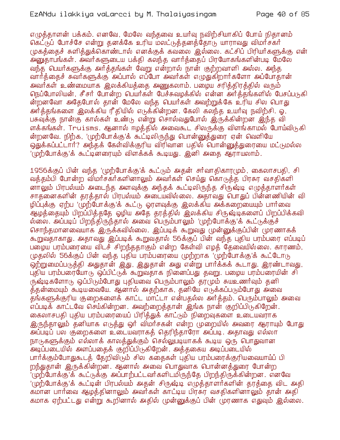எமுக்காளன் பக்கம். எனவே, மேலே வந்கவை உயர்வு நவிற்சியாகிப் போய் நிகானம் கெட்டுப் போச்சே என்று தனக்கே உரிய மலட்டுத்தனத்தோடு யாராவது விமர்சகர் முகத்தைச் சுளித்துக்கொண்டால் எனக்குக் கவலை இல்லை. கட்சிப் பிரியர்களுக்கு என் .<br>அனுதாபங்கள். அவர்களுடைய பக்தி கலந்த வார்த்தைப் பிரயோகங்களின்படி மேலே வந்த பெயர்களுக்கு அர்த்தங்கள் வேறு என்றால் நான் குற்றவாளி அல்ல. அந்த வார்த்தைச் சுவர்களுக்கு அப்பால் எப்போ அவர்கள் எழுதுகிறார்களோ அப்போதான் அவர்கள் உண்மையாக இலக்கியக்கை அணுகலாம். பமைய சரிக்கிரக்கில் வரும் நெப்போலியன், சீசர் போன்ற பெயர்கள் பேச்சுவழக்கில் என்ன அர்த்தங்களில் பேசப்படுகி ன்றனவோ அதேபோல் தான் மேலே வந்த பெயர்கள் அவற்றுக்கே உரிய சில பொது அர்த்தங்களை இலக்கிய ரீதியில் எடுக்கின்றன. கேலி கலந்த உயர்வு நவிற்சி. ஒ. பசுவுக்கு நான்கு கால்கள் உண்டு என்று சொல்வதுபோல் இருக்கின்றன இந்த வி ளக்கங்கள். Truisms. ஆனால் ஈழத்தில் அவைகூட சிலருக்கு விளங்காமல் போய்விடுகி ன்றனவே. நிற்க, 'முற்போக்கு'க் கூட்டிலிருந்து பொன்னுத்துரை ஏன் வெளியே ஒதுக்கப்பட்டார்? அந்தக் கேள்விக்குரிய விரிவான பதில் பொன்னுத்துரையை மட்டுமல்ல 'முற்போக்கு'க் கூட்டினரையும் விளக்கக் கூடியது. இனி அகை ஆராயலாம்.

1956க்குப் பின் வந்த 'முற்போக்கு'க் கூட்டும் அதன் சர்வாதிகாரமும், கைலாசபதி, சி வத்தம்பி போன்ற விமர்சகர்களினாலும் அவர்கள் செய்து கொடுத்த பிரசுர வசதிகளி னாலும் பிரபல்யம் அடைந்த அளவுக்கு அந்தக் கூட்டிலிருந்த சிருஷ்டி எழுத்தாளர்கள் சாதனைகளின் தரத்தால் பிரபல்யம் அடையவில்லை. அதாவது பொதுப் பின்னணியின் வி ழிப்புக்கு ஏற்ப 'முற்போக்கு'க் கூட்டு ஓரளவுக்கு இலக்கிய அக்கறையையும் பார்வை ஆழத்தையும் பிறப்பித்ததே ஓழிய அதே தரத்தில் இலக்கிய சிருஷ்டிகளைப் பிறப்பிக்கவி ல்லை. அப்படிப் பிறந்திருந்தால் அவை பெரும்பாலும் 'முற்போக்கு'க் கூட்டுக்குச் சொந்தமானவையாக இருக்கவில்லை. இப்படிக் கூறுவது முன்னுக்குப்பின் முரணாகக் கூறுவதாகாது. அதாவது இப்படிக் கூறுவதால் 56க்குப் பின் வந்த புதிய பரம்பரை எப்படிப் பழைய பரம்பரையை விடச் சிறந்ததாகும் என்ற கேள்வி எழக் தேவையில்லை. காரணம், முதலில் 56க்குப் பின் வந்த புதிய பரம்பரையை முற்றாக 'முற்போக்கு'க் கூட்டோடு .<br>ஒற்றுமைப்படுத்தி அதுதான் இது, இதுதான் அது என்று பார்க்கக் கூடாது. இரண்டாவது, புதிய பரம்பரையோடு ஒப்பிட்டுக் கூறுவதாக நினைப்பது தவறு. பழைய பரம்பரையின் சி ருஷ்டிகளோடு ஒப்பிடும்போது புதியவை பெரும்பாலும் தரமும் சுயஉணர்வும் தனி த்தன்மையும் கூடியவையே. ஆனால் அதற்காக, தனியே எருக்கப்பரும்போது அவை தங்களுக்குரிய குறைகளைக் காட்ட மாட்டா என்பதல்ல அர்த்தம். பெரும்பாலும் அவை எப்படிக் காட்டவே செய்கின்றன. அவற்றைத்தான் இங்க நான் குறிப்பிடுகிறேன். கைலாசபதி புதிய பரம்பரையைப் பிரித்துக் காட்டும் நிறைவுகளை உடையவராக இருந்தாலும் தனியாக எடுத்து ஒர் விமர்சகன் என்ற முறையில் அவரை ஆராயும் போது அப்படிப் பல குறைகளை உடையவராகத் தெரிந்தாரோ அப்படி. அதாவது எல்லா நாடுகளுக்கும் எல்லாக் காலக்துக்கும் செல்லுபடியாகக் கூடிய ஒரு பொதுவான .<br>அடிப்படையில் அளப்பதைக் குறிப்பிருகிறேன். அத்தகைய அடிப்படையில் பார்க்கும்போதுகூடத் தேறிவிடும் சில கதைகள் புதிய பரம்பரைக்குரியவையாய்ப் பி றந்துதான் இருக்கின்றன. ஆனால் அவை பொதுவாக பொன்னத்துரை போன்ற '(ழற்போக்கு'க் கூட்டுக்கு அப்பாற்பட்டவர்களிடமிருந்தே பிறந்திருக்கின்றன. எனவே '(மற்போக்கு'க் கூட்டின் பிரபல்யம் அதன் சிருஷ்டி எழுக்காளர்களின் காக்கை விட அதி கமான பார்வை ஆழத்தினாலும் அவர்கள் காட்டிய பிரசுர வசதிகளினாலும் தான் அதி கமாக ஏற்பட்டது என்று கூறினால் அதில் முன்னுக்குப் பின் முரணாக எதுவும் இல்லை.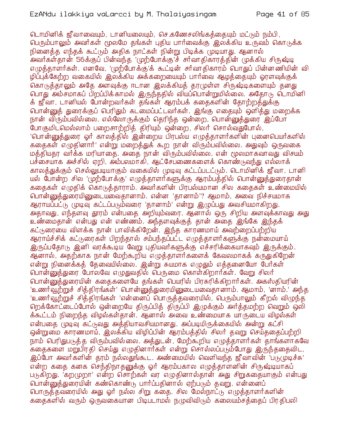டொமினிக் ஜீவாவையும், டானியலையும், செ.கணேசலிங்கக்கையும் மட்டும் நம்பி, பெரும்பாலும் அவர்கள் மூலமே தங்கள் புதிய பார்வைக்கு இலக்கிய உருவம் கொடுக்க நினைத்த எந்தக் கூட்டும் அதிக நாட்கள் நின்று பிடிக்க முடியாது. ஆனால் அவர்கள்தான் 56க்குப் பின்வந்த 'முற்போக்கு'ச் சர்வாதிகாரத்தின் முக்கிய சிருஷ்டி எமுக்காளர்கள். எனவே, 'முற்போக்கு'க் கூட்டின் சர்வாதிகாரம் பொதுப் பின்னணியின் வி ழிப்பக்கேற்ற வகையில் இலக்கிய அக்கறையையும் பார்வை ஆழக்கையும் லாளவுக்குக் கொடுத்தாலும் அதே அளவுக்கு ஈடான இலக்கியத் தரமுள்ள சிருஷ்டிகளையும் தனது பொது அம்சமாகப் பிறப்பிக்காமல் இருந்ததில் வியப்பொன்றுமில்லை. அதோடு டொமினி க் ஜீவா, டானியல் போன்றவர்கள் தங்கள் ஆரம்பக் கதைகளின் தோற்றத்துக்கு பொன்னுத் துரைக்குப் பெரிதும் கடமைப்பட்டவர்கள். இங்கு எதையும் ஒளித்து மறைக்க நான் விரும்பவில்லை. எல்லோருக்கும் தெரிந்த ஒன்றை, பொன்னுத்துரை இப்போ போகுமிடமெல்லாம் பறைசாற்றித் திரியும் ஒன்றை, சிலர் சொல்வதுபோல், 'பொன்னுத்துரை ஓர் காலத்தில் இன்றைய பிரபல்ய எழுத்தாளர்களின் புனைபெயர்களில் கதைகள் எழுதினார்' என்று மறைத்துக் கூற நான் விரும்பவில்லை. அதுவும் ஒருவகை மத்தியதா வர்க்க மரியாதை. அதை நான் விரும்பவில்லை. என் மூலமாகவாவது விசயம் பச்சையாக அச்சில் ஏறி, அம்பலமாகி, ஆட்சேபணைகளைக் கொண்டுவந்து எல்லாக் காலத்துக்கும் செல்லுபடியாகும் வகையில் முடிவு கட்டப்படட்டும். டொமினிக் ஜீவா, டானி யல் போன்ற சில 'முற்போக்கு' எழுத்தாளர்களுக்கு ஆரம்பத்தில் பொன்னுத்துரைதான் கதைகள் எழுதிக் கொடுத்தாராம். அவர்களின் பிரபல்யமான சில கதைகள் உண்மையில் பொன்னுத்துரையினுடையவைதானாம். என்ன 'தானாம்'? ஆமாம், அவை நிச்சயமாக ஆராயப்பட்டு முடிவு கட்டப்படும்வரை 'தானாம்' என்று இழுப்பது அவசியமாகிறது. அதாவது, எந்தளவு தூரம் என்பதை அறியும்வரை. ஆனால் ஒரு சிறிய அளவுக்காவது அது உண்மைதான் என்பது என் எண்ணம். அந்தளவுக்குத் தான் அதை இங்கே இந்தக் கட்டுரையை விளக்க நான் பாவிக்கிறேன். இந்த காரணமாய் அவற்றைப்பற்றிய ஆராய்ச்சிக் கட்டுரைகள் பிறந்தால் சம்பந்தப்பட்ட எழுத்தாளர்களுக்கு நன்மையாய் இருப்பதோடு இனி வரக்கூடிய வேறு புதியவர்களுக்கு எச்சரிக்கையாகவும் இருக்கும். ஆனால், அதற்காக நான் மேற்கூறிய எழுத்தாளர்களைக் கேவலமாகக் கருதுகிறேன் என்று நினைக்கத் தேவையில்லை. இன்று சுயமாக எழுதும் எத்தனையோ பேர்கள் பொன்னுத்துரை போலவே எழுதுவதில் பெருமை கொள்கிறார்கள். வேறு சிலர் பொன்னுத்துரையின் கதைகளையே தங்கள் பெயரில் பிரசுரிக்கிறார்கள். அகஸ்தியரின் 'உணர்வூற்றுச் சித்திரங்கள்' பொன்னுத்துரையினுடையவைதானாம். ஆமாம், 'னாம்.' அந்த 'உணர்வூற்றுச் சித்திரங்கள் 'என்னைப் பொருத்தவரையில், பெரும்பாலும் கீறல் விழுந்த றெக்கோட்டைப்போல் ஒன்றையே திருப்பித் திருப்பி இழுக்கும் அர்த்தமற்ற வெறும் ஒலி க்கூட்டம் நிறைந்த விழல்கள்தான். ஆனால் அவை உண்மையாக யாருடைய விழல்கள் என்பதை முடிவு கட்டுவது அத்தியாவசியமானது. அப்படியிருக்கையில் அன்று கட்சி ஒன்றுமை காரணமாய், இலக்கிய விழிப்பின் ஆரம்பத்தில் சிலர் தவறு செய்ததைப்பற்றி நாம் பெரிதுபடுத்த விரும்பவில்லை. அத்துடன், மேற்கூறிய எமுத்தாளர்கள் தாங்களாகவே .<br>கதைகளை மறுபிரதி செய்து எழுதினார்கள் என்று சொல்லப்படும்போது இருந்ததைவிட, இப்போ அவர்களின் தரம் நல்லதுங்கூட. அண்மையில் வெளிவந்த ஜீவாவின் 'படுமுடிச்சு' என்ற கதை கனக செந்திநாதனுக்கு ஓர் ஆரம்பகால எழுத்தாளனின் சிருஷ்டியாகப் படுகிறது. 'கறமுறா' என்ற சொற்கள் வர எழுதினால்தான் அது சிறுகதையாகும் என்பது பொன்னுத்துரையின் கண்கொண்டு பார்ப்பதினால் ஏற்படும் தவறு. என்னைப் பொருத்தவரையில் அது ஓர் நல்ல சிறு கதை. சில மேல்நாட்டு எழுத்தாளர்களின் ககைகளில் வரும் ஒருவகையான பிடிபடாமல் நமுவிவிடும் கலையம்சக்கைப் பிரதிபலி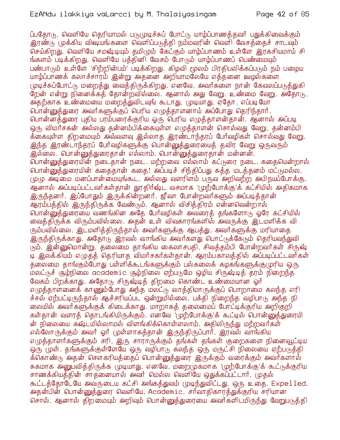ப்பதோடு, வெளியே தெரியாமல் படுமுடிச்சுப் போட்டு யாம்ப்பாணத்தவர் பதுக்கிவைக்கும் இரண்டு முக்கிய விஷயங்களை வெளிப்படுத்தி நம்மவரின் வெளி வேசத்தைச் சாடவும் செய்கிறது. வெளியே சமஷ்டியும் தமிழும் கேட்கும் யாழ்ப்பாணம் உள்ளே இரகசியமாய் சி ங்களம் படிக்கிறது. வெளியே பத்தினி வேசம் போடும் யாழ்ப்பாணப் பெண்மையும் பண்பாடும் உள்ளே 'சிற்றின்பம்' படிக்கிறது. கிழவி மூலம் பிரகிபலிக்கப்படும் நம் பமைய யாழ்ப்பாணக் கலாச்சாரம் இன்று அதனை அறியாமலேயே எத்தனை ஊழல்களை முடிச்சுப்போட்டு மறைத்து வைத்திருக்கிறது. எனவே, அவர்களை நான் கேவலப்படுத்துகி றேன் என்று நினைக்கத் தோன்றவில்லை. ஆனால் அது வேறு. உண்மை வேறு. அதோடு, அதற்காக உண்மையை மறைத்துவிடவுங் கூடாது, முடியாது. ஏதோ, எப்படியோ பொன்னுக்துரை அவர்களுக்குப் பெரிய எமுக்காளனாய் அப்போது கெரிந்கார். பொன்னத்துரை புதிய பரம்பரைக்குரிய ஒரு பெரிய எமுக்காளன்கான். ஆனால் அப்படி ஒரு விமர்சகன் அல்லது தன்னம்பிக்கையுள்ள எழுத்தாளன் சொல்வது வேறு, தன்னம்பி க்கையுள்ள திறமையும் அவ்வளவு இல்லாத இரண்டாந்தரப் போ்வழிகள் சொல்வது வேறு. இந்த இரண்டாந்தரப் பேர்வழிகளுக்கு பொன்னுத்துரையைத் தவிர வேறு ஒருவரும் இல்லை. பொன்னுத்துரைதான் எல்லாம். பொன்னுத்துரைதான் மன்னன். வான்னுத்துரையின் நடைதான் நடை. மற்றவை எல்லாம் கட்டுரை நடை. கதையென்றால் பொன்னுத்துரையின் கதைதான் கதை! அப்படிச் சிந்திப்பது சுத்த மடத்தனம் மட்டுமல்ல, முழு அடிமை மனப்பான்மையுங்கூட, அல்லது வளரிளம் பருவ அறிவற்ற அபிநயப்போக்கு. ஆனால் அப்படிப்பட்டவர்கள்தான் தூதிர்ஷ்ட வசமாக 'முற்போக்கு'க் கட்சியில் அதிகமாக இருந்தனர். இப்போதும் இருக்கின்றனர். ஜீவா போன்றவர்களும் அப்படித்தான் ஆரம்பத்தில் இருந்திருக்க வேண்டும். ஆனால் விசித்திரம் என்னவென்றால் பொன்னுத்துரையை வணங்கின அதே பேர்வழிகள் அவரைத் தங்களோடு ஓரே கட்சியில் வைத்திருக்க விரும்பவில்லை. அதன் உள் விவகாரங்களில் அவருக்கு இடமளிக்க வி ரும்பவில்லை. இடமளித்திருந்தால் அவர்களுக்கு ஆபத்து. அவர்களுக்கு மரியாதை .<br>இருந்திருக்காது. அதோடு இரவல் வாங்கிய அவர்களது பொட்டுக்கேடும் தெரியவந்துவி <u>டு</u>ம். இன்னுமொன்று. தலைமை தாங்கிய கைலாசபதி, சிவத்தம்பி போன்றவர்கள் சிருஷ் டி இலக்கியம் எழுதத் தெரியாத விமர்சகர்கள்தான். ஆரம்பகாலத்தில் அப்படிப்பட்டவர்கள் தலைமை தாங்கும்போது பள்ளிக்கூடங்களுக்கும் பல்கலைக் கழகங்களுக்குமுரிய ஒரு .<br>மலட்டுச் சூழ்நிலை academic சூழ்நிலை ஏற்படுமே ஒழிய சிருஷ்டித் தரம் நிறைந்த வேகம் பிறக்காது. அதோடு சிருஷ்டித் திறமை கொண்ட உண்மையான ஓர் எழுத்தாளனைக் காணும்போது அந்த மலட்டு வாத்திமாருக்குப் பொறாமை கலந்த எரி ச்சல் ஏற்பட்டிருந்தால் ஆச்சரியப்பட ஒன்றுமில்லை. பக்தி நிறைந்த வழிபாடு அந்த நி லையில் அவர்களுக்குக் கிடைக்காது. மாறாகத் தலைமைப் போட்டிக்குரிய அறிகுறி கள்தான் வளரத் தொடங்கியிருக்கும். எனவே 'முற்போக்கு'க் கூட்டில் பொன்னுத்துரையி ன் நிலையை கஷ்டமில்லாமல் விளங்கிக்கொள்ளலாம். அதிலிருந்து மற்றவர்கள் எல்லோருக்கும் அவர் ஓர் முள்ளாகத்தான் இருந்திருப்பார். இரவல் வாங்கிய எழுத்தாளர்களுக்கும் சரி, இரு சாராருக்கும் தங்கள் தங்கள் குறைகளை நினைவூட்டிய ஒரு முள். தங்களுக்குள்ளேயே ஒரு வழிபாடு கலந்த ஒரு மருட்சி நிலையை ஏற்படுத்தி க்கொண்டு அதன் சௌகரியத்தைப் பொன்னுத்துரை இருக்கும் வரைக்கும் அவர்களால் சுகமாக அனுபவித்திருக்க (முடியாது. எனவே, மறை(முகமாக 'முற்போக்கு'க் கூட்டுக்குரிய சாணக்கியத்தின் சாதனையால் அவர் மெல்ல வெளியே ஒதுக்கப்பட்டார். முதல் கூட்டத்தோடேயே அவருடைய கட்சி அங்கத்துவம் முடிந்துவிட்டது. ஒரு உதை. Expelled. அதன்பின் பொன்னுத்துரை வெளியே. Academic, சர்வாதிகாரத்துக்குரிய சரியான சொல். ஆனால் திறமையும் அறிவும் பொன்னுக்துரையை அவர்களிடமிருந்து வேறுபடுத்தி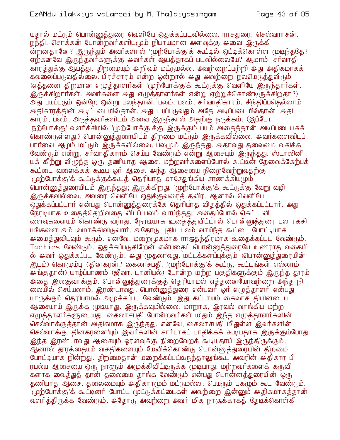யதால் மட்டும் பொன்னுத்துரை வெளியே ஒதுக்கப்படவில்லை. ராசதுரை, செல்வராசன், நந்தி, சொக்கன் போன்றவர்களிடமும் நியாயமான அளவுக்கு அவை இருக்கி ன்றனதானே? இருந்தும் அவர்களால் 'முற்போக்கு'க் கூட்டில் ஒட்டிக்கொள்ள முடிந்ததே? ஏற்கனவே இருந்தவர்களுக்கு அவர்கள் ஆபத்தாகப் படவில்லையே? ஆமாம், சர்வாதி .<br>காரக்துக்கு ஆபக்து, கிறமையும் அறிவும் மட்டுமல்ல. அவற்றைப்பற்றி அது அகிகமாகக் கவலைப்படுவதில்லை. பிரச்சாரம் என்ற ஒன்றால் அது அவற்றை நலமெடுத்துவிடும் (எத்தனை திற்மான எழுத்தாளர்கள் 'முற்போக்கு'க் கூட்டுக்கு வெளியே இருந்தார்கள். இருக்கிறார்கள். அவர்களை அது எழுத்தாளர்கள் என்று ஏற்றுக்கொண்டிருக்கிறதா?) அது பயப்படும் ஒன்றே ஒன்று பலந்தான். பலம், பலம், சர்வாதிகாரம். சிந்திப்பதெல்லாம் அதிகாரத்தின் அடிப்படையில்தான். அது பயப்படுவதும் அதே அடிப்படையில்தான். அதி காரம், பலம். அடுத்தவா்களிடம் அவை இருந்தால் அதற்கு நடுக்கம். (இப்போ 'நற்போக்கு' வளர்ச்சியில் 'முற்போக்கு'க்கு இருக்கும் பயம் அதைத்தான் அடிப்படையகக் .<br>கொண்டுள்ளது.) பொன்னுத்துரையிடம் திறமை மட்டும் இருக்கவில்லை. அவர்களைவிடப் பார்வை ஆழம் மட்டும் இருக்கவில்லை. பலமும் இருந்தது. அதாவது தலைமை வகிக்க வேண்டும் என்று, சர்வாதிகாரம் செய்ய வேண்டும் என்று ஆசையும் இருந்தது. ஸ்டாலினி யக் கீற்று விழுந்த ஒரு தணியாத ஆசை. மற்றவர்களைப்போல் கூட்டின் தேவைக்கேற்பக் கூட்டை வளைக்கக் கூடிய ஓர் ஆசை. அந்த ஆசையை நிறைவேற்றுவதற்கு 'முற்போக்கு'க் கூட்டுக்குக்கூடத் தெரியாத மாசேதுங்கிய சாணக்கியமும்' பொன்னுத்துரையிடம் இருந்தது; இருக்கிறது. 'முற்போக்கு'க் கூட்டுக்கு வேறு வழி இருக்கவில்லை. அவரை வெளியே ஒதுக்குவரைத் தவிர. ஆனால் வெளியே <u>ஒது</u>க்கப்பட்டார் என்பது பொன்னுக்துரைக்கே கெரியாக விகக்கில் ஒதுக்கப்பட்டார். அது நேரடியாக உதைத்தெறிவதை விடப் பலம் வாய்ந்தது. அதைப்போல் கெட்ட வி ை எவுகளையும் கொண்<sub>(b</sub> வராது. நேரடியாக உதைத்துவிட்டால் பொன்னுத்துரை பல ரகசி யங்களை அம்பலமாக்கிவிடுவார். அதோடு புதிய பலம் வாய்ந்த கூட்டை போட்டியாக அமைத்துவிடவும் கூடும். எனவே, மறைமுகமாக ராஜதந்திரமாக உதைக்கப்பட வேண்டும். Tactics வேண்டும். ஒதுக்கப்படுகிறேன் என்பதைப் பொன்னுத்துரையே உணராத வகையி ல் அவர் ஒதுக்கப்பட வேண்டும். அது முதலாவது. மட்டக்களப்புக்கும் (பொன்னுத்துரையின் .<br>இடம்) கொழும்பு ('தினகரன்,' கைலாசபதி, 'முற்போக்கு'க் கூட்டு, கூட்டங்கள் எல்லாம் .<br>அங்குதான்) யாழ்ப்பாணம் (ஜீவா, டானியல்) போன்ற மற்ற பகுதிகளுக்கும் இருந்த தாரம் அதை இலகுவாக்கும். பொன்னுக்துரைக்குக் தெரியாமல் எக்கனையோவற்றை அந்த நி லையில் செய்யலாம். இரண்டாவது, பொன்னுத்துரை என்பவர் ஓர் எழுத்தாளர் என்பது யாருக்கும் தெரியாமல் அமுக்கப்பட வேண்டும். இது கட்டாயம் கைலாசபதியினடைய ஆசையாய் இருக்க முடியாது. இருக்கவுமில்லை. மாறாக, இரவல் வாங்கிய மற்ற எழுத்தாளர்களுடையது. கைலாசபதி போன்றவர்கள் மீதும் இந்த எழுத்தாளர்களின் செல்வாக்குக்கான் அதிகமாக இருந்தது. எனவே, கைலாசபதி மீதுள்ள இவர்களின் செல்வாக்கு 'தினகரனை'யும் இவர்களின் சார்பாகப் பாதிக்கக் கூடியதாக இருக்கும்போது <u>இந்த இரண்டாவது ஆசையும் ஓரளவுக்கு நிறைவேறக் கூடியதாய் இருந்திருக்கும்.</u> .<br>ஆனால் தூரத்தையும் வசதிகளையும் மேவிக்கொண்டு பொன்னுத்துரையின் திறமை போட்டியாக நின்றது. திறமைதான் மறைக்கப்பட்டிருந்தாலுங்கூட அவரின் அதிகார பி ரபல்ய ஆசையை ஒரு நாளும் அமுக்கிவிட்டிருக்க முடியாது. மற்றவர்களைக் கருவி களாக வைத்துத் தான் தலைமை தாங்க வேண்டும் என்பது பொன்னத்துரையின் ஒரு தணியாத ஆசை. தலைமையும் அதிகாரமும் மட்டுமல்ல, பெயரும் புகமும் கூட வேண்டும். '(முற்போக்கு'க் கூட்டினா் போட்ட முட்டுக்கட்டைகள் அவற்றை இன்னும் அதிகமாகத்தான் வளர்த்திருக்க வேண்டும். அதோடு அவற்றை அவர் மிக நாசூக்காகத் தேடிக்கொள்கி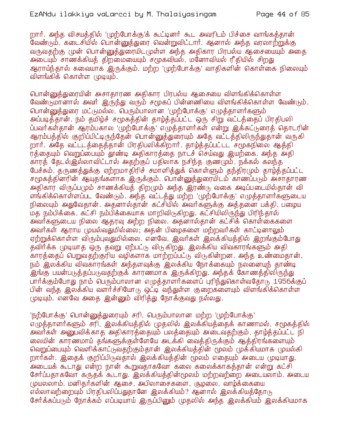றார். அந்த விசயத்தில் 'முற்போக்கு'க் கூட்டினர் கூட அவரிடம் பிச்சை வாங்கத்தான் .<br>வேண்டும். கடைசியில் பொன்னுத்துரை வென்றுவிட்டார். ஆனால் அந்த வரலாற்றுக்கு வருவதற்கு முன் பொன்னுத்துரையிடமுள்ள அந்த அதிகார பிரபல்ய ஆசையையும் அதை அடையும் சாணக்கியத் திறமையையும் சமூகவியல், மனோவியல் ரீதியில் சிறது ஆராய்ந்தால் சுவையாக இருக்கும். மற்ற 'முற்போக்கு' வாதிகளின் கொள்கை நிலையும் விளங்கிக் கொள்ள முடியும்.

பொன்னுத்துரையின் அசாதாரண அதிகார பிரபல்ய ஆசையை விளங்கிக்கொள்ள வேண்டுமானால் அவர் இருந்து வரும் சமூகப் பின்னணியை விளங்கிக்கொள்ள வேண்டும். பொன்னுத்துரை மட்டுமல்ல, பெரும்பாலான 'முற்போக்கு' எழுத்தாளர்களும் அப்படித்தான். நம் தமிழ்ச் சமூகத்தின் தாழ்த்தப்பட்ட ஒரு சிறு வட்டத்தைப் பிரதிபலி ப்பவர்கள்தான் ஆரம்பகால 'முற்போக்கு' எழுத்தாளர்கள் என்று இக்கட்டுரைத் தொடரின் ஆரம்பத்தில் குறிப்பிட்டிருந்தேன் பொன்னுத்துரையும் அதே வட்டத்திலிருந்துதான் வருகி றார். அதே வட்ட்டத்தைத்தான் பிரதிபலிக்கிறார். தாழ்த்தப்பட்டட சமூகநிலை ஆத்தி ர்த்தையும் வெறுப்பையும் தூண்டி அதிகாரத்தை நாடச் செய்வது இயற்கை. அந்த அதி காரத் தேடல்இல்லாவிட்டால் அதற்குப் பதிலாக நசிந்த குணமும், நக்கல் கலந்த பேச்சும், தருணத்துக்கு ஏற்றமாதிரிச் சமாளித்துக் கொள்ளும் தந்திரமும் தாழ்த்தப்பட்ட சமூகத்தினரின் ஆயுதங்களாக இருக்கும். பொன்னுத்துரையிடம் காணப்படும் அசாதாரண .<br>அதிகார் விருப்பமும் சாணக்கியத் திறமும் அந்த இரண்டு வகை அடிப்படையில்தான் வி ளங்கிக்கொள்ளப்பட வேண்டும். அந்த வட்டத்து மற்ற 'முற்போக்கு' எழுத்தாளர்களுடைய நிலையும் அதுவேதான். அதனால்தான் கட்சியில் அவர்களுக்கு அத்தனை பக்தி, பழைய மத நம்பிக்கை, கட்சி நம்பிக்கையாக மாறிவிடுகிறது. கட்சியிலிருந்து பிரிந்தால் அ்வர்களுடைய நிலை ஆதரவு அற்ற நிலை. அதனால்தான் கட்சிக் கொள்கைகளை அவர்கள் ஆராய முயல்வதுமில்லை. அதன் பிழைகளை மற்றவர்கள் காட்டினாலும் ஏற்றுக்கொள்ள விரும்புவதுமில்லை. எனவே, இவர்கள் இலக்கியத்தில் இறங்கும்போது தவிர்க்க முடியாத ஒரு தவறு ஏற்பட்டு விடுகிறது. இலக்கிய விவகாரங்களும் அதி .<br>காரத்தைப் பெறுவதற்குரிய வழிகளாக மாற்றப்பட்டு விடுகின்றன. அந்த உண்மைதான், நம் இலக்கிய விவகாரங்கள் அந்தளவுக்கு இலக்கிய நோக்கையும் நலனையுந் தாண்டி இங்கு பயன்படுத்தப்படுவதற்குக் காரணமாக இருக்கிறது. அந்தக் கோணத்திலிருந்து பார்க்கும்போது நாம் பெரும்பாலான எமுக்காளர்களைப் புரிந்துகொள்வதோடு 1956க்குப் பின் வந்த இலக்கிய வளர்ச்சியோடு ஒட்டி வந்துள்ள குறைகளையும் விளங்கிக்கொள்ள முடியும். எனவே அதை இன்னும் விரித்து நோக்குவது நல்லது.

'நற்போக்கு' பொன்னுத்துரையும் சரி, பெரும்பாலான மற்ற 'முற்போக்கு' எமுத்தாளர்களும் சரி, இலக்கியத்தில் முதலில் இலக்கியத்தைக் காணாமல், சமூகத்தில் அவர்கள் அனுபவிக்காத அதிகாரத்தையும் பலத்தையும் அடைவதற்கும், தாழ்த்தப்பட்ட நி லையின் காரணமாய் தங்களுக்குள்ளேயே அடக்கி வைக்கிருக்கும் ஆக்கிரங்களையும் வெறுப்பையும் வெளிக்காட்டுவதற்கும்தான் இலக்கியத்தின் மூலம் முக்கியமாக முயல்கி றார்கள். இதைக் குறிப்பிடுவதால் இலக்கியத்தின் மூலம் எதையும் அடைய முடியாது. அடையக் கூடாது என்ற நான் கூறுவதாகவோ கலை கலைக்காகத்தான் என்று கட்சி சேர்ப்பதாகவோ கருதக் கூடாது. இலக்கியத்தின்மூலம் மற்றவற்றை அடையலாம். அடைய முயலலாம். மனிதர்களின் ஆசை, அபிலாசைகளை, சூழலை, வாழ்க்கையை எல்லாவற்றையும் பிரதிபலிப்பதுதானே இலக்கியம்? ஆனால் இலக்கியத்தோடு சேர்க்கப்படும் நோக்கம் எப்படியாய் இருப்பினும் முதலில் அந்த இலக்கியம் இலக்கியமாக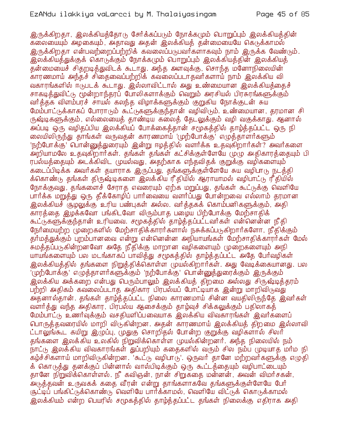இருக்கிறதா, இலக்கியக்கோடு சேர்க்கப்படும் நோக்கமும் பொறுப்பும் இலக்கியக்கின் கலையையும் அழகையும், அதாவது அதன் இலக்கியத் தன்மையையே கெடுக்காமல் இருக்கிறதா என்பவற்றைப்பற்றிக் கவலைப்படுபவர்களாகவும் நாம் இருக்க வேண்டும். இலக்கியத்துக்குக் கொடுக்கும் நோக்கமும் பொறுப்பும் இலக்கியத்தின் இலக்கியத் தன்மையைச் சிதறடித்துவிடக் கூடாது. அந்த அளவுக்கு, சொந்த மனோநிலையின் காரணமாய் அந்தச் சிதைவைப்பற்றிக் கவலைப்படாதவர்களாய் நாம் இலக்கிய வி வகாரங்களில் ஈடுபடக் கூடாது. இல்லாவிட்டால் அது உண்மையான இலக்கியத்தைச் சாகடித்துவிட்டு, மூன்றாந்தரப் போலிகளாக்கும் வெறும் அரசியல் பிரசுரங்களுக்கும் வர்த்தக விளம்பரச் சாயல் கலந்த விழாக்களுக்கும் குறுகிய நோக்குடன் சுய மேம்பாட்டுக்காகப் போராடும் கூட்டுகளுக்குந்தான் வழிவிடும். உண்மையான, தரமான சி ருஷ்டிகளுக்கும், எல்லையைக் காண்டிய கலைக் கேடலுக்கும் வழி வகுக்காது. ஆனால் அப்படி ஒரு வழிதப்பிய இலக்கியப் போக்கைத்தான் சமூகத்தில் தாழ்த்தப்பட்ட ஒரு நி லையிலிருந்து தாங்கள் வருவதன் காரணமாய் 'முற்போக்கு' எழுத்தாளர்களும் 'நற்போக்கு' பொன்னுத்துரையும் இன்று ஈழத்தில் வளர்க்க உதவுகிறார்கள்? அவர்களை .<br>அறியாமலே உதவுகிறார்கள். தங்கள் தங்கள் கட்சிக்குள்ளேயே முழு அதிகாரத்தையும் பி ரபல்யத்தையும் அடக்கிவிட (மயல்வது, அதற்காக எந்தவிதக் குறுக்கு வழிகளையும்) கடைப்பிடிக்க அவர்கள் தயாராக இருப்பது, தங்களுக்குள்ளேயே சுய வழிபாடு நடத்தி க்கொண்டு தங்கள் திரு<mark>ஷ்</mark>டிகளை *ஒ*லக்கிய ரீதியில் ஆராயாமல் வழிபாட்டு ரீதியில் நோக்குவது, தங்களைச் சேராத எவரையும் ஏற்க மறுப்பது, தங்கள் கூட்டுக்கு வெளியே பார்க்க மறுத்து ஒரு தீக்கோழிப் பார்வையை வளர்ப்பது போன்றவை எல்லாம் தரமான இலக்கியச் சூழலுக்கு உரிய பண்புகள் அல்ல. வர்க்குகக் கொம்பனிகளுக்கும், அதி காரத்தை இழக்கவோ பங்கிடவோ விரும்பாத பழைய பிற்போக்கு மேற்சாதிக் கூட்டுகளுக்குந்தான் உரியவை. சமூகத்தில் தாழ்த்தப்பட்டவர்கள் என்னென்ன நீதி நேர்மையற்ற (மறைகளில் மேற்சாதிக்காரர்களால் நசுக்கப்படுகிறார்களோ, நீதிக்கும் குர்மக்துக்கும் புறம்பானவை என்று என்னென்ன அநியாயங்கள் மேற்சாகிக்காரர்கள் மேல் சுமத்தப்படுகின்றனவோ அதே நீதிக்கு மாறான வழிகளையும் முறைகளையும் அநி யாயங்களையும் பல மடங்காகப் பாவித்து சமூகத்தில் தாழ்த்தப்பட்ட அதே பேர்வழிகள் <u>இலக்கியத்தில் தங்களை நிறுத்திக்கொள்ள முயல்கிறார்கள். அது வேடிக்கையானது. பல</u> '(மற்போக்கு' எழுத்தாளர்களுக்கும் 'நற்போக்கு' பொன்னுத்துரைக்கும் இருக்கும்' இலக்கிய அக்கறை என்பது பெரும்பாலும் இலக்கியத் திறமை அல்லது சிருஷ்டித்தரம் பற்றி அதிகம் கவலைப்படாத அதிகார பிரபல்யப் போட்டியாக இன்று மாறிவிடுவது அதனால்தான். தங்கள் தாழ்த்தப்பட்ட நிலை காரணமாய் சின்ன வயதிலிருந்தே இவர்கள் வளர்த்து வந்த அதிகார, பிரபல்ய ஆசைக்கும் தாழ்வுச் சிக்கலுக்கும் பதிலாகத் மேம்பாட்டு உணர்வுக்கும் வசதியளிப்பவையாக இலக்கிய விவகாரங்கள் இவர்களைப் பொருத்தவரையில் மாறி விடுகின்றன. அதன் காரணமாய் இலக்கியத் திறமை இல்லாவி ட்டாலுங்கூட கயிறு இழுப்பு, முதுகு சொறிதல் போன்ற குறுக்கு வழிகளால் சிலர் தங்களை இலக்கிய உலகில் நிறுவிக்கொள்ள முயல்கின்றனர். அந்த நிலையில் நம் நாட்டு இலக்கிய விவகாரங்கள் துப்பறியும் கதைகளில் வரும் சில நம்ப முடியாத மாம நி கழ்ச்சிகளாய் மாறிவிடுகின்றன. 'கூட்டு வழிபாடு'. ஒருவர் தானே மற்றவர்களுக்கு எழுதி க் கொடுத்து தனக்குப் பின்னால் வால்பிடிக்கும் ஒரு கூட்டத்தையும் வழிபாட்டையும் தானே நிறுவிக்கொள்ளல். நீ கவிஞன், நான் சிறுகதை மன்னன், அவன் விமர்சகன், .<br>அடுத்தவன் உருவகக் கதை வீரன் என்று தாங்களாகவே தங்களுக்குள்ளேயே பேர் சூட்டிப் பங்கிட்டுக்கொண்டு வெளியே பார்க்காமல், வெளியே விட்டுக் கொடுக்காமல் இலக்கியம் என்ற பெயரில் சமூகத்தில் தாழ்த்தப்பட்ட தங்கள் நிலைக்கு எதிராக அதி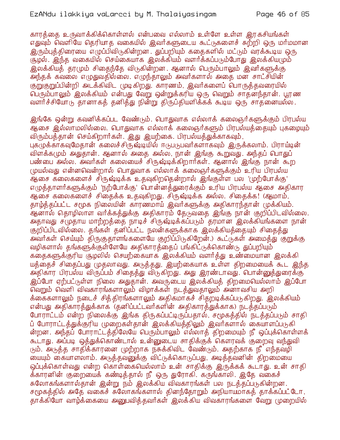காரத்தை உருவாக்கிக்கொள்ளல் என்பவை எல்லாம் உள்ளே உள்ள இரகசியங்கள் எதுவும் வெளியே தெரியாத வகையில் இவர்களுடைய கூட்டுகளைச் சுற்றி ஒரு மர்மமான இரும்புத்திரையை எழுப்பிவிடுகின்றன . துப்பறியும் கதைகளில் மட்டும் வரக்கூடிய ஒரு சூழல். இந்த வகையில் செய்கையாக இலக்கியம் வளர்க்கப்படும்போது இலக்கியமும் இலக்கியத் தாமும் சிகைந்தே விடுகின்றன. ஆனால் பெரும்பாலும் இவர்களுக்கு அந்தக் கவலை எழுதுவதில்லை. எழுந்தாலும் அவர்களால் அதை மன சாட்சியின் குறுகுறுப்பின்றி அடக்கிவிட முடிகிறது. காரணம், இவர்களைப் பொருக்கவரையில் வளர்ச்சியோடு தானாகத் தனித்து நின்று திருப்தியளிக்கக் கூடிய ஒரு சாதனையல்ல.

இங்கே ஒன்று கவனிக்கப்பட வேண்டும். பொதுவாக எல்லாக் கலைஞர்களுக்கும் பிரபல்ய ஆசை இல்லாமலில்லை. பொதுவாக எல்லாக் கலைஞர்களும் பிரபல்யத்தையும் புகழையும் விரும்பத்தான் செய்கிறார்கள். இது இயற்கை. பிரபல்யத்துக்காகவும், புகமுக்காகவுமேதான் கலைச்சிருஷ்டியில் ஈடுபடுபவர்களாகவும் இருக்கலாம். பிராய்டின் விளக்கமும் அதுதான். ஆனால் அதை அல்ல, நான் இங்கு கூறுவது. அந்தப் பொதுப் பண்பை அல்ல. அவர்கள் கலையைச் சிருஷ்டிக்கிறார்கள். ஆனால் இங்கு நான் கூற முயல்வது என்னவென்றால் பொதுவாக எல்லாக் கலைஞர்களுக்கும் உரிய பிரபல்ய ஆசை கலைகளைச் சிருஷ்டிக்க உதவுகிறதென்றால் இங்குள்ள பல 'முற்போக்கு' எழுத்தாளர்களுக்கும் 'நற்போக்கு' பொன்னத்துரைக்கும் உரிய பிரபல்ய ஆசை அதிகார ஆசை கலைகளைச் சிதைக்க உதவுகிறது. சிருஷ்டிக்க அல்ல. சிதைக்க! (ஆமாம், தாம்த்தப்பட்ட சமூக நிலையின் காரணமாய் இவர்களுக்கு அதிகாரந்தான் முக்கியம். .<br>ஆனால் தொழிலாள வர்க்கத்துக்கு அதிகாரம் தேடுவதை இங்கு நான் குறிப்பிடவில்லை. அதாவது ச(முதாய மாற்றத்தை நாடிச் சிருஷ்டிக்கப்படும் தரமான இலக்கியங்களை நான் குறிப்பிடவில்லை. தங்கள் தனிப்பட்ட நலன்களுக்காக இலக்கியத்தையும் சிதைத்து .<br>அவர்கள் செய்யும் திருகுதாளங்களையே குறிப்பிடுகிறேன்.) கூட்டுகள் அமைத்து குறுக்கு வழிகளால் தங்களுக்குள்ளேயே அதிகாரத்தைப் பங்கிட்டுக்கொண்டு துப்பறியும் கதைகளுக்குரிய சூழலில் செயற்கையாக இலக்கியம் வளர்த்து உண்மையான இலக்கி யத்தைச் சிதைப்பது முதலாவது. அடுத்தது, இயற்கையாக உள்ள திறமையைக் கூட இந்த அதிகார பிரபல்ய விருப்பம் சிதைத்து விருகிறது. அது இரண்டாவது. பொன்னுத்துரைக்கு இப்போ ஏற்பட்டுள்ள நிலை அதுதான். அவருடைய இலக்கியத் திறமையெல்லாம் இப்போ வெறும் வெளி விவகாரங்களாலும் விழாக்கள் நடத்துவதாலும் அனாவசிய அறி க்கைகளாலும் நடைச் சித்திரங்களாலும் அதிகமாகச் சிதறடிக்கப்படுகிறது. இலக்கியம் என்பது அதிகாரத்துக்காக (தனிப்பட்டவர்களின் அதிகாரத்துக்காக) நடத்தப்படும் போராட்டம் என்ற நிலைக்கு இங்க திருகப்பட்டிருப்பதால், சமூகத்தில் நடத்தப்படும் சாதி ப் போராட்டத்துக்குரிய முறைகள்தான் இலக்கியத்திலும் இவர்களால் கையாளப்படுகி ன்றன. அந்தப் போராட்டத்திலேயே பெரும்பாலும் எல்லாத் திறமையும் நீ ஒப்புக்கொள்ளக் கூடாது. அப்படி ஒத்துக்கொண்டால் உன்னுடைய சாதிக்குக் கௌரவக் குறைவு வந்துவி (நம். அடுத்த சாதிக்காரனை முற்றாக நசுக்கிவிட வேண்டும். அதற்காக நீ எந்தவழி மையும் கையாளலாம். அடுத்தவனுக்கு விட்டுக்கொடுப்பது, அடித்தவனின் திறமையை ஒப்புக்கொள்வது என்ற கொள்கையெல்லாம் உன் சாதிக்கு இருக்கக் கூடாது. உன் சாதி க்காரனின் குறையைக் கண்டித்தால் நீ ஒரு துரோகி. கருங்காலி. இதே வகைச் சுலோகங்களால்தான் இன்று நம் இலக்கிய விவகாரங்கள் பல நடத்தப்படுகின்றன. சமூகத்தில் அதே வகைச் சுலோகங்களால் தினந்தோறும் அநியாயமாகத் தாக்கப்பட்டோ, காக்கியோ வாழ்க்கையை அனுபவிக்கவர்கள் இலக்கிய விவகாரங்களை வேறு முறையில்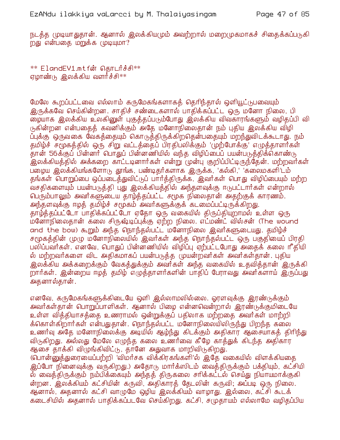நடத்த முடியாதுதான். ஆனால் இலக்கியமும் அவற்றால் மறைமுகமாகச் சிதைக்கப்படுகி றது என்பதை மறுக்க முடியுமா?

\*\* ElandEV1.mtfன் தொடர்ச்சி\*\* ஏழாண்டு இலக்கிய வளர்ச்சி\*\*

மேலே கூறப்பட்டவை எல்லாம் கருமேகங்களாகத் தெரிந்தால் ஒளியூட்டுபவையும் இருக்கவே செய்கின்றன. சாதிச் சண்டைகளால் பாதிக்கப்பட்ட ஒரு மனோ நிலை, பி ழையாக இலக்கிய உலகினுள் புகுத்தப்படும்போது இலக்கிய விவகாரங்களும் வழிதப்பி வி டுகின்றன என்பதைத் கவனிக்கும் அதே மனோநிலைதான் நம் புதிய இலக்கிய விழி .<br>ப்புக்கு ஒருவகை வேகத்தையும் கொடுத்திருக்கிறதென்பதையும் மறந்துவிடக்கூடாது. நம் தமிழ்ச் சமூகத்தில் ஒரு சிறு வட்டத்தைப் பிரதிபலிக்கும் 'முற்போக்கு' எழுத்தாளர்கள் .<br>தான் 56க்குப் பின்னார் பொதுப் பின்னணியில் வந்த விழிப்பைப் பயன்படுத்திக்கொண்டு .<br>இலக்கியத்தில் அக்கறை காட்டடினார்கள் என்று முன்பு குறிப்பிட்டிருந்தேன். மற்றவர்கள் பழைய இலக்கியங்களோடு தூங்க, பண்டிதர்களாக இருக்க, 'கல்கி,' 'கலைமகளி'டம் தங்கள் பொறுப்பை ஒப்படைத்துவிட்டுப் பார்த்திருக்க, இவர்கள் பொது விழிப்பையும் மற்ற வசதிகளையும் பயன்படுத்தி புது இலக்கியத்தில் அந்தளவுக்கு ஈடுபட்டார்கள் என்றால் பெரும்பாலும் அவர்களுடைய தாழ்த்தப்பட்ட சமூக நிலைதான் அதற்குக் காரணம். அந்தளவுக்கு ஈழக் தமிழ்ச் சமூகம் அவர்களுக்குக் கடமைப்பட்டிருக்கிறது. தாழ்த்தப்பட்டோ பாதிக்கப்பட்டோ ஏதோ ஒரு வகையில் திருப்தியுறாமல் உள்ள ஒரு ம்னோநிலைதான் கலை சிருஷ்டிப்புக்கு ஏற்ற நிலை. எட்மண்ட் வில்சன் (The wound and the bow) கூறும் அந்த நொந்தல்பட்ட மனோநிலை இவர்களுடையது. தமிழ்ச் சமூகத்தின் முழு மனோநிலையில் இவர்கள் அந்த நொந்தல்பட்ட ஒரு பகுதியைப் பிரதி பலிப்பவர்கள். எனவே, பொதுப் பின்னணியில் விழிப்பு ஏற்பட்டபோது அதைக் கலை ரீதியி ல் மற்றவர்களை விட அதிகமாகப் பயன்படுத்த முயன்றவர்கள் அவர்கள்தான். புதிய <u>இலக்கிய அக்கறைக்கும் வேகத்துக்கும் அவர்கள் அந்த வகையில் உதவித்தான் இருக்கி </u> றார்கள். இன்றைய ஈழத் தமிழ் எழுத்தாளர்களின் பாதிப் பேராவது அவர்களாய் இருப்பது அதனால்தான்.

எனவே, கருமேகங்களுக்கிடையே ஒளி இல்லாமலில்லை. ஓரளவுக்கு இரண்டுக்கும் அவர்கள்தான் பொறுப்பாளிகள். ஆனால் பிழை என்னவென்றால் இரண்டுக்குமிடையே உள்ள வித்தியாசத்தை உணராமல் ஒன்றுக்குப் பதிலாக மற்றதை அவர்கள் மாற்றி க்கொள்கிறார்கள் என்பதுதான். நொந்தல்பட்ட மனோநிலையிலிருந்து பிறந்த கலை உணர்வு அதே மனோநிலைக்கு அடியில் ஆழ்ந்து கிடக்கும் அதிகார ஆசையாகத் திரிந்து விடுகிறது. அல்லது மேலே எழுந்த கலை உணர்வை கீழே காத்துக் கிடந்த அதிகார ஆசை தாக்கி விழுங்கிவிட்டு, தானே அதுவாக மாறிவிடுகிறது.

(பொன்னுத்துரையைப்பற்றி 'விமர்சக விக்கிரகங்களி'ல் இதே வகையில் விளக்கியதை இப்போ நினைவுக்கு வருகிறது.) அதோடு மார்க்ஸிடம் வைத்திருக்கும் பக்தியும், கட்சியி ல் வைத்திருக்கும் நம்பிக்கையும் அந்தத் திருகலை சாிக்கட்டல் செய்து நியாயமாக்குகி ன்றன. இலக்கியம் கட்சியின் கருவி, அதிகாரத் தேடலின் கருவி; அப்படி ஒரு நிலை. ஆனால், அதனால் கட்சி வாழுமே ஒழிய இலக்கியம் வாழாது. இல்லை, கட்சி கூடக் கடைசியில் அதனால் பாதிக்கப்படவே செய்கிறது. கட்சி, சமுதாயம் எல்லாமே வமிதப்பிய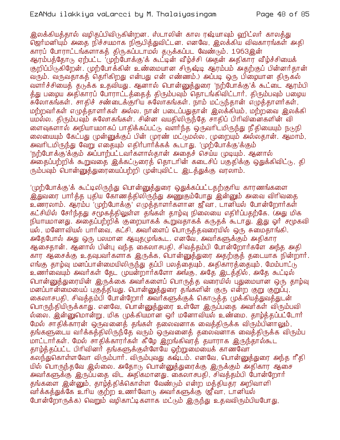## EzANdu ilakkiya vaLarcci by M. Thalaiyasingam

இலக்்கியத்தால் வமிதப்்பிவிடுகின்றன. ஸ்டாலின் கால ரஷ்யாவும் வுரிட்லர் காலத்து ஜெர்மனியும் அதை நிச்சயமாக நிரூபித்துவிட்டன. எனவே, இலக்கிய விவகாரங்கள் அதி காரப் போராட்டங்களாகத் திருகப்படாமல் தடுக்கப்பட வேண்டும். 1963இன் ஆரம்பத்தோடு ஏற்பட்ட 'முற்போக்கு'க் கூட்டின் வீழ்ச்சி (அதன் அதிகார வீழ்ச்சியைக் குறிப்பிடுகிறேன். முற்போக்கின் உண்மையான சிருஷ்டி ஆரம்பம் அகற்குப் பின்னர்கான் வரும். வருவதாகத் தெரிகிறது என்பது என் எண்ணம்.) அப்படி ஒரு பிழையான திருகல் வளர்ச்சியைத் தடுக்க உதவியது. ஆனால் பொன்னுக்துரை 'நற்போக்கு'க் கூட்டை ஆரம்பி .<br>த்து பழைய அதிகாரப் போராட்டத்தைத் திரும்பவும் தொடங்கிவிட்டாா். திரும்பவும் பழைய சுலோகங்கள். சாதிச் சண்டைக்குரிய சுலோகங்கள். நாம் மட்டுந்தான் எழுத்தாளர்கள், மற்றவர்கள் எழுக்காளர்கள் அல்ல. நான் படைப்பதுகான் இலக்கியம், மற்றவை இலக்கி யமல்ல. திரும்பவும் சுலோகங்கள். சின்ன வயதிலிருந்தே சாதிப் பிரிவினைகளின் வி ளைவுகளால் அநியாயமாகப் பாதிக்கப்பட்டு வளர்ந்த ஒருவரிடமிருந்து நீதியையும் நடுநி லையையும் கேட்பது முன்னுக்குப் பின் முரண் மட்டுமல்ல, முறையும் அல்லதான். ஆமாம், அவரிடமிருந்து வேறு எதையும் எதிர்பார்க்கக் கூடாது. 'முற்போக்கு'க்கும் 'நற்போக்கு'க்கும் அப்பாற்பட்டவர்களால்தான் அகைச் செய்ய முடியும். ஆனால் அதைப்பற்றிக் கூறுவதை இக்கட்டுரைத் தொடரின் கடைசிப் பகுதிக்கு ஒதுக்கிவிட்டு, தி ரும்பவும் பொன்னுத்துரையைப்பற்றி முன்புவிட்ட இடத்துக்கு வரலாம்.

'(முற்போக்கு'க் கூட்டிலிருந்து பொன்னுத்துரை ஒதுக்கப்பட்டதற்குரிய காரணங்களை <u>இத</u>்வரை பார்த்த புதிய கோணத்திலிருந்து அணுகும்போது இன்னும் அவை விரிவதை உணரலாம். ஆரம்ப 'முற்போக்கு' எழுத்தாளர்களான ஜீவா, டானியல் போன்றோர்கள் கட்சியில் சேர்ந்தது சமூகத்திலுள்ள தங்கள் தாழ்வு நிலையை எதிர்ப்பதற்கே. குது மிக நியாயமானது. அதைப்பற்றிக் குறையாகக் கூறுவதாகக் கருதக் கூடாது. இது ஓர் சமூகவி யல், மனோவியல் பார்வை, கட்சி, அவர்ளைப் பொருத்தவரையில் ஒரு சுமைதாங்கி. அதேபோல் அது ஒரு பலமான ஆயுதமுங்கூட. எனவே, அவர்களுக்கும் அதிகார ஆசைதான். ஆனால் பின்பு வந்த கைலாசபதி, சிவத்தம்பி போன்றோர்களே அந்த அதி .<br>கார ஆசைக்கு உதவுபவர்களாக இருக்க, பொன்னுத்துரை அதற்குத் தடையாக நின்றார். எங்கு தாழ்வு மனப்பான்மையிலிருந்து தப்பி பலத்தையும், அதிகாரத்தையும், மேம்பாட்டு உணர்வையும் அவர்கள் தேட முயன்றார்களோ அங்கு, அதே இடத்தில், அதே கூட்டில் பொன்னுத்துரையின் இருக்கை அவர்களைப் பொருத்த வரையில் புதுமையான ஒரு தாழ்வு மனப்பான்மையைப் புகுத்தியது. பொன்னுத்துரை தங்களின் குரு என்ற குறு குறுப்பு, கைலாசபதி, சிவத்தம்பி போன்றோர் அவர்களுக்குக் கொடுத்த முக்கியத்துவத்துடன் பொருந்தியிருக்காது. எனவே, பொன்னுத்துரை உள்ளே இருப்பதை அவர்கள் விரும்பவி ல்லை. இன்னுமொன்று, மிக முக்கியமான ஒர் மனோவியல் உண்மை. தாழ்த்தப்பட்டோர் மேல் சாதிக்காரன் ஒருவனைத் தங்கள் தலைவனாக வைத்திருக்க விரும்பினாலும், தங்களுடைய வர்க்கத்திலிருந்தே வரும் ஒருவனைத் தலைவனாக வைத்திருக்க விரும்ப மாட்டார்கள். மேல் சாதிக்காரர்கள் கீழே இறங்கிவரத் தயாராக இருந்தால்கூட தாழ்த்தப்பட்ட பிரிவினர் தங்களுக்குள்ளேயே ஒற்றுமையைக் காணவோ கலந்துகொள்ளவோ விரும்பார். விரும்புவது கஷ்டம். எனவே, பொன்னுத்துரை அந்த ரீதி யில் பொருந்தவே இல்லை. அதோடு பொன்னுத்துரைக்கு இருக்கும் அதிகார ஆசை அவர்களுக்கு இருப்பதை விட அதிகமானது. கைலாசபதி, சிவத்தம்பி போன்றோர் கங்களை இன்னும். காம்க்கிக்கொள்ள வேண்டும் என்ற மக்கியகா அறிவாளி ்வர்க்கத்துக்கே உரிய குற்ற உணர்வோடு அவர்களுக்கு (ஜீவா, டானியல் போன்றோருக்க) வெறும் வழிகாட்டிகளாக மட்டும் இருந்து உதவவிரும்பியபோது,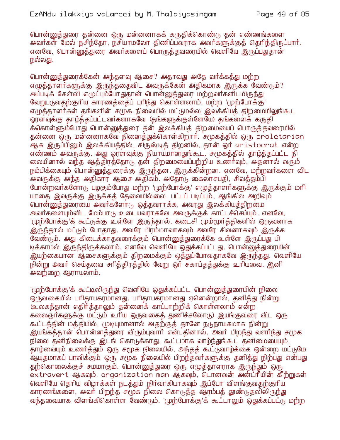பொன்னுத்துரை தன்னை ஒரு மன்னனாகக் கருதிக்கொண்டு தன் எண்ணங்களை அவர்கள் மேல் நசிந்தோ, நசியாமலோ திணிப்பவராக அவர்களுக்குத் தெரிந்திருப்பார். எனவே, பொன்னுத்துரை அவர்களைப் பொருத்தவரையில் வெளியே இருப்பதுதான் நல்லது.

பொன்னுத்துரைக்கேன் அந்தளவு ஆசை? அதாவது அதே வர்க்கத்து மற்ற எமுத்தாளர்களுக்கு இருந்ததைவிட அவருக்கேன் அதிகமாக இருக்க வேண்டும்? அப்படிக் கேள்வி எழுப்பும்போதுதான் பொன்னுத்துரை மற்றவர்களிடமிருந்து வேறுபடுவதற்குரிய காரணத்தைப் புரிந்து கொள்ளலாம். மற்ற 'முற்போக்கு' எமுக்காளர்கள் கங்களின் சமூக நிலையில் மட்டுமல்ல இலக்கியக் கிறமையிலுங்கூட ஓரளவுக்கு தாழ்த்தப்பட்டவர்களாகவே (தங்களுக்குள்ளேயே) தங்களைக் கருதி க்கொள்ளும்போது பொன்னுத்துரை தன் இலக்கியத் திறமையைப் பொருத்தவரையில் தன்னை ஒரு மன்னனாகவே நினைத்துக்கொள்கிறார். சமூகத்தில் ஒரு proletarian .<br>ஆக இருப்பினும் இலக்கியத்தில், சிருஷ்டித் திறனில், தான் ஒர் aristocrat என்ற எண்ணம் அவருக்கு. அது ஓரளவுக்கு நியாயமானதுங்கூட. சமூகத்தில் தாழ்த்தப்பட்ட நி லையினால் வந்த ஆத்திரத்தோடு தன் திறமையைப்பற்றிய உணர்வும், அதனால் வரும் நம்பிக்கையும் பொன்னுத்துரைக்கு இருந்தன. இருக்கின்றன. எனவே, மற்றவர்களை விட அவருக்கு அந்த அதிகார ஆசை அதிகம். அதோடு கைலாசபதி, சிவத்தம்பி போன்றவர்களோடு பழகும்போது மற்ற 'முற்போக்கு' எழுத்தாளர்களுக்கு இருக்கும் மரி யாதை இவருக்கு இருக்கத் தேவையில்லை. பட்டப் படிப்பும், ஆங்கில அறிவும் பொன்னுக்துரையை அவர்களோடு ஒக்கவராக்க, அவரது இலக்கியக்கிறமை அவர்களையும்விட மேம்பாடு உடையவராகவே அவருக்குக் காட்டச்செய்யும். எனவே, '(முற்போக்கு'க் கூட்டுக்கு உள்ளே இருந்தால், கடைசி மும்மூர்த்திகளில் ஒருவனாக இருந்தால் மட்டும் போதாது. அவரே பிரம்மாவாகவும் அவரே சிவனாகவும் இருக்க வேண்டும். அது கிடைக்காகவரைக்கும் பொன்னுக்துரைக்கே உள்ளே இருப்பது பி டிக்காமல் இருந்திருக்கலாம். எனவே வெளியே ஒதுக்கப்பட்டது. பொன்னுத்துரையின் இயற்கையான ஆசைகளுக்கும் திறமைக்கும் ஒத்துப்போவதாகவே இருந்தது. வெளியே நின்று அவர் செய்தவை சாித்திரத்தில் வேறு ஒர் சகாப்தத்துக்கு உரியவை. இனி அவற்றை ஆராயலாம்.

'(ழற்போக்கு'க் கூட்டிலிருந்து வெளியே ஒதுக்கப்பட்ட பொன்னுத்துரையின் நிலை ஒருவகையில் பரிதாபகரமானது. பரிதாபகரமானது ஏனென்றால், தனித்து நின்று ி உலகந்தான் எதிர்த்தாலும் தன்னைக் காப்பாற்றிக் கொள்ளலாம் என்ற கலைஞர்களுக்கு மட்டும் உரிய ஒருவகைத் துணிச்சலோடு) இயங்குவரை விட ஒரு கூட்டத்தின் மத்தியில், முடியுமானால் அதற்குத் தானே நடுநாயகமாக நின்று இயங்கத்தான் பொன்னத்துரை விரும்புவார் என்பதினால். அவர் பிறந்து வளர்ந்து சமூக நிலை தனிநிலைக்கு இடங் கொடுக்காது. கூட்டமாக வாம்ந்துங்கூட தனிமையையும், தாழ்வையும் உணர்த்தும் ஒரு சமூக நிலையில், அந்தத் கூட்டுவாழ்க்கை ஒன்றை மட்டுமே ஆயுதமாகப் பாவிக்கும் ஒரு சமூக நிலையில் பிறந்தவர்களுக்கு தனித்து நிற்பது என்பது தற்கொலைக்குச் சமமாகும். பொன்னுத்துரை ஒரு எழுத்தாளராக இருந்தும் ஒரு extravert ஆகவும், organization man ஆகவும், டொனவன் அன்ட்ரீயின் கீற்றுகள் வெளியே தெரிய விழாக்கள் நடத்தும் நிர்வாகியாகவும் இப்போ விளங்குவதற்குரிய காரணங்களை, அவர் பிறந்த சமூக நிலை கொடுத்த ஆரம்பத் தூண்டுதலிலிருந்து வந்தவையாக விளங்கிகொள்ள வேண்டும். 'முற்போக்கு'க் கூட்டாலும் ஒதுக்கப்பட்டு மற்ற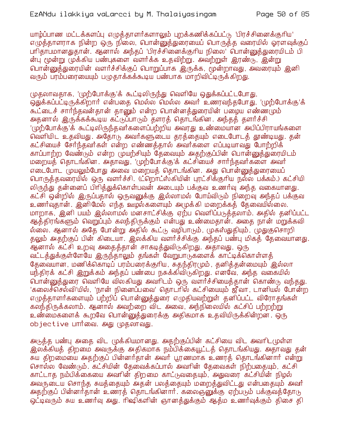யாழ்ப்பாண மட்டக்களப்பு எழுத்தாளர்களாலும் புறக்கணிக்கப்பட்டு 'பிரச்சினைக்குரிய' எழுத்தாளராக நின்ற ஒரு நிலை, பொன்னுத்துரையைப் பொருத்த வரையில் ஓரளவுக்குப் பரிதாபமானதுதான். ஆனால் அந்தப் 'பிரச்சினைக்குரிய நிலை' பொன்னுத்துரையிடம் பி ன்ப மூன்று முக்கிய பண்புகளை வளர்க்க உதவிற்று. அவற்றுள் இரண்டு, இன்று ு பொன்னுக்துரையின் வளர்ச்சிக்குப் பொறுப்பாக இருக்க, மூன்றாவது, அவரையும் இனி வரும் பரம்பரையையும் பமுதாக்கக்கூடிய பண்பாக மாறிவிட்டிருக்கிறது.

முதலாவதாக, 'முற்போக்கு'க் கூட்டிலிருந்து வெளியே ஒதுக்கப்பட்டபோது, ஒதுக்கப்பட்டிருக்கிறார் என்பதை மெல்ல மெல்ல அவர் உணரவந்தபோது, 'முற்போக்கு'க் கூட்டைச் சார்ந்தவன்தான் தானும் என்ற பொன்னத்துரையின் பழைய எண்ணமும் அதனால் இருக்கக்கூடிய கட்டுப்பாடும் தளரத் தொடங்கின. அந்தத் தளர்ச்சி '(ழற்போக்கு'க் கூட்டிலிருந்தவர்களைப்பற்றிய அவரது உண்மையான அபிப்பிராயங்களை' வெளியிட உதவியது. அதோடு அவர்களுடைய தரத்தையும் எடைபோடத் தூண்டியது. தன் கட்சியைச் சேர்ந்தவர்கள் என்ற எண்ணக்கால் அவர்களை எப்படியாவது போற்றிக் காப்பாற்ற வேண்டும் என்ற முயற்சியும் தேவையும் அதற்குப்பின் பொன்னுத்துரையிடம் மறையத் தொடங்கின. அதாவது, 'முற்போக்கு'க் கட்சியைச் சார்ந்தவர்களை அவர் எடைபோட முயலும்போது அவை மறையத் தொடங்கின. அது பொன்னுத்துரையைப் பொருத்தவரையில் ஒரு வளர்ச்சி. (ட்றொட்ஸ்கியின் புரட்சிக்குரிய நல்ல பக்கம்.) கட்சியி லிருந்து தன்னைப் பிரித்துக்கொள்பவன் அடையும் பக்குவ உணர்வு அந்த வகையானது. கட்சி ஒன்றில் இருப்பதால் ஒருவனுக்கு இல்லாமல் போய்விடும் நிறைவு அந்தப் பக்குவ உணர்வுதான். இனிமேல் எந்த ஊழல்களையும் அமுக்கி மறைக்கக் கேவையில்லை. மாறாக, இனி பயம் இல்லாமல் மனசாட்சிக்கு ஏற்ப வெளிப்படுத்தலாம். அதில் தனிப்பட்ட ஆத்திரங்களும் வெறுப்பும் கலந்திருக்கும் என்பது உண்மைதான். அதை நான் மறுக்கவி ல்லை. ஆனால் அதே போன்று அதில் கூட்டு வழிபாடும், முகஸ்துதியும், முதுகுசொறி தலும் அதற்குப் பின் கிடையா. இலக்கிய வளர்ச்சிக்கு அந்தப் பண்பு மிகத் தேவையானது. ஆனால் கட்சி உறவு அதைத்தான் சாகடித்துவிடுகிறது. அதாவது, ஒரு வட்டத்துக்குள்ளேயே இருந்தாலும் தங்கள் வேறுபாடுகளைக் காட்டிக்கொள்ளத் தேவையான, மணிக்கொடிப் பரம்பரைக்குரிய, சுதந்திரமும், தனித்தன்மையும் இல்லா யந்திரக் கட்சி இறுக்கம் அந்தப் பண்பை நசுக்கிவிருகிறது. எனவே, அந்த வகையில் பொன்னுத்துரை வெளியே விலகியது அவரிடம் ஒரு வளர்ச்சியைத்தான் கொண்டு வந்தது. 'கலைச்செல்வி'யில், 'நான் நினைப்பவை' தொடரில் கட்சியையும் ஜீவா, டானியல் போன்ற எழுத்தாளர்களையும் பற்றிப் பொன்னுத்துரை எழுதியவற்றுள் தனிப்பட்ட விரோதங்கள் கலந்திருக்கலாம். ஆனால் அவற்றை விட அவை, அந்நிலையில் கட்சிப் பற்றற்று உண்மைகளைக் கூறவே பொன்னுத்துரைக்கு அதிகமாக உதவியிருக்கின்றன. ஒரு objective பார்வை. அது முதலாவது.

அடுத்்த பண்்ப அதை விட (முக்்கியமானது. அதற்குப்்பின் கட்்சியை விட அவாிட(முள்்ள <u>இலக்கியத் திறமை அவருக்கு அதிகமாக நம்பிக்கையூட்டத் தொடங்கியது. அதாவது தன்</u> சுய திறமையை அதற்குப் பின்னர்தான் அவர் பூரணமாக உணரத் தொடங்கினார் என்று சொல்ல வேண்டும். கட்சியின் தேவைக்கப்பால் அவரின் தேவைகள் நிற்பதையும், கட்சி காட்டாத நம்பிக்கையை அவரின் திறமை காட்டுவதையும், அதுவரை கட்சியின் நிழல் அவருடைய சொந்த சுயத்தையும் அதன் பலத்தையும் மறைத்துவிட்டது என்பதையும் அவர் அதற்குப் பின்னர்தான் உணரத் தொடங்கினார். கலைஞனுக்கு ஏற்படும் பக்குவத்தோடு ஒட்டிவரும் சுய உணர்வு அது. ரிஷிகளின் ஞானத்துக்கும் ஆத்ம உணர்வுக்கும் திசை தி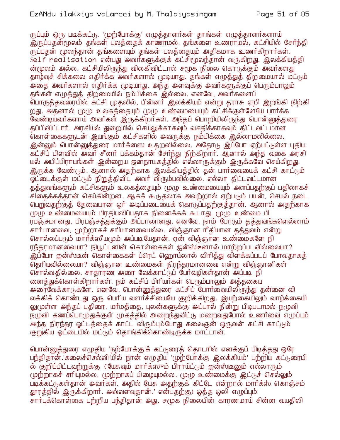ருப்பும் ஒரு படிக்கட்டு. 'முற்போக்கு' எழுத்தாளர்கள் தாங்கள் எழுத்தாளர்களாய் இருப்பதன்மூலம் தங்கள் பலத்தைக் காணாமல், தங்களை உணராமல், கட்சியில் சேர்ந்தி ருப்பதன் மூலந்தான் தங்களையும் தங்கள் பலத்தையும் அதிகமாக உணர்கிறார்கள். Self realisation என்பது அவர்களுக்குக் கட்சிமூலந்தான் வருகிறது. இலக்கியத்தி ன்மூலம் அல்ல. கட்சியிலிருந்து விலகிவிட்டால் சமூக நிலை கொடுக்கும் அவர்களது தாழ்வுச் சிக்கலை எதிர்க்க அவர்களால் (முடியாது. தங்கள் எழுத்துத் திறமையால் மட்டும் அதை அவர்களால் எதிர்க்க முடியாது. அந்த அளவுக்கு அவர்களுக்குப் பெரும்பாலும் தங்கள் எழுத்துத் திறமையில் நம்பிக்கை இல்லை. எனவே, அவர்களைப் .<br>பொருத்தவரையில் கட்சி முதலில், பின்னர் இலக்கியம் என்று தராசு ஏறி இறங்கி நிற்கி றது. அதனால் முழு உலகத்தையும் முழு உண்மையையும் கட்சிக்குள்ளேயே பார்க்க வேண்டியவர்களாய் அவர்கள் இருக்கிறர்கள். அந்தப் பொறியிலிருந்து பொன்னுக்துரை தப்பிவிட்டார். அரசியல் துறையில் செயலுக்காகவும் வசதிக்காகவும் திட்டவட்டமான .<br>தொள்கைகளுடன் இயங்கும் கட்சிகளில் அவருக்கு நம்பிக்கை இல்லாமலில்லை. இன்னும் பொன்னுத்துரை மார்க்ஸை உதறவில்லை. அதோடு இப்போ ஏற்பட்டுள்ள புதிய கட்சிப் பிளவில் அவர் சீனர் பக்கம்தான் சேர்ந்து நிற்கிறார். ஆனால் அந்த வகை அரசி யல் அபிப்பிராயங்கள் இன்றைய ஜனநாயகத்தில் எல்லாருக்கும் இருக்கவே செய்கிறது. இருக்க வேண்டும். ஆனால் அதற்காக இலக்கியத்தில் தன் பார்வையைக் கட்சி காட்டும் ஓட்டைக்குள் மட்டும் நிறுத்திவிட அவர் விரும்பவில்லை. எல்லா திட்டவட்டமான த்த்துவங்களும் கட்சிகளும் உலகத்தையும் முழு உண்மையையும் அளப்பதற்குப் பதிலாகச் சிதைக்கத்தான் செய்கின்றன. ஆகக் கூடுதலாக அவற்றால் ஏற்படும் பயன், செயல் நடை பெறுவதற்குத் தேவையான ஒர் அடிப்படையைக் கொடுப்பதற்குத்தான். ஆனால் அதற்காக முழு உண்மையையும் பிரதிபலிப்பதாக நினைக்கக் கூடாது. முழு உண்மை பி ரபஞ்சமானது, பிரபஞ்சத்துக்கும் அப்பாலானது. எனவே, நாம் போடும் தத்துவங்களெல்லாம் சார்பானவை, முற்றாகச் சரியானவையல்ல. விஞ்ஞான ரீதியான தத்துவம் என்று சொல்லப்படும் மார்க்ஸீயமும் அப்படியேதான். ஏன் விஞ்ஞான உண்மைகளே நி ரந்தரமானவையா? நியூட்டனின் கொள்கைகள் ஐன்ஸ்டீனால் மாற்றப்படவில்லையா? ் இப்போ ஐன்ஸ்டீன் கொள்கைகள் ப்ரெட் ஹொய்லால் விரித்து விளக்கப்படப் போவதாகத் தெரியவில்லையா? விஞ்ஞான உண்மைகள் நிரந்தரமானவை என்று விஞ்ஞானிகள் சொல்வதில்லை. சாதாரண அரை வேக்காட்டுப் பேர்வழிகள்தான் அப்படி நி லை த்துக்கொள்கிறார்கள். நம் கட்சிப் பிரியர்கள் பெரும்பாலும் அத்தகைய அரைவேக்காடுகளே. எனவே, பொன்னுத்துரை கட்சிப் போர்வையிலிருந்து தன்னை வி லக்கிக் கொண்டது ஒரு பெரிய வளர்ச்சியையே குறிக்கிறது. இயற்கையிலும் வாழ்க்கையி லுமுள்ள அந்தப் புதிரை, மர்மத்தை, புலன்களுக்கு அப்பால் நின்று பிடிபடாமல் நழுவி நமுவி கணப்பொழுதுக்குள் முகத்தில் அறைந்துவிட்டு மறைவதுபோல் உணர்வை எழுப்பும் அந்த நிரந்தர ஓட்டத்தைக் காட்ட விரும்பும்போது கலைஞன் ஒருவன் கட்சி காட்டும் குறுகிய ஓட்டையில் மட்டும் தொங்கிக்கொண்டிருக்க மாட்டான்.

பொன்னுத்துரை எழுதிய 'நற்போக்கு'க் கட்டுரைத் தொடரில் எனக்குப் பிடித்தது ஒரே பந்திதான்.'கலைச்செல்வி'யில் நான் எழுதிய 'முற்போக்கு இலக்கியம்' பற்றிய கட்டுரையி ல் குறிப்பிட்டவற்றுக்கு ('யேசுவும் மார்க்ஸும் பிராய்ட்டும் ஐன்ஸ்டீனும் எல்லாரும் முற்றாகச் சாியுமல்ல, முற்றாகப் பிழையுமல்ல. முழு உண்மைக்கு இட்டுச் செல்லும் படிக்கட்டுகள்தான் அவர்கள். அதில் யேசு அதற்குக் கிட்டே என்றால் மார்க்ஸ் கொஞ்சம் தூரத்தில் இருக்கிறார். அவ்வளவுதான்.' என்பதற்கு) ஒத்த ஒலி எழுப்பும் சார்பக்கொள்கை பற்றிய பந்திதான் அது. சமூக நிலையின் காரணமாய் சின்ன வயதிலி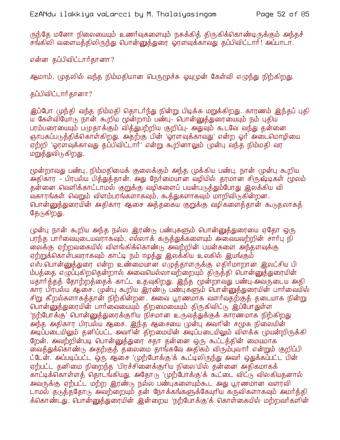ருந்தே மனோ நிலையையும் உணர்வுகளையும் நசுக்கித் திருகிக்கொண்டிருக்கும் அந்தச் சங்கிலி வளையத்திலிருந்து பொன்னுத்துரை ஓரளவுக்காவது தப்பிவிட்டார்! அப்பாடா.

என்ன தப்பிவிட்டார்தானா?

ஆமாம், முதலில் வந்த நிம்மதியான பெருமூச்சு ஓயுமுன் கேள்வி எழுந்து நிற்கிறது.

தப்பிவிட்டார்தானா?

இப்போ முந்தி வந்த நிம்மதி தொடர்ந்து நின்று பிடிக்க மறுக்கிறது. காரணம் இந்தப் புதி ய கேள்வியோடு நான் கூறிய மூன்றாம் பண்பு- பொன்னுத்துரையையும் நம் புதிய பரம்பரையையும் பழுதாக்கும் வித்துபற்றிய குறிப்பு- அதுவும் கூடவே வந்து தன்னை ஞாபகப்படுத்திக்கொள்கிறது. அதற்கு பின் 'ஓரளவுக்காவது' என்ற ஓர் அடைமொழியை ஏற்றி 'ஓரளவுக்காவது தப்பிவிட்டார்' என்று கூறினாலும் முன்பு வந்த நிம்மதி வர மறுத்துவிருகிறது.

மூன்றாவது பண்பு, நிம்மதியைக் குலைக்கும் அந்த முக்கிய பண்பு, நான் முன்பு கூறிய அதிகார - பிரபல்ய பித்துத்தான். அது நேர்மையான வழியில் தரமான சிருஷ்டிகள் மூலம் தன்னை வெளிக்காட்டாமல் குறுக்கு வழிகளைப் பயன்படுத்தும்போது இலக்கிய வி வகாரங்கள் வெறும் விளம்பரங்களாகவும், கூத்துகளாகவும் மாறிவிடுகின்றன. பொன்னுக்துரையின் அதிகார ஆசை அக்குகைய குறுக்கு வழிகளைக்கான் கூடுதலாகக் தேடுகிறது.

முன்பு நான் கூறிய அந்த நல்ல இரண்டு பண்புகளும் பொன்னுத்துரையை ஏதோ ஒரு பரந்த பார்வையுடையவராகவும், எல்லாக் கருத்துக்களையும் அவையவற்றின் சார்பு நி லைக்கு ஏற்றவகையில் விளங்கிக்கொண்டு அவற்றின் பயன்களை அந்தளவுக்கு ஏற்றுக்கொள்பவராகவும் காட்டி நம் ஈழத்து இலக்கிய உலகில் இயங்கும் எஸ்.பொன்னுத்துரை என்ற உண்மையான எழுத்தாளருக்கு எதிர்மாறான இலட்சிய பி ம்பத்தை எழுப்புகிறதென்றால் அவையெல்லாவற்றையும் திருத்தி பொன்னுத்துரையின் யதார்த்தத் தோற்றத்தைக் காட்ட உதவுகிறது. இந்த மூன்றாவது பண்பு-அவருடைய அதி கார பிரபல்ய ஆசை. முன்பு கூறிய இரண்டு பண்புகளும் பொன்னுத்துரையின் பார்வையில் சிறு கீறல்களாகத்தான் நிற்கின்றன. அவை பூரணமாக வளர்வதற்குத் தடையாக நின்று பொன்னுத்துரையின் பார்வையையும் திறமையையும் திருகிவிட்டு இப்போதுள்ள 'நற்போக்கு' பொன்னுத்துரைக்குரிய நிசமான உருவத்துக்குக் காரணமாக நிற்கிறது அந்த அதிகார பிரபல்ய ஆசை. இந்த ஆசையை முன்பு அவரின் சமூக நிலையின் அட்ப்படையிலும் தனிப்பட்ட அவாின் திறமையின் அடிப்படையிலும் விளக்க (முயன்றிருக்கி றேன். அவற்றின்படி பொன்னுத்துரை சதா தன்னை ஒரு கூட்டத்தின் மையமாக .<br>வைத்துக்கொண்டு அதற்குத் தலைமை தாங்கவே அதிகம் விரும்புவார் என்றும் குறிப்பி ட்டேன். அப்படிப்பட்ட ஒரு ஆசை 'முற்போக்கு'க் கூட்டிலிருந்து அவர் ஒதுக்கப்பட்ட பின் ஏற்பட்ட தனிமை நிறைந்த 'பிரச்சினைக்குரிய நிலை'யில் தன்னை அதிகமாகக் காட்டிக்கொள்ளத் தொடங்கியது. அதோடு 'முற்போக்கு'க் கூட்டை விட்டு விலகியதனால் அவருக்கு ஏற்பட்ட மற்ற இரண்டு நல்ல பண்புகளையும்கூட அது பூரணமான வளரவி டாமல் தடுத்ததோடு அவற்றையும் தன் நோக்கங்களுக்கேயுரிய கருவிகளாகவும் அமர்த்தி க்கொண்டது. பொன்னுத்துரையின் இன்றைய 'நற்போக்கு'க் கொள்கையில் மற்றவர்களின்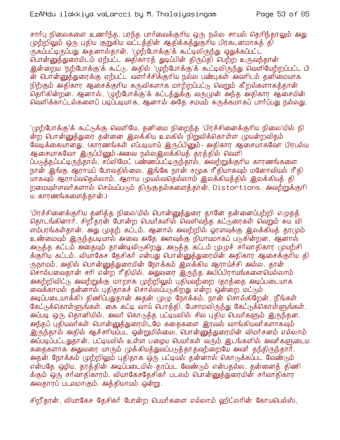சார்பு நிலைகளை உணர்ந்த, பரந்த பார்வைக்குரிய ஒரு நல்ல சாயல் தெரிந்தாலும் அது முற்றிலும் ஒரு புதிய குறுகிய வட்டத்தின் ஆதிக்கத்துகுரிய பிரகடனமாகத் தி ருகப்பட்டிருப்பது அதனால்தான். 'முற்போக்கு'க் கூட்டிலிருந்து ஒதுக்கப்பட்ட பொன்னுத்துரையிடம் ஏற்பட்ட அதிகாரத் துடிப்பின் திருப்தி பெற்ற உருவந்தான் இன்றைய 'நற்போக்கு'க் கூட்டு. அதில் 'முற்போக்கு'க் கூட்டிலிருந்து வெளியேற்றப்பட்ட பி ன் பொன்னுத்துரைக்கு ஏற்பட்ட வளர்ச்சிக்குரிய நல்ல பண்புகள் அவரிடம் தனிமையாக நிற்கும் அதிகார ஆசைக்குரிய கருவிகளாக மாற்றப்பட்டு வெறும் கீறல்களாகக்கான் தொிகின்றன. ஆனால், 'முற்போக்கு'க் கட்டத்துக்கு வருமுன் அந்த அதிகார ஆசையின் வெளிக்காட்டல்களைப் படிப்படியாக, ஆனால் அதே சமயம் சுருக்கமாகப் பார்ப்பது நல்லது.

'(ழற்போக்கு'க் கூட்டுக்கு வெளியே, தனிமை நிறைந்த 'பிரச்சினைக்குரிய நிலை'யில் நி ன்ற பொன்னுத்துரை தன்னை இலக்கிய உலகில் நிறுவிக்கொள்ள முயன்றவிதம் வேடிக்கையானது. (காரணங்கள் எப்படியாய் இருப்பினும்- அதிகார ஆசையாகவோ பிரபல்ய ஆசையாகவோ இருப்பினும்-அவை நல்லஇலக்கியக் கரக்கில் வெளி ப்படுத்தப்பட்டிருந்தால், சப்லிமேட் பண்ணப்பட்டிருந்தால், அவற்றுக்குரிய காரணங்களை நான் இங்கு ஆராயப் போவதில்லை. இங்கே நான் சமூக ரீதியாகவும் மனோவியல் ரீதி யாகவும் ஆராய்வதெல்லாம், ஆராய முயல்வதெல்லாம் இலக்கியத்தில் இலக்கியத் தி றமையுள்ளவர்களால் செய்யப்படும் திருகுதல்களைத்தான். Distortions. அவற்றுக்குரி ய காரணங்களைத்தான்.)

'பிரச்சினைக்குரிய தனித்த நிலை'யில் பொன்னுத்துரை தானே தன்னைப்பற்றி எழுதத் தொடங்கினார், சிறீதரன் போன்ற பெயர்களில் வெளிவந்த கட்டுரைகள் வெறும் சுய வி ளம்பரங்கள்தான். அது முதற் கட்டம். ஆனால் அவற்றில் ஓரளவுக்கு இலக்கியத் தரமும் உண்மையும் இருந்தபடியால் அவை அதே அளவுக்கு நியாயமாகப் படுகின்றன. ஆனால் அடுத்த கட்டம் அதையும் தாண்டிவிடுகிறது. அடுத்த கட்டம் முழுச் சர்வாதிகார முயற்சி க்குரிய கட்டம். வியாகேச தேசிகர் என்பது பொன்னுத்துரையின் அதிகார ஆசைக்குரிய தி ருநாமம். அதில் பொன்னுத்துரையின் நோக்கம் இலக்கிய ஆராய்ச்சி அல்ல. தான் சொல்பவைதான் சரி என்ற ரீதியில், அதுவரை இருந்த அபிப்பிராயங்களையெல்லாம் அகற்றிவிட்டு அவற்றுக்கு மாறாக முற்றிலும் புதியவற்றை (தரத்தை அடிப்படையாக லைக்காமல் தன்னால் புதிதாகச் சொல்லப்படுகிறது என்ற ஒன்றை மட்டும் அடிப்படையாக்கி) திணிப்பதுதான் அதன் முழு நோக்கம். நான் சொல்கிறேன், நீங்கள் கேட்டுக்கொள்ளுங்கள். கை கட்டி வாய் பொத்தி, பேசாமலிருந்து கேட்டுக்கொள்ளுங்கள், அப்படி ஒரு தொனியில். அவர் கொடுத்த பட்டியலில் சில புதிய பெயர்களும் இருந்தன. அந்தப் பதியவர்கள் பொன்னுத்துரையிடமே கதைகளை இரவல் வாங்கியவர்களாகவும் <u>இருந்தால் அதில் ஆச்சரியப்பட ஒன்றுமில்லை. பொன்னுத்துரையின் விமர்சனம் எல்லாம் </u> அப்படிப்பட்டதுதான். பட்டியலில் உள்ள பமைய பெயர்கள் வரும் இடங்களில் அவர்களுடைய கதைகளாக அதுவரை யாரும் முக்கியத்துவப்படுத்தாதவற்றையே அவர் தந்திருந்தார். அதன் நோக்கம் முற்றிலும் புதிதாக ஒரு பட்டியல் தன்னால் கொடுக்கப்பட வேண்டும் என்பதே ஒழிய, தூத்தின் அடிப்படையில் தரப்பட வேண்டும் என்பதல்ல. தன்னைத் திணி க்கும் ஒரு சர்வாதிகாரம். வியாகேசதேசிகர் படலம் பொன்னுத்துரையின் சர்வாதிகார அவதாரப் படலமாகும். அத்தியாயம் ஒன்று.

சிறீதரன், வியாகேச தேசிகர் போன்ற பெயர்களை எல்லாம் ஹிட்லரின் கோயபெல்ஸ்,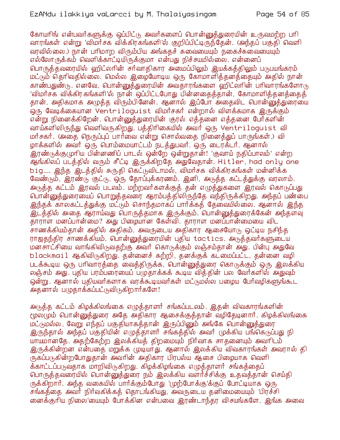கோயரிங் என்பவர்களுக்கு ஒப்பிட்டு அவர்களைப் பொன்னுக்துரையின் உருவமற்ற பரி வாரங்கள் என்று 'விமர்சக விக்கிரகங்களி'ல் குறிப்பிட்டிருந்தேன். (அந்தப் பகுதி வெளி வரவில்லை.) நான் பரிமாற விரும்பிய அங்கதச் சுவையையும் நகைச்சுவையையும் எல்லோருக்கம் வெளிக்காட்டியிருக்குமா என்பது நிச்சயமில்லை. என்னைப் பொருத்தவரையில் ஹிட்லரின் சர்வாதிகார அமைப்பிலும் இயக்கத்திலும் படுபயங்கரம் மட்டும் தொிவகில்லை. மெல்ல இமையோடிய ஒரு கோமாளிக்குனக்கையும் அகில் நான் காண்பதுண்டு. எனவே, பொன்னுக்துரையின் அவகாரங்களை ஹிட்லரின் பரிவாரங்களோடு 'விமர்சக விக்கிரகங்களி'ல் நான் ஒப்பிட்டபோது பின்னதைத்தான், கோமாளித்தனத்தைத் தான், அதிகமாக அழுத்த விரும்பினேன். ஆனால் இப்போ அதைவிட பொன்னுத்துரையை ஒரு வேடிக்கையான Ventriloguist விமர்சகர் என்றால் விளக்கமாக இருக்கும் என்று நினைக்கிறேன். பொன்னுத்துரையின் குரல் எத்தனை எத்தனை பேர்களின் வாய்களிலிருந்து வெளிவருகிறது. பத்திரிகையில் அவர் ஒரு Ventriloguist வி மர்சகர். (அதை நெருப்புப் பார்வை என்று சொல்வதை நினைத்துப் பாருங்கள்.) வி ழாக்களில் அவர் ஒரு பொம்மையாட்டம் நடத்துபவர். ஒரு டைரக்டர். ஆனால் இரண்டுக்குமுரிய பின்னணிப் பாடல் ஒன்றே ஒன்றுதான்! 'குவாய் நகிப்பாலம்' என்ற ஆங்கிலப் படத்தில் வரும் சீட்டி இருக்கிறதே அதுவேதான். Hitler, had only one big.... இந்த இடத்தில் சுருதி கெட்டுவிடாமல், விமர்சக விக்கிரகங்கள் மன்னிக்க வேண்டும், இரண்டு குட்டு, ஒரு தோப்புக்கரணம். இனி, அடுத்த கட்டத்துக்கு வரலாம். அடுத்த கட்டம் இரவல் படலம். மற்றவர்களக்குத் தன் எழுத்துகளை இரவல் கொடுப்பது பொன்னுத்துரையைப் பொறுத்தவரை ஆரம்பத்திலிருந்தே வந்திருக்கிறது. அந்தப் பண்பை இந்தக் காலகட்டத்துக்கு மட்டும் சொந்தமாகப் பார்க்கத் கேவையில்லை. ஆனால் இந்த <u>இடத்்தில் அதை ஆராய்வது பொருத்தமாக இருக்கும். பொன்னுத்துரைக்கேன் அந்தளவு</u> தாராள் மனப்பான்மை? அது பிழையான கேள்வி. தாராள மனப்பான்மையை விட சாணக்கியம்தான் அதில் அதிகம். அவருடைய அதிகார ஆசையோடு ஒட்டிய நசிந்த ராஜதந்திர சாணக்கியம். பொன்னுத்துரையின் புதிய tactics. அடுத்தவர்களுடைய மனசாட்சியை வாங்கிவிடுவதற்கு அவர் கொடுக்கும் லஞ்சம்தான் அது. பின்பு அதுவே blackmail ஆகிவிடுகிறது. தன்னைச் சுற்றி, தனக்குக் கட்மைப்பட்ட, தன்னை வழி படக்கூடிய ஒரு பரிவாரத்தை வைத்திருக்க, பொன்னுத்துரை கொடுக்கும் ஒரு இலக்கிய லஞ்சம் அது. புதிய பரம்பரையைப் பழுதாக்கக் கூடிய வித்தின் பல வேர்களில் அதுவும் ஒன்று. ஆனால் புதியவர்களாக வரக்கூடியவர்கள் மட்டுமல்ல பமைய பேர்வமிகளுங்கூட அதனால் பழுதாக்கப்பட்டுவிடுகிறார்களே!

அடுத்த கட்டம் கிழக்கிலங்கை எழுத்தாளர் சங்கப்படலம். இதன் விவகாரங்களின் மூலமும் பொன்னுத்துரை அதே அதிகார ஆசைக்குத்தான் வழிதேடினார். கிழக்கிலங்கை மட்டுமல்ல , வேறு எந்தப் பகுதியாகக்கான் இருப்பினும் அங்கே பொன்னுக்துரை இருந்தால் அந்தப் பகுதியின் எழுத்தாளர் சங்கத்தில் அவர் முக்கிய பங்கெடுப்பது நி யாயமானதே. அதற்கேற்ற இலக்கியத் திறமையும் நிர்வாக சாதனையும் அவரிடம் இருக்கின்றன என்பதை மறுக்க முடியாது. ஆனால் இலக்கிய விவகாரங்கள் அவரால் தி ருகப்படுகின்றபோதுதான் அவரின் அதிகார பிரபல்ய ஆசை பிழையாக வெளி க்காட்டப்படுவதாக மாறிவிடுகிறது. கிழக்கிழங்கை எழுத்தாளர் சங்கத்தைப் பொருத்தவரையில் பொன்னுத்துரை நம் இலக்கிய வளர்ச்சிக்கு உதவத்தான் செய்தி ருக்கிறார். அந்த வகையில் பார்க்கும்போது 'முற்போக்கு'க்குப் போட்டியாக ஒரு சங்கத்தை அவர் நிர்வகிக்கத் தொடங்கியது, அவருடைய தனிமையையும் 'பிரச்சி னைக்குரிய நிலை'யையும் போக்கின என்பவை இரண்டாந்தர விசயங்களே. இங்க அவை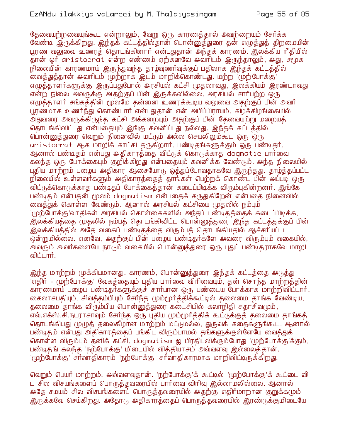தேவையற்றவையுங்கூட என்றாலும், வேறு ஒரு காரணத்தால் அவற்றையும் சேர்க்க வேண்டி இருக்கிறது. இந்தக் கட்டத்தில்தான் பொன்னுத்துரை தன் எழுத்துத் திறமையின் பூரண வலுவை உணரத் தொடங்கினார் என்பதுதான் அந்தக் காரணம். இலக்கிய ரீதியில் .<br>தான் ஓார் aristocrat என்ற எண்ணம் ஏற்கனவே அவார்டம் இருந்தாலும், அது, சுமுக நிலையின் காரணமாய் இருந்துவந்த தாழ்வுணர்வுக்குப் பதிலாக இந்தக் கட்டத்தில் லைத்துத்தான் அவரிடம் முற்றாக இடம் மாறிக்கொண்டது. மற்ற 'முற்போக்கு' எமுத்தாளர்களுக்கு இருப்பதுபோல் அரசியல் கட்சி முதலாவது, இலக்கியம் இரண்டாவது என்ற நிலை அவருக்கு அதற்குப் பின் இருக்கவில்லை. அரசியல் சார்பற்ற ஒரு எழுத்தாளர் சங்கத்தின் மூலமே தன்னை உணரக்கூடிய வலுவை அதற்குப் பின் அவர் பூரண்மாக உணர்ந்து கொண்டார் என்பதுகான் என் அபிப்பிராயம். கிழக்கிழங்கையில் அதுவரை அவருக்கிருந்த கட்சி அக்கறையும் அதற்குப் பின் தேவையற்று மறையக் தொடங்கிவிட்டது என்பதையும் இங்கு கவனிப்பது நல்லது. இந்தக் கட்டத்தில் <u>பொன்னுத்துரை வெறும் நினைவில் மட்டும் அல்ல செயலிலும்கூட ஒரு ஒரு</u> aristocrat ஆக மாறிக் காட்சி தருகிறார். பண்டிதங்களுக்கும் ஒரு பண்டிதார். ஆனால் பண்டிதம் என்பது அதிகாரத்்தை விட்டுக் கொடுக்காத dogmatic பார்வை கலந்த ஒரு போக்கையும் குறிக்கிறது என்பதையும் கவனிக்க வேண்டும். அந்த நிலையில் புதிய மாற்றம் பழைய அதிகார ஆசையோடு ஒத்துப்போவதாகவே இருந்தது. தாழ்த்தப்பட்ட நிலையில் உள்ளவர்களும் அதிகாரத்தைத் தாங்கள் பெற்றக் கொண்ட பின் அப்படி ஒரு .<br>விட்டுக்கொடுக்காத பண்டிதப் போக்கைத்தான் கடைப்பிடிக்க விரும்புகின்றனர். இங்கே பண்டிதம் என்பதன் மூலம் dogmatism என்பதைக் கருதுகிறேன் என்பதை நினைவில் வைத்துக் கொள்ள வேண்டும். ஆனால் அரசியல் கட்சியை முதலில் நம்பும் '(முற்போக்கு'வாதிகள் அரசியல் கொள்கைகளில் அந்தப் பண்டிதத்தைக் கடைப்பிடிக்க, இலக்கியத்தை முதலில் நம்பத் தொடங்கிவிட்ட பொன்னுத்துரை இந்த கட்டத்துக்குப் பின் <u>இலக்கியத்தில் அதே வகைப் பண்டிதத்தை விரும்பத் தொடங்கியதில் ஆச்சாியப்பட</u> ஒன்றுமில்லை. எனவே, அதற்குப் பின் பமைய பண்டிதர்களே அவரை விரும்பும் வகையில், அவரும் அவர்களையே நாரும் வகையில் பொன்னுத்துரை ஒரு புதுப் பண்டிதராகவே மாறி விட்டார்.

இந்த மாற்றம் முக்கியமானது. காரணம், பொன்னுத்துரை இந்தக் கட்டத்தை அடுத்து 'எதிர் - முற்போக்கு' வேகக்கையும் புகிய பார்வை விரிவையும், தன் சொந்த மாற்றக்கின் காரணமாய் பழைய பண்டிதர்களுக்குச் சார்பான ஒரு பண்டைய போக்காக மாற்றிவிட்டார். கைலாசபதியும், சிவத்தம்பியும் சேர்ந்த மும்மூர்த்திக்கூட்டில் தலைமை தாங்க வேண்டிய, தலைமை தாங்க விரும்பிய பொன்னுத்துரை கடைசியில் கலாநிதி சதாசிவமும், எவ்.எக்ஸ்.சி.நடராசாவும் சேர்ந்த ஒரு புதிய மும்மூர்த்திக் கூட்டுக்குத் தலைமை தாங்கத் தொடங்கியது முழுத் தலைகீழான மாற்றம் மட்டுமல்ல, துருவக் கதைகளுங்கூட. ஆனால் பண்டிதம் என்பது அதிகாரத்தைப் பங்கிட விரும்பாமல் தங்களுக்குள்ளேயே வைத்துக் கொள்ள விரும்பும் தனிக் கட்சி. dogmatism ஐ பிரதிபலிக்கும்போது 'முற்போக்கு'க்கும், பண்டிதங் கலந்த 'நற்போக்கு' மிடையில் வித்தியாசம் அவ்வளவு இல்லைத்தான். '(மற்போக்கு' சர்வாதிகாரம் 'நற்போக்கு' சர்வாதிகாரமாக மாறிவிட்டிருக்கிறது.

வெறும் பெயர் மாற்றம். அவ்வளவுதான். 'நற்போக்கு'க் கூட்டில் 'முற்போக்கு'க் கூட்டை வி ட சில விசயங்களைப் பொருத்தவரையில் பார்வை விரிவு இல்லாமலில்லை. ஆனால் அதே சமயம் சில விசயங்களைப் பொருத்தவரையில் அதற்கு எதிர்மாறான குறுக்கமும் இருக்கவே செய்கிறது. அதோடு அதிகாரத்தைப் பொருத்தவரையில் இரண்டுக்குமிடையே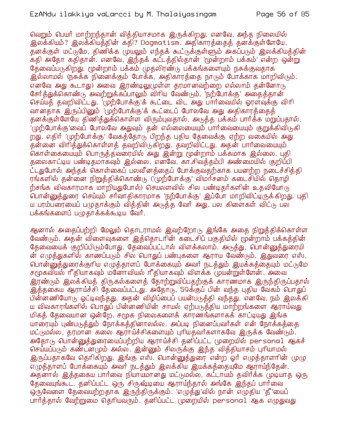வெறும் பெயர் மாற்றந்தான் வித்தியாசமாக இருக்கிறது. எனவே, அந்த நிலையில் இலக்கியம்? இலக்கியத்தின் கதி? Dogmatism. அதிகாரத்தைத் தனக்குள்ளேயே, தனக்குள் மட்டுமே, திணிக்க முயலும் எந்தக் கூட்டுக்குள்ளும் அகப்படும் இலக்கியத்தின் .<br>கதி அதோ கதிதான். எனவே, இந்தக் கட்டத்தில்தான் 'மூன்றாம் பக்கம்' என்ற ஒன்று கேவைப்படுகிறது. மூன்றாம் பக்கம் முதலிரண்டு பக்கங்களையும் நசுக்குவதாக இல்லாமல் (நசுக்க நினைக்கும் போக்க, அதிகாரத்தை நாடும் போக்காக மாறிவிடும். எனவே அது கூடாது) அவை இரண்டிலுமுள்ள தரமானவற்றை எல்லாம் தன்னோடு சேர்த்துக்கொண்டு அவற்றுக்கப்பாலும் விரிய வேண்டும். 'நற்போக்கு' அதைத்தான் செய்யத் தவறிவிட்டது. 'முற்போக்கு'க் கூட்டை விட அது பார்வையில் ஓரளவக்கு விரி வானதாக இருப்பினும் 'முற்போக்கு'க் கூட்டைப் போலவே அது அதிகாரத்தைத் கனக்குள்ளேயே கிணிக்துக்கொள்ள விரும்புவகால், அடுக்க பக்கம் பார்க்க மறுப்பதால், '(முற்போக்கு'வைப் போலவே அதுவும் தன் எல்லையையும் பார்வையையும் குறுக்கிவிடுகி றது. எதிர் 'முற்போக்கு' வேகத்தோடு பிறந்த புதிய தேவைக்கு ஏற்ற வகையில் அது .<br>தன்னை விாித்துக்கொள்ளத் தவறிவிடுகிறது. தவறிவிட்டது. அதன் பாா்வையையும் ் கொள்கையையும் பொருத்தவரையில் அது இன்று மூன்றாம் பக்கமாக இல்லை. புதி தலைகாட்டிய பண்டிதமாகவும் இல்லை. எனவே, கா.சிவத்தம்பி அண்மையில் குறிப்பி ட்டதுபோல் அந்தக் கொள்கைப் பலவீனத்தைப் போக்குவதற்காக பயனற்ற நடைச்சித்தி ரங்களில் தன்னை நிறுத்திக்கொண்டு ('முற்போக்கு' விமர்சனம் கடைசியில் தொழி ற்சங்க விவகாரமாக மாறியதுபோல்) செயலளவில் சில பண்டிதர்களின் உதவியோடு பொன்னுத்துரை செய்யும் சர்வாதிகாரமாக 'நற்போக்கு' இப்போ மாறிவிட்டிருக்கிறது. புதி ய பரம்பரையைப் பமுதாக்கும் வித்தின் அடுத்த வேர் அது. பல கிளைகள் விட்டு பல பக்கங்களைப் பழுதாக்கக்கூடிய வேர்.

ஆனால் அதைப்பற்றி மேலும் தொடராமல் இவற்றோடு இங்கே அதை நிறுத்திக்கொள்ள வேண்டும். அதன் விளைவுகளை இத்தொடரின் கடைசிப் பகுதியில் மூன்றாம் பக்கத்தின் தேவையைக் குறிப்பிடும்போது, தேவைப்பட்டால் விளக்கலாம். அடுத்து, பொன்னுத்துரையி ன் எழுத்துகளில் காணப்படும் சில பொதுப் பண்புகளை ஆராய வேண்டும். இதுவரை எஸ். பொன்னுத்துரைக்குரிய எழுத்தாளப் போக்கையும் அவர் நடத்தும் இயக்கத்தையும் மட்டுமே சமூகவியல் ரீதியாகவும் மனோவியல் ரீதியாகவும் விளக்க முயன்றுள்ளேன். அவை இரண்டும் இலக்கியத் திருகல்களைத் தோற்றுவிப்பதற்குக் காரணமாக இருந்திருப்பதால் இத்தகைய ஆராய்ச்சி தேவைப்பட்டது. அதோடு, 59க்குப் பின் வந்த புதிய வேகம் பொதுப் பின்னணியோடு ஓட்டிவந்தது. அதன் விழிப்பைப் பயன்படுத்தி வந்தது. எனவே, நம் இலக்கி ய விவகாரங்களில் பொதுப் பின்னணியின் சாயல் ஏற்படுத்திய மாற்றங்களை ஆராய்வது மிகத் தேவையான ஒன்றே. சமூக நிலைகளைக் காரணங்களாகக் காட்டியது இங்க யாரையும் புண்படுத்தும் நோக்கத்தினாலல்ல. அப்படி நினைப்பவர்கள் என் நோக்கத்தை மட்டுமல்ல, தரமான கலை ஆராய்ச்சிகளையும் புரியதவர்களாகவே இருக்க வேண்டும். அதோடு பொன்னுத்துரையைப்பற்றிய ஆராய்ச்சி தனிப்பட்ட முறையில் personal ஆகச் செய்யப்படும் கண்டன(மும் அல்ல. இன்னும் சிலருக்கு இந்த வித்தியாசம் புரியாமல் இருப்பதாகவே தெரிகிறது. இங்கு எஸ். பொன்னுத்துரை என்ற ஓர் எழுத்தாளரின் முழு எழுத்தாளப் போக்கையும் அவர் நடத்தும் இலக்கிய இயக்கத்தையுமே ஆராய்ந்தேன். அதனால் இத்தகைய பார்வை நியாயமானது மட்டுமல்ல, கட்டாயம் தவிர்க்க முடியாத ஒரு தேவையுங்கூட. தனிப்பட்ட ஒரு சிருஷ்டியை ஆராய்ந்தால் அங்கே இந்தப் பார்வை ஒருவேளை தேவையற்றதாக இருந்திருக்கும். 'எழுத்து'வில் நான் எழுதிய 'தீ'யைப் பார்த்தால் வேற்றுமை தெரியவரும். தனிப்பட்ட முறையில் personal ஆக எழுதுவது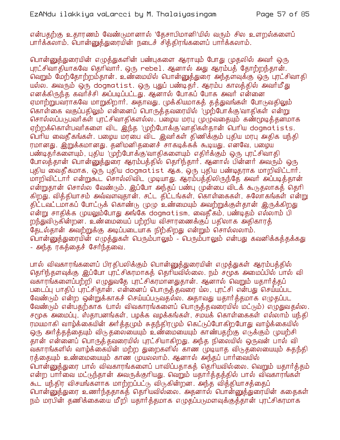என்பதற்கு உதாரணம் வேண்டுமானால் 'தேசாபிமானி'யில் வரும் சில உளறல்களைப் பார்க்கலாம். பொன்னுத்துரையின் நடைச் சித்திரங்களைப் பார்க்கலாம்.

பொன்னுத்துரையின் எழுத்துகளின் பண்புகளை ஆராயும் போது முதலில் அவர் ஒரு புரட்சிவாதியாகவே தெரிவார். ஒரு rebel. ஆனால் அது ஆரம்பத் தோற்றந்தான். வெறும் மேற்தோற்றம்தான். உண்மையில் பொன்னுத்துரை அந்தளவுக்கு ஒரு புரட்சிவாதி யல்ல. அவரும் ஒரு dogmatist, ஒரு பதுப்பண்டிதார். ஆரம்ப காலத்தில் அவார்மீது எனக்கிருந்த கவர்ச்சி அப்படிப்பட்டது. ஆனால் போகப் போக அவர் என்னை ஏமாற்றுபவராகவே மாறுகிறார். அதாவது, முக்கியமாகத் தத்துவங்கள் போடுவதிலும் கொள்கை வகுப்பதிலும் என்னைப் பொருத்தவரையில் 'முற்போக்கு'வாதிகள் என்று சொல்லப்படுபவர்கள் புரட்சிவாதிகளல்ல. பழைய மரபு முழுவதையும் கண்மூடித்தனமாக ஏற்றக்கொள்பவர்களை விட இந்த 'முற்போக்கு'வாதிகள்தான் பெரிய dogmatists. ் வெரிய வைதீகங்கள். பழைய மரபை விட இவர்கள் திணிக்கும் புதிய மரபு அதிக யந்தி ரமானது. இறுக்கமானது. தனிமனிதனைச் சாகடிக்கக் கூடியது. எனவே, பழைய பண்டிதர்களையும், புதிய 'முற்போக்கு'வாதிகளையும் எதிர்க்கும் ஒரு புரட்சிவாதி போலத்தான் பொன்னுத்துரை ஆரம்பத்தில் தெரிந்தார். ஆனால் பின்னர் அவரும் ஒரு புதிய வைதீகமாக, ஒரு புதிய dogmatist ஆக, ஒரு புதிய பண்டிதராக மாறிவிட்டார். மாறிவிட்டார் என்றுகூட சொல்லிவிட முடியாது. ஆரம்பத்திலிருந்தே அவர் அப்படித்தான் என்றுதான் சொல்ல வேண்டும். இப்போ அந்தப் பண்பு முன்பை விடக் கூடுதலாகத் தெரி கிறது. வித்தியாசம் அவ்வளவுதான். சட்ட திட்டங்கள், கொள்கைகள், சுலோகங்கள் என்று திட்டவட்டமாகப் போட்டுக் கொண்டு முமு உண்மையும் அவற்றுக்குள்கான் இருக்கிறது .<br>என்று சாதிக்க (முயலும்போது அங்கே dogmatism, வைதீகம், பண்டிதம் எல்லாம் பி றந்துவிடுகின்றன. உண்மையைப் பற்றிய விசாரணைக்குப் பதிலாக அதிகாரத் தேடல்தான் அவற்றுக்கு அடிப்படையாக நிற்கிறது என்றும் சொல்லலாம். பொன்னுக்துரையின் எழுக்துகள் பெரும்பாலும் - பெரும்பாலும் என்பது கவனிக்கக்கக்கது - அந்த ரகத்தைச் சேர்ந்தவை.

பால் விவகாரங்களைப் பிரதிபலிக்கும் பொன்னுத்துரையின் எழுத்துகள் ஆரம்பத்தில் தெரிந்தளவுக்கு இப்போ புரட்சிகரமாகத் தெரியவில்லை. நம் சமூக அமைப்பில் பால் வி வகாரங்களைப்பற்றி எமுதுவதே புரட்சிகரமானதுகான். ஆனால் வெறும் யகார்க்கப் படைப்பு பாதிப் புரட்சிதான். என்னைப் பொருத்தவரை ய்ல, புரட்சி என்பது செய்யப்பட வேண்டும் என்ற ஒன்றுக்காகச் செய்யப்படுவதல்ல. அதாவது யதார்த்தமாக எழுதப்பட வேண்டும் என்பதற்காக (பால் விவகாரங்களைப் பொருத்தவரையில் மட்டும்) எழுதுவதல்ல. சமூக அமைப்பு, ஸ்தாபனங்கள், பழக்க வழக்கங்கள், சமயக் கொள்கைகள் எல்லாம் யந்தி ரமயமாகி வாழ்க்கையின் அர்த்தமும் சுதந்திரமும் கெட்டுப்போகிறபோது வாழ்க்கையில் ஒரு அர்த்தத்தையும் விடுதலையையும் உண்மையையும் காண்பதற்கு எடுக்கும் முயற்சி .<br>தான் என்்னைப் பொருத்தவரையில் புரட்சியாகிறது. அந்த நிலையில் ஒருவன் பால் வி வகாரங்களில் வாழ்க்கையின் மற்ற துறைகளில் காண முடியாத விடுதலையையும் சுதந்தி ரத்தையும் உண்மையையும் காண முயலலாம். ஆனால் அந்தப் பார்வையில் பொன்னுத்துரை பால் விவகாரங்களைப் பாவிப்பதாகத் தெரியவில்லை. வெறும் யதார்த்தம் என்ற பார்வை மட்டுந்தான் அவருக்குரியது. வெறும் யதார்த்தத்தில் பால் விவகாரங்கள் கூட யந்திர விசயங்களாக மாற்றப்பட்டு விடுகின்றன. அந்த வித்தியாசத்தைப் <u>பொன்னுத்துரை உணர்ந்ததாகத் தெரியவில்லை. அதனால் பொன்னுத்துரையின் கதைகள்</u> நம் மரபின் தணிக்கையை மீறி யதார்த்தமாக எழுதப்படுமளவுக்குத்தான் புரட்சிகரமாக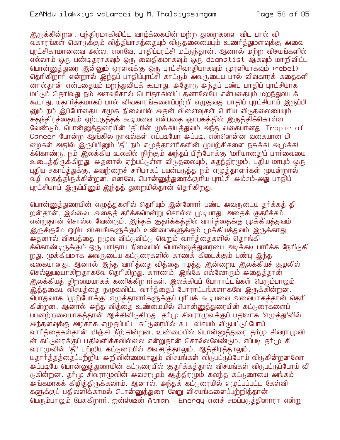இருக்கின்றன. யந்திரமாகிவிட்ட வாழ்க்கையின் மற்ற துறைகளை விட பால் வி வகாரங்கள் கொடுக்கும் வித்தியாசத்தையும் விடுதலையையும் உணர்த்துமளவுக்கு அவை புரட்சிகரமானவை அல்ல. எனவே, பாதிப்புரட்சி மட்டுந்தான். ஆனால் மற்ற விசயங்களில் எல்லாம் ஒரு பண்டிதாாகவும் ஒரு வைதிகமாகவும் ஒரு dogmatist ஆகவும் மாறிவிட்ட பொன்னுத்துரை இன்னும் ஓரளவுக்கு ஒரு புரட்சிவாதியாகவும் முரளியாகவும் (rebel) தெரிகிறார் என்றால் இந்தப் பாதிப்புரட்சி காட்டும் அவருடைய பால் விவகாரக் கதைகளி னால்தான் என்பதையும் மறந்துவிடக் கூடாது. அதோடு அந்தப் பண்பு பாதிப் புரட்சியாக மட்டும் தெரிவது நம் அளவுகோல் பெரிதாகிவிட்டத்னாலேயே என்பதையும் மறந்துவிடக் கூடாது. யதார்த்தமாகப் பால் விவகாரங்களைப்பற்றி எழுதுவது பாதிப் புரட்சியாய் இருப்பி னும் நம் இப்போதைய சமூக நிலையில் அதன் விளைவுகள் பெரிய விடுதலையையும் சுகந்திரக்கையும் ஏற்படுக்கக் கூடியவை என்பகை ஞாபகக்கில் இருக்கிக்கொள்ள வேண்டும். பொன்னுத்துரையின் 'தீ'யின் முக்கியத்துவம் அந்த வகையானது. Tropic of Cancer போன்ற ஆங்கில நாவல்கள் எப்படியோ அப்படி. என்னென்ன வகையான பி ழைகள் அதில் இருப்பினும் 'தீ' நம் எழுத்தாளர்களின் முயற்சிகளை நசுக்கி அமுக்கி க்கொண்டு, நம் இலக்கிய உலகில் நிற்கும் அந்தப் பிற்போக்கு 'மாியாதை'ப் பார்வையை உடைத்திருக்கிறது. அதனால் ஏற்பட்டுள்ள விடுதலையும், சுதந்திரமும், புதிய மரபும் ஒரு புதிய சகாப்த்துக்கு, அவற்றைச் சரியாகப் பயன்படுத்த நம் எழுத்தாளர்கள் முயன்றால் வழி வகுத்திருக்கின்றன. எனவே, பொன்னுத்துரைக்குரிய புரட்சி அம்சம்-அது பாதிப் புரட்சியாய் இருப்பினும்-இந்தத் துறையில்தான் தெரிகிறது.

பொன்னுக்துரையின் எழுக்துகளில் தெரியும் இன்னோர் பண்பு அவருடைய தர்க்கக் தி றன்தான். இல்லை, அதைத் தர்க்கமென்று சொல்ல முடியாது. அதைக் குதர்க்கம் என்றுதான் சொல்ல வேண்டும். இந்தக் குதர்க்கத்தில் வார்த்தைக்கு முக்கியத்துவம் இருக்குமே ஒழிய விசயங்களுக்கும் உண்மைகளுக்கும் முக்கியத்துவம் இருக்காது. அதனால் விசயத்தை நழுவ விட்டுவிட்டு வெறும் வார்த்தைகளில் தொங்கி க்கொண்டிருக்கும் ஒரு பரிதாப நிலையில் பொன்னுத்துரையை அடிக்கடி பார்க்க நேரிடுகி றது. முக்கியமாக அவருடைய கட்டுரைகளில் காணக் கிடைக்கும் பண்பு இந்த வகையானது. ஆனால் இந்த வார்த்தை வித்தை ஈழத்து இன்றைய இலக்கியச் சூழலில் செல்லுபடியாகிறதாகவே தெரிகிறது. காரணம், இங்கே எல்லோரும் அதைத்தான் இலக்கியத் திறமையாகக் கணிக்கிறார்கள். இலக்கியப் போராட்டங்கள் பெரும்பாலும் இத்தகைய விசயத்தை நமுவவிட்ட வார்த்தைப் போராட்டங்களாகவே இருக்கின்றன. பொதுவாக 'முற்போக்கு' எழுத்தாளர்களுக்குப் புரியக் கூடியவை அவையாகத்தான் தெரி கின்றன. ஆனால் அந்த வித்தை உண்மையில் பொன்னுத்துரையின் கட்டுரைகளைப் பயனற்றவையாகத்தான் ஆக்கிவிடுகிறது. தர்மு சிவராமுவுக்குப் பதிலாக 'எழுத்து'வில் அந்தளவுக்கு அழகாக எழுதப்பட்ட கட்டுரையில் கூட விசயம் விடுபட்டுப்போய் வார்த்தைகள்தான் மிஞ்சி நிற்கின்றன. உண்மையில் பொன்னுத்துரை தர்மு சிவராமுவி ன் கட்டுரைக்குப் பதிலளிக்கவில்லை என்றுகான் சொல்லவேண்டும. எப்படி கர்மு சி வராமுவின் 'தீ' பற்றிய கட்டுரையில் அவசரத்தாலும், ஆத்திரத்தாலும், யதார்த்தத்தைப்பற்றிய அறிவின்மையாலும் விசயங்கள் விடுபட்டுப்போய் விடுகின்றனவோ அப்படியே பொன்னுத்துரையின் கட்டுரையில் குதர்க்கத்தால் விசயங்கள் விடுபட்டுப்போய் வி டுகின்றன. தார்மு சிவராமுவின் அவசரமும் ஆத்திரமும் கலந்த கட்டுரையை அங்கம் அங்கமாகக் கிழித்திருக்கலாம். ஆனால், அந்தக் கட்டுரையில் எமுப்பப்பட்ட கேள்வி களுக்குப் பதிலளிக்காமல் பொன்னுத்துரை வேறு விசயங்களைப்பற்றித்தான் பெரும்பாலும் பேசுகிறார். ஐன்ஸ்டீன் Atman - Energy எனச் சமப்பருத்தினாரா என்று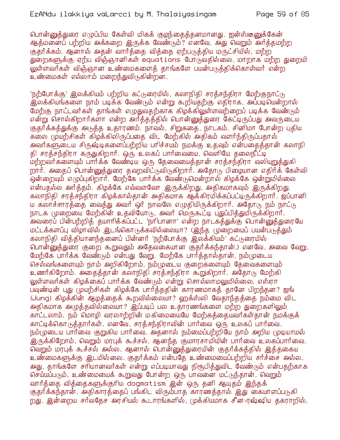பொன்னுக்துரை எமுப்பிய கேள்வி மிகக் குழந்தைக்கனமானது. ஐன்ஸ்டீனுக்கேன் ஆத்மனைப் பற்றிய அக்கறை இருக்க வேண்டும்? எனவே, அது வெறும் அர்த்தமற்ற குதர்க்கம். ஆனால் அதன் வார்த்தை வித்தை ஏற்படுத்திய மருட்சியில், மற்ற துறைகளுக்கு ஏற்ப விஞ்ஞானிகள் equations போடுவதில்லை, மாறாக மற்ற துறையி லுள்ளவர்கள் விஞ்ஞான உண்மைகளைத் தாங்களே பயன்படுத்திக்கொள்வர் என்ற உண்மைகள் எல்லாம் மறைந்துவிடுகின்றன.

'நற்போக்கு' இலக்கியம் பற்றிய கட்டுரையில், கலாநிதி சரத்சந்திரா மேற்குநாட்டு .<br>இலக்கியங்களை நாம் படிக்க வேண்டும் என்று கூறியதற்கு எதிராக, அப்படியென்றால் மேற்கு நாட்டவர்கள் தாங்கள் எழுதுவதற்காக கிழக்கிலுள்ளவற்றைப் படிக்க வேண்டும் என்று சொல்கிறார்களா என்ற அர்த்தத்தில் பொன்னுத்துரை கேட்டிருப்பது அவருடைய குதர்க்கத்துக்கு அடுத்த உதாரணம். நாவல், சிறுகதை, நாடகம், சினிமா போன்ற புதிய கலை முயற்சிகள் கிழக்கிலிருப்பதை விட மேற்கில் அதிகம் வளர்ந்திருப்பதால் அவர்களுடைய சிருஷ்டிகளைப்பற்றிய பரிச்சயம் நமக்கு உதவும் என்பதைத்தான் கலாநி தி சரத்சந்திரா கருதுகிறார். ஒரு உலகப் பார்வையை, வெளியே தலைநீட்டி மற்றவர்களையும் பார்க்க வேண்டிய ஒரு தேவையைத்தான் சரத்சந்திரா வலியுறுத்துகி றார். அதைப் பொன்னுத்துரை தவறவிட்டுவிடுகிறார். அதோடு பிழையான எதிர்க் கேள்வி ஒன்றையும் எழுப்புகிறார். மேற்கே பார்க்க வேண்டுமென்றால் கிழக்கே ஒன்றுமில்லை என்பதல்ல அர்த்தம். கிழக்கே எவ்வளவோ இருக்கிறது. அதிகமாகவும் இருக்கிறது. கலாநிதி சரத்சந்திரா கிழக்கால்தான் அதிகமாக ஆக்கிரமிக்கப்பட்டிருக்கிறார். ஜப்பானி ய கலாச்சாரத்தை வைத்து அவர் ஒர் நாவலே எமுதியிருக்கிறார். அதோடு நம் நாட்டு நாடக முறையை மேற்கின் உதவியோடு, அவர் மெருகூட்டி புதுப்பித்துமிருக்கிறார். அவரைப் பின்பற்றித் தயாரிக்கப்பட்ட 'நாிபானா' என்ற நாடகத்துக்கு பொன்னுத்துரையே மட்டக்களப்பு விழாவில் இடங்கொடுக்கவில்லையா? (இந்த முறையைப் பயன்படுத்தும் கலாநிதி வித்தியானந்தனைப் பின்னர் 'நற்போக்கு இலக்கியம்' கட்டுரையில் பொன்னுத்துரை குறை கூறுவதும் அதேவகையான குதர்க்கந்தான்.) எனவே, அவை வேறு, மேற்கே பார்க்க வேண்டும் என்பது வேறு. மேற்கே பார்த்தால்தான், நம்முடைய செல்வங்களையும் நாம் அறிகிறோம். நம்முடைய குறைகளையும் தேவைகளையும் உணர்கிறோம். அதைத்தான் கலாநிதி சரத்சந்திரா கூறுகிறார். அதோடு மேற்கி லுள்ளவர்கள் கிழக்கைப் பார்க்க வேண்டும் என்று சொல்லாமலுமில்லை. எஸ்ரா பவுண்டின் புது (முயற்சிகள் கிழக்கே பார்த்ததின் காரணமாகத் தானே பிறந்தன? ஜங் (Jung) கிழக்கின் ஆழத்தைக் கூறவில்லையா? ஹக்ஸ்லி வேதாந்தத்தை நம்மை விட அதிகமாக அழுத்தவில்லையா? இப்படிப் பல உதாரணங்களை மற்ற துறைகளிலும் காட்டலாம். நம் மொழி வரலாற்றின் மகிமையையே மேற்கத்தையவர்கள்தான் நமக்குக் காட்டிக்கொடுக்கார்கள். எனவே, சரக்சந்கிராவின் பார்வை ஒரு உலகப் பார்வை. நம்முடைய பார்வை குறுகிய பார்வை. அதனால் நம்மைப்பற்றியே நாம் அறிய முடியாமல் <u>இரு</u>க்கிறோம். வெறும் மரபுக் கூச்சல். ஆனந்த குமாரசாமியின் பார்வை உலகப்பார்வை. .<br>வெறும் மரபுக் கூச்சல் அல்ல. ஆனால் பொன்னுத்துரையின் குதர்க்கத்தில் இத்தகைய உண்மைகளுக்கு இடமில்லை. குதர்க்கம் என்பதே உண்மையைப்பற்றிய சர்ச்சை அல்ல. அது, தாங்களே சரியானவர்கள் என்று எப்படியாவது நிரூபித்துவிட வேண்டும் என்பதற்காக செய்யப்படும், உண்மையைக் கூறுவது போன்ற ஒரு பாவனை மட்டுந்தான். வெறும் வார்த்தை வித்தைகளுக்குரிய dogmatism இன் ஒரு தனி ஆயுதம் இந்தக் குதர்க்கந்தான். அதிகாரத்தைப் பங்கிட விரும்பாத காரணத்தால் இது கையாளப்படுகி றது. இன்றைய சர்வதேச அரசியல் கூடாரங்களில், முக்கியமாக சீன-ரஷ்ஷிய தகராறில்,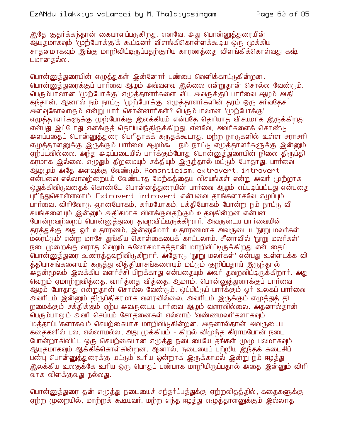இதே குதர்க்கந்தான் கையாளப்படுகிறது. எனவே, அது பொன்னுத்துரையின் ஆயுதமாகவும் 'முற்போக்கு'க் கூட்டினர் விளங்கிகொள்ளக்கூடிய ஒரு முக்கிய சாதனமாகவும் இங்கு மாறிவிட்டிருப்பதற்குரிய காரணத்தை விளங்கிக்கொள்வது கஷ் டமானதல்ல.

பொன்னுத்துரையின் எழுத்துகள் இன்னோர் பண்பை வெளிக்காட்டுகின்றன. பொன்னுக்துரைக்குப் பார்வை ஆழம் அவ்வளவு இல்லை என்றுதான் சொல்ல வேண்டும். பெரும்பாலான 'முற்போக்கு' எழுத்தாளர்களை விட அவருக்குப் பார்வை ஆழம் அதி கந்தான். ஆனால் நம் நாட்டு 'முற்போக்கு' எழுத்தாளர்களின் தரம் ஒரு சர்வதேச அளவுகோலாகும் என்று யார் சொன்னார்கள்? பெரும்பாலான 'முற்போக்கு' எழுத்தாளர்களுக்கு முற்போக்கு இலக்கியம் என்பதே தெரியாத விசயமாக இருக்கிறது என்பது இப்போது எனக்குத் தெரியவந்திருக்கிறது. எனவே, அவர்களைக் கொண்டு அளப்பதைப் பொன்னுத்துரை பெரிதாகக் கருதக்கூடாது. மற்ற நாடுகளில் உள்ள சராசரி எழுத்தாளனுக்கு இருக்கும் பார்வை ஆழம்கூட நம் நாட்டு எழுத்தாளர்களுக்கு இன்னும் ஏற்படவில்லை. அந்த அடிப்படையில் பார்க்கும்போது பொன்னுத்துரையின் நிலை திருப்தி கரமாக இல்லை. எழுதும் திறமையும் சக்தியும் இருந்தால் மட்டும் போதாது. பார்வை ஆழமும் அதே அளவுக்கு வேண்டும். Romanticism, extrovert, introvert என்பவை எல்லாவற்றையும் வேண்டாத மேற்கத்தைய விசயங்கள் என்று அவர் முற்றாக ஒதுக்கிவிடுவதைக் கொண்டே பொன்னத்துரையின் பார்வை ஆழம் எப்படிப்பட்டது என்பதை புரிந்துகொள்ளலாம். Extrovert introvert என்பவை தாங்களாகவே எழுப்பும் பார்வை. விரிவோடு ஞானயோகம், கர்மயோகம், பக்கியோகம் போன்ற நம் நாட்டு வி சயங்களையும் இன்னும் அதிகமாக விளக்குவதற்கும் உதவுகின்றன என்பன போன்றவற்றைப் பொன்னுத்துரை தவறவிட்டிருக்கிறார். அவருடைய பார்வையின் தரத்துக்கு அது ஓர் உதாரணம். இன்னுமோர் உதாரணமாக அவருடைய 'நூறு மலர்கள் மலரட்டும்' என்ற மாசே துங்கிய கொள்கையைக் காட்டலாம். சீனாவில் 'நூறு மலர்கள்' நடை(முறைக்கு வராத வெறும் சுலோகமாகத்தான் மாறிவிட்டிருக்கிறது என்பதைப் ் பொன்னுத்துரை உணரத்தவறிவிடுகிறார். அதோடு 'நூறு மலர்கள்' என்பது உள்ளடக்க வி த்தியாசங்களையும் கருத்து வித்தியாசங்களையும் மட்டும் குறிப்பதாய் இருந்தால் .<br>அதன்மூலம் இலக்கிய வளர்ச்சி பிறக்காது என்பதையும் அவர் தவறவிட்டிருக்கிறார். அது வெறும் ஏமாற்றுவிக்கை, வார்க்கை விக்கை, ஆமாம். பொன்னுக்துரைக்குப் பார்வை ஆழம் போதாது என்றுதான் சொல்ல வேண்டும். ஒப்பிட்டுப் பார்க்கும் ஓர் உலகப் பார்வை அவரிடம் இன்னும் திருப்திகரமாக வளரவில்லை. அவரிடம் இருக்கும் எழுத்துத் தி றமைக்கும் சக்திக்கும் ஏற்ப அவருடைய பார்வை ஆழம் வளரவில்லை. அதனால்தான் பெரும்பாலும் அவர் செய்யும் சோதனைகள் எல்லாம் 'வண்ணமலர்'களாகவும் 'மத்தாப்பு'களாகவும் செயற்கையாக மாறிவிடுகின்றன. அதனால்தான் அவருடைய கதைகளில் பல, எல்லாமல்ல, அது முக்கியம் - கீறல் விழுந்த கிராமபோன் நடை போன்றாகிவிட்ட ஒரு செயற்கையான எழுத்து நடையையே தங்கள் முழு பலமாகவும் ஆயுதமாகவும் ஆக்கிக்கொள்கின்றன. ஆனால், நடையைப் பற்றிய இந்தக் கடைசிப் பண்பு பொன்னுத்துரைக்கு மட்டும் உரிய ஒன்றாக இருக்காமல் இன்று நம் ஈழத்து இலக்கிய உலகுக்கே உரிய ஒரு பொதுப் பண்பாக மாறியிருப்பதால் அதை இன்னும் விரி வாக விளக்குவது நல்லது.

பொன்னுத்துரை தன் எழுத்து நடையைச் சந்தர்ப்பத்துக்கு ஏற்றவிதத்தில், கதைகளுக்கு ஏற்ற முறையில், மாற்றக் கூடியவார். மற்ற எந்த ஈழத்து எழுத்தாளனுக்கும் இல்லாத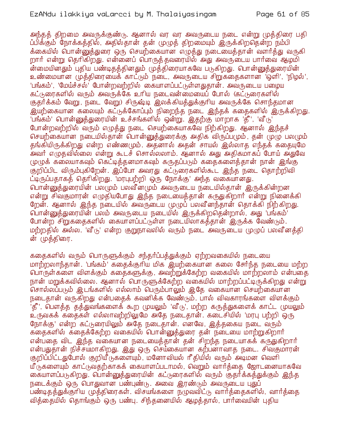அந்தத் திறமை அவருக்குண்டு. ஆனால் வர வர அவருடைய நடை என்று முத்திரை பதி ப்பிக்கும் நோக்கத்தில், அதில்தான் தன் முழுத் திறமையும் இருக்கிறதென்ற நம்பி க்கையில் பொன்னுத்துரை ஒரு செயற்கையான எழுத்து நடையைத்தான் வளர்த்து வருகி றார் என்று தெரிகிறது. என்னைப் பொருத்தவரையில் அது அவருடைய பார்வை ஆழமி .<br>ன்மையினதும் புதிய பண்டிதத்தினதும் முத்திரையாகவே படுகிறது. பொன்னுத்துரையின் உண்மையான முத்திரையைக் காட்டும் நடை, அவருடைய சிறுக்கைகளான 'ஒளி', 'நிழல்', 'பங்கம்', 'மேய்ச்சல்' போன்றவற்றில் கையாளப்பட்டுள்ளதுதான். அவருடைய பமைய கட்டுரைகளில் வரும் அவருக்கே உரிய நடைவன்மையைப் போல் (கட்டுரைகளில் குதர்க்கம் வேறு, நடை வேறு) சிருஷ்டி இலக்கியத்துக்குரிய அவருக்கே சொந்தமான .<br>இயற்கையான கலையும் கட்டுக்கோப்பும் நிறைந்த நடை இந்தக் கதைகளில் இருக்கிறது. பங்கம்' பொன்னுத்துரையின் உச்சங்களில் ஒன்று. இதற்கு மாறாக 'தீ', 'வீடு' போன்றவற்றில் வரும் எழுத்து நடை செயற்கையாகவே நிற்கிறது. ஆனால் இந்தச் செயற்கையான நடையில்தான் பொன்னுத்துரைக்கு அதிக விருப்பமும், தன் முழு பலமும் தங்கியிருக்கிறது என்ற எண்ணமும். அதனால் அதன் சாயல் இல்லாத எந்தக் கதையுமே .<br>அவர் எழுதவில்லை என்று கூடச் சொல்லலாம். ஆனால் அது அதிகமாகப் போய் அதுவே முழுக் கலையாகவும் கெட்டித்தனமாகவும் கருதப்படும் கதைகளைத்தான் நான் இங்கு குறிப்பிட விரும்புகிறேன். இப்போ அவரது கட்டுரைகளில்கூட இந்த நடை தொற்றிவி ட்டிருப்பதாகத் தெரிகிறது. 'மரபுபற்றி ஒரு நோக்கு' அந்த வகையானது. பொன்னுத்துரையின் பலமும் பலவீனமும் அவருடைய நடையில்தான் இருக்கின்றன என்று சிவகுமாரன் எழுதியபோது இந்த நடையைத்தான் கருதுகிறார் என்று நினைக்கி றேன். ஆனால் இந்த நடையில் அவருடைய முமுப் பலவீனந்தான் தொக்கி நிற்கிறது. <mark>் பொன்னுத்துரையின் பலம் அவருடைய நடையில் இருக்கிறத</mark>ென்றால், அது 'பங்கம்' போன்ற சிறுகதைகளில் கையாளப்பட்டுள்ள நடையிலாகத்தான் இருக்க வேண்டும். மற்றதில் அல்ல. 'வீடு' என்ற குறுநாவலில் வரும் நடை அவருடைய முழுப் பலவீனத்தி ன் முத்திரை.

கதைகளில் வரும் பொருளுக்கும் சந்தர்ப்பத்துக்கும் ஏற்றவகையில் நடையை மாற்றலாந்தான். 'பங்கம்' கதைக்குரிய மிக இயற்கையான கலை சேர்ந்த நடையை மற்ற பொருள்களை விளக்கும் கதைகளுக்கு, அவற்றுக்கேற்ற வகையில் மாற்றலாம் என்பதை நான் மறுக்கவில்லை. ஆனால் பொருளுக்கேற்ற வகையில் மாற்றப்பட்டிருக்கிறது என்று சொல்லப்படும் இடங்களில் எல்லாம் பெரும்பாலும் இதே வகையான செயற்கையான நடைதான் வருகிறது என்பதைக் கவனிக்க வேண்டும். பால் விவகாரங்களை விளக்கும் .<br>'தீ', பௌத்த தத்துவங்களைக் கூற முயலும் 'வீடு', மற்ற கருத்துகளைக் காட்ட முயலும் உருவகக் கதைகள் எல்லாவற்றிலுமே அதே நடைதான். கடைசியில் 'மரபு பற்றி ஒரு நோக்கு' என்ற கட்டுரையிலும் அதே நடைதான். எனவே, இத்தகைய நடை வரும் கதைகளில் கதைக்கேற்ற வகையில் பொன்னுத்துரை தன் நடையை மாற்றுகிறார் என்பதை விட இந்த வகையான நடையைத்தான் தன் சிறந்த நடையாகக் கருதுகிறார் என்பதுதான் நிச்சயமாகிறது. இது ஒரு செய்கையான கற்பனாவாத நடை. சிவகுமாரன் குறிப்பிட்டதுபோல் குறியீடுகளையும், மனோவியல் ரீதியில் வரும் அடிமன வெளி யீடுகளையும் காட்டுவதற்காகக் கையாளப்படாமல், வெறும் வார்த்தை ஜோடனையாகவே கையாளப்படுகிறது. பொன்னுத்துரையின் கட்டுரைகளில் வரும் குதர்க்கத்துக்கும் இந்த நடைக்கும் ஒரு பொதுவான பண்புண்டு. அவை இரண்டும் அவருடைய பதுப் பண்டிதத்துக்குரிய முத்திரைகள். விசயங்களை நமுவவிட்டு வார்த்தைகளில், வார்த்தை வித்தையில் தொங்கும் ஒரு பண்பு. சிந்தனையில் ஆழத்தால், பார்வையின் புதிய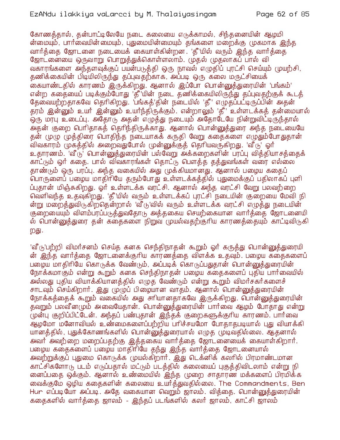கோணக்கால், கன்பாட்டிலேயே நடை கலையை எடுக்காமல், சிந்கனையின் ஆமுமி ன்மையும், பார்வையின்மையும், புதுமையின்மையும் தங்களை மறைக்கு முகமாக இந்த வார்த்தை ஜோடனை நடையைக் கையாள்கின்றன. 'தீ'யில் வரும் இந்த வார்த்தை ஜோட்னையை ஒருவாறு பொறுத்துக்கொள்ளலாம். முதல் முதலாகப் பால் வி வகாரங்களை அந்தளவுக்குப் பயன்படுத்தி ஒரு நாவல் எழுதிப் புரட்சி செய்யும் முயற்சி, தணிக்கையின் பிடியிலிருந்து தப்புவதற்காக, அப்படி ஒரு கலை மருட்சியைக் கையாண்டதில் காரணம் இருக்கிறது. ஆனால் இப்போ பொன்னுக்துரையின் 'பங்கம்' என்ற கதையைப் படிக்கும்போது 'தீ'யின் நடை தணிக்கையிலிருந்து தப்புவதற்குக் கூடத் தேவையற்றதாகவே தெரிகிறது. 'பங்கத்'தின் நடையில் 'தீ' எழுதப்பட்டிருப்பின் அதன் தரம் இன்னும் உயர் இன்னும் உயர்ந்திருக்கும். என்றாலும் 'தீ' உள்ளடக்கத் தன்மையால் ஒரு மரபு உடைப்பு. அதோடு அதன் எழுத்து நடையும் அதோடேயே நின்றுவிட்டிருந்தால் அதன் குறை பெரிதாகத் தெரிந்திருக்காது. ஆனால் பொன்னுத்துரை அந்த நடையையே தன் முழு முத்திரை பொதிந்த நடையாகக் கருதி வேறு கதைகளை எழுதும்போதுதான் விவகாரம் முகத்தில் அறைவதுபோல் முன்னுக்குத் தெரியவருகிறது. 'வீடு' ஓர் உதாரணம். 'வீ ்டு' பொன்னுத்துரையின் பல்வேறு அக்கறைகளின் பரப்பு வித்தியாசத்தைக் காட்டும் ஒர் கதை. பால் விவகாரங்கள் தொட்டு பௌத்த தத்துவங்கள் வரை எல்லை தாண்டும் ஒரு பரப்பு. அந்த வகையில் அது முக்கியமானது. ஆனால் பழைய கதைப் வாருளைப் பழைய மாதிரியே தரும்போது உள்ளடக்கத்தில் புதுமைக்குப் பதிலாகப் புளி ப்பதான் மிஞ்சுகிறது. ஓர் உள்ளடக்க வரட்சி. ஆனால் அந்த வரட்சி வேறு பலவற்றை வெளிவந்த உதவுகிறது. 'தீ'யில் வரும் உள்ளடக்கப் புரட்சி நடையின் குறையை மேவி நி ன்று மறைக்துவிடுகிறகென்றால் 'வீடு'வில் வரும் உள்ளடக்க வரட்சி எழுக்து நடையின் குறையையும் விளம்பரப்படுத்துவதோடு அத்தகைய செயற்கையான வார்த்தை ஜோடனையி ல் பொன்னுத்துரை தன் கதைகளை நிறுவ முயல்வதற்குரிய காரணத்தையும் காட்டிவிடுகி றது.

'வீ (ந'பற்றி விமர்சனம் செய்த கனக செந்திநாதன் கூறும் ஓர் கருத்து பொன்னுத்துரையி ன் இந்த வார்த்தை ஜோடனைக்குரிய காரணத்தை விளக்க உதவும். பழைய கதைகளைப் பழைய மாதிரியே கொடுக்க வேண்டும், அப்படிக் கொடுப்பதுதான் பொன்னுத்துரையின் நோக்கமாகும் என்று கூறும் கனக செந்திநாதன் பழைய கதைகளைப் புதிய பார்வையில் .<br>அல்லது புதிய வியாக்கியானத்தில் எழுத வேண்டும் என்று கூறும் விமார்சகார்களைச் சாடவும் செய்கிறார். இது (ழழுப் பிழையான வாதம். ஆனால் பொன்னுத்துரையின் நோக்கத்தைக் கூறும் வகையில் அது சாியானதாகவே இருக்கிறது. பொன்னுத்துரையின் தவறும் பலவீனமும் அவையேதான். பொன்னுத்துரையின் பார்வை ஆழம் போதாது என்று முன்பு குறிப்பிட்டேன். அந்தப் பண்புதான் இந்தக் குறைகளுக்குரிய காரணம். பார்வை ஆழமோ மனோவியல் உண்மைகளைப்பற்றிய பரிச்சயமோ போதாதபடியால் புது வியாக்கி யானத்தில், புதுக்கோணங்களில் பொன்னுத்துரையால் எழுத முடிவதில்லை. ஆதனால் அவர் அவற்றை மறைப்பதற்கு இத்தகைய வார்த்தை ஜோடனையைக் கையாள்கிறார். பழைய கதைகளைப் பழைய மாதிரியே தந்து இந்த வார்த்தை ஜோடனையால் அவற்றுக்குப் புதுமை கொடுக்க முயல்கிறார். இது டெக்னிக் கலரில் பிரமாண்டமான காட்சிகளோடு படம் எடுப்பதால் மட்டும் படத்தில் கலையைப் புகுத்திவிடலாம் என்று நி னைப்பதை ஒக்கும். ஆனால் உண்மையில் இந்த முறை சாதாரண மக்களைப் பிரமிக்க வைக்குமே ஒழிய கதைகளின் கலையை உயர்த்துவதில்லை. The Commandments, Ben Hur எப்படியோ அப்படி. அதே வகையான வெறும் ஜாலம். வித்தை. பொன்னுத்துரையின் ககைகளில் வார்க்கை ஜாலம் - இந்தப் படங்களில் கலர் ஜாலம், காட்சி ஜாலம்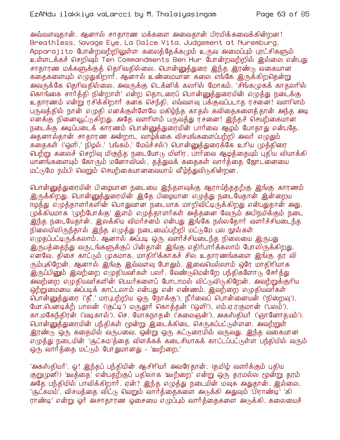அவ்வளவுதான். ஆனால் சாதாரண மக்களை அவைதான் பிரமிக்கவைக்கின்றன! Breathless, Savage Eye, La Dalce Vita. Judgement at Nuremburg, Apparajito போன்றவற்றிலுள்ள கலைத்தேக்கமும் உருவ அமைப்பும் புரட்சிகளும் உள்ளடக்கச் செறிவும் Ten Commandments Ben Hur போன்றவற்றில் இல்லை என்பது சாதாரண மக்களுக்குத் தெரிவதில்லை. பொ<mark>ன்னு</mark>த்துரை இந்த இரண்டு வகையான கதைகளையும் எழுதுகிறார். ஆனால் உண்மையான கலை எங்கே இருக்கிறதென்று அவருக்கே தெரிவதில்லை. அவருக்கு டெக்னிக் கலரில் மோகம், 'சிங்கமுகக் காகலரில் கொங்கை சார்த்தி நின்றாள்' என்ற தொடரைப் பொன்னுத்துரையின் எழுத்து நடைக்கு உதாரணம் என்று ரசிக்கிறார் கனக செந்தி. எவ்வளவு பக்குவப்படாத ரசனை! வளரிளம் பருவத்தில் நான் எழுதி எனக்குள்ளேயே மகிழ்ந்த காதல் கவிதைகளைத்தான் அந்த அடி எனக்கு நினைவூட்டுகிறது. அதே வளரிளம் பருவத்து ரசனை! இந்தச் செயற்கையான நடைக்கு அடிப்படைக் காரணம் பொன்னுத்துரையின் பார்வை ஆழம் போதாது என்பதே. .<br>அதனால்தான் சாதாரண அன்றாட வாழ்க்கை விசயங்களைப்பற்றி அவர் எழுதும் கதைகள் ('ஒளி ' நிழல் ' 'பங்கம் ' மேய்ச்சல்') பொன்னுத்துரைக்கே உரிய முத்திரை பெற்று கலைச் செறிவு மிகுந்த நடையோடு மிளிர, பார்வை ஆழத்தையும் புதிய வியாக்கி யானங்களையும் கோரும் மனோவியல், தத்துவக் கதைகள் வார்த்தை ஜோடனையை மட்டுமே நம்பி வெறும் செயற்கையானவையாய் வீழ்ந்துவிடுகின்றன.

பொன்னுத்துரையின் பிழையான நடையை இந்தளவுக்கு ஆராய்ந்ததற்கு இங்கு காரணம் இருக்கிறது. பொன்னுத்துரையின் இதே பிழையான எழுத்து நடையேதான் இன்றைய ஈழத்து எமுத்தாளர்களின் பொதுவான நடையாக மாறிவிட்டிருக்கிறது என்பதுதான் அது. முக்கியமாக 'முற்போக்கு' இளம் எழுத்தாளர்கள் அத்தனை வேரும் அபிநயிக்கும் நடை .<br>இந்த நடையேதான். இலக்கிய விமர்சனம் என்பது இங்கே நல்லதோர் வளர்ச்சியடைந்த நிலையிலிருந்தால் இந்த எழுத்து நடையைப்பற்றி மட்டுமே பல நூல்கள் எமுகப்பட்டிருக்கலாம். ஆனால் அப்படி ஒரு வளர்ச்சியடைந்த நிலையை இருபது இருபத்தைந்து வருடங்களுக்குப் பின்தான் இங்கு எதிர்பார்க்கலாம் போலிருக்கிறது. எனவே, திசை காட்டும் முகமாக, மாதிரிக்காகச் சில உதாரணங்களை இங்கு தர வி ரும்புகிறேன். ஆனால் இங்கு இவ்வளவு போதும். இவையெல்லாம் ஒரே மாதிரியாக <u>இருப்பினு</u>ம் இவற்றை எழுதியவர்கள் பலர். வேண்டுமென்றே பந்திகளோடு சேர்த்து அவற்றை எமுகியவர்களின் பெயர்களைப் போடாமல் விட்டுவிடுகிறேன். அவற்றுக்குரிய ஒற்றுமையை அப்படிக் காட்டலாம் என்பது என் எண்ணம். இவற்றை எழுதியவர்கள் .<br>பொன்னுத்துரை ('தீ ,' மரபுபற்றிய ஒரு நோக்கு'), நீா்வைப் பொன்னையன் ('நிறைவு'), யோ பெனடிக்ற் பாலன் ('குட்டி') மருதூர் கொத்தன் ('ஒளி'), எம்.ஏ.ரகுமான் ('பலம்'), கா.மகேந்திரன் ('வடிகால்'), செ. யோகநாதன் ('கலைஞன்'), அகஸ்தியர் ('ஞானோதயம்'). பொன்னுத்துரையின் பந்திகள் மூன்று இடைக்கிடை செருகப்பட்டுள்ளன. அவற்றுள் இரண்டு ஒரு கதையில் வருபவை. ஒன்று ஒரு கட்டுரையில் வருவது. இந்த வகையான எழுத்து நடையின் 'சூட்சும'த்தை விளக்கக் கடைசியாகக் காட்டப்பட்டுள்ள பந்தியில் வரும் ஒரு வார்த்தை மட்டும் போதுமானது - 'ஊற்றை.'

'அகஸ்தியர்'. ஓ! இந்தப் பந்தியின் ஆசிரியர் அவரேதான். (தமிழ் வளர்க்கும் புதிய குறுமுனி) 'ஊத்தை' என்பதற்குப் பதிலாக 'ஊற்றை' என்று ஒரு தரமல்ல மூன்று தரம் அதே பந்தியில் பாவிக்கிறார். ஏன்? இந்த எழுத்து நடையின் மவுசு அதுதான். இல்லை. 'சூட்சுமம்'. விசயத்தை விட்டு வெறும் வார்த்தைகளை அடுக்கி அதுவும் 'பிராண்டி' 'கி ராண்டி' என்று ஒர் அசாதாரண ஒசையை எமுப்பும் வார்த்தைகளை அடுக்கி, கலையைச்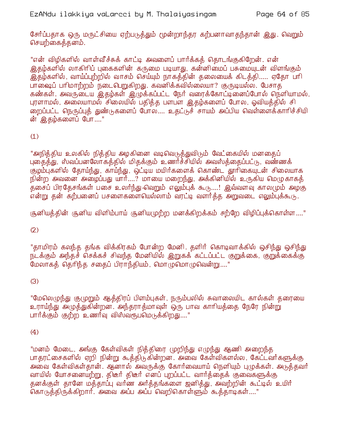சேர்ப்பதாக ஒரு மருட்சியை ஏற்படுத்தும் மூன்றாந்தர கற்பனாவாதந்தான் இது. வெறும் செயற்கைத்தனம்.

"என் விழிகளில் வாள்வீச்சுக் காட்டி அவளைப் பார்க்கத் தொடங்குகிறேன். என் இதம்களில் லாகிரிப் புகைகளின் கருமை படியாது, கன்னிமைப் பசுமையுடன் விளங்கும் இத்ம்களில், வாய்ப்புற்றில் வாசம் செய்யும் நாகக்கின் கலையைக் கிடக்கி..... ஏகோ பரி பாஷைப் பரிமாற்றம் நடைபெறுகிறது. கவனிக்கவில்லையா? குருடியல்ல. பேசாக கண்கள். அவருடைய இதழ்கள் இழுக்கப்பட்ட நேர் வரைக்கோட்டினைப்போல் நெளியாமல், புரளாமல், அலையாமல் சிலையில் பதித்த பளபள இதழ்களைப் போல, ஓவியத்தில் சி றைப்பட்ட நெருப்புத் துண்டுகளைப் போல.... உதட்டுச் சாயம் அப்பிய வெள்ளைக்காரிச்சியி ன் இதம்களைப் போ...."

# $(1)$

"அநித்்திய உலகில் நித்்திய அழகினை வடிவெடுத்்துவிடும் வேட்கையில் மனதைப் புகைத்த்து, ஸ்வப்பனலோகத்தில் மிதக்கும் உணர்ச்சியில் அவஸ்த்தைப்பட்டு, வண்ணக் குழம்புகளில் தோய்ந்து, காய்ந்து, ஒட்டிய மயிர்களைக் கொண்ட தூரிகையுடன் சிலையாக நின்ற அவனை அழைப்பது யார்....? மாயை மறைந்து, அக்கினியில் உருகிய மெழுகாகத் தசைப் பிரதேசங்கள் பசை உலர்ந்து வெறும் எலும்புக் கூடு.....! இவ்வளவு காலமும் அழகு என்று தன் கற்பனைப் பசளைகளையெல்லாம் வரட்டி வளர்க்க அறுவடை எலும்புக்கூடு.

சூனியத்தின் சூனிய விளிம்பாய் சூனியமுற்ற மனக்கிறக்கம் சற்றே விழிப்புக்கொள்ள...."

 $(2)$ 

"தாமிரம் கலந்த தங்க விக்கிரகம் போன்ற மேனி. தளிர் கொடிவாக்கில் ஒசிந்து ஒசிந்து நடக்கும் அந்தச் செக்கச் சிவந்த மேனியில் இறுகக் கட்டப்பட்ட குறுக்கை, குறுக்கைக்கு மேலாகத் தெரிந்த சதைப் பிராந்தியம், மொழுமொழுவென்று...."

### $(3)$

"மேலெழுந்து குமுறும் ஆத்திரப் பிளம்புகள், நரும்பலில் சுவாலையிட கால்கள் தரையை உராய்ந்து அழுத்துகின்றன. அந்தராத்மாவுள் ஒரு பாவ காரியத்தை நேரே நின்று பார்க்கும் குற்ற உணர்வு விஸ்வரூபமெடுக்கிறது...."

### $(4)$

"மனம் மேடை, அங்கு கேள்விகள் நித்திரை முறிந்து எழுந்து ஆணி அறைந்த பாதரட்சைகளில் ஏறி நின்று கூத்திடுகின்றன. அவை கேள்விகளல்ல, கேட்டவர்களுக்கு அவை கேள்விகள்தான். ஆனால் அவருக்கு கோர்வையாய் நெளியும் புழுக்கள். அடுத்தவர் வாயில் யோசனையற்று, திடீர் திடீர் எனப் புறப்பட்ட வார்த்தைக் குவைகளுக்கு தனக்குள் தானே மக்தாப்பு வர்ண அர்க்தங்களை ஜனிக்து, அவற்றின் கூட்டில் உயிர் கொடுத்திருக்கிறார். அவை அப்ப அப்ப வெறிகொள்ளும் கூத்தாடிகள்...."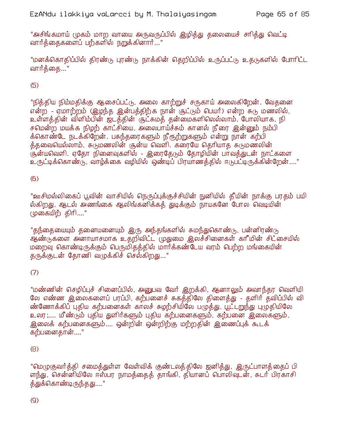"அசிங்கமாய் முகம் மாற வாயை அருவருப்பில் இழித்து தலையைச் சாித்து வெட்டி வார்த்தைகளைப் பற்களில் நறுக்கினார்..."

"மனக்கொதிப்பில் திரண்டு புரண்டு நாக்கின் தெறிப்பில் உருப்பட்டு உதடுகளில் போரிட்ட வார்க்கை..."

 $(5)$ 

"நித்திய நிம்மதிக்கு ஆசைப்பட்டு, அலை காற்றுச் சருகாய் அலைகிறேன். வேதனை என்ற - ஏமாற்றம் (இழந்த இன்பத்திற்க நான் சூட்டும் பெயர்) என்ற சுடு மணலில், உள்ளத்தின் விளிம்பின் ஜடத்தின் சூட்சுமத் தன்மைகளிலெல்லாம், போலியாக, நி சமென்ற மயக்க நிழற் காட்சியை, அலைபாய்ச்சும் கானல் நீரை இன்னும் நம்பி க்கொண்டே நடக்கிறேன். பசுந்தரைகளும் நீரூற்றுகளும் என்று நான் கற்பி க்்கவையெல்லாம். சுருமணலின் சூன்ய வெளி. கரையே கெரியாக சுருமணலின் சூன்யவெளி. ஏதோ நினைவுகளில் - இரைதேடும் தோழியின் பாவக்துடன் நாட்களை உருட்டிக்கொண்டு, வாழ்க்கை வழியில் ஒண்டிப் பிரயாணத்தில் ஈடுபட்டிருக்கின்றேன்...."

## $(6)$

"ஊசிமல்லிகைப் பூவின் வாசியில் நெருப்புக்குச்சியின் நுனியில் தீயின் நாக்கு பரதம் பயி ல்கிறது. ஆடல் அணங்கை ஆலிங்கனிக்கக் துடிக்கும் நாயகனே போல வெடியின் முகையிற் திரி...."

"தந்தையையும் தனையனையும் இரு அந்தங்களில் சுமந்துகொண்டு, பன்னிரண்டு ஆண்டுகளை அனாயாசமாக உதறிவிட்ட முதுமை இலச்சினைகள் காீமின் சிட்சையில் மறைவு கொண்டிருக்கும் பெருமிதத்தில் மார்க்கண்டேய வரம் பெற்ற மங்கையின் தருக்குடன் தோணி வழுக்கிச் செல்கிறது..."

# $(7)$

"மண்ணின் செழிப்புச் சினைப்பில், அனுபவ வேர் இறக்கி, ஆனாலும் அவாந்தர வெளியி லே எண்ண இலைகளைப் பரப்பி, கற்பனைச் சுகத்திலே திளைத்து - தளிர் தவிப்பில் வி ண்ணோக்கிப் புதிய கற்பனைகள் காலச் சுழற்சியிலே பமுத்து, பூட்டறுந்து புழுதியிலே உலர;.... மீண்டும் புதிய துளிர்களும் புதிய கற்பனைகளும், கற்பனை இலைகளும், இலைக் கற்பனைகளும்.... ஒன்றின் ஒன்றிற்கு மற்றதின் இணைப்புக் கூடக் கற்பனைதான்…."

### $(8)$

"மெழுகுவர்த்தி சமைத்துள்ள வேள்விக் குண்டலத்திலே ஜனித்து, இருட்பாளத்தைப் பி ளந்து, சென்னியிலே ஈஸ்பர நாமத்தைத் தாங்கி, தியானப் பொலிவுடன், சுடர் பிரகாசி <u>க்து</u>க்கொண்டிருந்தது...."

 $(Q)$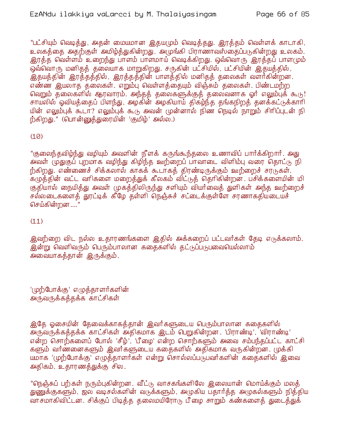"பட்சியும் வெடித்து, அதன் மையமான இதயமும் வெடித்தது. இரத்தம் வெள்ளக் காடாகி, உலகத்தை அதற்குள் அமிழ்த்துகின்றது. அமுங்கி பிராணாவஸ்தைப்படுகின்றது உலகம். இரத்த வெள்ளம் உறைந்து பாளம் பாளமாய் வெடிக்கிறது. ஒவ்வொரு இரத்தப் பாளமும் ஒவ்வொரு மனிதத் தலையாக மாறுகிறது. சருகின் பட்சியில், பட்சியின் இதயத்தில், இதயத்தின் இரத்தத்தில், இரத்தத்தின் பாளத்தில் மனிதத் தலைகள் வளர்கின்றன. எண்ண இயலாத தலைகள். எறும்ப வெள்ளக்கையும் விஞ்சும் தலைகள். பிண்டமற்ற வெறும் தலைகளில் ஆரவாரம். அந்தத் தலைகளுக்குத் தலைவனாக ஓர் எலும்புக் கூடு! சாயலில் ஓவியத்தைப் பிளந்து, அழக்ின் அழகியாய் திகழ்ந்த தங்கநிறத் தனக்கட்டுக்காரி யின் எலும்புக் கூடா? எலும்புக் கூடு அவன் முன்னால் நிண நெடில் நாறும் சிரிப்புடன் நி ற்கிறது." (பொன்னுக்துரையின் 'குமிழ்' அல்ல.)

 $(10)$ 

"குலைந்தவிழ்ந்து வழியும் அவளின் நீளக் கருங்கூந்தலை உணாவிப் பார்க்கிறார். அது அவள் முதுகுப் புறமாக வழிந்து கிழிந்த ஊற்றைப் பாவாடை விளிம்பு வரை தொட்டு நி ற்கிறது. எண்ணைச் சிக்கலால் காகக் கூடாகத் திரண்டிருக்கும் ஊற்றைச் சரடுகள். .<br>கழுத்தின் வட்ட வரிகளை மறைத்துக் கீலகம் விட்டுத் தெரிகின்றன. பசிக்களையின் மி <u>குதியால் நையித்து அவள் முகத்திலிருந்து சளியும் வியர்வைத் துளிகள் அந்த ஊற்றைச்</u> சல்லடைகளைத் தூட்டிக் கீழே தள்ளி நெஞ்சுச் சட்டைக்குள்ளே சரணாகதியடையச் செய்கின்றன ...."

 $(11)$ 

இவற்றை விட நல்ல உதாரணங்களை இதில் அக்கறைப் பட்டவர்கள் தேடி எடுக்கலாம். இன்று வெளிவரும் பெரும்பாலான கதைகளில் தட்டுப்படுபவையெல்லாம் அவையாகத்தான் இருக்கும்.

'முற்போக்கு' எழுத்தாளர்களின் அருவருக்கத்தக்க காட்சிகள்

இதே ஓசையின் தேவைக்காகத்தான் இவர்களுடைய பெரும்பாலான கதைகளில் அருவருக்கத்தக்க காட்சிகள் அதிகமாக இடம் பெறுகின்றன. 'பிராண்டி', 'விராண்டி' என்ற சொற்களைப் போல் 'சீழ்', 'பீழை' என்ற சொற்களும் அவை சம்பந்தப்பட்ட காட்சி களும் வர்ணனைகளும் இவர்களுடைய கதைகளில் அதிகமாக வருகின்றன. முக்கி யமாக 'முற்போக்கு' எழுத்தாளர்கள் என்று சொல்லப்படுபவர்களின் கதைகளில் இவை அதிகம். உதாரணத்துக்கு சில.

"நெஞ்சுப் பற்கள் நரும்புகின்றன. வீட்டு வாசகங்களிலே இலையான் மொய்க்கும் மலத் துணுக்குகளும், ஜல வடிசல்களின் வடுக்களும், அழுகிய பதார்த்த அழுகல்களும் நித்திய வாசமாகிவிட்டன. சிக்குப் பிடிக்க கலைமயிரோடு பீ மை சாறும் கண்களைக் துடைத்துக்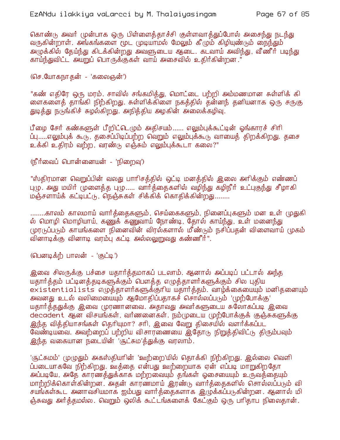கொண்டு அவர் முன்பாக ஒரு பிள்ளைக்காச்சி குள்ளவாக்துப்போல் அசைந்து நடந்து வருகின்றாள். அங்கங்களை மூட முடியாமல் மேலும் கீழும் கிழியுண்டும் நைந்தும் அழுக்கில் தேய்ந்து கிடக்கின்றது அவளுடைய ஆடை. கடவாய் அவிந்து, வீணீர் படிந்து காய்ந்துவிட்ட அயறுப் பொருக்குகள் வாய் அசைவில் உதிர்கின்றன."

(செ.யோகநாகன் - 'கலைஞன்')

"கண் எதிரே ஒரு மரம். சாவில் சங்கமித்து, மொட்டை பற்றி அம்மணமான சுள்ளிக் கி ளைகளைத் தாங்கி நிற்கிறது. சுள்ளிக்கிளை நகத்தில் தன்னந் தனியனாக ஒரு சருகு துடித்து நடுங்கிச் சுழல்கிறது. அநித்திய அழகின் அலைக்கழிவு.

பீழை சேர் கண்களுள் பீறிட்டெழும் அதிசயம்...... எலும்புக்கூட்டின் ஓங்காரச் சிரி ப்பு.....எலும்புக் கூடு, தசைப்பிடிப்பற்ற வெறும் எலும்புக்கூடு வாயைத் திறக்கிறது. தசை உக்கி உதிரம் வற்ற, வரண்டு எஞ்சும் எலும்புக்கூடா கலை?"

(நீர்வைப் பொன்னையன் - 'நிறைவு')

"ஸ்திரமான வெறுப்பின் வலது பாரிசத்தில் ஒட்டி மனத்தில் இலை அரிக்கும் எண்ணப் புழு. அது மயிர் முளைத்த புழு..... வார்த்தைகளில் வழிந்து கழிநீர் உட்புகுந்து சீழாகி மஞ்சளாய்க் கட்டிபட்டு, நெஞ்சுகள் சிக்கிக் கொதிக்கின்றது........

........காலம் காலமாய் வார்த்தைகளும், செய்கைகளும், நினைப்புகளும் மன உள் முதுகி ல் மொழி மொழியாய், கணுக் கணுவாய் நோண்டி, தோல் காய்ந்து, உள் மனைந்து முரடுப்படும் காயங்களை நினைவின் விரல்களால் மீண்டும் நசிப்பதன் விளைவாய் முகம் வினாடிக்கு வினாடி வரம்பு கட்டி அல்லலுறுவது கண்ணீர்".

(பௌடிக்ற் பாலன் - 'குட்டி')

இவை சிலருக்கு பச்சை யதார்த்தமாகப் படலாம். ஆனால் அப்படிப் பட்டால் அந்த யதார்த்தம் பட்டினத்தடிகளுக்கும் பௌத்த எமுத்தாளர்களுக்கும் சில புதிய existentialists எழுத்தாளார்களுக்குரிய யதாார்த்தம். வாழ்க்கையையும் மனிதனையும் அவனது உடல் வலிமையையும் ஆமோதிப்பதாகச் சொல்லப்படும் 'முற்போக்கு' யதார்த்ததுக்கு இவை முரணானவை. அதாவது அவர்களுடைய சுலோகப்படி இவை decadent ஆன விசயங்கள், வர்ணனைகள். நம்முடைய முற்போக்குக் குஞ்சுகளுக்கு இந்த வித்தியாசங்கள் தெரியுமா? சரி, இவை வேறு திசையில் வளர்க்கப்பட வேண்டியவை. அவற்றைப் பற்றிய விசாரணையை இதோடு நிறுத்திவிட்டு திரும்பவும் இந்த வகையான நடையின் 'சூட்சும'த்துக்கு வரலாம்.

'சூட்சுமம்' முழுதும் அகஸ்தியாின் 'ஊற்றை'யில் தொக்கி நிற்கிறது. இல்லை வெளி ப்படையாகவே நிற்கிறது. ஊத்தை என்பது ஊற்றையாக ஏன் எப்படி மாறுகிறதோ அப்படியே, அதே காரணத்துக்காக மற்றவையும் தங்கள் ஓசையையும் உருவத்தையும் மாற்றிக்கொள்கின்றன. அதன் காரணமாய் இரண்டு வார்த்தைகளில் சொல்லப்படும் வி சயங்கள்கூட அனாவசியமாக ஐம்பது வார்த்தைகளாக இழுக்கப்படுகின்றன. ஆனால் மி ஞ்சுவது அர்த்தமல்ல. வெறும் ஒலிக் கூட்டங்களைக் கேட்கும் ஒரு பரிதாப நிலைதான்.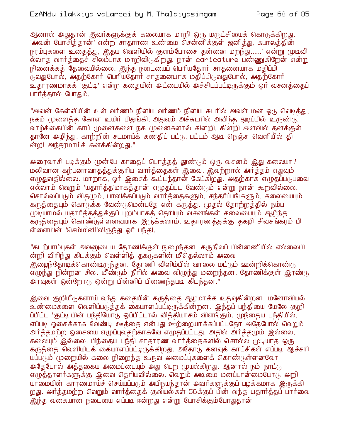ஆனால் அதுதான் இவர்களுக்குக் கலையாக மாறி ஒரு மருட்சியைக் கொடுக்கிறது. 'அவன் யோசித்தான்' என்ற சாதாரண உண்மை சென்னிக்குள் ஜனித்து, கபாலத்தின் நரம்புகளை உதைத்து, இதய வெளியில் குளம்போசை தன்னை மறந்து......' என்று முடிவி ல்லாத வார்த்தைச் சிலம்பாக மாறிவிடுகிறது. நான் caricature பண்ணுகிறேன் என்று நினைக்கக் கேவையில்லை. இந்த நடையைப் பெரியகோர் சாகனையாக மகிப்பி .<br>நிலதுபோல், அதற்கோர் பெரியதோர் சாதனையாக மதிப்பிடுவதுபோல், அதற்கோர் உதாரணமாகக் 'குட்டி' என்ற ககையின் அட்டையில் அச்சிடப்பட்டிருக்கும் ஒர் வசனக்கைப் பார்த்தால் போதும்.

"அவன் கேள்வியின் உள் வர்ணம் நீளிய வர்ணம் நீளிய சுடரில் அவள் மன ஓடு வெடித்து, நகம் முளைத்த கோள உயிர் பிதுங்கி, அதுவும் அச்சுடரில் அவிந்த துடிப்பில் உருண்டு, வாழ்க்கையின் காய் முனைகளை நக முனைகளால் கிளறி, கிளறி அளவில் தனக்குள் தானே அழிந்து, காற்றின் சடமாய்க் கண்திப் பட்டு, பட்டம் ஆடி நெஞ்சு வெளியில் தி ன்றி அந்தரமாய்க் கனக்கின்றது."

அரைவாசி படிக்கும் முன்பே காதைப் பொத்தத் தூண்டும் ஒரு வசனம் இது கலையா? மலிவான கற்பனாவாதத்துக்குரிய வார்த்தைகள் இவை. இவற்றால் அர்த்தம் எதுவும் எழுதுவதில்லை. மாறாக, ஓர் இசைக் கூட்டந்தான் கேட்கிறது. அதற்காக எழுதப்படுபவை எல்லாம் வெறும் 'யதார்த்த'மாகத்தான் எழுதப்பட வேண்டும் என்று நான் கூறவில்லை. சொல்லப்படும் விதழும், பாவிக்கப்படும் வார்த்தைகளும், சந்தர்ப்பங்களும், கலையையும் கருத்தையும் கொடுக்க வேண்டுமென்பதே என் கருத்து. முதல் தோற்றத்தில் நம்ப முடியாமல் யதார்த்தத்துக்குப் புறம்பாகத் தெரியும் வசனங்கள் கலையையும் ஆழ்ந்த கருத்தையும் கொண்டுள்ளவையாக இருக்கலாம். உதாரணத்துக்கு தகழி சிவசங்கரம் பி ள்ளையின் 'செம்மீனி'லிருந்து ஒர் பந்தி.

"கடற்பாம்புகள் அவனுடைய தோணிக்குள் நுழைந்தன. கருநீலப் பின்னணியில் எல்லையி ன்றி விரிந்து கிடக்கும் வெள்ளித் தகடுகளின் மீதெல்லாம் அவை <u>இறைந்தோடிக்கொண்டிருந்தன. தோணி விளிம்பில் வாலை மட்டும் ஊன்றிக்கொண்டு</u> எழுந்து நின்றன சில. மீண்டும் நீரில் அவை விழுந்து மறைந்தன. தோணிக்குள் இரண்டு அரவுகள் ஒன்றோடு ஒன்று பின்னிப் பிணைந்தபடி கிடந்தன."

இவை குறியீடுகளாய் வந்து கதையின் கருத்தை ஆழமாக்க உதவுகின்றன. மனோவியல் உண்மைகளை வெளிப்படுத்தக் கையாளப்பட்டிருக்கின்றன. இந்தப் பந்தியை மேலே குறி ப்பிட்ட 'குட்டி'யின் பந்தியோடு ஒப்பிட்டால் வித்தியாசம் விளங்கும். முந்தைய பந்தியில், எப்படி ஓசைக்காக வேண்டி ஊத்தை என்பது ஊற்றையாக்கப்பட்டதோ அதேபோல் வெறும் அர்த்தமற்ற ஓசையை எழுப்புவதற்காகவே எழுதப்பட்டது. அதில் அர்த்தமும் இல்லை, கலையும் இல்லை. பிந்தைய பந்தி சாதாரண வார்த்தைகளில் சொல்ல முடியாத ஒரு கருத்தை வெளியிடக் கையாளப்பட்டிருக்கிறது. அதோடு கனவுக் காட்சிகள் எப்படி ஆச்சரி யப்படும் முறையில் கலை நிறைந்த உருவ அமைப்புகளைக் கொண்டுள்ளனவோ அதேபோல் அத்தகைய அமைப்பையும் அது பெற முயல்கிறது. ஆனால் நம் நாட்டு எழுத்தாளர்களுக்கு இவை தெரியவில்லை. வெறும் அடிமை மனப்பான்மையோடு அறி யாமையின் காரணமாய்ச் செய்யப்படும் அபிநயந்தான் அவர்களுக்குப் பமக்கமாக இருக்கி றது. அர்த்தமற்ற வெறும் வார்த்தைக் குவியல்கள் 56க்குப் பின் வந்த யதார்த்தப் பார்வை இந்த வகையான நடையை எப்படி ஈன்றது என்று யோசிக்கும்போதுதான்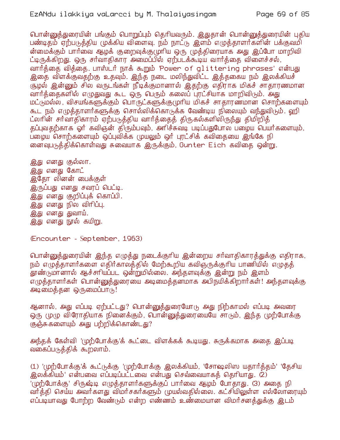பொன்னுத்துரையின் பங்கும் பொறுப்பும் தெரியவரும். இதுதான் பொன்னுத்துரையின் புதிய பண்டிதம் ஏற்படுத்திய முக்கிய விளைவு. நம் நாட்டு இளம் எழுத்தாளர்களின் பக்குவமி ன்மைக்கும் பார்வை ஆழக் குறைவுக்குமுரிய ஒரு முத்திரையாக அது இப்போ மாறிவி ட்டிருக்கிறது. ஒரு சர்வாதிகார அமைப்பில் ஏற்படக்கூடிய வார்த்தை விளைச்சல், வார்த்தை வித்தை. பாஸ்டர் நாக் கூறும் 'Power of glittering phrases' என்பது இதை விளக்குவதற்கு உதவும். இந்த நடை மலிந்துவிட்ட இத்தகைய நம் இலக்கியச் குமல் இன்னும் சில வருடங்கள் நீடிக்குமானால் இதற்கு எதிராக மிகச் சாதாரணமான வார்த்தைகளில் எழுதுவது கூட ஒரு பெரும் கலைப் புரட்சியாக மாறிவிடும். அது மட்டுமல்ல, விசயங்களுக்கும் பொருட்களுக்குமுரிய மிகச் சாதாரணமான சொற்களையும் கூட நம் எமுக்காளர்களுக்கு சொல்லிக்கொடுக்க வேண்டிய நிலையும் வந்துவிடும். ஹி ட்லரின் சர்வாதிகாரம் ஏற்படுக்கிய வார்க்கைக் கிருகல்களிலிருந்து கிமிறிக் தப்புவதற்காக ஓர் கவிஞன் திரும்பவும், அரிச்சுவடி படிப்பதுபோல பழைய பெயர்களையும், ப்ழைய சொற்களையும் ஒப்புவிக்க முயலும் ஒர் புரட்சிக் கவிதையை இங்கே நி ளைவுபடுத்திக்கொள்வது சுவையாக இருக்கும், Gunter Eich கவிதை ஒன்று.

இது எனது குல்லா. <u>இது</u> எனது கோட் இதோ லினன் பைக்குள் இருப்பது எனது சவரப் பெட்டி. இது எனது குறிப்புக் கொப்பி. <u>இது</u> எனது நில விரிப்பு. இது எனது துவாய். இது எனது நூல் கயிறு.

(Encounter - September, 1963)

பொன்னுத்துரையின் இந்த எழுத்து நடைக்குரிய இன்றைய சர்வாதிகாரத்துக்கு எதிராக, நம் எழுத்தாளர்களை எதிர்காலத்தில் மேற்கூறிய கவிஞருக்குரிய பாணியில் எழுத்த் தூண்டுமானால் ஆச்சாியப்பட ஒன்றுமில்லை. அந்தளவுக்கு இன்று நம் இளம் எமுத்தாளர்கள் பொன்னுத்துரையை அடிமைத்தனமாக அபிநயிக்கிறார்கள்! அந்தளவுக்கு அடிமைத்தன ஒருமைப்பாடு!

ஆனால், அது எப்படி ஏற்பட்டது? பொன்னுத்துரையோடு அது நிற்காமல் எப்படி அவரை ஒரு முழு விரோதியாக நினைக்கும், பொன்னுத்துரையையே சாடும், இந்த முற்போக்கு குஞ்சுகளையும் அது பற்றிக்கொண்டது?

அந்தக் கேள்வி 'முற்போக்கு'க் கூட்டை விளக்கக் கூடியது. சுருக்கமாக அதை இப்படி வகைப்படுத்திக் கூறலாம்.

(1) 'முற்போக்கு'க் கூட்டுக்கு 'முற்போக்கு இலக்கியம், 'சோஷலிஸ யதார்த்தம்' 'தேசிய இலக்கியம்' என்பவை எப்படிப்பட்டவை என்பது செவ்வையாகத் தெரியாது. (2) 'முற்போக்கு' சிருஷ்டி எமுக்காளர்களுக்குப் பார்வை ஆழம் போகாது. (3) அகை நி வர்த்தி செய்ய அவர்களது விமர்சகர்களும் முயல்வதில்லை. கட்சியிலுள்ள எல்லோரையும் எப்படியாவது போற்ற வேண்டும் என்ற எண்ணம் உண்மையான விமர்சனத்துக்கு இடம்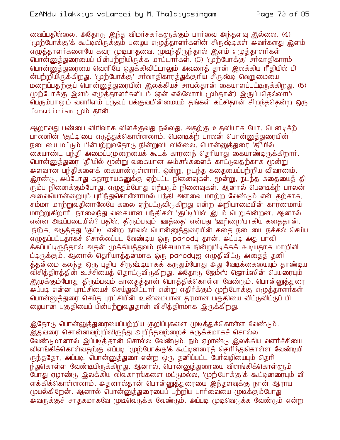வைப்பதில்லை. அதோடு இந்த விமர்சகர்களுக்கும் பார்வை அந்தளவு இல்லை. (4) '(முற்போக்கு'க் கூட்டிலிருக்கும் பழைய எழுத்தாளர்களின் சிருஷ்டிகள் அவர்களது இளம் எழுத்தாளர்களையே கவர முடியாதவை. முடிந்திருந்தால் இளம் எழுத்தாளர்கள் பொன்னுத்துரையைப் பின்பற்றியிருக்க மாட்டார்கள். (5) 'முற்போக்கு' சர்வாதிகாரம் பொன்னுக்துரையை வெளியே ஒதுக்கிவிட்டாலும் அவரைக் கான் இலக்கிய ரீகியில் பி ன்பற்றியிருக்கிறது. 'முற்போக்கு' சர்வாதிகாரத்துக்குரிய சிருஷ்டி வெறுமையை மறைப்பதற்குப் பொன்னுக்துரையின் இலக்கியச் சாயல்கான் கையாளப்பட்டிருக்கிறது. (6) முற்போக்கு இளம் எழுத்தாளர்களிடம் (ஏன் எல்லோரிட்டும்தான்) இருப்பதெல்லாம் பெரும்பாலும் வளரிளம் பருவப் பக்குவமின்மையும் தங்கள் கட்சிதான் சிறந்தகென்ற ஒரு fanaticism (மூம் கான்.

ஆறாவது பண்பை விரிவாக விளக்குவது நல்லது. அதற்கு உதவியாக யோ. பெனடிக்ற் பாலனின் 'குட்டி'யை எடுத்துக்கொள்ளலாம். பெனடிக்ற் பாலன் பொன்னுத்துரையின் நடையை மட்டும் பின்பற்றுவதோடு நின்றுவிடவில்லை. பொன்னுத்துரை 'தீ'யில் கையாண்ட பந்தி அமைப்படுமறையைக் கூடக் காரணந் தெரியாது கையாண்டிருக்கிறார். பொன்னுத்துரை 'தீ'யில் மூன்று வகையான அம்சங்களைக் காட்டுவதற்காக முன்று அளவான பந்திகளைக் கையாண்டுள்ளார். ஒன்று, நடந்த கதையைப்பற்றிய விவரணம். இரண்டு, அப்போது கதாநாயகனுக்கு ஏற்பட்ட நினைவுகள். மூன்று, நடந்த கதையைத் தி ரும்ப நினைக்கும்போது, எழுதும்போது எற்படும் நினைவுகள். ஆனால் பெனடிக்ற் பாலன் அவையொன்றையும் புரிந்துகொள்ளாமல் பந்தி அளவை மாற்ற வேண்டும் என்பதற்காக, சும்மா மாற்றுவதினாலேயே கலை ஏற்பட்டுவிடுகிறது என்ற அறியாமையின் காரணமாய் மாற்றுகிறார். நாலைந்து வகையான பந்திகள் 'குட்டி'யில் இடம் பெறுகின்றன. ஆனால் என்ன அடிப்படையில்? பதில், திரும்பவும் 'ஊத்தை' என்பது 'ஊற்றை'யாகிய கதைதான். 'நிற்க, அடுத்தது 'குட்டி' என்ற நாவல் பொன்னுத்துரையின் கதை நடையை நக்கல் செய்ய .<br>எழுதப்பட்டதாகச் சொல்லப்பட வேண்டிய ஒரு parody தான். அப்படி அது பாவி க்கப்பட்டிருந்தால் அதன் முக்கியத்துவம் நிச்சயமாக நின்றுபிடிக்கக் கூடியதாக மாறிவி ட்டிருக்கும். ஆனால் தெரியாத்தனமாக ஒரு paroduஐ எழுதிவிட்டு அதைத் தனி த்தன்மை கலந்த ஒரு பதிய சிருஷ்டியாகக் கருதும்போது அது வேடிக்கையையும் தாண்டிய ்விசித்திரத்தின் உச்சியைத் தொட்டுவிடுகிறது. அதோடு ஜேம்ஸ் ஜொய்ஸின் பெயறையும் இழுக்கும்போது திரும்பவும் காதைத்தான் பொத்திக்கொள்ள வேண்டும். பொன்<u>னுக்கு</u>ரை அப்படி என்ன புரட்சியைச் செய்துவிட்டார் என்று எதிர்க்கும் முற்போக்கு எழுத்தாளர்கள் பொன்னுத்துரை செய்த புரட்சியின் உண்மையான தரமான பகுதியை விட்டுவிட்டுப் பி ழையான பகுதியைப் பின்பற்றுவதுதான் விசித்திரமாக இருக்கிறது.

இதோடு பொன்னுக்துரையைப்பற்றிய குறிப்புகளை முடிக்துக்கொள்ள வேண்டும். <u>இது</u>வரை சொன்னவற்றிலிருந்து அறிந்தவற்றைச் சுருக்கமாகச் சொல்ல வேண்டுமானால் இப்படித்தான் சொல்ல வேண்டும். நம் ஏமாண்டு இலக்கிய வளர்ச்சியை விளங்கிக்கொள்வதற்கு எப்படி 'முற்போக்கு'க் கூட்டினரைத் தெரிந்துகொள்ள வேண்டியி ருந்ததோ, அப்படி, பொன்னுத்துரை என்ற ஒரு தனிப்பட்ட பேர்வழியையும் தெரி ந்துகொள்ள வேண்டியிருக்கிறது. ஆனால், பொன்னுத்துரையை விளங்கிக்கொள்ளும் போது ஏழாண்டு இலக்கிய விவகாரங்களை மட்டுமல்ல, 'முற்போக்கு'க் கூட்டினரையும் வி ளக்கிக்கொள்ளலாம். அதனால்தான் பொன்னுக்துரையை இந்தளவுக்கு நான் ஆராய முயல்கிறேன். ஆனால் பொன்னுத்துரையைப் பற்றிய பார்வையை முடிக்கும்போது அவருக்குச் சாதகமாகவே முடிவெடுக்க வேண்டும். அப்படி முடிவெடுக்க வேண்டும் என்ற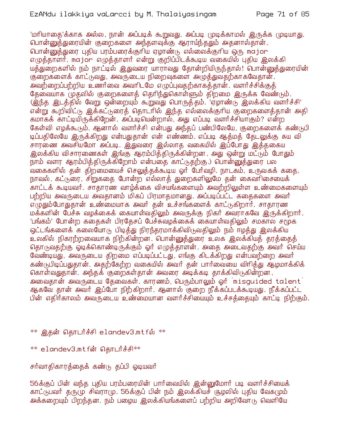'மாியாதை'க்காக அல்ல, நான் அப்படிக் கூறுவது. அப்படி முடிக்காமல் இருக்க முடியாது. பொன்னுத்துரையின் குறைகளை அந்தளவுக்கு ஆராய்ந்ததும் அதனால்தான். பொன்னுத்துரை புதிய பரம்பரைக்குரிய ஏழாண்டு எல்லைக்குரிய ஒரு major எழுத்தாளார், major எழுத்தாளார் என்று குறிப்பிடக்கூடிய வகையில் புதிய இலக்கி யத்துறைகளில் நம் நாட்டில் இதுவரை யாராவது தோன்றியிருந்தால்! பொன்னுத்துரையின் குறைகளைக் காட்டுவது, அவருடைய நிறைவுகளை அழுத்துவதற்காகவேதான். அவற்றைப்பற்றிய உணர்வை அவரிடமே எமுப்புவதற்காகக்கான். வளர்ச்சிக்குக் தேவையாக முதலில் குறைகளைத் தெரிந்துகொள்ளும் திறமை இருக்க வேண்டும். ் இந்த இடத்தில் வேறு ஒன்றையும் கூறுவது பொருத்தம். 'ஏழாண்டு இலக்கிய வளர்ச்சி' என்று கூறிவிட்டு இக்கட்டுரைத் தொடரில் இந்த எல்லைக்குரிய குறைகளைத்தான் அதி கமாகக் காட்டியிருக்கிறேன். அப்படியென்றால், அது எப்படி வளர்ச்சியாகும்? என்ற கேள்வி எழக்கூடும். ஆனால் வளர்ச்சி என்பது அந்தப் பண்பிலேயே, குறைகளைக் கண்டுபி டிப்பதிலேயே இருக்கிறது என்பதுதான் என் எண்ணம். எப்படி ஆத்மத் தேடலுக்கு சுய வி சாரணை அவசியமோ அப்படி. இதுவரை இல்லாத வகையில் இப்போது இத்தகைய இலக்கிய விசாரணைகள் இங்கு ஆரம்பிக்கிருக்கின்றன. அது ஒன்று மட்டும் போதும் நாம் வளர ஆரம்பித்திருக்கிறோம் என்பதை காட்டுதற்கு.) பொன்னுத்துரை பல வகைகளில் தன் திறமையைச் செலுத்தக்கூடிய ஓர் பேர்வழி. நாடகம், உருவகக் கதை, நாவல், கட்டுரை, சிறுகதை போன்ற எல்லாத் துறைகளிலுமே தன் கைவரிசையைக் காட்டக் கூடியவர். சாதாரண வாழ்க்கை விசயங்களையும் அவற்றிலுள்ள உண்மைகளையும் பற்றிய அவருடைய அவதானம் மிகப் பிரமாதமானது. அப்படிப்பட்ட கதைகளை அவர் எமுதும்போதுதான் உண்மையாக அவர் தன் உச்சங்களைக் காட்டுகிறார். சாதாரண மக்களின் பேச்சு வழக்கைக் கையாள்வதிலும் அவருக்கு நிகர் அவராகவே இருக்கிறார். 'பங்கம்' போன்ற கதைகள் பிரதேசப் பேச்சுவழக்கைக் கையாள்வதிலும் சமகால சமூக ஒட்டங்களைக் கலையோடு பிடித்து நிரந்தரமாக்கிவிடுவதிலும் நம் ஈழத்து இலக்கிய உலகில் நிகரற்றவையாக நிற்கின்றன. பொன்னுத்துரை உலக இலக்கியத் தரத்தைத் தொடுவதற்கு ஓடிக்கொண்டிருக்கும் ஓர் எழுத்தாளன். அதை அடைவதற்கு அவர் செய்ய வேண்டியது, அவருடைய திறமை எப்படிப்பட்டது, எங்கு கிடக்கிறது என்பவற்றை அவர் கண்டுபிடிப்பதுதான். அதற்கேற்ற வகையில் அவர் தன் பார்வையை விரித்து ஆழமாக்கிக் கொள்வதுதான். அந்தக் குறைகள்தான் அவரை அடிக்கடி தாக்கிவிடுகின்றன. அவைதான் அவருடைய தேவைகள். காரணம், பெரும்பாலும் ஒர் `misquided talent` ஆகவே தான் அவர் இப்போ நிற்கிறார். ஆனால் குறை நீக்கப்படக்கூடியது. நீக்கப்பட்ட பின் எதிர்காலம் அவருடைய உண்மையான வளர்ச்சியையும் உச்சத்தையும் காட்டி நிற்கும்.

 $^{**}$  இதன் தொடர்ச்சி <code>elandev3.mtf</code>ல்  $^{**}$ 

- \*\* elandev3.mtfள் தொடர்ச்சி\*\*
- சர்வாதிகாரத்தைக் கண்டு தப்பி ஓடியவர்

56க்குப் பின் வந்த புதிய பரம்பரையின் பார்வையில் இன்னுமோர் படி வளர்ச்சியைக் காட்டுபவர் தருமு சிவராமு. 56க்குப் பின் நம் இலக்கியச் சூழலில் புதிய வேகமும் அக்கறையும் பிறந்தன. நம் பழைய இலக்கியங்களைப் பற்றிய அறிவோடு வெளியே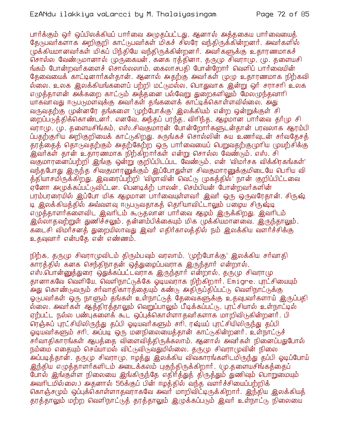பார்க்கும் ஒர் ஒப்பிலக்கியப் பார்வை அழுதப்பட்டது. ஆனால் அத்தகைய பார்வையைத் தேடுபவர்களாக அறிகுறி காட்டுபவர்கள் மிகச் சிலரே வந்திருக்கின்றனர். அவர்களில் (மக்கியமானவர்கள் மிகப் பிந்தியே வந்திருக்கின்றனர். அவர்களுக்கு உதாரணமாகச் சொல்ல வேண்டுமானால் முருகையன், கனக ரத்தினா, தருமு சிவராமு, மு. தளையசி ங்கம் போன்றவர்களைச் சொல்லலாம். கைலாசபதி போன்றோர் வெளிப் பார்வையின் தேவையைக் காட்டினார்கள்தான். ஆனால் அதற்கு அவர்கள் முழு உதாரணமாக நிற்கவி <mark>ல்லை. உலக இலக்கியங்களைப் பற்றி மட்</mark>டுமல்ல, பொதுவாக இன்று ஒர் சராசரி உலக எழுத்தாளன் அக்கறை காட்டும் அத்தனை பல்வேறு துறைகளிலும் மேலழுந்தவாரி யாகவாவது ஈடுபடுமளவுக்கு அவர்கள் தங்களைக் காட்டிக்கொள்ளவில்லை. அது வருவதற்கு முன்னரே தங்களை 'முற்போக்கு' இலக்கியம் என்ற ஒன்றுக்குள் சி றைப்படுத்திக்கொண்டனர். எனவே, அந்தப் பரந்த, விரிந்த, ஆமமான பார்வை தர்மு சி வராமு, மு. தளையசிங்கம், எஸ்.சிவகுமாரன் போன்றோர்களுடன்தான் பரவலாக ஆரம்பி ப்பதற்குரிய அறிகுறியைக் காட்டுகிறது. சுருங்கச் சொல்லின் சுய உணர்வுடன் சர்வதேசத் தரத்தைத் தொடுவதற்கும் அதற்கேற்ற ஒரு பார்வையைப் பெறுவதற்குமுரிய முயற்சிக்கு .<br>இவர்கள் தான் உதாரணமாக நிற்கிறார்கள் என்று சொல்ல வேண்டும். எஸ். சி வகுமாரனைப்பற்றி இங்கு ஒன்று குறிப்பிடப்பட வேண்டும். என் 'விமர்சக விக்கிரகங்கள்' வந்தபோது இருந்த சிவகுமாரனுக்கும் இப்போதுள்ள சிவகுமாரனுக்குமிடையே பெரிய வி த்தியாசமிருக்கிறது. இவரைப்பற்றி 'விழாவின் வெட்டு முகத்தில்' நான் குறிப்பிட்டவை ஏனோ அமுக்கப்பட்டுவிட்டன. பெனடிக்ற் பாலன், செம்பியன் போன்றவர்களின் பரம்பரரையில் இப்போ மிக ஆழமான பார்வையுள்ளவர் இவர் ஒரு ஒருவரேதான். சிருஷ் டி இலக்கியத்தில் அவ்வளவு ஈடுபடுவதாகக் தெரியாவிட்டாலும் பமைய சிருஷ்டி எழுத்தாளர்களைவிட இவரிடம் கூடுதலான் பார்வை ஆழம் இருக்கிறது. இவரிடம் .<br>இல்லாதவற்றுள் துணிச்சலும், தன்னம்பிக்கையும் மிக முக்கியமானவை. இருந்தாலும், கடைசி விமர்சனத் துறையிலாவது இவர் எதிர்காலத்தில் நம் இலக்கிய வளர்ச்சிக்கு உதவுவார் என்பகே என் எண்ணம்.

நிற்க, தருமு சிவராமுவிடம் திரும்பவும் வரலாம். 'முற்போக்கு' இலக்கிய சர்வாதி .<br>காரத்தில் கனக செந்திநாதன் ஒத்துழைப்பவராக இருந்தார் என்றால், எஸ்.பொன்னுத்துரை ஒதுக்கப்பட்டவராக இருந்தார் என்றால், தருமு சிவராமு தானாகவே வெளியே, வெளிநாட்டுக்கே ஓடியவராக நிற்கிறார். Emigre. புரட்சியையும் .<br>அது கொண்டுவரும் சர்வாதிகாரத்தையும் கண்டு அதிருப்திப்பட்டு வெளிநாட்டுக்கு ஓடுபவர்கள் ஒரு நாளும் தங்கள் உள்நாட்டுத் தேவைகளுக்கு உதவுபவர்களாய் இருப்பதி ல்லை. அவர்கள் ஆத்திரத்தாலும் வெறுப்பாலும் பீடிக்கப்பட்டு, புரட்சியால் உள்நாட்டில் ஏற்பட்ட நல்ல பண்புகளைக் கூட ஒப்புக்கொள்ளாதவர்களாக மாறிவிடுகின்றனர். பி ரெக்சுப் புரட்சியிலிருந்து தப்பி ஓடியவர்களும் சரி, ரஷ்யப் புரட்சியிலிருந்து தப்பி ஓடியவர்களும் சரி, அப்படி ஒரு மனநிலையைத்தான் காட்டுகின்றனர். உள்நாட்டுச் .<br>சர்வாதிகாரங்கள் ஆபக்கை விளைவிக்கிருக்கலாம். ஆனால் அவர்கள் நினைப்பதுபோல் நம்மை எதையும் செய்யாமல் விட்டுவிடுவதுமில்லை. தருமு சிவராமுவின் நிலை .<br>அப்படித்தான். தருமு சிவராமு, ஈழத்து இலக்கிய விவகாரங்களிடமிருந்து தப்பி ஓடிப்போய் இந்திய எழுத்தாளர்களிடம் அடைக்கலம் புகுந்திருக்கிறார். (மு.தளையசிங்கத்தைப் போல் இங்குள்ள நிலையை இங்கிருந்தே எதிர்த்துத் திருத்தும் துணிவும் பொறுமையும் அவரிடமில்லை.) அதனால் 56க்குப் பின் ஈழத்தில் வந்த வளர்ச்சியைப்பற்றிக் கொஞ்சமும் ஒப்புக்கொள்ளாதவராகவே அவர் மாறிவிட்டிருக்கிறார். இந்திய இலக்கியத் தரத்தாலும் மற்ற வெளிநாட்டுத் தரத்தாலும் இழுக்கப்படும் இவர் உள்நாட்டு நிலையை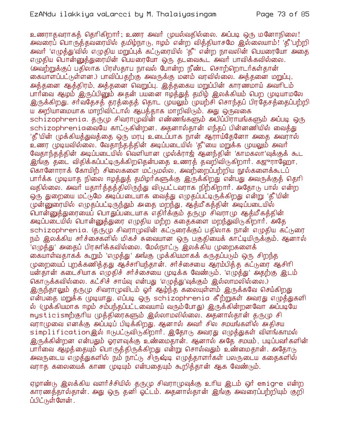உணராதவராகக் கெரிகிறார்; உணர அவர் முயல்வகில்லை. அப்படி ஒரு மனோநிலை! அவரைப் பொருத்தவரையில் தமிழ்நாரு, ஈழம் என்ற வித்தியாசமே இல்லையாம்! 'தீ'பற்றி அவர் 'எழுத்து'வில் எழுதிய மறுப்புக் கட்டுரையில் 'தீ' என்ற நாவலின் பெயரையோ அதை எழுதிய பொன்னுத்துரையின் பெயரையோ ஒரு தடவைகூட அவர் பாவிக்கவில்லை. ூவற்றுக்குப் பதிலாக பிரஸ்காப நாவல் போன்ற நீண்ட சொற்றொடர்கள்கான் கையாளப்பட்டுள்ளன.) பாவிப்பதற்கு அவருக்கு மனம் வரவில்லை. அத்தனை மறுப்பு, அத்தனை ஆத்திரம், அத்தனை வெறுப்பு. இத்தகைய மறுப்பின் காரணமாய் அவரிடம் பார்வை ஆழம் இருப்பினும் அதன் பயனை ஈழத்துத் தமிழ் இலக்கியம் பெற முடியாமலே இருக்கிறது. சர்வதேசத் தரத்தைத் தொட முயலும் முயற்சி சொந்தப் பிரதேசத்தைப்பற்றி ய அறியாமையாக மாறிவிட்டால் ஆபத்தாக மாறிவிடும். அது ஒருவகை schizophrenia. தருமு சிவராமுவின் எண்ணங்களும் அபிப்பிராயங்களும் அப்படி ஒரு schizophreniaலையே காட்டுகின்றன. அதனால்தான் எந்தப் பின்னணியில் வைத்து 'தீ'யின் முக்கியத்துவத்தை ஒரு மரபு உடைப்பாக நான் ஆராய்தேனோ அதை அவரால் உணர முடியவில்லை. வேதாந்தத்தின் அடிப்படையில் 'தீ'யை மறுக்க முயலும் அவர் வேதாந்தத்தின் அடிப்படையில் வெளியான முல்க்ராஜ் ஆனந்தின் 'காமகலா'வுக்குக் கூட <u>இங்கு</u> தடை விதிக்கப்பட்டிருக்கிறதென்பதை உணரத் தவறிவிடுகிறாா். கஜுராஹோ, கொனோராக் கோயிற் சிலைகளை மட்டுமல்ல, அவற்றைப்பற்றிய நூல்களைக்கூடப் பார்க்க முடியாத நிலை ஈழத்துத் தமிழர்களுக்கு இருக்கிறது என்பது அவருக்குத் தெரி வதில்லை. அவர் யதார்த்தத்திலிருந்து விடுபட்டவராக நிற்கிறார். அதோடு பால் என்ற ஒரு துறையை மட்டுமே அடிப்படையாக வைத்து எழுதப்பட்டிருக்கிறது என்று 'தீ'யின் முன்னுரையில் எமுதப்பட்டிருந்தும் அதை மறந்து, ஆத்மீகத்தின் அடிப்படையில் வொன்னுத்துரையைப் பொதுப்படையாக எதிர்க்கும் தருமு சிவராமு ஆத்மீகத்தின் அடிப்படையில் பொன்னுத்துரை எழுதிய மற்ற கதைகளை மறந்துவிடுகிறார். அதே schizophrenia. குருமு சிவராமுவின் கட்டுரைக்குப் பதிலாக நான் எழுதிய கட்டுரை நம் இலக்கிய சர்ச்சைகளில் மிகச் சுவையான ஒரு பகுதியைக் காட்டியிருக்கும். ஆனால் 'எழுத்து' அதைப் பிரசுரிக்கவில்லை. மேல்நாட்டு இலக்கிய முறைகளைக் கையாள்வதாகக் கூறும் 'எழுத்து' அங்கு முக்கியமாகக் கருதப்படும் ஒரு சிறந்த முறையைப் புறக்கணித்தது ஆச்சரியந்தான். சர்ச்சையை ஆரம்பித்த கட்டுரை ஆசிரி யன்தான் கடைசியாக எழுதிச் சர்ச்சையை முடிக்க வேண்டும். 'எழுத்து' அதற்கு இடம் கொடுக்கவில்லை. கட்சிச் சாய்வு என்பது 'எழுத்து'வுக்கும் இல்லாமலில்லை.) இருந்தாலும் தருமு சிவராமுவிடம் ஓர் ஆழ்ந்த கலையுள்ளம் இருக்கவே செய்கிறது என்பதை முறுக்க (முடியாது. எப்படி ஒரு schizophrenia கீற்றுகள் அவரது எழுத்துகளி ல் (முக்கியமாக ஈழம் சம்பந்தப்பட்டவையாய் வரும்போது) இருக்கின்றனவோ அப்படியே mysticismற்குரிய முத்திரைகளும் இல்லாமலில்லை. அதனால்தான் தருமு சி வாாமுவை எனக்கு அப்படிப் பிடிக்கிறது. ஆனால் அவர் சில சமயங்களில் அதிசய simplificationஇல் ஈடுபட்டுவிடுகிறாார். இதோடு அவரது எழுத்துகள் விளங்காமல் இருக்கின்றன என்பதும் ஓரளவுக்கு உண்மைதான். ஆனால் அதே சமயம், படிப்பவர்களின் பார்வை ஆழத்தையும் பொருத்திருக்கிறது என்று சொல்வதும் உண்மைதான். அதோடு அவருடைய எழுத்துகளில் நம் நாட்டு சிருஷ்டி எழுத்தாளர்கள் பலருடைய கதைகளில் வராத கலையைக் காண முடியும் என்பதையும் கூறித்தான் ஆக வேண்டும்.

ஏழாண்டு இலக்கிய வளர்ச்சியில் தருமு சிவராமுவுக்கு உரிய இடம் ஒர் emigre என்ற காரணத்தால்தான். அது ஒரு தனி ஓட்டம். அதனால்தான் இங்கு அவரைப்பற்றியும் குறி ப்பிட்டுள்ளேன்.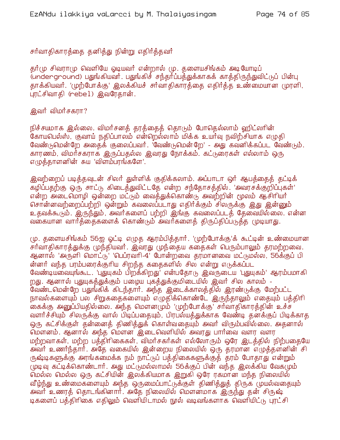## சர்வாதிகாரத்தை தனித்து நின்று எதிர்த்தவர்

தூர்(ம சிவரா(ம வெளியே ஓடியவர் என்றால் (ம. தளையசிங்கம் அடியோடிப் (underground) பதுங்கியவர். பதுங்கிச் சந்தர்ப்பத்துக்காகக் காத்திருந்துவிட்டுப் பின்பு தாக்கியவர். 'முற்போக்கு' இலக்கியச் சர்வாதிகாரத்தை எதிர்த்த உண்மையான முரளி, புரட்சிவாதி (rebel) இவரேதான்.

## <u>இவர் விமர்சகரா? </u>

நிச்சயமாக இல்லை. விமர்சனத் தரத்தைத் தொடும் போதெல்லாம் ஹிட்லரின் கோயபெல்ஸ், குவாய் நதிப்பாலம் என்றெல்லாம் மிக்க உயர்வு நவிற்சியாக எழுதி வேண்டுமென்றே அதைக் குலைப்பவர். 'வேண்டுமென்றே' - அது கவனிக்கப்பட வேண்டும். காரணம், விமர்சகராக இருப்பதல்ல இவரது நோக்கம். கட்டுரைகள் எல்லாம் ஒரு எழுத்தாளனின் சுய 'விளம்பரங்களே'.

இவற்றைப் படித்தவுடன் சிலர் துள்ளிக் குதிக்கலாம். அப்பாடா ஒர் ஆபத்தைத் தட்டிக் கழிப்பதற்கு ஒரு சாட்டு கிடைத்துவிட்டதே என்ற சந்தோசத்தில். 'அவரசக்குறிப்புகள்' என்ற அடைமொழி ஒன்றை மட்டும் வைத்துக்கொண்டு அவற்றின் மூலம் ஆசிரியர் சொன்னவற்றைப்பற்றி ஒன்றும் கவலைப்படாது எதிர்க்கும் சிலருக்கு இது இன்னும் உதவக்கூடும். இருந்தும், அவர்களைப் பற்றி இங்கு கவலைப்படத் தேவையில்லை. என்ன வகையான வார்த்தைகளைக் கொண்டும் அவர்களைத் திருப்திப்படுத்த முடியாது.

மு. தளையசிங்கம் 56ஐ ஓட்டி எழுத ஆரம்பித்தார். 'முற்போக்கு'க் கூட்டின் உண்மையான சர்வாதிகாரத்துக்கு முந்தியவர். இவரது முந்தைய கதைகள் பெரும்பாலும் தரமற்றவை. ஆனால் 'அருளி மொட்டு' 'பெப்ரவரி-4' போன்றவை தரமானவை மட்டுமல்ல, 56க்குப் பி ன்னர் வந்த பரம்பரைக்குரிய சிறந்த கதைகளில் சில என்று எடுக்கப்பட வேண்டியவையுங்கூட. 'புதுயுகம் பிறக்கிறது' என்பதோடு இவருடைய 'புதுயுகம்' ஆரம்பமாகி றது. ஆனால் புதுயுகத்துக்கும் பமைய புகத்துக்குமிடையில் இவர் சில காலம் -வேண்டமென்றே பதுங்கிக் கிடந்தார். அந்த இடைக்காலத்தில் இரண்டுக்கு மேற்பட்ட நாவல்களையும் பல சிறுகதைகளையும் எழுதிக்கொண்டே இருந்தாலும் எதையும் பத்திரி கைக்கு அனுப்பியதில்லை. அந்த மௌனமும் 'முற்போக்கு' சர்வாதிகாரத்தின் உச்ச வளர்ச்சியும் சிலருக்கு வால் பிடிப்பதையும், பிரபல்யத்துக்காக வேண்டி தனக்குப் பிடிக்காத ஒரு கட்சிக்குள் தன்னைத் திணித்துக் கொள்வதையும் அவர் விரும்பவில்லை. அதனால் மௌனம். ஆனால் அந்த மௌன இடைவெளியில் அவரது பார்வை வளர வளர மற்றவாகள், மற்ற பத்திரிகைகள், விமர்சகர்கள் எல்லோரும் ஒரே இடத்தில் நிற்பதையே அ்வர் உணர்ந்தார். அதே வகையில் இன்றைய நிலையில் ஒரு தரமான எழுத்தளனின் சி ருஷ்டிகளுக்கு அரங்கமைக்க நம் நாட்டுப் பத்திகைகளுக்குத் தரம் போதாது என்றும் முடிவு கட்டிக்கொண்டார். அது மட்டுமல்லாமல் 56க்குப் பின் வந்த இலக்கிய வேகமும் மெல்ல மெல்ல ஒரு கட்சியின் இலக்கியமாக இறுகி ஒரே ரகமான மந்த நிலையில் வீழ்ந்து உண்மைகளையும் அந்த ஒருமைப்பாட்டுக்குள் திணித்துத் திருக முயல்வதையும் அவர் உணரத் தொடங்கினார். அதே நிலையில் மௌனமாக இருந்து தன் சிருஷ் டிகளைப் பக்கிரிகை எதிலும் வெளியிடாமல் நூல் வடிவங்களாக வெளியிட்டு புரட்சி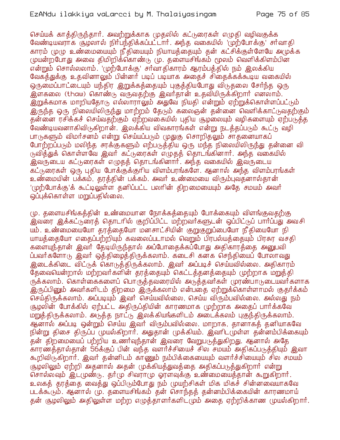## EzANdu ilakkiya vaLarcci by M. Thalaiyasingam

செய்யக் காக்திருந்தார். அவற்றுக்காக முதலில் கட்டுரைகள் எமுதி வழிவகுக்க வேண்டியவராக சூழலால் நிர்பந்திக்கப்பட்டார். அந்த வகையில் 'முற்போக்கு' சர்வாதி காரம் முழு உண்மையையும் நீதியையும் நியாயத்தையும் தன் கட்சிக்குள்ளேயே அழுக்க முயன்றபோது அவை திமிறிக்கொண்டு மு. தளையசிங்கம் மூலம் வெளிக்கிளம்பின என்றும் சொல்லலாம். 'முற்போக்கு' சர்வாகிகாரம் ஆரம்பக்கில் நம் இலக்கிய வேகத்துக்கு உதவினாலும் பின்னர் படிப் படியாக அதைச் சிகைக்கக்கூடிய வகையில் ஒருமைப்பாட்டையும் யந்திர இறுக்கக்கையும் புகுக்கியபோது விடுதலை சேர்ந்த ஒரு இளகலை (thaw) கொண்டு வருவதற்கு இவர்தான் உதவியிருக்கிறார் எனலாம். <u>இறுக்கமாக மாறியதோடு எல்லாராலும் அதுவே நியதி என்றும் ஏற்றுக்கொள்ளப்பட்டும்</u> இருந்த ஒரு நிலையிலிருந்து மாற்றம் தேடும் கலைஞன் தன்னை வெளிக்காட்டுவதற்கும் தன்னை ரசிக்கச் செய்வதற்கும் ஏற்றவகையில் புதிய சூழலையும் வழிகளையும் ஏற்படுத்த வேண்டியவனாகிவிடுகிறான். இலக்கிய விவகாரங்கள் என்று நடத்தப்படும் கூட்டு வழி பாடுகளும் விமர்சனம் என்று செய்யப்படும் முதுகு சொறிதலும் சாதனையாகப் போற்றப்படும் மலிந்த சரக்குகளும் எற்படுத்திய ஒரு மந்த நிலையிலிருந்து தன்னை வி <u>குவித்துக் கொள்ளவே இவர் கட்குரைகள் எழுதத் தொடங்கினார். அந்த வகையில்</u> இவருடைய கட்டுரைகள் எழுதத் தொடங்கினார். அந்த வகையில் இவருடைய கட்டுரைகள் ஒரு புதிய போக்குக்குரிய விளம்பரங்களே. ஆனால் அந்த விளம்பரங்கள் உண்மையின் பக்கம், தரத்தின் பக்கம். அவர் உண்மையை விரும்புவதனால்தான் '(முற்போக்கு'க் கூட்டிலுள்ள தனிப்பட்ட பலரின் திறமையையும் அதே சமயம் அவர் ஒப்புக்கொள்ள மறுப்பதில்லை.

மு. தளையசிங்கத்தின் உண்மையான நோக்கத்தையும் போக்கையும் விளங்குவதற்கு .<br>இவரை இக்கட்டுரைத் தொடரில் குறிப்பிட்ட மற்றவர்களுடன் ஒப்பிட்டுப் பார்ப்பது அவசி யும். உண்மையையோ தரத்்தையோ மனசாட்சியின் குறுகுறுப்பையோ நீதியையோ நி யாயத்தையோ எதைப்பற்றியும் கவலைப்படாமல் வெறும் பிரபல்யத்தையும் பிரசுர வசதி களையுந்தான் இவர் தேடியிருந்தால் அப்போதைக்கப்போது அதிகாரத்தை அனுபவி ப்பவர்களோடு இவர் ஒத்திழைத்திருக்கலாம். கடைசி கனக செந்தியைப் போலாவது <u>இடைக்கிடை விட்டுக் கொடுத்திருக்கலாம். இவர் அப்படிச் செய்யவில்லை. அதிகாரம்</u> தேவையென்றால் மற்றவர்களின் தரத்தையும் கெட்டத்தனத்தையும் முற்றாக மறுத்தி ருக்கலாம். கொள்கைகளைப் பொருத்தவரையில் அடுத்தவர்கள் முரண்பாடுடையவர்களாக இருப்பினும் அவர்களிடம் திறமை இருக்கலாம் என்பதை ஏற்றுக்கொள்ளாமல் குதர்க்கம் செய்திருக்கலாம். அப்படியும் இவர் செய்யவில்லை, செய்ய விரும்பவில்லை. அல்லது நம் சூழலின் போக்கில் ஏற்பட்ட அதிருப்தியின் காரணமாக முற்றாக அதைப் பார்க்கவே மறுத்திருக்கலாம். அடுத்த நாட்டு இலக்கியங்களிடம் அடைக்கலம் புகுந்திருக்கலாம். ஆனால் அப்படி ஒன்றும் செய்ய இவர் விரும்பவில்லை. மாறாக, தானாகத் தனியாகவே நின்று திசை திருப்ப முயல்கிறார். அதுதான் முக்கியம். இவரிடமுள்ள தன்னம்பிக்கையும் தன் திறமையைப் பற்றிய உணர்வுந்தான் இவரை வேறுபடுத்துகிறது. ஆனால் அதே .<br>காரண்த்தால்தான் 56க்குப் பின் வந்த வளர்ச்சியைச் சில சமயம் அதிகப்படுத்தியும் இவா கூறிவிருகிறார். இவர் தன்னிடம் காணும் நம்பிக்கையையும் வளர்ச்சியையும் சில சமயம் சூழலிலும் ஏற்றி அதனால் அதன் முக்கியத்துவத்தை அதிகப்படுத்துகிறார் என்று சொல்லவும் இடமுண்டு. தார்மு சிவராமு ஓரளவுக்கு உண்மையைத்தான் கூறுகிறாா். உலகத் தரத்தை வைத்து ஒப்பிடும்போது நம் முயற்சிகள் மிக மிகச் சின்னவையாகவே படக்கூடும். ஆனால் மு. தளையசிங்கம் தன் சொந்தத் தன்னம்பிக்கையின் காரணமாய் தன் சூழலிலும் அதிலுள்ள மற்ற எமுத்தாளர்களிட(மம் அதை ஏற்றிக்காண முயல்கிறார்.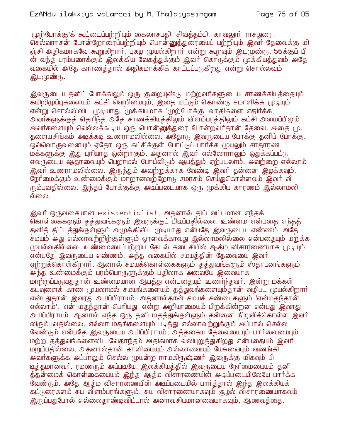'(முற்போக்கு'க் கூட்டைப்பற்றியும் கைலாசபதி, சிவத்தம்பி, காவலூர் ராசதுரை, செல்வராசன் போன்றோரைப்பற்றியும் பொன்னுத்துரையைப் பற்றியும் இவர் தேவைக்கு மி ஞ்சி அதிகமாகவே கூறுகிறார், புகழ முயல்கிறார் என்று கூறவும் இட(முண்டு, 56க்குப் பி ன் வந்த பரம்பரைக்கும் இலக்கிய வேகத்துக்கும் இவர் கொடுக்கும் முக்கியத்துவம் அதே வகையில் அகே காரணக்கால் அகிகமாக்கிக் காட்டப்படுகிறது என்று சொல்லவும் இட(முண்டு.

இவருடைய தனிப் போக்கிலும் ஒரு குறையுண்டு. மற்றவர்களுடைய சாணக்கியத்தையும் கயிறிழுப்புகளையும் கட்சி வெறியையும், இதை மட்டும் கொண்டு சமாளிக்க முடியும் என்று சொல்லிவிட (முடியாது. முக்கியமாக 'முற்போக்கு' வாதிகளை எதிர்க்க, அவாகளுக்குக் தொிந்த அதே சாணக்கியக்கிலும் விளம்பரக்கிலும் கட்சி அமைப்பிலும் அவர்களையும் வெல்லக்கூடிய ஒரு பொன்னுத்துரை போன்றவர்தான் தேவை. அதை மு. தளையசிங்கம் அடிக்கடி உணராமலில்லை. அதோடு இவருடைய போக்கு தனிப் போக்கு. ஒவ்வொருவனையும் ஏதோ ஒரு கட்சிக்குள் போட்டுப் பார்க்க முயலும் சாதாரண மக்களுக்கு இது புரியாத ஒன்றாகும். அதனால் இவர் எல்லோராலும் ஒதுக்கப்பட்டு எவருடைய ஆதரவையும் பெறாமல் போய்விடும் ஆபத்தும் ஏற்படலாம். அவற்றை எல்லாம் .<br>இவர் உணராமலில்லை. இருந்தும் அவற்றுக்காக வேண்டி இவர் தன்னை இழக்கவும், நேர்மைக்கும் உண்மைக்கும் மாறானவற்றோடு சமரசம் செய்துகொள்ளவும் இவர் வி ரும்புவதில்லை. இந்தப் போக்குக்கு அடிப்படையாக ஒரு முக்கிய காரணம் இல்லாமலி ல்லை.

இவர் ஒருவகையான existentialist. அதனால் திட்டவட்டமான எந்தக் கொள்கைகளும் தத்துவங்களும் இவருக்குப் பிடிப்பதில்லை. உண்மை என்பதை எந்தத் தனித் திட்டத்துக்குள்ளும் அமுக்கிவிட முடியாது என்பதே இவருடைய எண்ணம். அதே சமயம் அது எல்லாவற்றிற்குள்ளும் ஓரளவுக்காவது இல்லாமலில்லை என்பதையும் மறுக்க முயல்வதில்லை. உண்மையைப்பற்றிய தேடல் கடைசியில் ஆத்ம விசாரணையாக முடியும் என்பதே இவருடைய எண்ணம். அந்த வகையில் சமயத்தின் தேவையை இவர் ஏற்றுக்கொள்கிறார். ஆனால் சமயக்கொள்கைகளும் தத்துவங்களும் ஸ்தாபனங்களும் அந்த உண்மைக்கும் பரம்பொருளுக்கும் பதிலாக அவையே இவையாக மாற்றப்படுவதுதான் உண்மையான ஆபக்து என்பகையும் உணர்ந்தவர். இன்று மக்கள் கடவுளைக் காண முயலாமல் சமயங்களையும் தத்துவங்களையும்தான் வழிபட முயல்கிறார் என்பதுதான் இவரது அபிப்பிராயம். அதனால்தான் சமயச் சண்டைகளும் 'என்மதந்தான் எல்லாம்', 'என் மதந்தான் பெரியது' என்ற அறியாமையும் பிறக்கின்றன என்பது இவரது அபிப்பிராயம். ஆனால் எந்த ஒரு தனி மதத்துக்குள்ளும் தன்னை நிறுவிக்கொள்ள இவர் விரும்புவதில்லை. எல்லா மதங்களையும் படித்து எல்லாவற்றுக்கும் அப்பால் செல்ல வேண்டும் என்பதே இவருடைய அபிப்பிராயம். அத்தகைய தேவையையும் பார்வையையும் மற்ற தத்துவங்களைவிட வேதாந்தம் அதிகமாக வலியுறுத்துகிறது என்பதையும் இவர் மறுப்பதில்லை. அதனால்தான் காளியையும் அல்லாவையும் யேசுவையும் வணங்கி அவர்களுக்க அப்பாலும் செல்ல முயன்ற ராமகிருஷ்ணர் இவருக்கு மிகவும் பி டித்தமானவர். ரமணரும் அப்படியே. இலக்கியத்தில் இவருடைய நேர்மையையும் தனி த்தன்மைக் கொள்கையையும் இந்த ஆத்ம விசாரணையின் அடிப்படையிலேயே பார்க்க .<br>வேண்டும். அதே ஆக்ம விசாரணையின் அடிப்படையில் பார்க்கால் இந்த இலக்கியக் கட்டுரைகளம் சுய விளம்பரங்களும், சுய விசாரணையாகவும் சூழல் விசாரணையாகவும் இருப்பதுபோல் எல்லைதாண்டிவிட்டால் அனாவசியமானவையாகவும், ஆணவத்தை,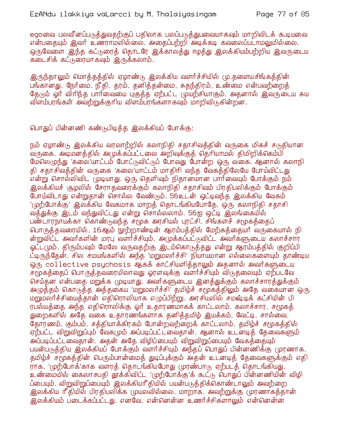egoவை பலவீனப்படுத்துவதற்குப் பதிலாக பலப்படுத்துபவையாகவும் மாறிவிடக் கூடியவை என்பதையும் இவர் உணராமலில்லை. அதைப்பற்றி அடிக்கடி கவலைப்படாமலுமில்லை. ஒருவேளை இந்த கட்டுரைத் தொடரே இக்காலத்து ஈழத்து இலக்கியம்பற்றிய இவருடைய கடைசிக் கட்டுரையாகவும் இருக்கலாம்.

இருந்தாலும் மொத்தத்தில் ஏழாண்டு இலக்கிய வளர்ச்சியில் மு.தளையசிங்கத்தின் பங்கானது, நேர்மை, நீதி, தரம், தனித்தன்மை, சுதந்திரம், உண்மை என்பவற்றைத் தேடும் ஓர் விரிந்த பார்வையை பகுத்த ஏற்பட்ட முயற்சியாகும். அதனால் இவருடைய சுய விளம்பரங்கள் அவற்றுக்குரிய விளம்பரங்களாகவும் மாறிவிடுகின்றன.

பொதுப் பின்னணி கண்டுபிடித்த இலக்கியப் போக்கு:

நம் ஏழாண்டு இலக்கிய வரலாற்றில் கலாநிதி சதாசிவத்தின் வருகை மிகச் சடுதியான வருகை. அடிமனத்தில் அமுக்கப்பட்டவை அறிவுக்குத் தெரியாமல் திமிறிக்கெம்பி மேலெழுந்து 'கலை'யாட்டம் போட்டுவிட்டுப் போவது போன்ற ஒரு வகை. ஆனால் கலாநி தி சதாசிவத்தின் வருகை 'கலை'யாட்டம் மாதிரி வந்த வேகத்திலேயே போய்விட்டது என்று சொல்லிவிட முடியாது. ஒரு தெளிவும் நிதானமான பார்வையும் போக்கும் நம் <u>இலக்கியச் சூழலில் சேராதவரைக்கும் கலாநிதி சதாசிவம் பிரதிபலிக்கும் போக்கும்</u> போய்விடாது என்றுதான் சொல்ல வேண்டும். 56உடன் ஒட்டிவந்த இலக்கிய வேகம் '(மற்போக்கு' இலக்கிய வேகமாக மாறத் தொடங்கியபோதே, ஒரு கலாநிதி சதாசி வத்துக்கு இடம் வந்துவிட்டது என்று சொல்லலாம். 56ஐ ஒட்டி இலங்கையில் பண்டாரநாயக்கா கொண்டுவந்த சமூக அரசியல் புரட்சி, சிங்களச் சமூகத்தைப் பொருத்தவரையில், 16ஆம் நூற்றாண்டின் ஆரம்பத்தில் மேற்கத்தையர் வருகையால் நி ன்றுவிட்ட அவர்களின் மரபு வளர்ச்சியும், அமுக்கப்பட்டுவிட்ட அவர்களுடைய கலாச்சார ஓட்ட(மும், திரும்பவும் மேலே வருவதற்கு இடம்கொடுத்தது என்று ஆரம்பத்தில் குறிப்பி ட்டிருந்தேன். சில சமயங்களில் அந்த 'மறுமலர்ச்சி' நியாயமான எல்லைகளையும் தாண்டிய ஒரு collective psychosis ஆகக் காட்சியளித்தாலும் அதனால் அவார்களுடைய சமூகத்தைப் பொருத்தவரையிலாவது ஓரளவுக்கு வளர்ச்சியும் விடுதலையும் ஏற்படவே செய்தன என்பதை மறுக்க முடியாது. அவர்களுடைய இனக்துக்கும் கலாச்சாரக்துக்கும் அழுத்தம் கொடுத்த அத்தகைய 'மறுமலா்ச்சி' தமிழ்ச் சமூகத்திலும் அதே வகையான ஒரு மறுமலர்ச்சியைத்தான் எதிரொலியாக எழுப்பிற்று. அரசியலில் சமஷ்டிக் கட்சியின் பி ரபல்யத்தை அந்த எதிரொலிக்கு ஓர் உதாரணமாகக் காட்டலாம். கலாச்சார, சமூகத் துறைகளில் அதே வகை உதாரணங்களாக தனித்தமிழ் இயக்கம், வேட்டி, சால்வை, தோரணம், கும்பம், சத்தியாக்கிரகம் போன்றவற்றைக் காட்டலாம். தமிழ்ச் சமூகத்தில் ஏற்பட்ட விறுவிறுப்பும் வேக(மும் அப்படிப்பட்டவைதான். ஆனால் உடனடித் தேவைகளும் <mark>அப்படிப்பட்டவைகான். அதன் அதே விழிப்பையும் விறுவிறுப்பையும் வேகக்</mark>கையும் பயன்படுத்திய இலக்கியப் போக்கும் வளர்ச்சியும் அந்தப் பொதுப் பின்னணிக்கு முரணாக, தமிழ்ச் சமூகத்தின் பெரும்பான்மைத் துடிப்புக்கும் அதன் உடனடித் தேவைகளுக்கும் எதி ராக, 'முற்போக்'காக வளரத் தொடங்கியபோது முரண்பாடு ஏற்படத் தொடங்கியது. உண்மையில் கைலாசபதி தூக்கிவிட்ட 'முற்போக்கு'க் கூட்டு பொதுப் பின்னணியின் விழி ப்பையும், விறுவிறுப்பையும் இலக்கியரீகியில் பயன்படுத்திக்கொண்டாலும் அவற்றை <u>இலக்கிய ரீதியில் பிரதிபலிக்க முயலவில்லை. மாறாக, அவற்றுக்கு முரணாகத்தான் </u> இலக்கியம் படைக்கப்பட்டது. எனவே, என்னென்ன உணர்ச்சிகளாலும் என்னென்ன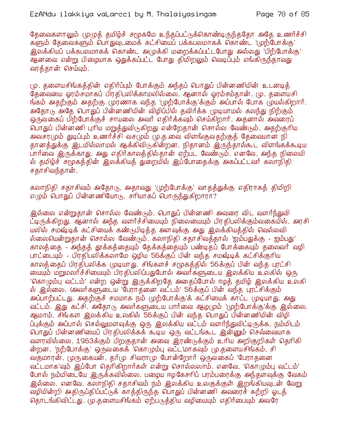தேவைகளாலும் முழுத் தமிழ்ச் சமூகமே உந்தப்பட்டுக்கொண்டிருந்ததோ அதே உணர்ச்சி களும் தேவைகளும் பொதுவுடமைக் கட்சியைப் பக்கபலமாகக் கொண்ட 'முற்போக்கு' <u>இலக்கியப் பக்கபலமாகக் கொண்ட அமுக்கி மறைக்கப்பட்டபோது அல்லது 'பிற்போக்கு'</u> .<br>ஆனவை என்று பிமையாக ஒதுக்கப்பட்ட போது திமிறலும் வெடிப்பும் எங்கிருந்தாவது வரத்தான் செய்யும்.

மு. களையசிங்கக்கின் எகிர்ப்பும் போக்கும் அந்கப் பொதுப் பின்னணியின் உடனடிக் தேவையை ஓரம்சமாகப் பிரதிபலிக்காமலில்லை. ஆனால் ஓரம்சம்தான். மு. தளையசி ங்கம் அதற்கும் அதற்கு முரணாக வந்த 'முற்போக்கு'க்கும் அப்பால் போக முயல்கிறார். அதோடு அதே பொதுப் பின்னணியின் விழிப்பில் தவிர்க்க முடியாமல் கலந்து நிற்கும் ஒருவகைப் பிற்போக்குச் சாயலை அவர் எதிர்க்கவும் செய்கிறார். அதனால் அவரைப் பொதுப் பின்னணி புரிய மறுத்துவிடுகிறது என்றேதான் சொல்ல வேண்டும். அதற்குரிய அவசரமும் துடிப்பும் உணர்ச்சி வசமும் மு.த.வை விளங்குவதற்குத் தேவையான நி தானத்துக்கு இடமில்லாமல் ஆக்கிவிடுகின்றன. நிதானம் இருந்தால்கூட விளங்கக்கூடிய பார்வை இருக்காது. அது எதிர்காலத்தில்தான் ஏற்பட வேண்டும். எனவே, அந்த நிலையி ல் தமிழ்ச் சமுகத்தின் இலக்கியத் துறையில் இப்போதைக்கு அகப்பட்டவர் கலாநிதி சதாசிவந்தான்.

கலாநிதி சதாசிவம் அதோடு, அதாவது 'முற்போக்கு' வாதத்துக்கு எதிராகத் திமிறி எமும் பொதுப் பின்னணியோடு, சரியாகப் பொருந்துகிறாரா?

இல்லை என்றுதான் சொல்ல வேண்டும். பொதுப் பின்னணி அவரை விட வளர்ந்துவி ட்டிருக்கிறது. ஆனால் அந்த வளர்ச்சியையும் நிலையையும் பிரதிபலிக்கும்வகையில், அரசி யலில் சமஷ்டிக் கட்சியைக் கண்டுபிடித்த அளவுக்கு அது இலக்கியத்தில் வெல்லவி ல்லையென்றுதான் சொல்ல வேண்டும். கலாநிதி சதாசிவத்தால் 'ஐம்பதுக்கு - ஐம்பது' காலத் தை - அந்தத் தூக்கத்தையும் தேக்கத்தையும் பண்டிதப் போக்கையும் தலைவர் வழி பாட்டையும் - பிரதிபலிக்கலாமே ஒழிய 56க்குப் பின் வந்த சமஷ்டிக் கட்சிக்குரிய காலத்தைப் பிரதிபலிக்க முடியாது. சிங்களச் சமூகத்தில் 56க்குப் பின் வந்த புரட்சி ் மையும் மறுமலர்ச்சியையும் பிரதிபலிப்பதுபோல் அவர்களுடைய இலக்கிய உலகில் ஒரு 'கொழும்பு வட்டம்' என்ற ஒன்று இருக்கிறதே அதைப்போல் ஈழத் தமிழ் இலக்கிய உலகி ல் இல்லை. (அவர்களுடைய 'பேராதனை வட்டம்' 56க்குப் பின் வந்த புரட்சிக்கும் அப்பாற்பட்டது. அதற்குச் சமமாக நம் முற்போக்கு'க் கட்சியைக் காட்ட முடியாது. அது வட்டம். இது கட்சி. அதோடு அவர்களுடைய பார்வை ஆழமும் 'முற்போக்கு'க்கு இல்லை. ஆமாம், சிங்கள இலக்கிய உலகில் 56க்குப் பின் வந்த பொதுப் பின்னணியின் விழி ப்புக்கும் அப்பால் செல்லுமளவுக்கு ஒரு இலக்கிய வட்டம் வளர்ந்துவிட்டிருக்க, நம்மிடம் பொதுப் பின்னணியைப் பிரதிபலிக்கக் கூடிய ஒரு வட்டங்கூட இன்னும் செவ்வையாக வளரவில்லை. 1963க்கும் பிறகுதான் அவை இரண்டுக்கும் உரிய அறிகுறிகள் தெரிகி ன்றன. 'நற்போக்கு' ஒருவகைக் 'கொழும்பு வட்ட'மாகவும் மு.தளையசிங்கம், சி வகுமாரன், முருகையன், தர்மு சிவராமு போன்றோர் ஒருவகைப் 'பேராதனை வட்டமாக'வும் இப்போ தெரிகிறார்கள் என்று சொல்லலாம். எனவே, 'கொழும்பு வட்டம்' போல் நம்மிடையே இருக்கவில்லை. பழைய ஈழகேசரிப் பரம்பரைக்கு அந்தளவுக்கு வேகம் இல்லை. எனவே, கலாநிதி சதாசிவம் நம் இலக்கிய உலகுக்குள் இறங்கியவுடன் வேறு வழியின்றி அதிருப்திப்பட்டுக் காத்திருந்த பொதுப் பின்னணி அவரைச் சுற்றி ஓடத் தொடங்கிவிட்டது. மு.களையசிங்கம் ஏற்படுக்கிய வழியையும் எகிர்பையும் அவரே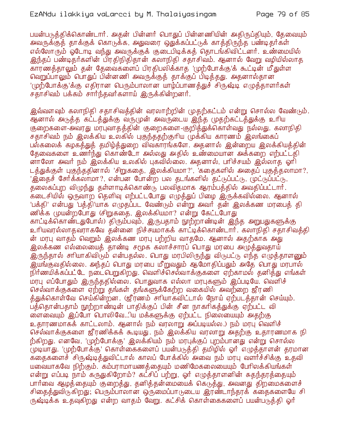பயன்படுத்திக்கொண்டார். அதன் பின்னர் பொதுப் பின்னணியின் அதிருப்தியும், தேவையும் அவருக்குத் தாக்குக் கொடுக்க, அதுவரை ஒதுக்கப்பட்டுக் காத்திருந்த பண்டிதர்கள் எல்லோரும் ஓடோடி வந்து அவருக்குக் குடைபிடிக்கத் தொடங்கிவிட்டனர். உண்மையில் இந்தப் பண்டிதர்களின் பிரதிநிதிதான் கலாநிதி சதாசிவம். ஆனால் வேறு வழியில்லாத வெறுப்பாலும் பொதுப் பின்னணி அவருக்குத் தாக்குப் பிடித்தது. அதனால்தான '(மற்போக்கு'க்கு எகிரான பெரும்பாலான யாம்ப்பாணக்துச் சிருஷ்டி எமுக்காளர்கள்' சதாசிவம் பக்கம் சார்ந்தவர்களாய் இருக்கின்றனர்.

இவ்வளவும் கலாநிதி சதாசிவத்தின் வரலாற்றின் (மதற்கட்டம் என்று சொல்ல வேண்டும். ஆனால் அடுத்த கட்டத்துக்கு வருமுன் அவருடைய இந்த முதற்கட்டத்துக்கு உரிய குறைகளை-அவரது மரபுவாதத்தின் குறைகளை-குறித்துக்கொள்வது நல்லது. கலாநிதி சதாசிவம் நம் இலக்கிய உலகில் புகுந்ததற்குரிய முக்கிய காரணம் இலங்கைப் பல்கலைக் கழகத்துத் தமிழ்த்துறை விவகாரங்களே. அதனால் இன்றைய இலக்கியத்தின் தேவைகளை உணர்ந்து கொண்டோ அல்லது அதில் உண்மையான அக்கறை எற்பட்டதி ளாலோ அவர் நம் இலக்கிய உலகில் புகவில்லை. அதனால், பரிச்சயம் இல்லாத ஓரி டத்துக்குள் புகுந்ததினால் 'சிறுகதை, இலக்கியமா?', 'கதைகளில் அதைப் புகுத்தலாமா?, 'இதைச் சேர்க்கலாமா?, என்பன போன்ற பல தடங்களில் தட்டுப்பட்டு, (மட்டுப்பட்டு, தலைகப்புற விழுந்து தள்ளாடிக்கொண்டு பலவிதமாக ஆரம்பத்தில் அவதிப்பட்டார். கடைசியில் ஒருவாற தெளிவு எற்பட்டபோது எழுத்துப் பிழை இருக்கவில்லை. ஆனால் 'பக்தி' என்பது 'பத்தி'யாக எழுதப்பட வேண்டும் என்று அவர் தன் இலக்கண மரபைத் தி ணிக்க முயன்றபோது (சிறுகதை, இலக்கியமா? என்று கேட்டபோது காட்டிக்கொண்டதுபோல்) திரும்பவும், இருபதாம் நூற்றாண்டின் இந்த அறுபதுகளுக்கு உரியவரல்லாதவராகவே தன்னை நிச்சயமாகக் காட்டிக்கொண்டார். கலாநிதி சதாசிவத்தி ன் மரபு வாதம் வெறும் இலக்கண மரபு பற்றிய வாதமே. ஆனால் அதற்காக அது இலக்கண எல்லையைத் தாண்டி சமூக கலாச்சாரப் பொது மரபை அழுத்துவதாய் <u>இருந்தால் சரியாகிவிரும் என்பதல்ல. பொது மரபிலிருந்து விடுபட்டு எந்த எழுத்தாளனும் </u> .<br>இயங்குவதில்லை. அந்தப் பொது மரபை மீறுவதும் ஆமோதிப்பதும் அதே பொது மரபால் நிர்ணயிக்கப்பட்டே நடைபெறுகிறது. வெளிச்செல்வாக்குகளை ஏற்காமல் தனித்து எங்கள் மரபு எப்போதும் இருந்ததில்லை. பொதுவாக எல்லா மரபுகளும் இப்படியே. வெளிச் செல்வாக்குகளை ஏற்று தங்கள் தங்களுக்கேற்ற வகையில் அவற்றை ஜீரணி த்துக்கொள்வே செய்கின்றன. (ஜீர்ணம் சரியாகவிட்டால் நோய் ஏற்படத்தான் செய்யும். பத்தொன்பதாம் நூற்றாண்டின் பாதிக்குப் பின் சீன நாகரிகத்துக்கு ஏற்பட்ட வி ு மை வையும் இப்போ பொலிவே...ிய மக்களுக்கு ஏற்பட்ட நிலையையும் அதற்கு உதாரணமாகக் காட்டலாம். ஆனால் நம் வரலாறு அப்படியல்ல.) நம் மரபு வெளிச் செல்வாக்குகளை ஜீரணிக்கக் கூடியது. நம் இலக்கிய வரலாறு அதற்கு உதாரணமாக நி ற்கிறது. எனவே, 'முற்போக்கு' இலக்கியம் நம் மரபுக்குப் புறம்பானது என்று சொல்ல புடியாது. 'முற்போக்கு' கொள்கைகளைப் பயன்படுத்தி தமிழில் ஓர் எழுத்தாளன் தரமான க்கைகளைச் சிருஷ்டித்துவிட்டால் காலப் போக்கில் அவை நம் மரபு வளர்ச்சிக்கு உதவி யவையாகவே நிற்கும். கம்பராமாயணத்தையும் மணிமேகலையையும் பேரிலக்கியங்கள் என்று எப்படி நாம் கருதுகிறோம்? கட்சிப் பற்று, ஓர் எழுத்தாளனின் சுதந்தரத்தையும் பார்வை ஆழக்கையும் குறைக்து, கனிக்கன்மையைக் கெடுக்து, அவனது கிறமைகளைச் சிதைத்துவிடுகிறது; பெரும்பாலான ஒருமைப்பாடுடைய இரண்டாந்தரக் கதைகளையே சி ருஷ்டிக்க உதவுகிறது என்ற வாதம் வேறு. கட்சிக் கொள்கைகளைப் பயன்படுக்கி ஒர்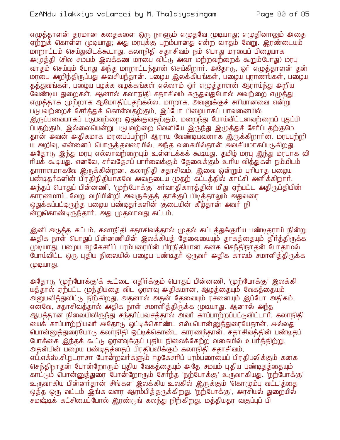எழுத்தாளன் தரமான கதைகளை ஒரு நாளும் எழுதவே முடியாது; எழுதினாலும் அதை ஏற்றுக் கொள்ள (மடியாது; அது மரபுக்கு புறம்பானது என்ற வாதம் வேறு. இரண்டையும் மாறாட்டம் செய்துவிடக்கூடாது. கலாநிதி சதாசிவம் நம் பொது மரபைப் பிழையாக அழுத்தி (சில சமயம் இலக்கண மரபை விட்டு அவா மற்றவற்றைக் கூறும்போது) மரபு வாதம் செய்யும் போது அந்த மாறாட்டந்தான் செய்கிறார். அதோடு, ஓர் எழுத்தாளன் தன் மரபை அறிந்திருப்பது அவசியந்தான். பழைய இலக்கியங்கள், பழைய புராணங்கள், பழைய தத்துவங்கள், பழைய பழக்க வழக்கங்கள் எல்லாம் ஓர் எமுக்காளன் ஆராய்ந்து அறிய வேண்டிய துறைகள். ஆனால் கலாநிதி சதாசிவம் கருதுவதுபோல் அவற்றை எழுத்து எழுத்தாக முற்றாக ஆமோதிப்பதற்கல்ல. மாறாக, அவனுக்குச் சாியானவை என்று படுபவற்றைச் சேர்த்துக் கொள்வதற்கும், இப்போ பிழையாகப் பாவனையில் இருப்பவையாகப் படுபவற்றை ஒதுக்குவதற்கும், மறைந்து போய்விட்டனவற்றைப் புதுப்பி ப்பதற்கும், இல்லையென்று படுபவற்றை வெளியே இருந்து இழுத்துச் சேர்ப்பதற்குமே தான் அவன் அதிகமாக மரபைப்பற்றி ஆராய வேண்டியவனாக இருக்கிறார்ன. மரபுபற்றி ய அறிவு, என்னைப் பொருத்தவரையில், அந்த வகையில்தான் அவசியமாகப்படுகிறது. அதோடு இந்து மரபு எல்லாவற்றையும் உள்ளடக்கக் கூடியது. தமிம் மரபு இந்து மரபாக வி ரியக் கூடியது. எனவே, சர்வதேசப் பார்வைக்கும் தேவைக்கும் உரிய வித்துகள் நம்மிடம் தாராளமாகவே இருக்கின்றன. கலாநிதி சதாசிவம், இவை ஒன்றும் புரியாத பழைய பண்டிதர்களின் பிரதிநிதியாகவே அவருடைய முதற் கட்டத்தில் காட்சி அளிக்கிறார். அந்தப் பொதுப் பின்னணி, 'முற்போக்கு' சா்வாதிகாரத்தின் மீது ஏற்பட்ட அதிருப்தியின் காரணமாய், வேறு வழியின்றி அவருக்குத் தாக்குப் பிடித்தாலும் அதுவரை ஒதுக்கப்பட்டிருந்த பழைய பண்டிதர்களின் குடையின் கீழ்தான் அவர் நி ன்றுகொண்டிருந்தார். அது (முதலாவது கட்டம்.

இனி அடுத்த கட்டம். கலாநிதி சதாசிவத்தால் முதல் கட்டத்துக்குரிய பண்டிதராய் நின்று .<br>அதிக நாள் பொதுப் பின்னணியின் இலக்கியத் தேவையையும் தாகத்தையும் தீர்த்திருக்க முடியாது. பழைய ஈழகேசரிப் பரம்பரையின் பிரநிதியான கனக செந்திநாதன் போதாமல் போய்விட்ட ஒரு புதிய நிலையில் பழைய பண்டிதர் ஒருவர் அதிக காலம் சமாளித்திருக்க (ФЩФПГ-5).

அதோடு 'முற்போக்கு'க் கூட்டை எதிர்க்கும் பொதுப் பின்னணி, 'முற்போக்கு' இலக்கி யத்தால் ஏற்பட்ட முந்தியதை விட ஓரளவு அதிகமான, ஆழத்தையும் வேகத்தையும் அ்னுபவித்துவிட்டு நிற்கிறது. அதனால் அதன் தேவையும் ரசனையும் இப்போ அதிகம். எனவே, சதாசிவத்தால் அதிக நாள் சமாளித்திருக்க முடியாது. ஆனால் அந்த ஆபத்தான நிலையிலிருந்து சந்தர்ப்பவசத்தால் அவர் காப்பாற்றப்பட்டுவிட்டார். கலாநிதி யைக் காப்பாற்றியவர் அதோடு ஒட்டிக்கொண்ட எஸ்.பொன்னுக்துரையேகான். அல்லது பொன்னுத்துரையோடு கலாநிதி ஒட்டிக்கொண்ட காரணந்தான். சதாசிவத்தின் பண்டிதப் போக்கை இந்தக் கூட்டு ஓரளவுக்குப் புதிய நிலைக்கேற்ற வகையில் உயர்த்திற்று. அதன்பின் பறைய பண்டிதத்தைப் பிரதிபலிக்கும் கலாநிதி சதாசிவம், எப்.எக்ஸ்.சி.நடராசா போன்றவர்களும் ஈழகேசரிப் பரம்பரையைப் பிரதிபலிக்கும் கனக செந்திநாதன் போன்றோரும் புதிய வேகத்தையும் அதே சமயம் புதிய பண்டிதத்தையும் காட்டும் வொன்னுத்துரை போன்றோரும் சேர்ந்த 'நற்போக்கு' உருவாகியது. 'நற்போக்கு' உருவாகிய பின்னர்தான் சிங்கள இலக்கிய உலகில் இருக்கும் 'கொழும்பு வட்ட'த்தை ஒத்த ஒரு வட்டம் இங்க வளர ஆரம்பித்தருக்கிறது. 'நற்போக்கு', அரசியல் துறையில் ு மல் முக் கட்சியைப்போல் இரண்டுங் கலந்து நிற்கிறது. மத்தியதர வகுப்புப் பி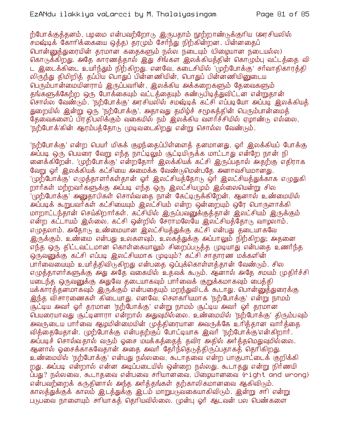ற்போக்குத்தனம், பழமை என்பவற்றோடு இருபதாம் நூற்றாண்டுக்குரிய (அரசியலில் சமஷ்டிக் கோரிக்கையை ஒத்த) தரமும் சேர்ந்து நிற்கின்றன. பின்னதைப் பொன்னுத்துரையின் தரமான கதைகளும் நல்ல நடையும் (பிழையான நடையல்ல) கொடுக்கிறது. அதே காரணத்தால் இது சிங்கள இலக்கியத்தின் கொழும்பு வட்டத்தை வி ட இடைக்கிடை உயர்ந்தும் நிற்கிறது. எனவே, கடைசியில் 'முற்போக்கு' சர்வாதிகாரக்தி லிருந்து திமிறிக் கப்பிய பொதுப் பின்னணியின், பொதுப் பின்னணியினுடைய பெரும்பான்மையினராய் இருப்பவரின், இலக்கிய அக்கறைகளும் கேவைகளும் தங்களுக்கேற்ற ஒரு போக்கையும் வட்டத்தையும் கண்டுபிடித்துவிட்டன என்றுதான் .<br>சொல்ல வேண்டும். 'நற்போக்கு' அரசியலில் சமஷ்டிக் கட்சி எப்படியோ அப்படி இலக்கியத் துறையில் இன்று ஒரு 'நற்போக்கு'. அதாவது தமிழ்ச் சமூகத்தின் பெரும்பான்மைத் தேவைகளைப் பிரதிபலிக்கும் வகையில் நம் இலக்கிய வளர்ச்சியில் ஏழாண்டு எல்லை. 'நற்போக்'கின் ஆரம்பத்தோடு முடிவடைகிறது என்று சொல்ல வேண்டும்.

'நற்போக்கு' என்ற பெயர் மிகக் குழந்தைப்பிள்ளைத் தனமானது. ஓர் இலக்கியப் போக்கு அப்படி ஒரு பெயரை வேறு எந்த நாட்டிலும் சூட்டியிருக்க மாட்டாது என்றே நான் நி லைக்கிறேன். 'முற்போக்கு' என்றதோர் இலக்கியக் கட்சி இருப்பதால் அதற்கு எதிராக வேறு ஓர் இலக்கியக் கட்சியை அமைக்க வேண்டுமென்பதே அனாவசியமானது. 'முற்போக்கு' எழுத்தாளர்கள்தான் ஓர் இலட்சியத்தோடு ஒர் இலட்சியத்துக்காக எழுதுகி றார்கள் மற்றவர்களுக்கு அப்படி எந்த ஒரு இலட்சியமும் இல்லையென்று சில '(முற்போக்கு' அனுதாபிகள் சொல்வதை நான் கேட்டிருக்கிறேன். ஆனால் உண்மையில் அப்படிக் கூறுபவர்கள் கட்சியையும் இலட்சியம் என்ற ஒன்றையும் ஒரே பொருளாக்கி மாறாட்டந்தான் செய்கிறார்கள். கட்சியில் இருப்பவனுக்குத்தான் இலட்சியம் இருக்கும் என்ற கட்டாயம் இல்லை. கட்சி ஒன்றில் சேராமலேயே இலட்சியத்தோடு வாழலாம். எழுதலாம். அதோடு உண்மையான இலட்சியத்துக்கு கட்சி என்பது தடையாகவே இருக்கும். உண்மை என்பது உலகளவும், உலகத்துக்கு அப்பாலும் நிற்கிறது; அதனை எந்த ஒரு திட்டவட்டமான கொள்கையாலும் சிறைப்படுத்த முடியாது என்பதை உணர்ந்த ஒருவனுக்கு கட்சி எப்படி இலட்சியமாக முடியும்? கட்சி சாதாரண மக்களின் பார்வையையும் உயர்த்திவிடுகிறது என்பதை ஒப்புக்கொள்ளத்தான் வேண்டும். சில எழுத்தாளர்களுக்கு அது அதே வகையில் உதவக் கூடும். ஆனால் அதே சமயம் முதிர்ச்சி யடைந்த ஒருவனுக்கு அதுவே தடையாகவும் பார்வைக் குறுக்கமாகவும் பைத்தி யக்காரத்தனமாகவும் இருக்கும் என்பதையும் மறந்துவிடக் கூடாது. பொன்னுத்துரைக்கு இந்த விசாரணைகள் கிடையாது. எனவே, சௌகரியமாக 'நற்போக்கு' என்று நாமம் சூட்டிய அவர் ஓர் தரமான 'நற்போக்கு' என்று நாமம் சூட்டிய அவர் ஓர் தரமான பெயரையாவது சூட்டினாரா என்றால் அதுவுமில்லை. உண்மையில் 'நற்போக்கு' திரும்பவும் அவருடைய பார்வை ஆமுமின்மையின் முக்கிரையான அவருக்கே உரிக்கான வார்க்கை வித்தையேதான். முற்போக்கு என்பதற்குப் போட்டியாக இவர் 'நற்போக்கு'என்கிறார். .<br>அப்படிச் சொல்வதால் வரும் ஓசை மயக்கத்தைத் தவிர அதில் அர்த்தமெதுவுமில்லை. ஆனால் ஓசைக்காகவேதான் அதை அவர் தேர்ந்தெடுத்திருப்பதாகத் தெரிகிறது. உண்மையில் 'நற்போக்கு' என்பது நல்லவை, கூடாதவை என்ற பாகுபாட்டைக் குறிக்கி றது. அப்படி என்றால் என்ன அடிப்படையில் ஒன்றை நல்லது, கூடாதது என்று நிர்ணயி ப்பது? நல்லவை, கூடாதவை என்பவை சரியானவை, பிழையானவை (right and wrong) என்பவற்றைக் கருதினால் அந்த அர்த்தங்கள் தற்காலிகமானவை ஆகிவிடும். காலத்துக்குக் காலம் இடத்துக்கு இடம் மாறுபடுவகையாகிவிடும். இன்று சாி என்று படுபவை நாளையும் சரியாகக் கெரியவில்லை. முன்பு ஒர் ஆடவன் பல பெண்களை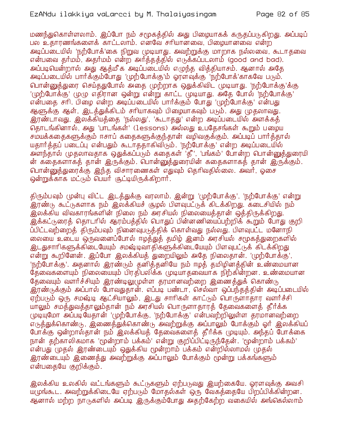மணந்துகொள்ளலாம். இப்போ நம் சமூகத்தில் அது பிழையாகக் கருதப்படுகிறது. அப்படிப் பல உதாரணங்களைக் காட்டலாம். எனவே சரியானவை, பிழையானவை என்ற அடிப்படையில் 'நற்போக்'கை நிறுவ (முடியாது. அவற்றுக்கு மாறாக நல்லவை, கூடாதவை என்பவை தர்மம், அதர்மம் என்ற அர்த்தத்தில் எடுக்கப்படலாம் (good and bad). அப்படியென்றால் அது ஆக்மீக அடிப்படையில் எமுந்த விக்கியாசம். ஆனால் அதே அடிப்படையில் பார்க்கும்போது 'முற்போக்கு'ம் ஓரளவுக்கு 'நற்போக்'காகவே படும். பொன்னுக்துரை செய்கதுபோல் அதை முற்றாக ஒதுக்கிவிட முடியாது. 'நற்போக்கு'க்கு 'முற்போக்கு' முழு எதிரான ஒன்று என்று காட்ட முடியாது. அதே போல் 'நற்போக்கு' என்பதை சரி. பிழை என்ற அடிப்படையில் பார்க்கும் போது 'முற்போக்கு' என்பது ஆளுக்கு ஆள். இடக்துக்கிடம் சரியாகவும் பிமையாகவும் படும். அது முகலாவது. இரண்டாவது, இலக்கியத்தை 'நல்லது', 'கூடாதது' என்ற அடிப்படையில் அளக்கத் தொடங்கினால், அது 'பாடங்கள்' (lessons) அல்லது உபதேசங்கள் கூறும் பழைய சம்யக்கதைகளுக்கும் ஈசாப் கதைகளுக்குந்தான் வழிவகுக்கும். அப்படிப் பார்த்தால் யதார்த்தப் படைப்பு என்பதும் கூடாததாகிவிரும். 'நற்போக்கு' என்ற அடிப்படையில் அ்ளந்தால் முதலாவதாக ஒதுக்கப்படும் கதைகள் 'தீ', 'பங்கம்' போன்ற பொன்னுத்துரையி ன் கதைகளாகத் தான் இருக்கும். பொன்னுத்துரையின் கதைகளாகத் தான் இருக்கும். பொன்னுத்துரைக்கு இந்த விசாரணைகள் எதுவும் தெரிவதில்லை. அவர், ஓசை ஒன்றுக்காக மட்டும் பெயர் சூட்டியிருக்கிறார்.

திரும்பவும் முன்பு விட்ட இடத்துக்கு வரலாம். இன்று 'முற்போக்கு', 'நற்போக்கு' என்று .<br>இரண்டு கூட்டுகளாக நம் இலக்கியச் சூழல் பிளவுபட்டுக் கிடக்கிறது. கடைசியில் நம் இலக்கிய விவகாரங்களின் நிலை நம் அரசியல் நிலையைத்தான் ஒத்திருக்கிறது. இக்கட்டுரைத் தொடரில் ஆரம்பத்தில் பொதுப் பின்னணியைப்பற்றிக் கூறும் போது குறி ப்பிட்டவற்றைத் திரும்பவும் நினைவுபடுத்திக் கொள்வது நல்லது. பிளவுபட்ட மனோநி லையை உடைய ஒருவனைப்போல் ஈழத்துத் தமிழ் இனம் அரசியல் சமூகத்துறைகளில் <u>இடது</u>சாரிகளுக்கிடையேயும் சமஷ்டிவாதிகளுக்கிடையேயும் பிளவுபட்டுக் கிடக்கிறது என்று கூறினேன். இப்போ இலக்கியத் துறையிலும் அதே நிலைதான். 'முற்போக்கு', 'நற்போக்கு'. அதனால் இரண்டும் தனித்தனியே நம் ஈழத் தமிழினத்தின் உண்மையான தேவைகளையும் நிலையையும் பிரதிபலிக்க முடியாதவையாக நிற்கின்றன. உண்மையான தேவையும் வளர்ச்சியும் இரண்டிலுமுள்ள தரமானவற்றை இணைத்துக் கொண்டு இரண்டுக்கும் அப்பால் போவதுதான். எப்படி பண்டா, செல்வா ஒப்பந்தத்தின் அடிப்படையில் ஏற்படும் ஒரு சமஷ்டி ஆட்சியாலும், இடது சாரிகள் காட்டும் பொருளாதார வளர்ச்சி யாலும் சமத்துவத்தாலும்தான் நம் அரசியல் பொருளாதாரத் தேவைகளைத் தீர்க்க முடியுமோ அப்படியேதான் 'முற்போக்கு, 'நற்போக்கு' என்பவற்றிலுள்ள தரமானவற்றை எடுத்துக்கொண்டு, இணைத்துக்கொண்டு அவற்றுக்கு அப்பாலும் போக்கும் ஓர் இலக்கியப் போக்கு ஒன்றால்தான் நம் இலக்கியத் தேவைகளைத் தீர்க்க முடியும். அந்தப் போக்கை நான் கற்காலிகமாக 'மூன்றாம் பக்கம்' என்று குறிப்பிட்டிருந்தேன். 'மூன்றாம் பக்கம்' என்பது முதல் இரண்டையும் ஒதுக்கிய மூன்றாம் பக்கம் என்றில்லாமல் முதல் <u>இரண்டையும் இணைத்து அவற்றுக்கு அப்பாலும் போக்கும் மூன்று பக்கங்களும் </u> என்பதையே குறிக்கும்.

இலக்கிய உலகில் வட்டங்களும் கூட்டுகளும் ஏற்படுவது இயற்கையே. ஓரளவுக்கு அவசி யுமுங்கூட. அவற்றுக்கிடையே ஏற்படும் மோதல்கள் ஒரு வேகத்தையே பிறப்பிக்கின்றன. ஆனால் மற்ற நாடுகளில் அப்படி இருக்கும்போது அதற்கேற்ற வகையில் அங்கெல்லாம்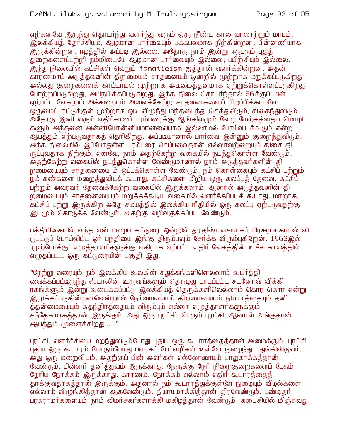## EzANdu ilakkiya vaLarcci by M. Thalaiyasingam

ஏற்கனவே இருந்து தொடர்ந்து வளர்ந்து வரும் ஒரு நீண்ட கால வரலாற்றும் மரபும், இலக்கியத் தேர்ச்சியும், ஆழ்மான பார்வையும் பக்கபலமாக நிற்கின்றன; பின்னணியாக இருக்கின்றன. ஈழத்தில் அப்படி இல்லை. அதோடு நாம் இன்று ஈடுபடும் புதுத் துறைகளைப்பற்றி நம்மிடையே ஆழமான பார்வையும் இல்லை, பயிற்சியும் இல்லை. .<br>இந்த நிலையில் கட்சிகள் வெறும் fanaticism ஐத்தான் வளர்க்கின்றன. அதன் காரணமாய் அடுத்தவனின் திறமையும் சாதனையும் ஒன்றில் முற்றாக மறுக்கப்படுகிறது அல்லது குறைகளைக் காட்டாமல் முற்றாக அடிமைக்களமாக ஏற்றுக்கொள்ளப்படுகிறது. போற்றப்படுகிறது, அபிநயிக்கப்படுகிறது. இந்த நிலை தொடர்ந்தால் 56க்குப் பின் ஏற்பட்ட வேகமும் அக்கறையும் அவைக்கேற்ற சாதனைகளைப் பிறப்பிக்காமலே ஒருமைப்பாட்டுக்குள் முற்றாக ஓடி விமுந்து மந்தடைந்து செக்துவிடும். சிகைந்துவிடும். அதோடு இனி வரும் எதிர்காலப் பரம்பரைக்கு ஆங்கிலமும் வேறு மேற்கத்தைய மொழி களும் அத்தனை அன்னியோன்னியமானவையாக இல்லாமல் போய்விடக்கூடும் என்ற ஆபத்தும் எற்படுவதாகத் தெரிகிறது. அப்படியானால் பார்வை இன்னும் குறைந்துவிடும். அந்த நிலையில் இப்போதுள்ள பரம்பரை செய்பவைதான் எல்லாவற்றையும் திசை தி ருப்புவதாக நிற்கும். எனவே, நாம் அதற்கேற்ற வகையில் நடந்துகொள்ள வேண்டும். அதற்கேற்ற வகையில் நடந்துகொள்ள வேண்டுமானால் நாம் அடுத்தவர்களின் தி றமையையும் சாதனையை ம் ஒப்புக்கொள்ள வேண்டும். நம் கொள்கையும் கட்சிப் பற்றும் நம் கண்களை மறைத்துவிடக் கூடாது. கட்சிகளை மீறிய ஒரு கலப்புத் தேவை. கட்சிப் .<br>பற்றும் அவரவர் தேவைக்கேற்ற வகையில் இருக்கலாம். ஆனால் அடுத்தவனின் தி றமையையும் சாதனையையும் மறுக்கக்கூடிய வகையில் வளர்க்கப்படக் கூடாது. மாறாக, கட்சிப் பற்று இருக்கிற அதே சமயத்தில் இலக்கிய ரீதியில் ஒரு கலப்பு ஏற்படுவதற்கு இட(மும் கொடுக்க வேண்டும். அதற்கு வழிவகுக்கப்பட வேண்டும்.

பத்திரிகையில் வந்த என் பழைய கட்டுரை ஒன்றில் துரதிஷ்டவசமாகப் பிரசுரமாகாமல் வி (நபட்டுப் போய்விட்ட ஓர் பந்தியை இங்கு திரும்பவும் சேர்க்க விரும்புகிறேன். 1963இல் '(முற்போக்கு' எழுத்தாளர்களுக்கு எதிராக ஏற்பட்ட எதிர் வேகத்தின் உச்ச காலத்தில் எழுதப்பட்ட ஒரு கட்டுரையின் பகுதி இது:

"நேற்று வரையும் நம் இலக்கிய உலகின் சதுக்கங்களிளெல்லாம் உயர்த்தி வைக்கப்பட்டிருந்த ஸ்டாலின் உருவங்களும் தொமுது பாடப்பட்ட சடனோவ் விக்கி ரகங்களும் இன்று உடைக்கப்பட்டு இலக்கியத் தெருக்களிலெல்லாம் கொர கொர என்று இழுக்கப்படுகின்றனவென்றால் நேர்மையையும் திறமையையும் நியாயத்தையும் தனி த்தன்மையையும் சுதந்திரத்தையும் விரும்பும் எல்லா எழுத்தாளர்களுக்கும் .<br>சந்்தேகமாகத்தான் இருக்கும். அது ஒரு புரட்சி, பெரும் புரட்சி. ஆனால் அங்குதான் ஆபத்தும் முளைக்கிறது......"

புரட்சி, வளர்ச்சியை மறந்துவிடும்போது புதிய ஒரு கூடாரத்தைத்தான் அமைக்கும். புரட்சி புதிய ஒரு கூடாரம் போடும்போது பலரகப் போவழிகள் உள்ளே நுழைந்து பதுங்கிவிடுவார். அ்து ஒரு மறைவிடம். அதற்குப் பின் அவர்கள் எல்லோரையும் பாதுகாக்கத்தான் வேண்டும். பின்னர் தனித்துவம் இருக்காது. நேருக்கு நேர் நிறைகுறைகளைப் பேசும் நேரிய நோக்கம் இருக்காது. காரணம், நோக்கம் எல்லாம் எதிர் கூடாரத்தைத் தாக்குவதாகத்தான் இருக்கும். அதனால் நம் கூடாரத்துக்குள்ளே நுழையும் விழல்களை எல்லாம் விழுங்கித்தான் ஆகவேண்டும். நியாயமாக்கித்தான் தீரவேண்டும். பண்டிதர் பரசுராமர்களையும் நாம் விமர்சகர்களாக்கி மகிழத்தான் வேண்டும். கடைசியில் மிஞ்சுவது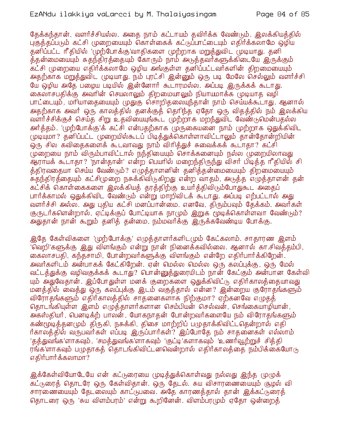தேக்கந்தான், வளர்ச்சியல்ல. அதை நாம் கட்டாயம் தவிர்க்க வேண்டும். இலக்கியத்தில் பகுத்தப்படும் கட்சி முறையையும் கொள்கைக் கட்டுப்பாட்டையும் எதிர்க்கலாமே ஒழிய தனிப்பட்ட ரீதியில் 'முற்போக்கு'வாதிகளை முற்றாக மறுத்துவிட முடியாது. தனி த்தன்மையையும் சுதந்திரத்தையும் கோரும் நாம் அடுத்தவர்களுக்கிடையே இருக்கும் .<br>கட்சி முறையை எதிர்க்கலாமே ஒமிய அங்குள்ள தனிப்பட்டவர்களின் கிறமையையும் அதற்காக மறுத்துவிட முடியாது. நம் புரட்சி இன்னும் ஒரு படி மேலே செல்லும் வளர்ச்சி யே ஒழிய அதே பழைய படியில் இன்னோர் கூடாரமல்ல. அப்படி இருக்கக் கூடாது. கைலாசபதிக்கு அவரின் செயலாலும் திறமையாலும் நியாயமாக்க முடியாத வழி பாட்டையும், மரியாதையையும் முதுகு சொறிதலையுந்தான் நாம் செய்யக்கூடாது. ஆனால் அதற்காக அவர் ஒரு காலத்தில் தனக்குத் தெரிந்த ஏதோ ஒரு விதத்தில் நம் இலக்கிய வளர்ச்சிக்குச் செய்த சிறு உதவியையுங்கூட முற்றாக மறந்துவிட வேண்டுமென்பதல்ல அர்த்தம். 'முற்போக்கு'க் கட்சி என்பதற்காக முருகையனை நாம் முற்றாக ஒதுக்கிவிட முடியுமா? தனிப்பட்ட முறையில்கூடப் பிடித்துக்கொள்ளாவிட்டாலும் தான்தோன்றியின் ஒரு சில கவிதைகளைக் கூடவாவது நாம் விரித்துச் சுவைக்கக் கூடாதா? கட்சி முறையை நாம் விரும்பாவிட்டால் நந்தியையும் சொக்கனையும் நல்ல முறையிலாவது ஆராயக் கூடாதா? 'நான்தான்' என்ற பெயரில் மறைந்திருந்து விசர் பிடித்த ரீதியில் சி த்திரவதையா செய்ய வேண்டும்? எழுத்தாளனின் தனித்தன்மையையும் திறமையையும் .<br>சுதந்திரத்தையும் கட்சிமுறை நசுக்கிவிடுகிறது என்ற வாதம், அடுத்த எழுத்தாளன் தன் கட்சிக் கொள்கைகளை இலக்கியத் தரத்திற்கு உயர்த்திவிடும்போதுகூட அதைப் பார்க்காமல் ஒதுக்கிவிட வேண்டும் என்று மாறிவிடக் கூடாது. அப்படி எற்பட்டால் அது வளர்ச்சி அல்ல. அது புதிய கட்சி மனப்பான்மை. எனவே, திரும்பவும் கேக்கம். அவர்கள் குருடர்களென்றால், ஏட்டிக்குப் போட்டியாக நாமும் இறுக மூடிக்கொள்ளவா வேண்டும்? அதுதான் நான் கூறும் தனித் தன்மை, நம்மவர்க்கு இருக்கவேண்டிய போக்கு.

இதே கேள்விகளை 'முற்போக்கு' எழுத்தாளர்களிடமும் கேட்கலாம். சாதாரண இளம் 'வெறி'களுக்கு ,இது விளங்கும் என்று நான் நினைக்கவில்லை. ஆனால் கா.சிவத்தம்பி, கைலாசபதி, கந்தசாமி, போன்றவர்களுக்கு விளங்கும் என்றே எதிர்பார்க்கிறேன். அவர்களிடம் அன்பாகக் கேட்கிறேன். ஏன் மெல்ல மெல்ல ஒரு கலப்புக்கு, ஒரு மேல் வட்டத்துக்கு வழிவகுக்கக் கூடாது? பொன்னுத்துரையிடம் நான் கேட்கும் அன்பான கேள்வி யும் அதுவேதான். இப்போதுள்ள மனக் குறைகளை ஒதுக்கிவிட்டு எதிர்காலத்தையாவது மனத்தில் வைத்து ஒரு கலப்புக்கு இடம் வகுத்தால் என்ன? இன்றைய குரோதங்களும் விரோதங்களும் எதிர்காலத்தில் சாதனைகளாக நிற்குமா? ஏற்கனவே எழுதத் தொடங்கியுள்ள இளம் எமுக்காளர்களான செம்பியன் செல்வன், செங்கையாமியான், அகஸ்தியர், பெனடிக்ற் பாலன், யோகநாதன் போன்றவர்களையே நம் விரோதங்களும் கண்மூடித்தனமும் திருகி, நசுக்கி, திசை மாற்றிப் பமுதாக்கிவிட்டதென்றால் எதி ர்காலத்தில் வருபவர்கள் எப்படி இருப்பார்கள்? இப்போதே நம் சாதனைகள் எல்லாம் 'தத்துவங்க'ளாகவும், 'சமத்துவங்க'ளாகவும் 'குட்டி'களாகவும் 'உணர்வூற்றுச் சித்தி ரங்களாகவும் பழுதாகத் தொடங்கிவிட்டனவென்றால் எதிர்காலத்தை நம்பிக்கையோடு எகிர்பார்க்கலாமா?

இக்கேள்வியோடேயே என் கட்டுரையை முடித்துக்கொள்வது நல்லது இந்த முழுக் ...<br>கட்டுரைத் தொடரே ஒரு கேள்விதான். ஒரு தேடல். சுய விசாரணையையும் சூழல் வி சாரணையையும் தேடலையும் காட்டுபவை. அதே காரணத்தால் தான் இக்கட்டுரைத் தொடரை ஒரு 'சுய விளம்பரம்' என்று கூறினேன். விளம்பரமும் ஏதோ ஒன்றைத்